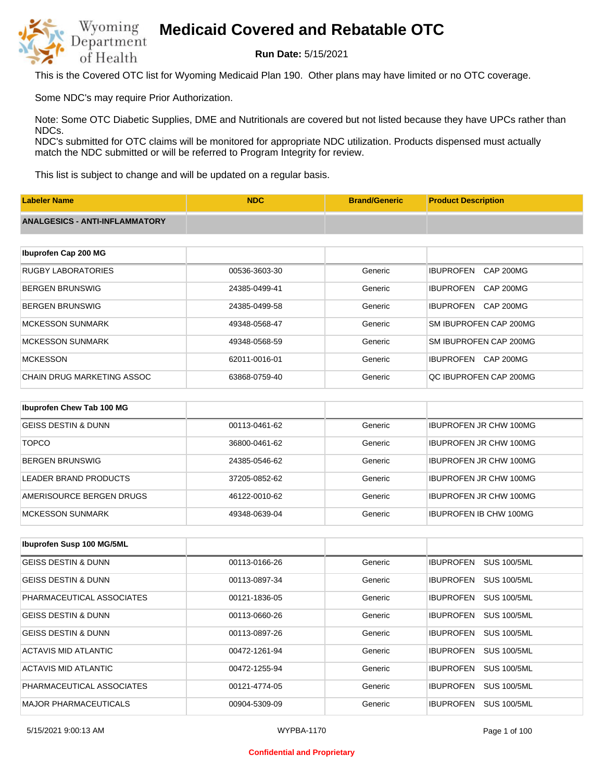

**Run Date:** 5/15/2021

This is the Covered OTC list for Wyoming Medicaid Plan 190. Other plans may have limited or no OTC coverage.

Some NDC's may require Prior Authorization.

Note: Some OTC Diabetic Supplies, DME and Nutritionals are covered but not listed because they have UPCs rather than NDCs.

NDC's submitted for OTC claims will be monitored for appropriate NDC utilization. Products dispensed must actually match the NDC submitted or will be referred to Program Integrity for review.

This list is subject to change and will be updated on a regular basis.

| <b>Labeler Name</b>                   | <b>NDC</b>    | <b>Brand/Generic</b> | <b>Product Description</b>           |
|---------------------------------------|---------------|----------------------|--------------------------------------|
| <b>ANALGESICS - ANTI-INFLAMMATORY</b> |               |                      |                                      |
|                                       |               |                      |                                      |
| Ibuprofen Cap 200 MG                  |               |                      |                                      |
| <b>RUGBY LABORATORIES</b>             | 00536-3603-30 | Generic              | <b>IBUPROFEN</b><br><b>CAP 200MG</b> |
| <b>BERGEN BRUNSWIG</b>                | 24385-0499-41 | Generic              | <b>IBUPROFEN</b><br><b>CAP 200MG</b> |
| <b>BERGEN BRUNSWIG</b>                | 24385-0499-58 | Generic              | <b>IBUPROFEN</b><br><b>CAP 200MG</b> |
| <b>MCKESSON SUNMARK</b>               | 49348-0568-47 | Generic              | SM IBUPROFEN CAP 200MG               |
| <b>MCKESSON SUNMARK</b>               | 49348-0568-59 | Generic              | SM IBUPROFEN CAP 200MG               |
| <b>MCKESSON</b>                       | 62011-0016-01 | Generic              | <b>IBUPROFEN</b><br><b>CAP 200MG</b> |
| <b>CHAIN DRUG MARKETING ASSOC</b>     | 63868-0759-40 | Generic              | QC IBUPROFEN CAP 200MG               |
|                                       |               |                      |                                      |
| Ibuprofen Chew Tab 100 MG             |               |                      |                                      |
| <b>GEISS DESTIN &amp; DUNN</b>        | 00113-0461-62 | Generic              | <b>IBUPROFEN JR CHW 100MG</b>        |
| <b>TOPCO</b>                          | 36800-0461-62 | Generic              | <b>IBUPROFEN JR CHW 100MG</b>        |

| BERGEN BRUNSWIG          | 24385-0546-62 | Generic | <b>IBUPROFEN JR CHW 100MG</b> |
|--------------------------|---------------|---------|-------------------------------|
| LEADER BRAND PRODUCTS    | 37205-0852-62 | Generic | <b>IBUPROFEN JR CHW 100MG</b> |
| AMERISOURCE BERGEN DRUGS | 46122-0010-62 | Generic | <b>IBUPROFEN JR CHW 100MG</b> |
| MCKESSON SUNMARK         | 49348-0639-04 | Generic | IBUPROFEN IB CHW 100MG        |

| Ibuprofen Susp 100 MG/5ML      |               |         |                                        |
|--------------------------------|---------------|---------|----------------------------------------|
| GEISS DESTIN & DUNN            | 00113-0166-26 | Generic | <b>SUS 100/5ML</b><br><b>IBUPROFEN</b> |
| <b>GEISS DESTIN &amp; DUNN</b> | 00113-0897-34 | Generic | <b>SUS 100/5ML</b><br><b>IBUPROFEN</b> |
| PHARMACEUTICAL ASSOCIATES      | 00121-1836-05 | Generic | <b>SUS 100/5ML</b><br><b>IBUPROFEN</b> |
| <b>GEISS DESTIN &amp; DUNN</b> | 00113-0660-26 | Generic | <b>SUS 100/5ML</b><br><b>IBUPROFEN</b> |
| <b>GEISS DESTIN &amp; DUNN</b> | 00113-0897-26 | Generic | <b>IBUPROFEN</b><br><b>SUS 100/5ML</b> |
| ACTAVIS MID ATLANTIC           | 00472-1261-94 | Generic | <b>SUS 100/5ML</b><br><b>IBUPROFEN</b> |
| ACTAVIS MID ATLANTIC           | 00472-1255-94 | Generic | <b>SUS 100/5ML</b><br><b>IBUPROFEN</b> |
| PHARMACEUTICAL ASSOCIATES      | 00121-4774-05 | Generic | <b>SUS 100/5ML</b><br><b>IBUPROFEN</b> |
| <b>MAJOR PHARMACEUTICALS</b>   | 00904-5309-09 | Generic | <b>IBUPROFEN</b><br><b>SUS 100/5ML</b> |

#### **Confidential and Proprietary**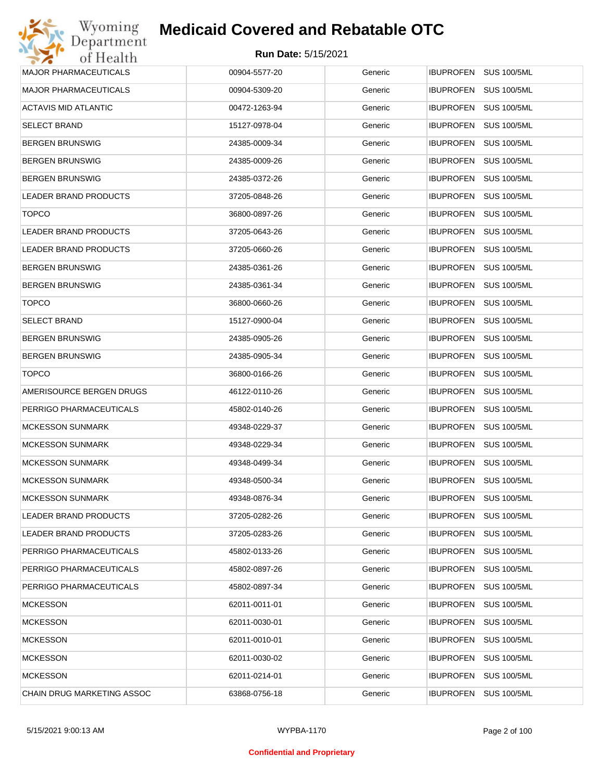| Wyoming                      | <b>Medicaid Covered and Rebatable OTC</b> |         |                                        |
|------------------------------|-------------------------------------------|---------|----------------------------------------|
| Department<br>of Health      | Run Date: 5/15/2021                       |         |                                        |
| <b>MAJOR PHARMACEUTICALS</b> | 00904-5577-20                             | Generic | <b>IBUPROFEN</b><br><b>SUS 100/5ML</b> |
| <b>MAJOR PHARMACEUTICALS</b> | 00904-5309-20                             | Generic | <b>IBUPROFEN</b><br><b>SUS 100/5ML</b> |
| ACTAVIS MID ATLANTIC         | 00472-1263-94                             | Generic | <b>SUS 100/5ML</b><br><b>IBUPROFEN</b> |
| <b>SELECT BRAND</b>          | 15127-0978-04                             | Generic | <b>IBUPROFEN</b><br><b>SUS 100/5ML</b> |
| <b>BERGEN BRUNSWIG</b>       | 24385-0009-34                             | Generic | <b>SUS 100/5ML</b><br><b>IBUPROFEN</b> |
| <b>BERGEN BRUNSWIG</b>       | 24385-0009-26                             | Generic | <b>IBUPROFEN</b><br><b>SUS 100/5ML</b> |
| <b>BERGEN BRUNSWIG</b>       | 24385-0372-26                             | Generic | <b>IBUPROFEN</b><br><b>SUS 100/5ML</b> |
| LEADER BRAND PRODUCTS        | 37205-0848-26                             | Generic | <b>IBUPROFEN</b><br><b>SUS 100/5ML</b> |
| <b>TOPCO</b>                 | 36800-0897-26                             | Generic | <b>IBUPROFEN</b><br><b>SUS 100/5ML</b> |
| <b>LEADER BRAND PRODUCTS</b> | 37205-0643-26                             | Generic | <b>IBUPROFEN</b><br><b>SUS 100/5ML</b> |
| LEADER BRAND PRODUCTS        | 37205-0660-26                             | Generic | <b>SUS 100/5ML</b><br><b>IBUPROFEN</b> |
| <b>BERGEN BRUNSWIG</b>       | 24385-0361-26                             | Generic | <b>IBUPROFEN</b><br><b>SUS 100/5ML</b> |
| <b>BERGEN BRUNSWIG</b>       | 24385-0361-34                             | Generic | <b>SUS 100/5ML</b><br><b>IBUPROFEN</b> |
| <b>TOPCO</b>                 | 36800-0660-26                             | Generic | <b>IBUPROFEN</b><br><b>SUS 100/5ML</b> |
| <b>SELECT BRAND</b>          | 15127-0900-04                             | Generic | <b>SUS 100/5ML</b><br><b>IBUPROFEN</b> |
| <b>BERGEN BRUNSWIG</b>       | 24385-0905-26                             | Generic | <b>IBUPROFEN</b><br><b>SUS 100/5ML</b> |
| <b>BERGEN BRUNSWIG</b>       | 24385-0905-34                             | Generic | <b>SUS 100/5ML</b><br><b>IBUPROFEN</b> |
| <b>TOPCO</b>                 | 36800-0166-26                             | Generic | <b>IBUPROFEN</b><br><b>SUS 100/5ML</b> |
| AMERISOURCE BERGEN DRUGS     | 46122-0110-26                             | Generic | <b>SUS 100/5ML</b><br><b>IBUPROFEN</b> |
| PERRIGO PHARMACEUTICALS      | 45802-0140-26                             | Generic | <b>IBUPROFEN</b><br><b>SUS 100/5ML</b> |
| <b>MCKESSON SUNMARK</b>      | 49348-0229-37                             | Generic | <b>IBUPROFEN</b><br><b>SUS 100/5ML</b> |
| <b>MCKESSON SUNMARK</b>      | 49348-0229-34                             | Generic | IBUPROFEN SUS 100/5ML                  |
| <b>MCKESSON SUNMARK</b>      | 49348-0499-34                             | Generic | IBUPROFEN SUS 100/5ML                  |
| <b>MCKESSON SUNMARK</b>      | 49348-0500-34                             | Generic | <b>SUS 100/5ML</b><br><b>IBUPROFEN</b> |
| <b>MCKESSON SUNMARK</b>      | 49348-0876-34                             | Generic | <b>IBUPROFEN</b><br><b>SUS 100/5ML</b> |
| LEADER BRAND PRODUCTS        | 37205-0282-26                             | Generic | <b>SUS 100/5ML</b><br><b>IBUPROFEN</b> |
| <b>LEADER BRAND PRODUCTS</b> | 37205-0283-26                             | Generic | <b>SUS 100/5ML</b><br><b>IBUPROFEN</b> |
| PERRIGO PHARMACEUTICALS      | 45802-0133-26                             | Generic | <b>SUS 100/5ML</b><br><b>IBUPROFEN</b> |
| PERRIGO PHARMACEUTICALS      | 45802-0897-26                             | Generic | <b>SUS 100/5ML</b><br><b>IBUPROFEN</b> |
| PERRIGO PHARMACEUTICALS      | 45802-0897-34                             | Generic | <b>SUS 100/5ML</b><br><b>IBUPROFEN</b> |
| <b>MCKESSON</b>              | 62011-0011-01                             | Generic | <b>SUS 100/5ML</b><br><b>IBUPROFEN</b> |
| <b>MCKESSON</b>              | 62011-0030-01                             | Generic | <b>SUS 100/5ML</b><br><b>IBUPROFEN</b> |
| <b>MCKESSON</b>              | 62011-0010-01                             | Generic | <b>IBUPROFEN</b><br><b>SUS 100/5ML</b> |
| <b>MCKESSON</b>              | 62011-0030-02                             | Generic | <b>SUS 100/5ML</b><br><b>IBUPROFEN</b> |
| <b>MCKESSON</b>              | 62011-0214-01                             | Generic | <b>SUS 100/5ML</b><br><b>IBUPROFEN</b> |
| CHAIN DRUG MARKETING ASSOC   | 63868-0756-18                             | Generic | <b>SUS 100/5ML</b><br><b>IBUPROFEN</b> |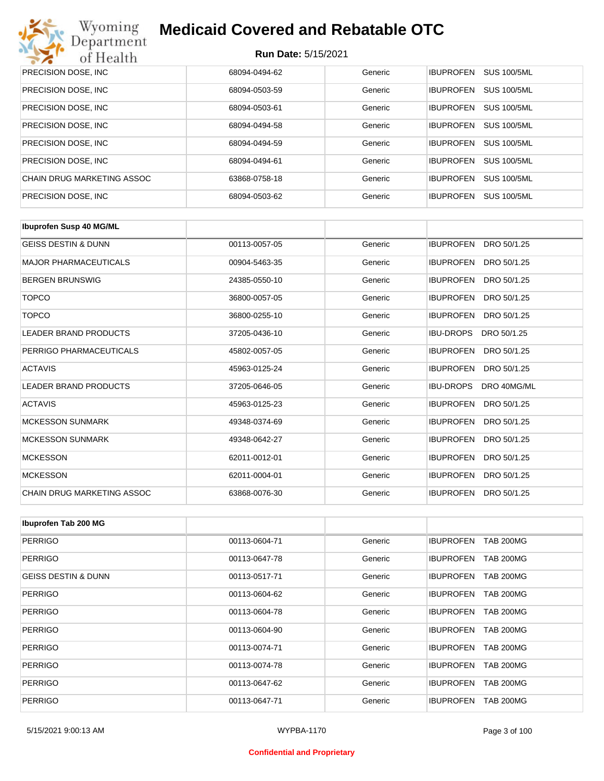

| PRECISION DOSE, INC.       | 68094-0494-62 | Generic | <b>SUS 100/5ML</b><br><b>IBUPROFEN</b> |
|----------------------------|---------------|---------|----------------------------------------|
| PRECISION DOSE, INC.       | 68094-0503-59 | Generic | <b>SUS 100/5ML</b><br><b>IBUPROFEN</b> |
| PRECISION DOSE, INC.       | 68094-0503-61 | Generic | <b>SUS 100/5ML</b><br><b>IBUPROFEN</b> |
| PRECISION DOSE, INC.       | 68094-0494-58 | Generic | <b>SUS 100/5ML</b><br><b>IBUPROFEN</b> |
| PRECISION DOSE, INC.       | 68094-0494-59 | Generic | <b>SUS 100/5ML</b><br><b>IBUPROFEN</b> |
| PRECISION DOSE, INC.       | 68094-0494-61 | Generic | <b>IBUPROFEN</b><br><b>SUS 100/5ML</b> |
| CHAIN DRUG MARKETING ASSOC | 63868-0758-18 | Generic | <b>SUS 100/5ML</b><br><b>IBUPROFEN</b> |
| PRECISION DOSE, INC.       | 68094-0503-62 | Generic | <b>SUS 100/5ML</b><br><b>IBUPROFEN</b> |

| <b>Ibuprofen Susp 40 MG/ML</b> |               |         |                                 |
|--------------------------------|---------------|---------|---------------------------------|
| <b>GEISS DESTIN &amp; DUNN</b> | 00113-0057-05 | Generic | <b>IBUPROFEN</b><br>DRO 50/1.25 |
| <b>MAJOR PHARMACEUTICALS</b>   | 00904-5463-35 | Generic | <b>IBUPROFEN</b><br>DRO 50/1.25 |
| <b>BERGEN BRUNSWIG</b>         | 24385-0550-10 | Generic | <b>IBUPROFEN</b><br>DRO 50/1.25 |
| <b>TOPCO</b>                   | 36800-0057-05 | Generic | <b>IBUPROFEN</b><br>DRO 50/1.25 |
| <b>TOPCO</b>                   | 36800-0255-10 | Generic | <b>IBUPROFEN</b><br>DRO 50/1.25 |
| <b>LEADER BRAND PRODUCTS</b>   | 37205-0436-10 | Generic | <b>IBU-DROPS</b><br>DRO 50/1.25 |
| PERRIGO PHARMACEUTICALS        | 45802-0057-05 | Generic | <b>IBUPROFEN</b><br>DRO 50/1.25 |
| <b>ACTAVIS</b>                 | 45963-0125-24 | Generic | <b>IBUPROFEN</b><br>DRO 50/1.25 |
| <b>LEADER BRAND PRODUCTS</b>   | 37205-0646-05 | Generic | <b>IBU-DROPS</b><br>DRO 40MG/ML |
| <b>ACTAVIS</b>                 | 45963-0125-23 | Generic | <b>IBUPROFEN</b><br>DRO 50/1.25 |
| <b>MCKESSON SUNMARK</b>        | 49348-0374-69 | Generic | <b>IBUPROFEN</b><br>DRO 50/1.25 |
| <b>MCKESSON SUNMARK</b>        | 49348-0642-27 | Generic | <b>IBUPROFEN</b><br>DRO 50/1.25 |
| <b>MCKESSON</b>                | 62011-0012-01 | Generic | <b>IBUPROFEN</b><br>DRO 50/1.25 |
| <b>MCKESSON</b>                | 62011-0004-01 | Generic | <b>IBUPROFEN</b><br>DRO 50/1.25 |
| CHAIN DRUG MARKETING ASSOC     | 63868-0076-30 | Generic | <b>IBUPROFEN</b><br>DRO 50/1.25 |

| Ibuprofen Tab 200 MG           |               |         |                                      |
|--------------------------------|---------------|---------|--------------------------------------|
| <b>PERRIGO</b>                 | 00113-0604-71 | Generic | <b>IBUPROFEN</b><br><b>TAB 200MG</b> |
| <b>PERRIGO</b>                 | 00113-0647-78 | Generic | <b>IBUPROFEN</b><br><b>TAB 200MG</b> |
| <b>GEISS DESTIN &amp; DUNN</b> | 00113-0517-71 | Generic | <b>TAB 200MG</b><br><b>IBUPROFEN</b> |
| <b>PERRIGO</b>                 | 00113-0604-62 | Generic | <b>TAB 200MG</b><br><b>IBUPROFEN</b> |
| <b>PERRIGO</b>                 | 00113-0604-78 | Generic | <b>IBUPROFEN</b><br><b>TAB 200MG</b> |
| <b>PERRIGO</b>                 | 00113-0604-90 | Generic | <b>TAB 200MG</b><br><b>IBUPROFEN</b> |
| <b>PERRIGO</b>                 | 00113-0074-71 | Generic | <b>IBUPROFEN</b><br><b>TAB 200MG</b> |
| <b>PERRIGO</b>                 | 00113-0074-78 | Generic | <b>TAB 200MG</b><br><b>IBUPROFEN</b> |
| <b>PERRIGO</b>                 | 00113-0647-62 | Generic | <b>IBUPROFEN</b><br><b>TAB 200MG</b> |
| <b>PERRIGO</b>                 | 00113-0647-71 | Generic | <b>TAB 200MG</b><br><b>IBUPROFEN</b> |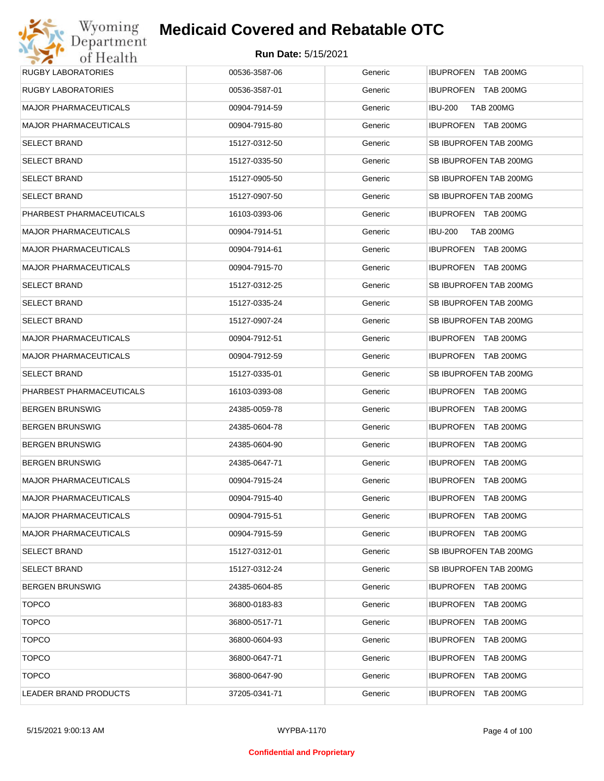| Wyoming                      | <b>Medicaid Covered and Rebatable OTC</b> |         |                                      |
|------------------------------|-------------------------------------------|---------|--------------------------------------|
| Department<br>of Health      | <b>Run Date: 5/15/2021</b>                |         |                                      |
| <b>RUGBY LABORATORIES</b>    | 00536-3587-06                             | Generic | IBUPROFEN TAB 200MG                  |
| <b>RUGBY LABORATORIES</b>    | 00536-3587-01                             | Generic | IBUPROFEN TAB 200MG                  |
| <b>MAJOR PHARMACEUTICALS</b> | 00904-7914-59                             | Generic | <b>IBU-200</b><br><b>TAB 200MG</b>   |
| <b>MAJOR PHARMACEUTICALS</b> | 00904-7915-80                             | Generic | IBUPROFEN TAB 200MG                  |
| <b>SELECT BRAND</b>          | 15127-0312-50                             | Generic | SB IBUPROFEN TAB 200MG               |
| <b>SELECT BRAND</b>          | 15127-0335-50                             | Generic | SB IBUPROFEN TAB 200MG               |
| <b>SELECT BRAND</b>          | 15127-0905-50                             | Generic | SB IBUPROFEN TAB 200MG               |
| <b>SELECT BRAND</b>          | 15127-0907-50                             | Generic | SB IBUPROFEN TAB 200MG               |
| PHARBEST PHARMACEUTICALS     | 16103-0393-06                             | Generic | IBUPROFEN TAB 200MG                  |
| <b>MAJOR PHARMACEUTICALS</b> | 00904-7914-51                             | Generic | <b>IBU-200</b><br><b>TAB 200MG</b>   |
| <b>MAJOR PHARMACEUTICALS</b> | 00904-7914-61                             | Generic | IBUPROFEN TAB 200MG                  |
| <b>MAJOR PHARMACEUTICALS</b> | 00904-7915-70                             | Generic | IBUPROFEN TAB 200MG                  |
| <b>SELECT BRAND</b>          | 15127-0312-25                             | Generic | SB IBUPROFEN TAB 200MG               |
| <b>SELECT BRAND</b>          | 15127-0335-24                             | Generic | SB IBUPROFEN TAB 200MG               |
| <b>SELECT BRAND</b>          | 15127-0907-24                             | Generic | SB IBUPROFEN TAB 200MG               |
| <b>MAJOR PHARMACEUTICALS</b> | 00904-7912-51                             | Generic | IBUPROFEN TAB 200MG                  |
| <b>MAJOR PHARMACEUTICALS</b> | 00904-7912-59                             | Generic | IBUPROFEN TAB 200MG                  |
| <b>SELECT BRAND</b>          | 15127-0335-01                             | Generic | SB IBUPROFEN TAB 200MG               |
| PHARBEST PHARMACEUTICALS     | 16103-0393-08                             | Generic | <b>IBUPROFEN TAB 200MG</b>           |
| <b>BERGEN BRUNSWIG</b>       | 24385-0059-78                             | Generic | IBUPROFEN TAB 200MG                  |
| <b>BERGEN BRUNSWIG</b>       | 24385-0604-78                             | Generic | <b>IBUPROFEN</b><br>TAB 200MG        |
| <b>BERGEN BRUNSWIG</b>       | 24385-0604-90                             | Generic | <b>IBUPROFEN TAB 200MG</b>           |
| <b>BERGEN BRUNSWIG</b>       | 24385-0647-71                             | Generic | <b>IBUPROFEN TAB 200MG</b>           |
| <b>MAJOR PHARMACEUTICALS</b> | 00904-7915-24                             | Generic | IBUPROFEN TAB 200MG                  |
| <b>MAJOR PHARMACEUTICALS</b> | 00904-7915-40                             | Generic | <b>IBUPROFEN</b><br><b>TAB 200MG</b> |
| <b>MAJOR PHARMACEUTICALS</b> | 00904-7915-51                             | Generic | <b>IBUPROFEN</b><br>TAB 200MG        |
| <b>MAJOR PHARMACEUTICALS</b> | 00904-7915-59                             | Generic | IBUPROFEN TAB 200MG                  |
| <b>SELECT BRAND</b>          | 15127-0312-01                             | Generic | SB IBUPROFEN TAB 200MG               |
| <b>SELECT BRAND</b>          | 15127-0312-24                             | Generic | SB IBUPROFEN TAB 200MG               |
| <b>BERGEN BRUNSWIG</b>       | 24385-0604-85                             | Generic | IBUPROFEN TAB 200MG                  |
| <b>TOPCO</b>                 | 36800-0183-83                             | Generic | <b>IBUPROFEN</b><br>TAB 200MG        |
| <b>TOPCO</b>                 | 36800-0517-71                             | Generic | <b>IBUPROFEN</b><br>TAB 200MG        |
| <b>TOPCO</b>                 | 36800-0604-93                             | Generic | <b>IBUPROFEN</b><br><b>TAB 200MG</b> |
| <b>TOPCO</b>                 | 36800-0647-71                             | Generic | <b>IBUPROFEN</b><br>TAB 200MG        |
| <b>TOPCO</b>                 | 36800-0647-90                             | Generic | <b>IBUPROFEN</b><br>TAB 200MG        |
| LEADER BRAND PRODUCTS        | 37205-0341-71                             | Generic | <b>TAB 200MG</b><br>IBUPROFEN        |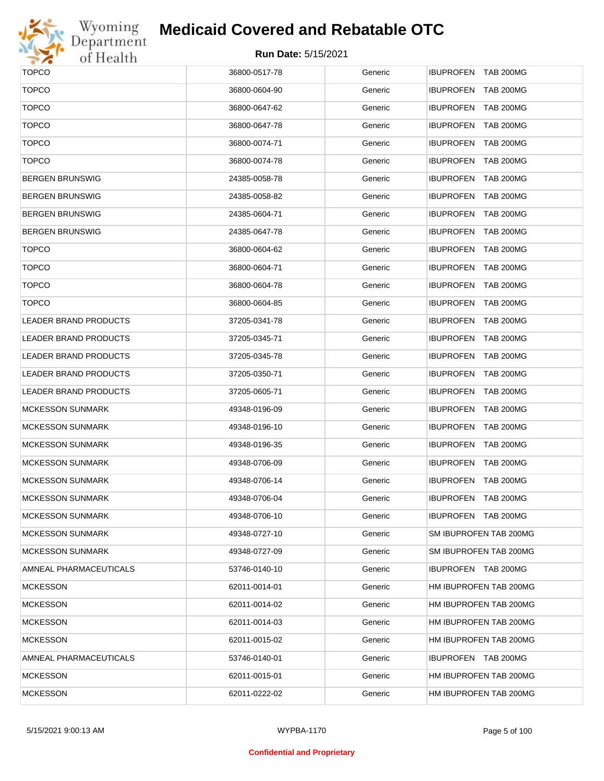

| <b>TOPCO</b>                 | 36800-0517-78 | Generic | IBUPROFEN TAB 200MG        |
|------------------------------|---------------|---------|----------------------------|
| <b>TOPCO</b>                 | 36800-0604-90 | Generic | <b>IBUPROFEN TAB 200MG</b> |
| <b>TOPCO</b>                 | 36800-0647-62 | Generic | <b>IBUPROFEN TAB 200MG</b> |
| <b>TOPCO</b>                 | 36800-0647-78 | Generic | <b>IBUPROFEN TAB 200MG</b> |
| <b>TOPCO</b>                 | 36800-0074-71 | Generic | <b>IBUPROFEN TAB 200MG</b> |
| <b>TOPCO</b>                 | 36800-0074-78 | Generic | <b>IBUPROFEN TAB 200MG</b> |
| <b>BERGEN BRUNSWIG</b>       | 24385-0058-78 | Generic | <b>IBUPROFEN TAB 200MG</b> |
| <b>BERGEN BRUNSWIG</b>       | 24385-0058-82 | Generic | IBUPROFEN TAB 200MG        |
| <b>BERGEN BRUNSWIG</b>       | 24385-0604-71 | Generic | <b>IBUPROFEN TAB 200MG</b> |
| <b>BERGEN BRUNSWIG</b>       | 24385-0647-78 | Generic | IBUPROFEN TAB 200MG        |
| <b>TOPCO</b>                 | 36800-0604-62 | Generic | <b>IBUPROFEN TAB 200MG</b> |
| <b>TOPCO</b>                 | 36800-0604-71 | Generic | <b>IBUPROFEN TAB 200MG</b> |
| <b>TOPCO</b>                 | 36800-0604-78 | Generic | IBUPROFEN TAB 200MG        |
| <b>TOPCO</b>                 | 36800-0604-85 | Generic | IBUPROFEN TAB 200MG        |
| LEADER BRAND PRODUCTS        | 37205-0341-78 | Generic | IBUPROFEN TAB 200MG        |
| <b>LEADER BRAND PRODUCTS</b> | 37205-0345-71 | Generic | IBUPROFEN TAB 200MG        |
| LEADER BRAND PRODUCTS        | 37205-0345-78 | Generic | IBUPROFEN TAB 200MG        |
| LEADER BRAND PRODUCTS        | 37205-0350-71 | Generic | IBUPROFEN TAB 200MG        |
| LEADER BRAND PRODUCTS        | 37205-0605-71 | Generic | IBUPROFEN TAB 200MG        |
| <b>MCKESSON SUNMARK</b>      | 49348-0196-09 | Generic | IBUPROFEN TAB 200MG        |
| <b>MCKESSON SUNMARK</b>      | 49348-0196-10 | Generic | IBUPROFEN TAB 200MG        |
| <b>MCKESSON SUNMARK</b>      | 49348-0196-35 | Generic | IBUPROFEN TAB 200MG        |
| <b>MCKESSON SUNMARK</b>      | 49348-0706-09 | Generic | IBUPROFEN TAB 200MG        |
| <b>MCKESSON SUNMARK</b>      | 49348-0706-14 | Generic | IBUPROFEN TAB 200MG        |
| <b>MCKESSON SUNMARK</b>      | 49348-0706-04 | Generic | <b>IBUPROFEN TAB 200MG</b> |
| <b>MCKESSON SUNMARK</b>      | 49348-0706-10 | Generic | IBUPROFEN TAB 200MG        |
| <b>MCKESSON SUNMARK</b>      | 49348-0727-10 | Generic | SM IBUPROFEN TAB 200MG     |
| <b>MCKESSON SUNMARK</b>      | 49348-0727-09 | Generic | SM IBUPROFEN TAB 200MG     |
| AMNEAL PHARMACEUTICALS       | 53746-0140-10 | Generic | IBUPROFEN TAB 200MG        |
| <b>MCKESSON</b>              | 62011-0014-01 | Generic | HM IBUPROFEN TAB 200MG     |
| <b>MCKESSON</b>              | 62011-0014-02 | Generic | HM IBUPROFEN TAB 200MG     |
| <b>MCKESSON</b>              | 62011-0014-03 | Generic | HM IBUPROFEN TAB 200MG     |
| <b>MCKESSON</b>              | 62011-0015-02 | Generic | HM IBUPROFEN TAB 200MG     |
| AMNEAL PHARMACEUTICALS       | 53746-0140-01 | Generic | IBUPROFEN TAB 200MG        |
| <b>MCKESSON</b>              | 62011-0015-01 | Generic | HM IBUPROFEN TAB 200MG     |
| <b>MCKESSON</b>              | 62011-0222-02 | Generic | HM IBUPROFEN TAB 200MG     |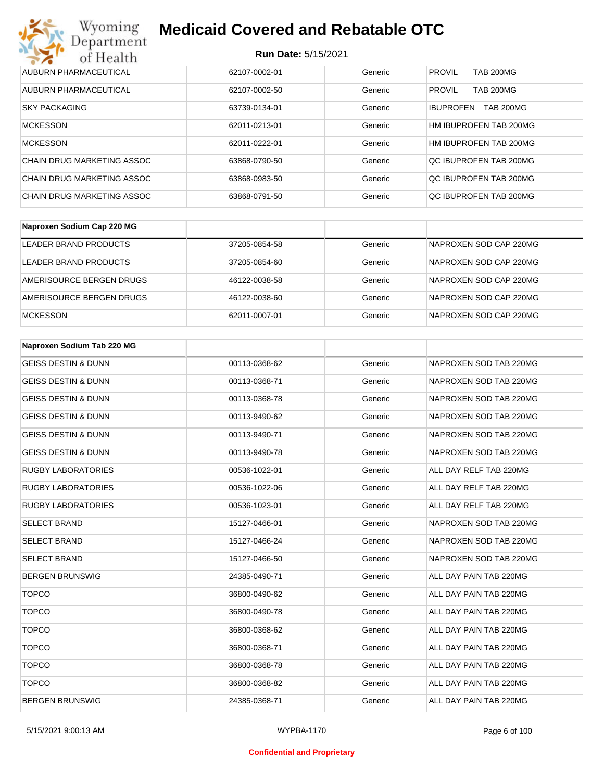### **Run Date:** 5/15/2021

| Wyoming<br><b>Medicaid Covered and Rebatable OTC</b><br>Department |               |         |                                      |  |
|--------------------------------------------------------------------|---------------|---------|--------------------------------------|--|
| <b>Run Date: 5/15/2021</b><br>of Health                            |               |         |                                      |  |
| AUBURN PHARMACEUTICAL                                              | 62107-0002-01 | Generic | <b>PROVIL</b><br><b>TAB 200MG</b>    |  |
| AUBURN PHARMACEUTICAL                                              | 62107-0002-50 | Generic | <b>PROVIL</b><br><b>TAB 200MG</b>    |  |
| <b>SKY PACKAGING</b>                                               | 63739-0134-01 | Generic | <b>TAB 200MG</b><br><b>IBUPROFEN</b> |  |
| <b>MCKESSON</b>                                                    | 62011-0213-01 | Generic | HM IBUPROFEN TAB 200MG               |  |
| <b>MCKESSON</b>                                                    | 62011-0222-01 | Generic | HM IBUPROFEN TAB 200MG               |  |
| CHAIN DRUG MARKETING ASSOC                                         | 63868-0790-50 | Generic | OC IBUPROFEN TAB 200MG               |  |
| CHAIN DRUG MARKETING ASSOC                                         | 63868-0983-50 | Generic | OC IBUPROFEN TAB 200MG               |  |
| CHAIN DRUG MARKETING ASSOC                                         | 63868-0791-50 | Generic | OC IBUPROFEN TAB 200MG               |  |

| Naproxen Sodium Cap 220 MG |               |         |                        |
|----------------------------|---------------|---------|------------------------|
| LEADER BRAND PRODUCTS      | 37205-0854-58 | Generic | NAPROXEN SOD CAP 220MG |
| LEADER BRAND PRODUCTS      | 37205-0854-60 | Generic | NAPROXEN SOD CAP 220MG |
| AMERISOURCE BERGEN DRUGS   | 46122-0038-58 | Generic | NAPROXEN SOD CAP 220MG |
| AMERISOURCE BERGEN DRUGS   | 46122-0038-60 | Generic | NAPROXEN SOD CAP 220MG |
| <b>MCKESSON</b>            | 62011-0007-01 | Generic | NAPROXEN SOD CAP 220MG |

| Naproxen Sodium Tab 220 MG     |               |         |                        |
|--------------------------------|---------------|---------|------------------------|
| <b>GEISS DESTIN &amp; DUNN</b> | 00113-0368-62 | Generic | NAPROXEN SOD TAB 220MG |
| <b>GEISS DESTIN &amp; DUNN</b> | 00113-0368-71 | Generic | NAPROXEN SOD TAB 220MG |
| <b>GEISS DESTIN &amp; DUNN</b> | 00113-0368-78 | Generic | NAPROXEN SOD TAB 220MG |
| <b>GEISS DESTIN &amp; DUNN</b> | 00113-9490-62 | Generic | NAPROXEN SOD TAB 220MG |
| <b>GEISS DESTIN &amp; DUNN</b> | 00113-9490-71 | Generic | NAPROXEN SOD TAB 220MG |
| <b>GEISS DESTIN &amp; DUNN</b> | 00113-9490-78 | Generic | NAPROXEN SOD TAB 220MG |
| <b>RUGBY LABORATORIES</b>      | 00536-1022-01 | Generic | ALL DAY RELF TAB 220MG |
| <b>RUGBY LABORATORIES</b>      | 00536-1022-06 | Generic | ALL DAY RELF TAB 220MG |
| <b>RUGBY LABORATORIES</b>      | 00536-1023-01 | Generic | ALL DAY RELF TAB 220MG |
| <b>SELECT BRAND</b>            | 15127-0466-01 | Generic | NAPROXEN SOD TAB 220MG |
| <b>SELECT BRAND</b>            | 15127-0466-24 | Generic | NAPROXEN SOD TAB 220MG |
| <b>SELECT BRAND</b>            | 15127-0466-50 | Generic | NAPROXEN SOD TAB 220MG |
| <b>BERGEN BRUNSWIG</b>         | 24385-0490-71 | Generic | ALL DAY PAIN TAB 220MG |
| <b>TOPCO</b>                   | 36800-0490-62 | Generic | ALL DAY PAIN TAB 220MG |
| <b>TOPCO</b>                   | 36800-0490-78 | Generic | ALL DAY PAIN TAB 220MG |
| <b>TOPCO</b>                   | 36800-0368-62 | Generic | ALL DAY PAIN TAB 220MG |
| <b>TOPCO</b>                   | 36800-0368-71 | Generic | ALL DAY PAIN TAB 220MG |
| <b>TOPCO</b>                   | 36800-0368-78 | Generic | ALL DAY PAIN TAB 220MG |
| <b>TOPCO</b>                   | 36800-0368-82 | Generic | ALL DAY PAIN TAB 220MG |
| <b>BERGEN BRUNSWIG</b>         | 24385-0368-71 | Generic | ALL DAY PAIN TAB 220MG |

#### **Confidential and Proprietary**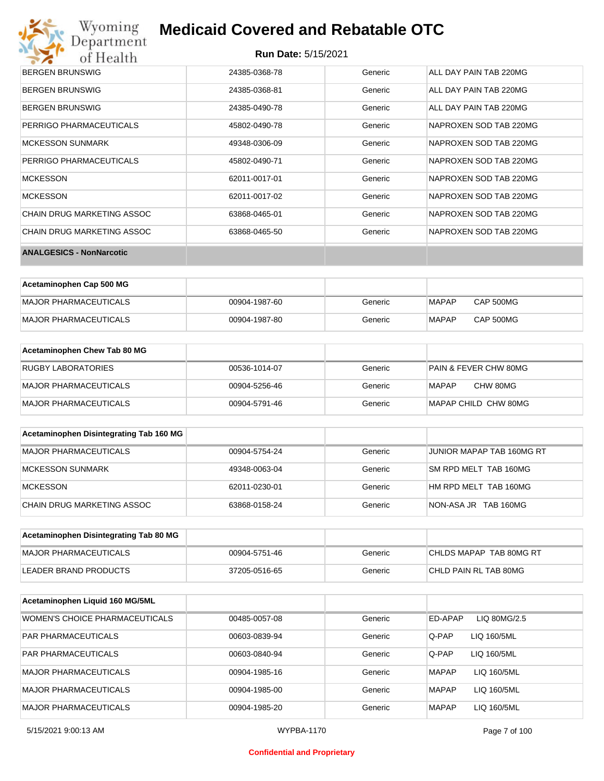# Wyoming<br>Department<br>of Health

## **Medicaid Covered and Rebatable OTC**

| <b>BERGEN BRUNSWIG</b>          | 24385-0368-78 | Generic | ALL DAY PAIN TAB 220MG |
|---------------------------------|---------------|---------|------------------------|
| <b>BERGEN BRUNSWIG</b>          | 24385-0368-81 | Generic | ALL DAY PAIN TAB 220MG |
| <b>BERGEN BRUNSWIG</b>          | 24385-0490-78 | Generic | ALL DAY PAIN TAB 220MG |
| PERRIGO PHARMACEUTICALS         | 45802-0490-78 | Generic | NAPROXEN SOD TAB 220MG |
| <b>MCKESSON SUNMARK</b>         | 49348-0306-09 | Generic | NAPROXEN SOD TAB 220MG |
| PERRIGO PHARMACEUTICALS         | 45802-0490-71 | Generic | NAPROXEN SOD TAB 220MG |
| <b>MCKESSON</b>                 | 62011-0017-01 | Generic | NAPROXEN SOD TAB 220MG |
| <b>MCKESSON</b>                 | 62011-0017-02 | Generic | NAPROXEN SOD TAB 220MG |
| CHAIN DRUG MARKETING ASSOC      | 63868-0465-01 | Generic | NAPROXEN SOD TAB 220MG |
| CHAIN DRUG MARKETING ASSOC      | 63868-0465-50 | Generic | NAPROXEN SOD TAB 220MG |
| <b>ANALGESICS - NonNarcotic</b> |               |         |                        |

| Acetaminophen Cap 500 MG |               |         |       |                  |
|--------------------------|---------------|---------|-------|------------------|
| MAJOR PHARMACEUTICALS    | 00904-1987-60 | Generic | MAPAP | CAP 500MG        |
| MAJOR PHARMACEUTICALS    | 00904-1987-80 | Generic | MAPAP | <b>CAP 500MG</b> |

| Acetaminophen Chew Tab 80 MG |               |         |                       |
|------------------------------|---------------|---------|-----------------------|
| <b>RUGBY LABORATORIES</b>    | 00536-1014-07 | Generic | PAIN & FEVER CHW 80MG |
| MAJOR PHARMACEUTICALS        | 00904-5256-46 | Generic | CHW 80MG<br>MAPAP     |
| MAJOR PHARMACEUTICALS        | 00904-5791-46 | Generic | MAPAP CHILD CHW 80MG  |

| Acetaminophen Disintegrating Tab 160 MG |               |         |                           |
|-----------------------------------------|---------------|---------|---------------------------|
| MAJOR PHARMACEUTICALS                   | 00904-5754-24 | Generic | JUNIOR MAPAP TAB 160MG RT |
| MCKESSON SUNMARK                        | 49348-0063-04 | Generic | SM RPD MELT TAB 160MG     |
| <b>MCKESSON</b>                         | 62011-0230-01 | Generic | HM RPD MELT TAB 160MG     |
| CHAIN DRUG MARKETING ASSOC              | 63868-0158-24 | Generic | NON-ASA JR TAB 160MG      |

| Acetaminophen Disintegrating Tab 80 MG |               |         |                         |
|----------------------------------------|---------------|---------|-------------------------|
| MAJOR PHARMACEUTICALS                  | 00904-5751-46 | Generic | CHLDS MAPAP TAB 80MG RT |
| LEADER BRAND PRODUCTS                  | 37205-0516-65 | Generic | CHLD PAIN RL TAB 80MG   |

| Acetaminophen Liquid 160 MG/5ML |               |         |                             |
|---------------------------------|---------------|---------|-----------------------------|
| WOMEN'S CHOICE PHARMACEUTICALS  | 00485-0057-08 | Generic | ED-APAP<br>LIQ 80MG/2.5     |
| <b>PAR PHARMACEUTICALS</b>      | 00603-0839-94 | Generic | Q-PAP<br>LIQ 160/5ML        |
| <b>PAR PHARMACEUTICALS</b>      | 00603-0840-94 | Generic | Q-PAP<br>LIQ 160/5ML        |
| <b>MAJOR PHARMACEUTICALS</b>    | 00904-1985-16 | Generic | <b>MAPAP</b><br>LIQ 160/5ML |
| <b>MAJOR PHARMACEUTICALS</b>    | 00904-1985-00 | Generic | <b>MAPAP</b><br>LIQ 160/5ML |
| <b>MAJOR PHARMACEUTICALS</b>    | 00904-1985-20 | Generic | <b>MAPAP</b><br>LIQ 160/5ML |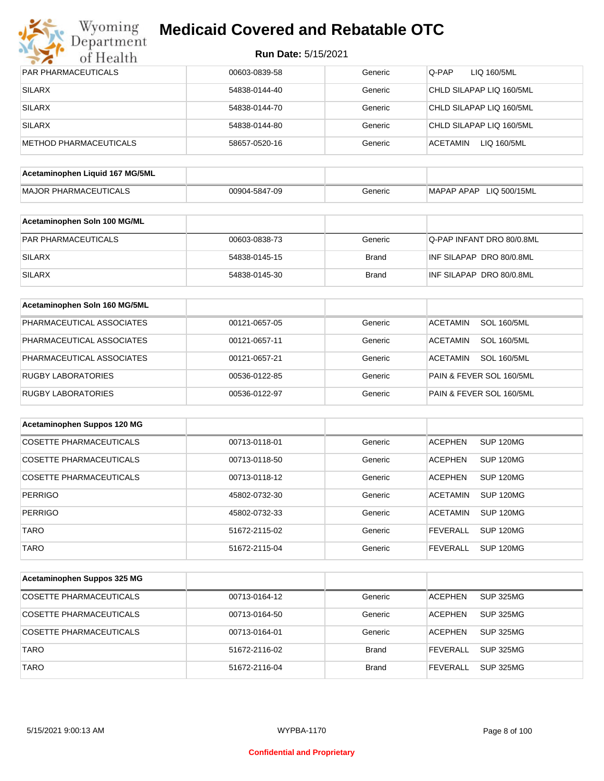

| <b>PAR PHARMACEUTICALS</b>      | 00603-0839-58 | Generic      | Q-PAP<br>LIQ 160/5ML                  |
|---------------------------------|---------------|--------------|---------------------------------------|
| <b>SILARX</b>                   | 54838-0144-40 | Generic      | CHLD SILAPAP LIQ 160/5ML              |
| <b>SILARX</b>                   | 54838-0144-70 | Generic      | CHLD SILAPAP LIQ 160/5ML              |
| <b>SILARX</b>                   | 54838-0144-80 | Generic      | CHLD SILAPAP LIQ 160/5ML              |
| <b>METHOD PHARMACEUTICALS</b>   | 58657-0520-16 | Generic      | <b>ACETAMIN</b><br>LIQ 160/5ML        |
|                                 |               |              |                                       |
| Acetaminophen Liquid 167 MG/5ML |               |              |                                       |
| <b>MAJOR PHARMACEUTICALS</b>    | 00904-5847-09 | Generic      | MAPAP APAP LIQ 500/15ML               |
| Acetaminophen Soln 100 MG/ML    |               |              |                                       |
| PAR PHARMACEUTICALS             | 00603-0838-73 | Generic      | Q-PAP INFANT DRO 80/0.8ML             |
| <b>SILARX</b>                   | 54838-0145-15 | <b>Brand</b> | INF SILAPAP DRO 80/0.8ML              |
| <b>SILARX</b>                   | 54838-0145-30 | <b>Brand</b> | INF SILAPAP DRO 80/0.8ML              |
|                                 |               |              |                                       |
| Acetaminophen Soln 160 MG/5ML   |               |              |                                       |
| PHARMACEUTICAL ASSOCIATES       | 00121-0657-05 | Generic      | <b>SOL 160/5ML</b><br><b>ACETAMIN</b> |
| PHARMACEUTICAL ASSOCIATES       | 00121-0657-11 | Generic      | <b>ACETAMIN</b><br><b>SOL 160/5ML</b> |
| PHARMACEUTICAL ASSOCIATES       | 00121-0657-21 | Generic      | <b>ACETAMIN</b><br><b>SOL 160/5ML</b> |
| <b>RUGBY LABORATORIES</b>       | 00536-0122-85 | Generic      | PAIN & FEVER SOL 160/5ML              |
| RUGBY LABORATORIES              | 00536-0122-97 | Generic      | PAIN & FEVER SOL 160/5ML              |
|                                 |               |              |                                       |
| Acetaminophen Suppos 120 MG     |               |              |                                       |
| <b>COSETTE PHARMACEUTICALS</b>  | 00713-0118-01 | Generic      | <b>ACEPHEN</b><br><b>SUP 120MG</b>    |
| <b>COSETTE PHARMACEUTICALS</b>  | 00713-0118-50 | Generic      | <b>ACEPHEN</b><br>SUP 120MG           |
| <b>COSETTE PHARMACEUTICALS</b>  | 00713-0118-12 | Generic      | <b>ACEPHEN</b><br>SUP 120MG           |
| <b>PERRIGO</b>                  | 45802-0732-30 | Generic      | <b>ACETAMIN</b><br>SUP 120MG          |
| PERRIGO                         | 45802-0732-33 | Generic      | <b>ACETAMIN</b><br><b>SUP 120MG</b>   |
| <b>TARO</b>                     | 51672-2115-02 | Generic      | <b>SUP 120MG</b><br><b>FEVERALL</b>   |
| <b>TARO</b>                     | 51672-2115-04 | Generic      | <b>SUP 120MG</b><br><b>FEVERALL</b>   |
|                                 |               |              |                                       |
| Acetaminophen Suppos 325 MG     |               |              |                                       |
| COSETTE PHARMACEUTICALS         | 00713-0164-12 | Generic      | <b>ACEPHEN</b><br>SUP 325MG           |
| COSETTE PHARMACEUTICALS         | 00713-0164-50 | Generic      | <b>SUP 325MG</b><br><b>ACEPHEN</b>    |
| COSETTE PHARMACEUTICALS         | 00713-0164-01 | Generic      | <b>ACEPHEN</b><br><b>SUP 325MG</b>    |
| <b>TARO</b>                     | 51672-2116-02 | <b>Brand</b> | <b>FEVERALL</b><br><b>SUP 325MG</b>   |
| <b>TARO</b>                     | 51672-2116-04 | <b>Brand</b> | <b>SUP 325MG</b><br><b>FEVERALL</b>   |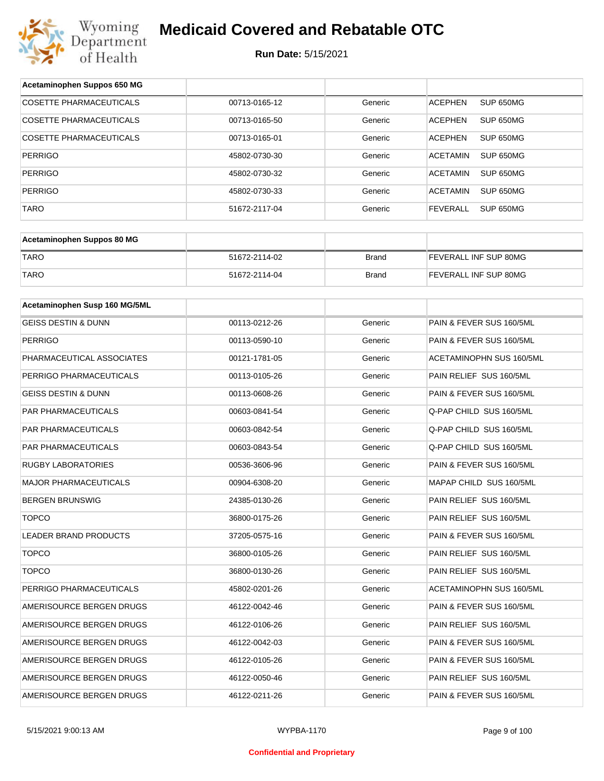

| Acetaminophen Suppos 650 MG    |               |              |                                 |
|--------------------------------|---------------|--------------|---------------------------------|
| <b>COSETTE PHARMACEUTICALS</b> | 00713-0165-12 | Generic      | SUP 650MG<br><b>ACEPHEN</b>     |
| COSETTE PHARMACEUTICALS        | 00713-0165-50 | Generic      | <b>ACEPHEN</b><br>SUP 650MG     |
| <b>COSETTE PHARMACEUTICALS</b> | 00713-0165-01 | Generic      | <b>ACEPHEN</b><br>SUP 650MG     |
| PERRIGO                        | 45802-0730-30 | Generic      | <b>ACETAMIN</b><br>SUP 650MG    |
| PERRIGO                        | 45802-0730-32 | Generic      | <b>ACETAMIN</b><br>SUP 650MG    |
| <b>PERRIGO</b>                 | 45802-0730-33 | Generic      | <b>ACETAMIN</b><br>SUP 650MG    |
| <b>TARO</b>                    | 51672-2117-04 | Generic      | <b>FEVERALL</b><br>SUP 650MG    |
|                                |               |              |                                 |
| Acetaminophen Suppos 80 MG     |               |              |                                 |
| <b>TARO</b>                    | 51672-2114-02 | <b>Brand</b> | FEVERALL INF SUP 80MG           |
| <b>TARO</b>                    | 51672-2114-04 | <b>Brand</b> | FEVERALL INF SUP 80MG           |
|                                |               |              |                                 |
| Acetaminophen Susp 160 MG/5ML  |               |              |                                 |
| <b>GEISS DESTIN &amp; DUNN</b> | 00113-0212-26 | Generic      | PAIN & FEVER SUS 160/5ML        |
| PERRIGO                        | 00113-0590-10 | Generic      | PAIN & FEVER SUS 160/5ML        |
| PHARMACEUTICAL ASSOCIATES      | 00121-1781-05 | Generic      | <b>ACETAMINOPHN SUS 160/5ML</b> |
| PERRIGO PHARMACEUTICALS        | 00113-0105-26 | Generic      | PAIN RELIEF SUS 160/5ML         |
| GEISS DESTIN & DUNN            | 00113-0608-26 | Generic      | PAIN & FEVER SUS 160/5ML        |
| PAR PHARMACEUTICALS            | 00603-0841-54 | Generic      | Q-PAP CHILD SUS 160/5ML         |
| PAR PHARMACEUTICALS            | 00603-0842-54 | Generic      | Q-PAP CHILD SUS 160/5ML         |
| PAR PHARMACEUTICALS            | 00603-0843-54 | Generic      | Q-PAP CHILD SUS 160/5ML         |
| RUGBY LABORATORIES             | 00536-3606-96 | Generic      | PAIN & FEVER SUS 160/5ML        |
| MAJOR PHARMACEUTICALS          | 00904-6308-20 | Generic      | MAPAP CHILD SUS 160/5ML         |
| <b>BERGEN BRUNSWIG</b>         | 24385-0130-26 | Generic      | PAIN RELIEF SUS 160/5ML         |
| <b>TOPCO</b>                   | 36800-0175-26 | Generic      | PAIN RELIEF SUS 160/5ML         |
| LEADER BRAND PRODUCTS          | 37205-0575-16 | Generic      | PAIN & FEVER SUS 160/5ML        |
| <b>TOPCO</b>                   | 36800-0105-26 | Generic      | PAIN RELIEF SUS 160/5ML         |
| <b>TOPCO</b>                   | 36800-0130-26 | Generic      | PAIN RELIEF SUS 160/5ML         |
| PERRIGO PHARMACEUTICALS        | 45802-0201-26 | Generic      | ACETAMINOPHN SUS 160/5ML        |
| AMERISOURCE BERGEN DRUGS       | 46122-0042-46 | Generic      | PAIN & FEVER SUS 160/5ML        |
| AMERISOURCE BERGEN DRUGS       | 46122-0106-26 | Generic      | PAIN RELIEF SUS 160/5ML         |
| AMERISOURCE BERGEN DRUGS       | 46122-0042-03 | Generic      | PAIN & FEVER SUS 160/5ML        |
| AMERISOURCE BERGEN DRUGS       | 46122-0105-26 | Generic      | PAIN & FEVER SUS 160/5ML        |
| AMERISOURCE BERGEN DRUGS       | 46122-0050-46 | Generic      | PAIN RELIEF SUS 160/5ML         |
| AMERISOURCE BERGEN DRUGS       | 46122-0211-26 | Generic      | PAIN & FEVER SUS 160/5ML        |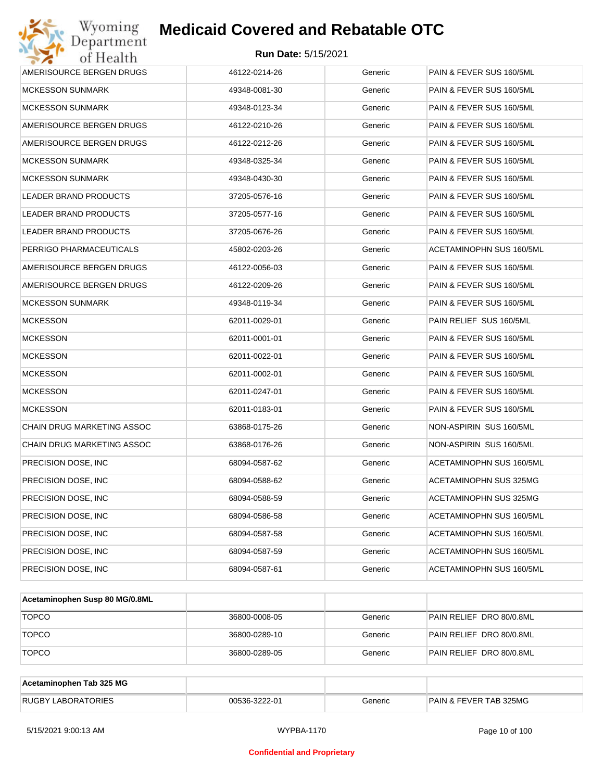| 46122-0214-26 | Generic | PAIN & FEVER SUS 160/5ML                                                |
|---------------|---------|-------------------------------------------------------------------------|
| 49348-0081-30 | Generic | PAIN & FEVER SUS 160/5ML                                                |
| 49348-0123-34 | Generic | PAIN & FEVER SUS 160/5ML                                                |
| 46122-0210-26 | Generic | PAIN & FEVER SUS 160/5ML                                                |
| 46122-0212-26 | Generic | PAIN & FEVER SUS 160/5ML                                                |
| 49348-0325-34 | Generic | PAIN & FEVER SUS 160/5ML                                                |
| 49348-0430-30 | Generic | PAIN & FEVER SUS 160/5ML                                                |
| 37205-0576-16 | Generic | PAIN & FEVER SUS 160/5ML                                                |
| 37205-0577-16 | Generic | PAIN & FEVER SUS 160/5ML                                                |
| 37205-0676-26 | Generic | PAIN & FEVER SUS 160/5ML                                                |
| 45802-0203-26 | Generic | ACETAMINOPHN SUS 160/5ML                                                |
| 46122-0056-03 | Generic | PAIN & FEVER SUS 160/5ML                                                |
| 46122-0209-26 | Generic | PAIN & FEVER SUS 160/5ML                                                |
| 49348-0119-34 | Generic | PAIN & FEVER SUS 160/5ML                                                |
| 62011-0029-01 | Generic | PAIN RELIEF SUS 160/5ML                                                 |
| 62011-0001-01 | Generic | PAIN & FEVER SUS 160/5ML                                                |
| 62011-0022-01 | Generic | PAIN & FEVER SUS 160/5ML                                                |
| 62011-0002-01 | Generic | PAIN & FEVER SUS 160/5ML                                                |
| 62011-0247-01 | Generic | PAIN & FEVER SUS 160/5ML                                                |
| 62011-0183-01 | Generic | PAIN & FEVER SUS 160/5ML                                                |
| 63868-0175-26 | Generic | NON-ASPIRIN SUS 160/5ML                                                 |
| 63868-0176-26 | Generic | NON-ASPIRIN SUS 160/5ML                                                 |
| 68094-0587-62 | Generic | ACETAMINOPHN SUS 160/5ML                                                |
| 68094-0588-62 | Generic | ACETAMINOPHN SUS 325MG                                                  |
| 68094-0588-59 | Generic | ACETAMINOPHN SUS 325MG                                                  |
| 68094-0586-58 | Generic | ACETAMINOPHN SUS 160/5ML                                                |
| 68094-0587-58 | Generic | ACETAMINOPHN SUS 160/5ML                                                |
| 68094-0587-59 | Generic | ACETAMINOPHN SUS 160/5ML                                                |
| 68094-0587-61 | Generic | ACETAMINOPHN SUS 160/5ML                                                |
|               |         | <b>Medicaid Covered and Rebatable OTC</b><br><b>Run Date: 5/15/2021</b> |

| Acetaminophen Susp 80 MG/0.8ML |               |         |                          |
|--------------------------------|---------------|---------|--------------------------|
| <b>TOPCO</b>                   | 36800-0008-05 | Generic | PAIN RELIEF DRO 80/0.8ML |
| <b>TOPCO</b>                   | 36800-0289-10 | Generic | PAIN RELIEF DRO 80/0.8ML |
| <b>TOPCO</b>                   | 36800-0289-05 | Generic | PAIN RELIEF DRO 80/0.8ML |

| Acetaminophen Tab 325 MG  |               |         |                                   |
|---------------------------|---------------|---------|-----------------------------------|
| <b>RUGBY LABORATORIES</b> | 00536-3222-01 | Generic | <b>PAIN &amp; FEVER TAB 325MG</b> |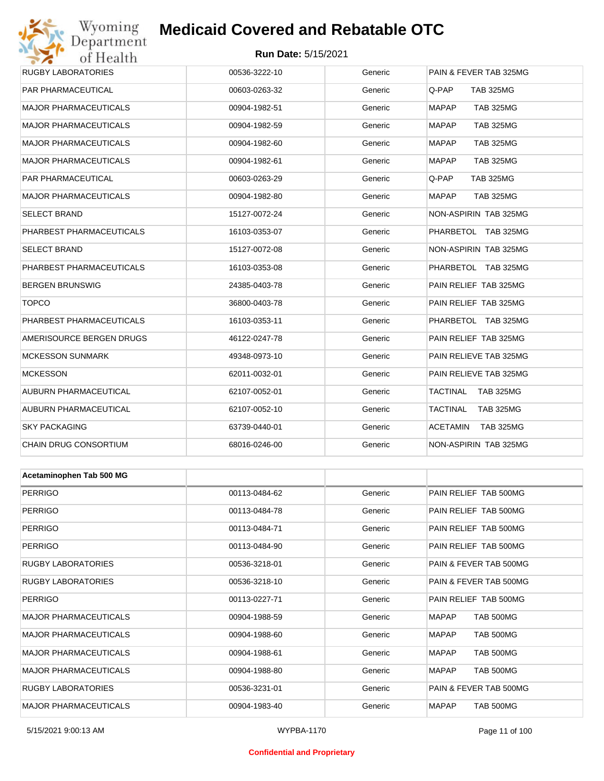## Wyoming<br>Department **Medicaid Covered and Rebatable OTC**

| $\rightarrow$ .          |                            |         |                                     |
|--------------------------|----------------------------|---------|-------------------------------------|
| of Health                | <b>Run Date: 5/15/2021</b> |         |                                     |
| RUGBY LABORATORIES       | 00536-3222-10              | Generic | PAIN & FEVER TAB 325MG              |
| PAR PHARMACEUTICAL       | 00603-0263-32              | Generic | Q-PAP<br><b>TAB 325MG</b>           |
| MAJOR PHARMACEUTICALS    | 00904-1982-51              | Generic | <b>MAPAP</b><br><b>TAB 325MG</b>    |
| MAJOR PHARMACEUTICALS    | 00904-1982-59              | Generic | <b>MAPAP</b><br><b>TAB 325MG</b>    |
| MAJOR PHARMACEUTICALS    | 00904-1982-60              | Generic | <b>MAPAP</b><br><b>TAB 325MG</b>    |
| MAJOR PHARMACEUTICALS    | 00904-1982-61              | Generic | MAPAP<br><b>TAB 325MG</b>           |
| PAR PHARMACEUTICAL       | 00603-0263-29              | Generic | Q-PAP<br><b>TAB 325MG</b>           |
| MAJOR PHARMACEUTICALS    | 00904-1982-80              | Generic | <b>TAB 325MG</b><br>MAPAP           |
| SELECT BRAND             | 15127-0072-24              | Generic | NON-ASPIRIN TAB 325MG               |
| PHARBEST PHARMACEUTICALS | 16103-0353-07              | Generic | PHARBETOL TAB 325MG                 |
| SELECT BRAND             | 15127-0072-08              | Generic | NON-ASPIRIN TAB 325MG               |
| PHARBEST PHARMACEUTICALS | 16103-0353-08              | Generic | PHARBETOL TAB 325MG                 |
| BERGEN BRUNSWIG          | 24385-0403-78              | Generic | PAIN RELIEF TAB 325MG               |
| TOPCO                    | 36800-0403-78              | Generic | PAIN RELIEF TAB 325MG               |
| PHARBEST PHARMACEUTICALS | 16103-0353-11              | Generic | PHARBETOL TAB 325MG                 |
| AMERISOURCE BERGEN DRUGS | 46122-0247-78              | Generic | PAIN RELIEF TAB 325MG               |
| MCKESSON SUNMARK         | 49348-0973-10              | Generic | PAIN RELIEVE TAB 325MG              |
| MCKESSON                 | 62011-0032-01              | Generic | PAIN RELIEVE TAB 325MG              |
| AUBURN PHARMACEUTICAL    | 62107-0052-01              | Generic | <b>TACTINAL</b><br><b>TAB 325MG</b> |
| AUBURN PHARMACEUTICAL    | 62107-0052-10              | Generic | TACTINAL<br><b>TAB 325MG</b>        |
| SKY PACKAGING            | 63739-0440-01              | Generic | <b>ACETAMIN</b><br><b>TAB 325MG</b> |
| CHAIN DRUG CONSORTIUM    | 68016-0246-00              | Generic | NON-ASPIRIN TAB 325MG               |
|                          |                            |         |                                     |

| Acetaminophen Tab 500 MG     |               |         |                                  |  |  |
|------------------------------|---------------|---------|----------------------------------|--|--|
| <b>PERRIGO</b>               | 00113-0484-62 | Generic | PAIN RELIEF TAB 500MG            |  |  |
| <b>PERRIGO</b>               | 00113-0484-78 | Generic | PAIN RELIEF TAB 500MG            |  |  |
| <b>PERRIGO</b>               | 00113-0484-71 | Generic | PAIN RELIEF TAB 500MG            |  |  |
| <b>PERRIGO</b>               | 00113-0484-90 | Generic | PAIN RELIEF TAB 500MG            |  |  |
| <b>RUGBY LABORATORIES</b>    | 00536-3218-01 | Generic | PAIN & FEVER TAB 500MG           |  |  |
| <b>RUGBY LABORATORIES</b>    | 00536-3218-10 | Generic | PAIN & FEVER TAB 500MG           |  |  |
| <b>PERRIGO</b>               | 00113-0227-71 | Generic | PAIN RELIEF TAB 500MG            |  |  |
| <b>MAJOR PHARMACEUTICALS</b> | 00904-1988-59 | Generic | <b>MAPAP</b><br><b>TAB 500MG</b> |  |  |
| <b>MAJOR PHARMACEUTICALS</b> | 00904-1988-60 | Generic | <b>MAPAP</b><br><b>TAB 500MG</b> |  |  |
| <b>MAJOR PHARMACEUTICALS</b> | 00904-1988-61 | Generic | <b>MAPAP</b><br><b>TAB 500MG</b> |  |  |
| <b>MAJOR PHARMACEUTICALS</b> | 00904-1988-80 | Generic | <b>MAPAP</b><br><b>TAB 500MG</b> |  |  |
| <b>RUGBY LABORATORIES</b>    | 00536-3231-01 | Generic | PAIN & FEVER TAB 500MG           |  |  |
| <b>MAJOR PHARMACEUTICALS</b> | 00904-1983-40 | Generic | <b>TAB 500MG</b><br><b>MAPAP</b> |  |  |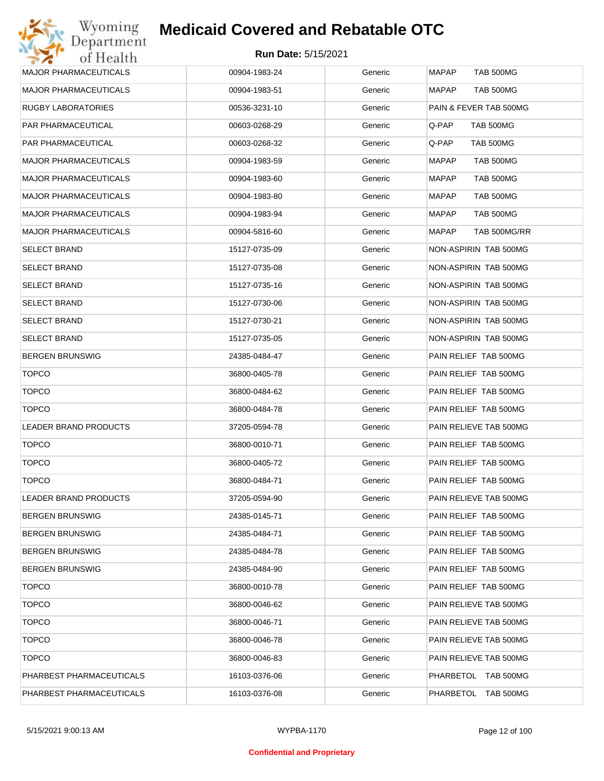| <b>MAJOR PHARMACEUTICALS</b> | 00904-1983-24 | Generic | <b>MAPAP</b><br><b>TAB 500MG</b> |
|------------------------------|---------------|---------|----------------------------------|
| <b>MAJOR PHARMACEUTICALS</b> | 00904-1983-51 | Generic | <b>MAPAP</b><br>TAB 500MG        |
| RUGBY LABORATORIES           | 00536-3231-10 | Generic | PAIN & FEVER TAB 500MG           |
| PAR PHARMACEUTICAL           | 00603-0268-29 | Generic | Q-PAP<br>TAB 500MG               |
| PAR PHARMACEUTICAL           | 00603-0268-32 | Generic | Q-PAP<br>TAB 500MG               |
| <b>MAJOR PHARMACEUTICALS</b> | 00904-1983-59 | Generic | <b>MAPAP</b><br>TAB 500MG        |
| <b>MAJOR PHARMACEUTICALS</b> | 00904-1983-60 | Generic | <b>MAPAP</b><br>TAB 500MG        |
| <b>MAJOR PHARMACEUTICALS</b> | 00904-1983-80 | Generic | MAPAP<br><b>TAB 500MG</b>        |
| <b>MAJOR PHARMACEUTICALS</b> | 00904-1983-94 | Generic | MAPAP<br>TAB 500MG               |
| <b>MAJOR PHARMACEUTICALS</b> | 00904-5816-60 | Generic | MAPAP<br>TAB 500MG/RR            |
| <b>SELECT BRAND</b>          | 15127-0735-09 | Generic | NON-ASPIRIN TAB 500MG            |
| <b>SELECT BRAND</b>          | 15127-0735-08 | Generic | NON-ASPIRIN TAB 500MG            |
| <b>SELECT BRAND</b>          | 15127-0735-16 | Generic | NON-ASPIRIN TAB 500MG            |
| <b>SELECT BRAND</b>          | 15127-0730-06 | Generic | NON-ASPIRIN TAB 500MG            |
| <b>SELECT BRAND</b>          | 15127-0730-21 | Generic | NON-ASPIRIN TAB 500MG            |
| <b>SELECT BRAND</b>          | 15127-0735-05 | Generic | NON-ASPIRIN TAB 500MG            |
| <b>BERGEN BRUNSWIG</b>       | 24385-0484-47 | Generic | PAIN RELIEF TAB 500MG            |
| <b>TOPCO</b>                 | 36800-0405-78 | Generic | PAIN RELIEF TAB 500MG            |
| <b>TOPCO</b>                 | 36800-0484-62 | Generic | PAIN RELIEF TAB 500MG            |
| <b>TOPCO</b>                 | 36800-0484-78 | Generic | PAIN RELIEF TAB 500MG            |
| LEADER BRAND PRODUCTS        | 37205-0594-78 | Generic | PAIN RELIEVE TAB 500MG           |
| <b>TOPCO</b>                 | 36800-0010-71 | Generic | PAIN RELIEF TAB 500MG            |
| <b>TOPCO</b>                 | 36800-0405-72 | Generic | PAIN RELIEF TAB 500MG            |
| <b>TOPCO</b>                 | 36800-0484-71 | Generic | PAIN RELIEF TAB 500MG            |
| <b>LEADER BRAND PRODUCTS</b> | 37205-0594-90 | Generic | PAIN RELIEVE TAB 500MG           |
| <b>BERGEN BRUNSWIG</b>       | 24385-0145-71 | Generic | PAIN RELIEF TAB 500MG            |
| <b>BERGEN BRUNSWIG</b>       | 24385-0484-71 | Generic | PAIN RELIEF TAB 500MG            |
| <b>BERGEN BRUNSWIG</b>       | 24385-0484-78 | Generic | PAIN RELIEF TAB 500MG            |
| <b>BERGEN BRUNSWIG</b>       | 24385-0484-90 | Generic | PAIN RELIEF TAB 500MG            |
| <b>TOPCO</b>                 | 36800-0010-78 | Generic | PAIN RELIEF TAB 500MG            |
| <b>TOPCO</b>                 | 36800-0046-62 | Generic | PAIN RELIEVE TAB 500MG           |
| <b>TOPCO</b>                 | 36800-0046-71 | Generic | PAIN RELIEVE TAB 500MG           |
| <b>TOPCO</b>                 | 36800-0046-78 | Generic | PAIN RELIEVE TAB 500MG           |
| <b>TOPCO</b>                 | 36800-0046-83 | Generic | PAIN RELIEVE TAB 500MG           |
| PHARBEST PHARMACEUTICALS     | 16103-0376-06 | Generic | PHARBETOL TAB 500MG              |
| PHARBEST PHARMACEUTICALS     | 16103-0376-08 | Generic | PHARBETOL TAB 500MG              |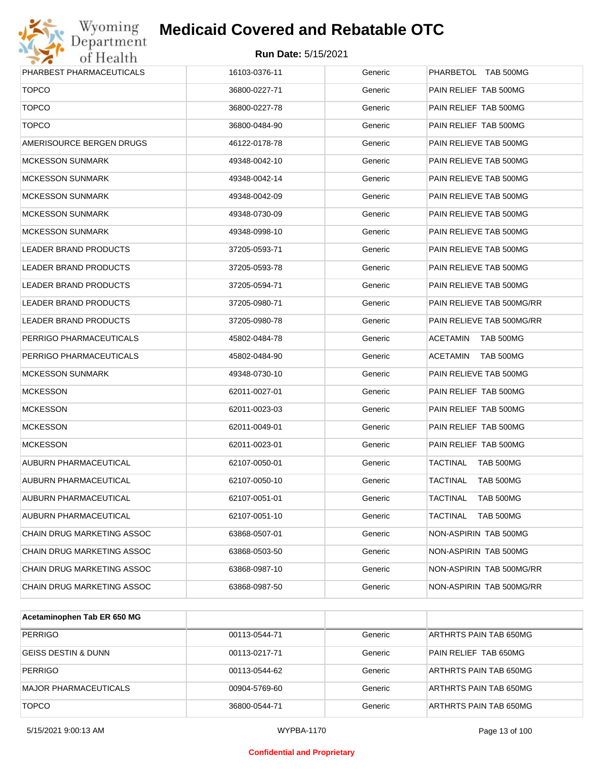# Wyoming<br>Department<br>of Health

## **Medicaid Covered and Rebatable OTC**

| PHARBEST PHARMACEUTICALS     | 16103-0376-11 | Generic | PHARBETOL TAB 500MG          |
|------------------------------|---------------|---------|------------------------------|
| <b>TOPCO</b>                 | 36800-0227-71 | Generic | PAIN RELIEF TAB 500MG        |
| <b>TOPCO</b>                 | 36800-0227-78 | Generic | PAIN RELIEF TAB 500MG        |
| <b>TOPCO</b>                 | 36800-0484-90 | Generic | PAIN RELIEF TAB 500MG        |
| AMERISOURCE BERGEN DRUGS     | 46122-0178-78 | Generic | PAIN RELIEVE TAB 500MG       |
| <b>MCKESSON SUNMARK</b>      | 49348-0042-10 | Generic | PAIN RELIEVE TAB 500MG       |
| <b>MCKESSON SUNMARK</b>      | 49348-0042-14 | Generic | PAIN RELIEVE TAB 500MG       |
| <b>MCKESSON SUNMARK</b>      | 49348-0042-09 | Generic | PAIN RELIEVE TAB 500MG       |
| <b>MCKESSON SUNMARK</b>      | 49348-0730-09 | Generic | PAIN RELIEVE TAB 500MG       |
| <b>MCKESSON SUNMARK</b>      | 49348-0998-10 | Generic | PAIN RELIEVE TAB 500MG       |
| LEADER BRAND PRODUCTS        | 37205-0593-71 | Generic | PAIN RELIEVE TAB 500MG       |
| LEADER BRAND PRODUCTS        | 37205-0593-78 | Generic | PAIN RELIEVE TAB 500MG       |
| LEADER BRAND PRODUCTS        | 37205-0594-71 | Generic | PAIN RELIEVE TAB 500MG       |
| LEADER BRAND PRODUCTS        | 37205-0980-71 | Generic | PAIN RELIEVE TAB 500MG/RR    |
| <b>LEADER BRAND PRODUCTS</b> | 37205-0980-78 | Generic | PAIN RELIEVE TAB 500MG/RR    |
| PERRIGO PHARMACEUTICALS      | 45802-0484-78 | Generic | <b>ACETAMIN</b><br>TAB 500MG |
| PERRIGO PHARMACEUTICALS      | 45802-0484-90 | Generic | <b>ACETAMIN</b><br>TAB 500MG |
| <b>MCKESSON SUNMARK</b>      | 49348-0730-10 | Generic | PAIN RELIEVE TAB 500MG       |
| <b>MCKESSON</b>              | 62011-0027-01 | Generic | PAIN RELIEF TAB 500MG        |
| <b>MCKESSON</b>              | 62011-0023-03 | Generic | PAIN RELIEF TAB 500MG        |
| <b>MCKESSON</b>              | 62011-0049-01 | Generic | PAIN RELIEF TAB 500MG        |
| <b>MCKESSON</b>              | 62011-0023-01 | Generic | PAIN RELIEF TAB 500MG        |
| AUBURN PHARMACEUTICAL        | 62107-0050-01 | Generic | TACTINAL<br>TAB 500MG        |
| AUBURN PHARMACEUTICAL        | 62107-0050-10 | Generic | TACTINAL<br><b>TAB 500MG</b> |
| AUBURN PHARMACEUTICAL        | 62107-0051-01 | Generic | TACTINAL<br>TAB 500MG        |
| AUBURN PHARMACEUTICAL        | 62107-0051-10 | Generic | TACTINAL<br><b>TAB 500MG</b> |
| CHAIN DRUG MARKETING ASSOC   | 63868-0507-01 | Generic | NON-ASPIRIN TAB 500MG        |
| CHAIN DRUG MARKETING ASSOC   | 63868-0503-50 | Generic | NON-ASPIRIN TAB 500MG        |
| CHAIN DRUG MARKETING ASSOC   | 63868-0987-10 | Generic | NON-ASPIRIN TAB 500MG/RR     |
| CHAIN DRUG MARKETING ASSOC   | 63868-0987-50 | Generic | NON-ASPIRIN TAB 500MG/RR     |
|                              |               |         |                              |

| Acetaminophen Tab ER 650 MG    |               |         |                        |
|--------------------------------|---------------|---------|------------------------|
| <b>PERRIGO</b>                 | 00113-0544-71 | Generic | ARTHRTS PAIN TAB 650MG |
| <b>GEISS DESTIN &amp; DUNN</b> | 00113-0217-71 | Generic | PAIN RELIEF TAB 650MG  |
| <b>PERRIGO</b>                 | 00113-0544-62 | Generic | ARTHRTS PAIN TAB 650MG |
| <b>MAJOR PHARMACEUTICALS</b>   | 00904-5769-60 | Generic | ARTHRTS PAIN TAB 650MG |
| <b>TOPCO</b>                   | 36800-0544-71 | Generic | ARTHRTS PAIN TAB 650MG |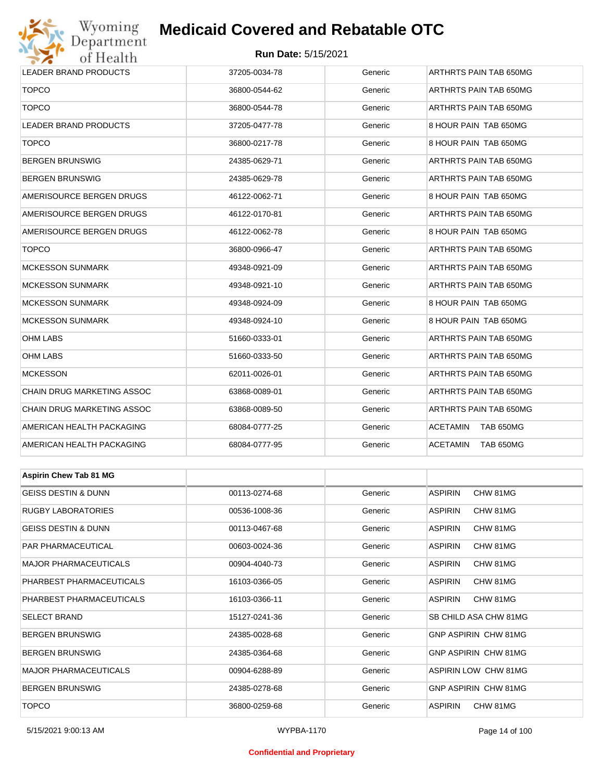# Wyoming<br>Department<br>of Health

## **Medicaid Covered and Rebatable OTC**

#### **Run Date:** 5/15/2021

| <b>ULLIUGILII</b>              |               |         |                              |  |  |
|--------------------------------|---------------|---------|------------------------------|--|--|
| LEADER BRAND PRODUCTS          | 37205-0034-78 | Generic | ARTHRTS PAIN TAB 650MG       |  |  |
| <b>TOPCO</b>                   | 36800-0544-62 | Generic | ARTHRTS PAIN TAB 650MG       |  |  |
| <b>TOPCO</b>                   | 36800-0544-78 | Generic | ARTHRTS PAIN TAB 650MG       |  |  |
| <b>LEADER BRAND PRODUCTS</b>   | 37205-0477-78 | Generic | 8 HOUR PAIN TAB 650MG        |  |  |
| <b>TOPCO</b>                   | 36800-0217-78 | Generic | 8 HOUR PAIN TAB 650MG        |  |  |
| <b>BERGEN BRUNSWIG</b>         | 24385-0629-71 | Generic | ARTHRTS PAIN TAB 650MG       |  |  |
| <b>BERGEN BRUNSWIG</b>         | 24385-0629-78 | Generic | ARTHRTS PAIN TAB 650MG       |  |  |
| AMERISOURCE BERGEN DRUGS       | 46122-0062-71 | Generic | 8 HOUR PAIN TAB 650MG        |  |  |
| AMERISOURCE BERGEN DRUGS       | 46122-0170-81 | Generic | ARTHRTS PAIN TAB 650MG       |  |  |
| AMERISOURCE BERGEN DRUGS       | 46122-0062-78 | Generic | 8 HOUR PAIN TAB 650MG        |  |  |
| <b>TOPCO</b>                   | 36800-0966-47 | Generic | ARTHRTS PAIN TAB 650MG       |  |  |
| <b>MCKESSON SUNMARK</b>        | 49348-0921-09 | Generic | ARTHRTS PAIN TAB 650MG       |  |  |
| <b>MCKESSON SUNMARK</b>        | 49348-0921-10 | Generic | ARTHRTS PAIN TAB 650MG       |  |  |
| <b>MCKESSON SUNMARK</b>        | 49348-0924-09 | Generic | 8 HOUR PAIN TAB 650MG        |  |  |
| <b>MCKESSON SUNMARK</b>        | 49348-0924-10 | Generic | 8 HOUR PAIN TAB 650MG        |  |  |
| <b>OHM LABS</b>                | 51660-0333-01 | Generic | ARTHRTS PAIN TAB 650MG       |  |  |
| OHM LABS                       | 51660-0333-50 | Generic | ARTHRTS PAIN TAB 650MG       |  |  |
| <b>MCKESSON</b>                | 62011-0026-01 | Generic | ARTHRTS PAIN TAB 650MG       |  |  |
| CHAIN DRUG MARKETING ASSOC     | 63868-0089-01 | Generic | ARTHRTS PAIN TAB 650MG       |  |  |
| CHAIN DRUG MARKETING ASSOC     | 63868-0089-50 | Generic | ARTHRTS PAIN TAB 650MG       |  |  |
| AMERICAN HEALTH PACKAGING      | 68084-0777-25 | Generic | <b>ACETAMIN</b><br>TAB 650MG |  |  |
| AMERICAN HEALTH PACKAGING      | 68084-0777-95 | Generic | <b>ACETAMIN</b><br>TAB 650MG |  |  |
|                                |               |         |                              |  |  |
| <b>Aspirin Chew Tab 81 MG</b>  |               |         |                              |  |  |
| <b>GEISS DESTIN &amp; DUNN</b> | 00113-0274-68 | Generic | <b>ASPIRIN</b><br>CHW 81MG   |  |  |
| <b>RUGBY LABORATORIES</b>      | 00536-1008-36 | Generic | <b>ASPIRIN</b><br>CHW 81MG   |  |  |
| <b>GEISS DESTIN &amp; DUNN</b> | 00113-0467-68 | Generic | <b>ASPIRIN</b><br>CHW 81MG   |  |  |
| PAR PHARMACEUTICAL             | 00603-0024-36 | Generic | ASPIRIN<br>CHW 81MG          |  |  |
| <b>MAJOR PHARMACEUTICALS</b>   | 00904-4040-73 | Generic | <b>ASPIRIN</b><br>CHW 81MG   |  |  |
| PHARBEST PHARMACEUTICALS       | 16103-0366-05 | Generic | ASPIRIN<br>CHW 81MG          |  |  |
| PHARBEST PHARMACEUTICALS       | 16103-0366-11 | Generic | <b>ASPIRIN</b><br>CHW 81MG   |  |  |
| <b>SELECT BRAND</b>            | 15127-0241-36 | Generic | SB CHILD ASA CHW 81MG        |  |  |
| <b>BERGEN BRUNSWIG</b>         | 24385-0028-68 | Generic | GNP ASPIRIN CHW 81MG         |  |  |

BERGEN BRUNSWIG 24385-0364-68 Generic GNP ASPIRIN CHW 81MG MAJOR PHARMACEUTICALS 
200904-6288-89 
200904-6288-89 Generic ASPIRIN LOW CHW 81MG BERGEN BRUNSWIG 24385-0278-68 Generic GNP ASPIRIN CHW 81MG

TOPCO 36800-0259-68 Generic ASPIRIN CHW 81MG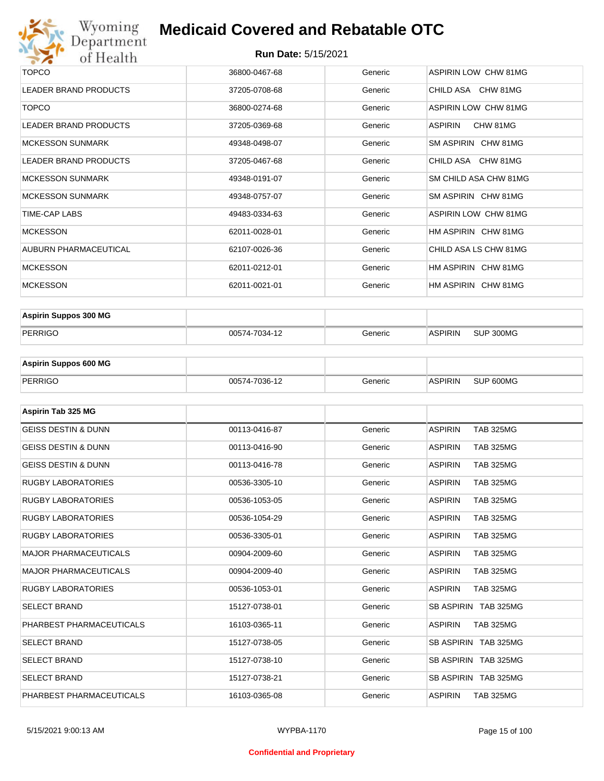

| <b>TOPCO</b>                 | 36800-0467-68 | Generic | <b>ASPIRIN LOW CHW 81MG</b> |
|------------------------------|---------------|---------|-----------------------------|
| <b>LEADER BRAND PRODUCTS</b> | 37205-0708-68 | Generic | CHILD ASA CHW 81MG          |
| <b>TOPCO</b>                 | 36800-0274-68 | Generic | <b>ASPIRIN LOW CHW 81MG</b> |
| <b>LEADER BRAND PRODUCTS</b> | 37205-0369-68 | Generic | CHW 81MG<br>ASPIRIN         |
| <b>MCKESSON SUNMARK</b>      | 49348-0498-07 | Generic | SM ASPIRIN CHW 81MG         |
| <b>LEADER BRAND PRODUCTS</b> | 37205-0467-68 | Generic | CHILD ASA CHW 81MG          |
| <b>MCKESSON SUNMARK</b>      | 49348-0191-07 | Generic | SM CHILD ASA CHW 81MG       |
| <b>MCKESSON SUNMARK</b>      | 49348-0757-07 | Generic | SM ASPIRIN CHW 81MG         |
| TIME-CAP LABS                | 49483-0334-63 | Generic | ASPIRIN LOW CHW 81MG        |
| <b>MCKESSON</b>              | 62011-0028-01 | Generic | HM ASPIRIN CHW 81MG         |
| AUBURN PHARMACEUTICAL        | 62107-0026-36 | Generic | CHILD ASA LS CHW 81MG       |
| <b>MCKESSON</b>              | 62011-0212-01 | Generic | HM ASPIRIN CHW 81MG         |
| <b>MCKESSON</b>              | 62011-0021-01 | Generic | HM ASPIRIN CHW 81MG         |
|                              |               |         |                             |

| <b>Aspirin Suppos 300 MG</b> |               |         |                |           |
|------------------------------|---------------|---------|----------------|-----------|
| PERRIGO                      | 00574-7034-12 | Generic | <b>ASPIRIN</b> | SUP 300MG |

| <b>Aspirin Suppos 600 MG</b> |               |         |          |           |
|------------------------------|---------------|---------|----------|-----------|
| PERRIGO                      | 00574-7036-12 | Generic | ⊪ASPIRIN | SUP 600MG |

| Aspirin Tab 325 MG             |               |         |                                    |
|--------------------------------|---------------|---------|------------------------------------|
| <b>GEISS DESTIN &amp; DUNN</b> | 00113-0416-87 | Generic | <b>ASPIRIN</b><br><b>TAB 325MG</b> |
| <b>GEISS DESTIN &amp; DUNN</b> | 00113-0416-90 | Generic | <b>ASPIRIN</b><br><b>TAB 325MG</b> |
| <b>GEISS DESTIN &amp; DUNN</b> | 00113-0416-78 | Generic | <b>ASPIRIN</b><br><b>TAB 325MG</b> |
| <b>RUGBY LABORATORIES</b>      | 00536-3305-10 | Generic | <b>TAB 325MG</b><br><b>ASPIRIN</b> |
| <b>RUGBY LABORATORIES</b>      | 00536-1053-05 | Generic | <b>ASPIRIN</b><br><b>TAB 325MG</b> |
| <b>RUGBY LABORATORIES</b>      | 00536-1054-29 | Generic | <b>ASPIRIN</b><br><b>TAB 325MG</b> |
| <b>RUGBY LABORATORIES</b>      | 00536-3305-01 | Generic | <b>ASPIRIN</b><br><b>TAB 325MG</b> |
| <b>MAJOR PHARMACEUTICALS</b>   | 00904-2009-60 | Generic | <b>ASPIRIN</b><br><b>TAB 325MG</b> |
| <b>MAJOR PHARMACEUTICALS</b>   | 00904-2009-40 | Generic | <b>ASPIRIN</b><br><b>TAB 325MG</b> |
| <b>RUGBY LABORATORIES</b>      | 00536-1053-01 | Generic | <b>ASPIRIN</b><br><b>TAB 325MG</b> |
| <b>SELECT BRAND</b>            | 15127-0738-01 | Generic | SB ASPIRIN TAB 325MG               |
| PHARBEST PHARMACEUTICALS       | 16103-0365-11 | Generic | <b>ASPIRIN</b><br><b>TAB 325MG</b> |
| <b>SELECT BRAND</b>            | 15127-0738-05 | Generic | SB ASPIRIN TAB 325MG               |
| <b>SELECT BRAND</b>            | 15127-0738-10 | Generic | SB ASPIRIN TAB 325MG               |
| <b>SELECT BRAND</b>            | 15127-0738-21 | Generic | SB ASPIRIN TAB 325MG               |
| PHARBEST PHARMACEUTICALS       | 16103-0365-08 | Generic | <b>ASPIRIN</b><br><b>TAB 325MG</b> |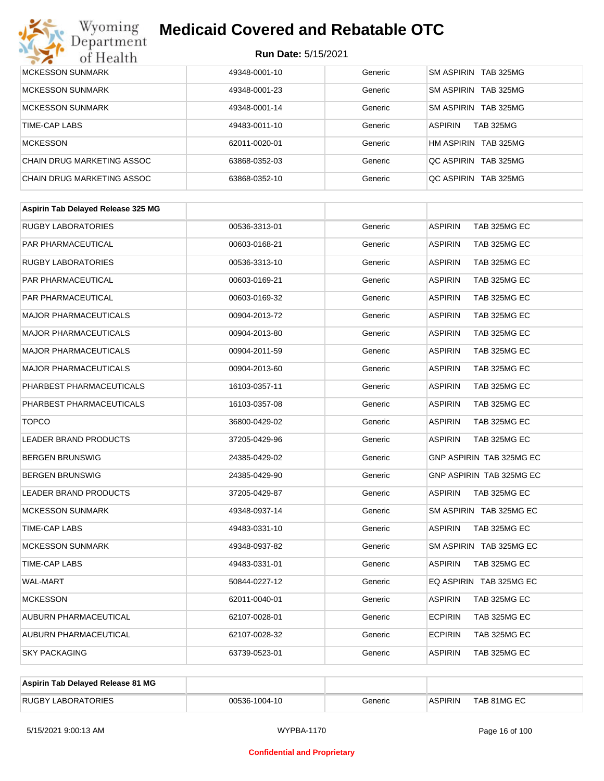# Wyoming<br>Department<br>of Health

## **Medicaid Covered and Rebatable OTC**

| <b>MCKESSON SUNMARK</b>    | 49348-0001-10 | Generic | SM ASPIRIN TAB 325MG               |
|----------------------------|---------------|---------|------------------------------------|
| <b>MCKESSON SUNMARK</b>    | 49348-0001-23 | Generic | SM ASPIRIN TAB 325MG               |
| <b>MCKESSON SUNMARK</b>    | 49348-0001-14 | Generic | SM ASPIRIN TAB 325MG               |
| TIME-CAP LABS              | 49483-0011-10 | Generic | <b>TAB 325MG</b><br><b>ASPIRIN</b> |
| <b>MCKESSON</b>            | 62011-0020-01 | Generic | HM ASPIRIN TAB 325MG               |
| CHAIN DRUG MARKETING ASSOC | 63868-0352-03 | Generic | OC ASPIRIN TAB 325MG               |
| CHAIN DRUG MARKETING ASSOC | 63868-0352-10 | Generic | OC ASPIRIN TAB 325MG               |

| Aspirin Tab Delayed Release 325 MG |               |         |                                |
|------------------------------------|---------------|---------|--------------------------------|
| <b>RUGBY LABORATORIES</b>          | 00536-3313-01 | Generic | TAB 325MG EC<br><b>ASPIRIN</b> |
| <b>PAR PHARMACEUTICAL</b>          | 00603-0168-21 | Generic | TAB 325MG EC<br><b>ASPIRIN</b> |
| <b>RUGBY LABORATORIES</b>          | 00536-3313-10 | Generic | <b>ASPIRIN</b><br>TAB 325MG EC |
| <b>PAR PHARMACEUTICAL</b>          | 00603-0169-21 | Generic | <b>ASPIRIN</b><br>TAB 325MG EC |
| PAR PHARMACEUTICAL                 | 00603-0169-32 | Generic | <b>ASPIRIN</b><br>TAB 325MG EC |
| <b>MAJOR PHARMACEUTICALS</b>       | 00904-2013-72 | Generic | <b>ASPIRIN</b><br>TAB 325MG EC |
| <b>MAJOR PHARMACEUTICALS</b>       | 00904-2013-80 | Generic | <b>ASPIRIN</b><br>TAB 325MG EC |
| <b>MAJOR PHARMACEUTICALS</b>       | 00904-2011-59 | Generic | <b>ASPIRIN</b><br>TAB 325MG EC |
| <b>MAJOR PHARMACEUTICALS</b>       | 00904-2013-60 | Generic | <b>ASPIRIN</b><br>TAB 325MG EC |
| PHARBEST PHARMACEUTICALS           | 16103-0357-11 | Generic | TAB 325MG EC<br><b>ASPIRIN</b> |
| PHARBEST PHARMACEUTICALS           | 16103-0357-08 | Generic | <b>ASPIRIN</b><br>TAB 325MG EC |
| <b>TOPCO</b>                       | 36800-0429-02 | Generic | <b>ASPIRIN</b><br>TAB 325MG EC |
| <b>LEADER BRAND PRODUCTS</b>       | 37205-0429-96 | Generic | <b>ASPIRIN</b><br>TAB 325MG EC |
| <b>BERGEN BRUNSWIG</b>             | 24385-0429-02 | Generic | GNP ASPIRIN TAB 325MG EC       |
| <b>BERGEN BRUNSWIG</b>             | 24385-0429-90 | Generic | GNP ASPIRIN TAB 325MG EC       |
| <b>LEADER BRAND PRODUCTS</b>       | 37205-0429-87 | Generic | <b>ASPIRIN</b><br>TAB 325MG EC |
| <b>MCKESSON SUNMARK</b>            | 49348-0937-14 | Generic | SM ASPIRIN TAB 325MG EC        |
| <b>TIME-CAP LABS</b>               | 49483-0331-10 | Generic | <b>ASPIRIN</b><br>TAB 325MG EC |
| <b>MCKESSON SUNMARK</b>            | 49348-0937-82 | Generic | SM ASPIRIN TAB 325MG EC        |
| TIME-CAP LABS                      | 49483-0331-01 | Generic | <b>ASPIRIN</b><br>TAB 325MG EC |
| <b>WAL-MART</b>                    | 50844-0227-12 | Generic | EQ ASPIRIN TAB 325MG EC        |
| <b>MCKESSON</b>                    | 62011-0040-01 | Generic | <b>ASPIRIN</b><br>TAB 325MG EC |
| AUBURN PHARMACEUTICAL              | 62107-0028-01 | Generic | <b>ECPIRIN</b><br>TAB 325MG EC |
| AUBURN PHARMACEUTICAL              | 62107-0028-32 | Generic | <b>ECPIRIN</b><br>TAB 325MG EC |
| <b>SKY PACKAGING</b>               | 63739-0523-01 | Generic | <b>ASPIRIN</b><br>TAB 325MG EC |
|                                    |               |         |                                |

| Aspirin Tab Delayed Release 81 MG |               |         |                |             |
|-----------------------------------|---------------|---------|----------------|-------------|
| <b>RUGBY LABORATORIES</b>         | 00536-1004-10 | Generic | <b>ASPIRIN</b> | TAB 81MG EC |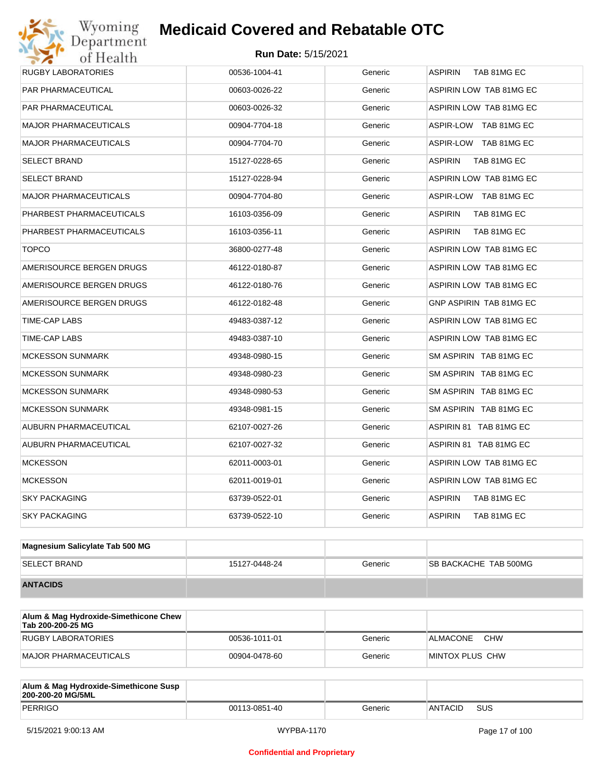| Wyoming<br>Department        | <b>Medicaid Covered and Rebatable OTC</b> |         |                                |
|------------------------------|-------------------------------------------|---------|--------------------------------|
| of Health                    | <b>Run Date: 5/15/2021</b>                |         |                                |
| RUGBY LABORATORIES           | 00536-1004-41                             | Generic | <b>ASPIRIN</b><br>TAB 81MG EC  |
| PAR PHARMACEUTICAL           | 00603-0026-22                             | Generic | ASPIRIN LOW TAB 81MG EC        |
| PAR PHARMACEUTICAL           | 00603-0026-32                             | Generic | ASPIRIN LOW TAB 81MG EC        |
| <b>MAJOR PHARMACEUTICALS</b> | 00904-7704-18                             | Generic | ASPIR-LOW TAB 81MG EC          |
| <b>MAJOR PHARMACEUTICALS</b> | 00904-7704-70                             | Generic | ASPIR-LOW TAB 81MG EC          |
| SELECT BRAND                 | 15127-0228-65                             | Generic | <b>ASPIRIN</b><br>TAB 81MG EC  |
| <b>SELECT BRAND</b>          | 15127-0228-94                             | Generic | ASPIRIN LOW TAB 81MG EC        |
| <b>MAJOR PHARMACEUTICALS</b> | 00904-7704-80                             | Generic | ASPIR-LOW TAB 81MG EC          |
| PHARBEST PHARMACEUTICALS     | 16103-0356-09                             | Generic | <b>ASPIRIN</b><br>TAB 81MG EC  |
| PHARBEST PHARMACEUTICALS     | 16103-0356-11                             | Generic | <b>ASPIRIN</b><br>TAB 81MG EC  |
| <b>TOPCO</b>                 | 36800-0277-48                             | Generic | ASPIRIN LOW TAB 81MG EC        |
| AMERISOURCE BERGEN DRUGS     | 46122-0180-87                             | Generic | ASPIRIN LOW TAB 81MG EC        |
| AMERISOURCE BERGEN DRUGS     | 46122-0180-76                             | Generic | ASPIRIN LOW TAB 81MG EC        |
| AMERISOURCE BERGEN DRUGS     | 46122-0182-48                             | Generic | <b>GNP ASPIRIN TAB 81MG EC</b> |
| TIME-CAP LABS                | 49483-0387-12                             | Generic | ASPIRIN LOW TAB 81MG EC        |
| TIME-CAP LABS                | 49483-0387-10                             | Generic | ASPIRIN LOW TAB 81MG EC        |
| <b>MCKESSON SUNMARK</b>      | 49348-0980-15                             | Generic | SM ASPIRIN TAB 81MG EC         |
| <b>MCKESSON SUNMARK</b>      | 49348-0980-23                             | Generic | SM ASPIRIN TAB 81MG EC         |
| <b>MCKESSON SUNMARK</b>      | 49348-0980-53                             | Generic | SM ASPIRIN TAB 81MG EC         |
| <b>MCKESSON SUNMARK</b>      | 49348-0981-15                             | Generic | SM ASPIRIN TAB 81MG EC         |
| AUBURN PHARMACEUTICAL        | 62107-0027-26                             | Generic | ASPIRIN 81 TAB 81MG EC         |
| AUBURN PHARMACEUTICAL        | 62107-0027-32                             | Generic | ASPIRIN 81 TAB 81MG EC         |
| <b>MCKESSON</b>              | 62011-0003-01                             | Generic | ASPIRIN LOW TAB 81MG EC        |
| <b>MCKESSON</b>              | 62011-0019-01                             | Generic | ASPIRIN LOW TAB 81MG EC        |
| SKY PACKAGING                | 63739-0522-01                             | Generic | <b>ASPIRIN</b><br>TAB 81MG EC  |
| <b>SKY PACKAGING</b>         | 63739-0522-10                             | Generic | <b>ASPIRIN</b><br>TAB 81MG EC  |
|                              |                                           |         |                                |

| Magnesium Salicylate Tab 500 MG |               |         |                               |
|---------------------------------|---------------|---------|-------------------------------|
| <b>SELECT BRAND</b>             | 15127-0448-24 | Generic | <b>ISB BACKACHE TAB 500MG</b> |
| <b>ANTACIDS</b>                 |               |         |                               |

| Alum & Mag Hydroxide-Simethicone Chew<br>Tab 200-200-25 MG |               |         |                        |
|------------------------------------------------------------|---------------|---------|------------------------|
| RUGBY LABORATORIES                                         | 00536-1011-01 | Generic | <b>CHW</b><br>ALMACONE |
| MAJOR PHARMACEUTICALS                                      | 00904-0478-60 | Generic | MINTOX PLUS CHW        |

| Alum & Mag Hydroxide-Simethicone Susp<br>200-200-20 MG/5ML |               |         |         |            |
|------------------------------------------------------------|---------------|---------|---------|------------|
| PERRIGO                                                    | 00113-0851-40 | Generic | ANTACID | <b>SUS</b> |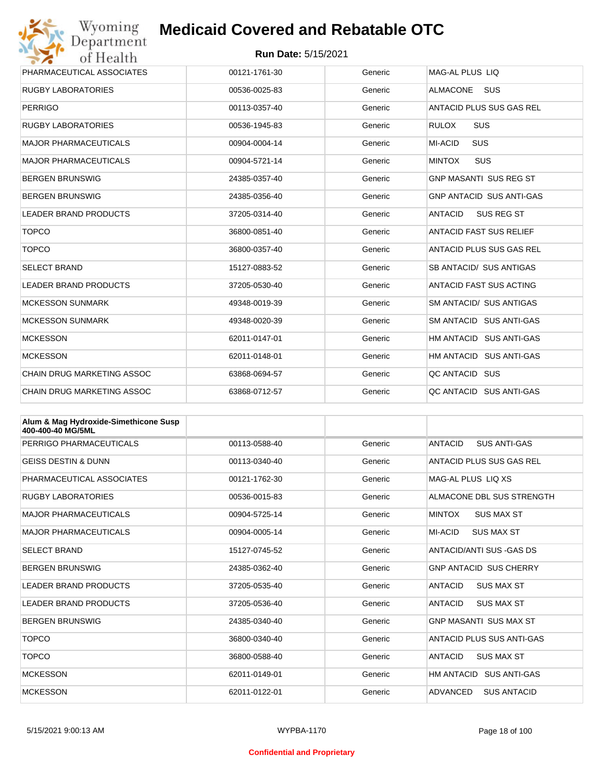

| PHARMACEUTICAL ASSOCIATES         | 00121-1761-30 | Generic | MAG-AL PLUS LIO                 |
|-----------------------------------|---------------|---------|---------------------------------|
| <b>RUGBY LABORATORIES</b>         | 00536-0025-83 | Generic | <b>ALMACONE</b><br><b>SUS</b>   |
| <b>PERRIGO</b>                    | 00113-0357-40 | Generic | ANTACID PLUS SUS GAS REL        |
| <b>RUGBY LABORATORIES</b>         | 00536-1945-83 | Generic | <b>SUS</b><br><b>RULOX</b>      |
| <b>MAJOR PHARMACEUTICALS</b>      | 00904-0004-14 | Generic | <b>SUS</b><br><b>MI-ACID</b>    |
| <b>MAJOR PHARMACEUTICALS</b>      | 00904-5721-14 | Generic | <b>SUS</b><br><b>MINTOX</b>     |
| <b>BERGEN BRUNSWIG</b>            | 24385-0357-40 | Generic | <b>GNP MASANTI SUS REG ST</b>   |
| <b>BERGEN BRUNSWIG</b>            | 24385-0356-40 | Generic | <b>GNP ANTACID SUS ANTI-GAS</b> |
| <b>LEADER BRAND PRODUCTS</b>      | 37205-0314-40 | Generic | <b>ANTACID</b><br>SUS REG ST    |
| <b>TOPCO</b>                      | 36800-0851-40 | Generic | <b>ANTACID FAST SUS RELIEF</b>  |
| <b>TOPCO</b>                      | 36800-0357-40 | Generic | ANTACID PLUS SUS GAS REL        |
| <b>SELECT BRAND</b>               | 15127-0883-52 | Generic | SB ANTACID/ SUS ANTIGAS         |
| <b>LEADER BRAND PRODUCTS</b>      | 37205-0530-40 | Generic | ANTACID FAST SUS ACTING         |
| <b>MCKESSON SUNMARK</b>           | 49348-0019-39 | Generic | SM ANTACID/ SUS ANTIGAS         |
| <b>MCKESSON SUNMARK</b>           | 49348-0020-39 | Generic | SM ANTACID SUS ANTI-GAS         |
| <b>MCKESSON</b>                   | 62011-0147-01 | Generic | HM ANTACID SUS ANTI-GAS         |
| <b>MCKESSON</b>                   | 62011-0148-01 | Generic | HM ANTACID SUS ANTI-GAS         |
| CHAIN DRUG MARKETING ASSOC        | 63868-0694-57 | Generic | QC ANTACID SUS                  |
| <b>CHAIN DRUG MARKETING ASSOC</b> | 63868-0712-57 | Generic | QC ANTACID SUS ANTI-GAS         |

| Alum & Mag Hydroxide-Simethicone Susp<br>400-400-40 MG/5ML |               |         |                                       |
|------------------------------------------------------------|---------------|---------|---------------------------------------|
| PERRIGO PHARMACEUTICALS                                    | 00113-0588-40 | Generic | <b>ANTACID</b><br><b>SUS ANTI-GAS</b> |
| <b>GEISS DESTIN &amp; DUNN</b>                             | 00113-0340-40 | Generic | ANTACID PLUS SUS GAS REL              |
| PHARMACEUTICAL ASSOCIATES                                  | 00121-1762-30 | Generic | MAG-AL PLUS LIO XS                    |
| <b>RUGBY LABORATORIES</b>                                  | 00536-0015-83 | Generic | ALMACONE DBL SUS STRENGTH             |
| <b>MAJOR PHARMACEUTICALS</b>                               | 00904-5725-14 | Generic | <b>MINTOX</b><br><b>SUS MAX ST</b>    |
| <b>MAJOR PHARMACEUTICALS</b>                               | 00904-0005-14 | Generic | MI-ACID<br><b>SUS MAX ST</b>          |
| <b>SELECT BRAND</b>                                        | 15127-0745-52 | Generic | ANTACID/ANTI SUS -GAS DS              |
| <b>BERGEN BRUNSWIG</b>                                     | 24385-0362-40 | Generic | <b>GNP ANTACID SUS CHERRY</b>         |
| <b>LEADER BRAND PRODUCTS</b>                               | 37205-0535-40 | Generic | <b>ANTACID</b><br><b>SUS MAX ST</b>   |
| <b>LEADER BRAND PRODUCTS</b>                               | 37205-0536-40 | Generic | <b>ANTACID</b><br><b>SUS MAX ST</b>   |
| <b>BERGEN BRUNSWIG</b>                                     | 24385-0340-40 | Generic | <b>GNP MASANTI SUS MAX ST</b>         |
| <b>TOPCO</b>                                               | 36800-0340-40 | Generic | ANTACID PLUS SUS ANTI-GAS             |
| <b>TOPCO</b>                                               | 36800-0588-40 | Generic | <b>ANTACID</b><br><b>SUS MAX ST</b>   |
| <b>MCKESSON</b>                                            | 62011-0149-01 | Generic | HM ANTACID SUS ANTI-GAS               |
| <b>MCKESSON</b>                                            | 62011-0122-01 | Generic | ADVANCED<br><b>SUS ANTACID</b>        |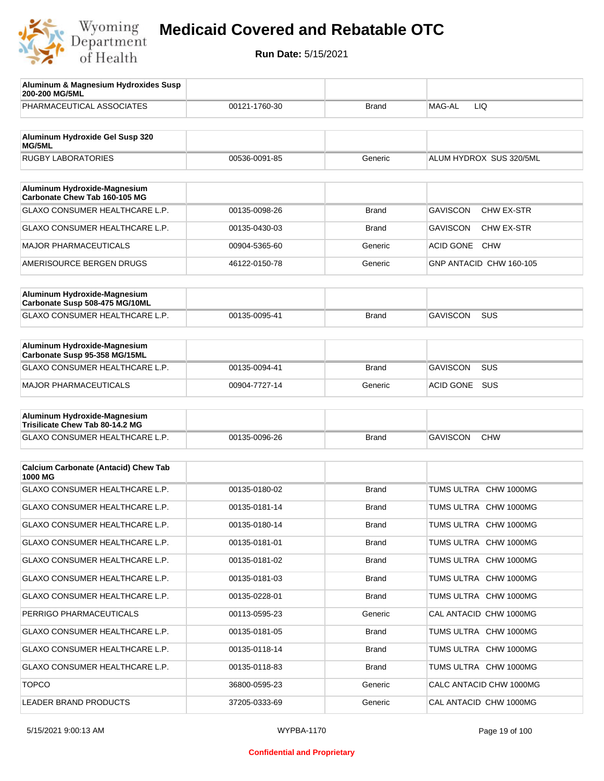

| Aluminum & Magnesium Hydroxides Susp<br>200-200 MG/5ML          |               |              |                                |
|-----------------------------------------------------------------|---------------|--------------|--------------------------------|
| PHARMACEUTICAL ASSOCIATES                                       | 00121-1760-30 | Brand        | MAG-AL<br>LIQ.                 |
| Aluminum Hydroxide Gel Susp 320                                 |               |              |                                |
| MG/5ML<br><b>RUGBY LABORATORIES</b>                             | 00536-0091-85 | Generic      | ALUM HYDROX SUS 320/5ML        |
|                                                                 |               |              |                                |
| Aluminum Hydroxide-Magnesium<br>Carbonate Chew Tab 160-105 MG   |               |              |                                |
| GLAXO CONSUMER HEALTHCARE L.P.                                  | 00135-0098-26 | Brand        | <b>GAVISCON</b><br>CHW EX-STR  |
| GLAXO CONSUMER HEALTHCARE L.P.                                  | 00135-0430-03 | Brand        | <b>GAVISCON</b><br>CHW EX-STR  |
| <b>MAJOR PHARMACEUTICALS</b>                                    | 00904-5365-60 | Generic      | <b>ACID GONE</b><br><b>CHW</b> |
| AMERISOURCE BERGEN DRUGS                                        | 46122-0150-78 | Generic      | GNP ANTACID CHW 160-105        |
|                                                                 |               |              |                                |
| Aluminum Hydroxide-Magnesium<br>Carbonate Susp 508-475 MG/10ML  |               |              |                                |
| GLAXO CONSUMER HEALTHCARE L.P.                                  | 00135-0095-41 | Brand        | <b>GAVISCON</b><br>SUS         |
|                                                                 |               |              |                                |
| Aluminum Hydroxide-Magnesium<br>Carbonate Susp 95-358 MG/15ML   |               |              |                                |
| GLAXO CONSUMER HEALTHCARE L.P.                                  | 00135-0094-41 | <b>Brand</b> | <b>GAVISCON</b><br><b>SUS</b>  |
| <b>MAJOR PHARMACEUTICALS</b>                                    | 00904-7727-14 | Generic      | <b>ACID GONE</b><br>SUS        |
|                                                                 |               |              |                                |
| Aluminum Hydroxide-Magnesium<br>Trisilicate Chew Tab 80-14.2 MG |               |              |                                |
| GLAXO CONSUMER HEALTHCARE L.P.                                  | 00135-0096-26 | <b>Brand</b> | <b>GAVISCON</b><br><b>CHW</b>  |
|                                                                 |               |              |                                |
| <b>Calcium Carbonate (Antacid) Chew Tab</b><br>1000 MG          |               |              |                                |
| <b>GLAXO CONSUMER HEALTHCARE L.P.</b>                           | 00135-0180-02 | <b>Brand</b> | TUMS ULTRA CHW 1000MG          |
| <b>GLAXO CONSUMER HEALTHCARE L.P.</b>                           | 00135-0181-14 | <b>Brand</b> | TUMS ULTRA CHW 1000MG          |
| <b>GLAXO CONSUMER HEALTHCARE L.P.</b>                           | 00135-0180-14 | Brand        | TUMS ULTRA CHW 1000MG          |
| <b>GLAXO CONSUMER HEALTHCARE L.P.</b>                           | 00135-0181-01 | <b>Brand</b> | TUMS ULTRA CHW 1000MG          |
| GLAXO CONSUMER HEALTHCARE L.P.                                  | 00135-0181-02 | <b>Brand</b> | TUMS ULTRA CHW 1000MG          |
| GLAXO CONSUMER HEALTHCARE L.P.                                  | 00135-0181-03 | <b>Brand</b> | TUMS ULTRA CHW 1000MG          |
| <b>GLAXO CONSUMER HEALTHCARE L.P.</b>                           | 00135-0228-01 | <b>Brand</b> | TUMS ULTRA CHW 1000MG          |
| PERRIGO PHARMACEUTICALS                                         | 00113-0595-23 | Generic      | CAL ANTACID CHW 1000MG         |
| GLAXO CONSUMER HEALTHCARE L.P.                                  | 00135-0181-05 | <b>Brand</b> | TUMS ULTRA CHW 1000MG          |
| GLAXO CONSUMER HEALTHCARE L.P.                                  | 00135-0118-14 | <b>Brand</b> | TUMS ULTRA CHW 1000MG          |
| GLAXO CONSUMER HEALTHCARE L.P.                                  | 00135-0118-83 | <b>Brand</b> | TUMS ULTRA CHW 1000MG          |
| <b>TOPCO</b>                                                    | 36800-0595-23 | Generic      | CALC ANTACID CHW 1000MG        |
| LEADER BRAND PRODUCTS                                           | 37205-0333-69 | Generic      | CAL ANTACID CHW 1000MG         |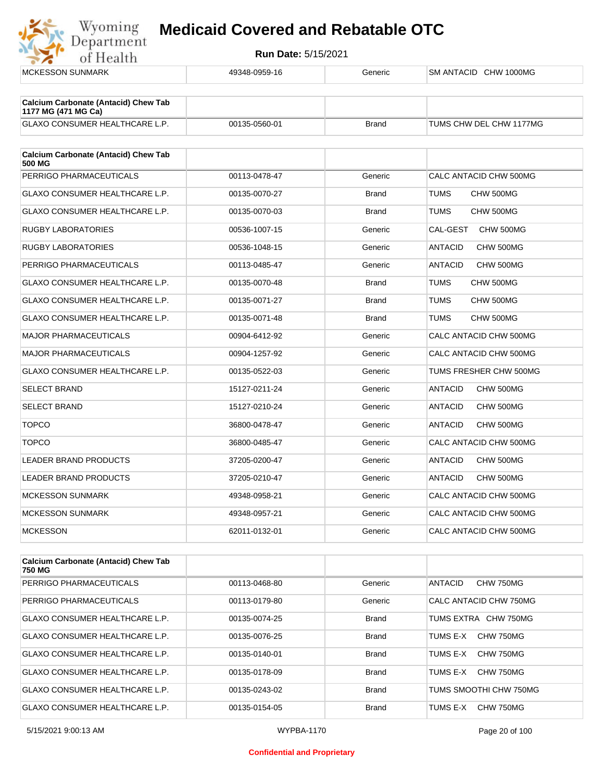

**Run Date:** 5/15/2021

| <b>MCKESSON SUNMARK</b>                                            | 49348-0959-16 | Generic      | SM ANTACID CHW 1000MG       |
|--------------------------------------------------------------------|---------------|--------------|-----------------------------|
| <b>Calcium Carbonate (Antacid) Chew Tab</b><br>1177 MG (471 MG Ca) |               |              |                             |
| GLAXO CONSUMER HEALTHCARE L.P.                                     | 00135-0560-01 | <b>Brand</b> | TUMS CHW DEL CHW 1177MG     |
| <b>Calcium Carbonate (Antacid) Chew Tab</b><br>500 MG              |               |              |                             |
| PERRIGO PHARMACEUTICALS                                            | 00113-0478-47 | Generic      | CALC ANTACID CHW 500MG      |
| GLAXO CONSUMER HEALTHCARE L.P.                                     | 00135-0070-27 | <b>Brand</b> | <b>TUMS</b><br>CHW 500MG    |
| <b>GLAXO CONSUMER HEALTHCARE L.P.</b>                              | 00135-0070-03 | <b>Brand</b> | <b>TUMS</b><br>CHW 500MG    |
| <b>RUGBY LABORATORIES</b>                                          | 00536-1007-15 | Generic      | CAL-GEST<br>CHW 500MG       |
| <b>RUGBY LABORATORIES</b>                                          | 00536-1048-15 | Generic      | <b>ANTACID</b><br>CHW 500MG |
| PERRIGO PHARMACEUTICALS                                            | 00113-0485-47 | Generic      | <b>ANTACID</b><br>CHW 500MG |
| GLAXO CONSUMER HEALTHCARE L.P.                                     | 00135-0070-48 | <b>Brand</b> | <b>TUMS</b><br>CHW 500MG    |
| <b>GLAXO CONSUMER HEALTHCARE L.P.</b>                              | 00135-0071-27 | <b>Brand</b> | <b>TUMS</b><br>CHW 500MG    |
| <b>GLAXO CONSUMER HEALTHCARE L.P.</b>                              | 00135-0071-48 | <b>Brand</b> | <b>TUMS</b><br>CHW 500MG    |
| <b>MAJOR PHARMACEUTICALS</b>                                       | 00904-6412-92 | Generic      | CALC ANTACID CHW 500MG      |
| <b>MAJOR PHARMACEUTICALS</b>                                       | 00904-1257-92 | Generic      | CALC ANTACID CHW 500MG      |
| GLAXO CONSUMER HEALTHCARE L.P.                                     | 00135-0522-03 | Generic      | TUMS FRESHER CHW 500MG      |
| <b>SELECT BRAND</b>                                                | 15127-0211-24 | Generic      | CHW 500MG<br><b>ANTACID</b> |
| <b>SELECT BRAND</b>                                                | 15127-0210-24 | Generic      | <b>ANTACID</b><br>CHW 500MG |
| <b>TOPCO</b>                                                       | 36800-0478-47 | Generic      | <b>ANTACID</b><br>CHW 500MG |
| <b>TOPCO</b>                                                       | 36800-0485-47 | Generic      | CALC ANTACID CHW 500MG      |
| <b>LEADER BRAND PRODUCTS</b>                                       | 37205-0200-47 | Generic      | <b>ANTACID</b><br>CHW 500MG |
| LEADER BRAND PRODUCTS                                              | 37205-0210-47 | Generic      | CHW 500MG<br><b>ANTACID</b> |
| <b>MCKESSON SUNMARK</b>                                            | 49348-0958-21 | Generic      | CALC ANTACID CHW 500MG      |
| <b>MCKESSON SUNMARK</b>                                            | 49348-0957-21 | Generic      | CALC ANTACID CHW 500MG      |
| <b>MCKESSON</b>                                                    | 62011-0132-01 | Generic      | CALC ANTACID CHW 500MG      |
| <b>Calcium Carbonate (Antacid) Chew Tab</b><br>750 MG              |               |              |                             |
| PERRIGO PHARMACEUTICALS                                            | 00113-0468-80 | Generic      | <b>ANTACID</b><br>CHW 750MG |

PERRIGO PHARMACEUTICALS 00113-0468-80 Generic |ANTACID CHW 750MG PERRIGO PHARMACEUTICALS 00113-0179-80 Generic CALC ANTACID CHW 750MG GLAXO CONSUMER HEALTHCARE L.P.  $\begin{array}{|c|c|c|c|c|c|}\n\hline\n\text{00135-0074-25} & \text{Brand} & \text{TUMS EXTRA} & \text{CHW 750MG} \end{array}$ GLAXO CONSUMER HEALTHCARE L.P. 00135-0076-25 Brand TUMS E-X CHW 750MG GLAXO CONSUMER HEALTHCARE L.P. 00135-0140-01 Brand Brand TUMS E-X CHW 750MG GLAXO CONSUMER HEALTHCARE L.P. 00135-0178-09 Brand TUMS E-X CHW 750MG GLAXO CONSUMER HEALTHCARE L.P. 00135-0243-02 Brand TUMS SMOOTHI CHW 750MG GLAXO CONSUMER HEALTHCARE L.P. 00135-0154-05 Brand TUMS E-X CHW 750MG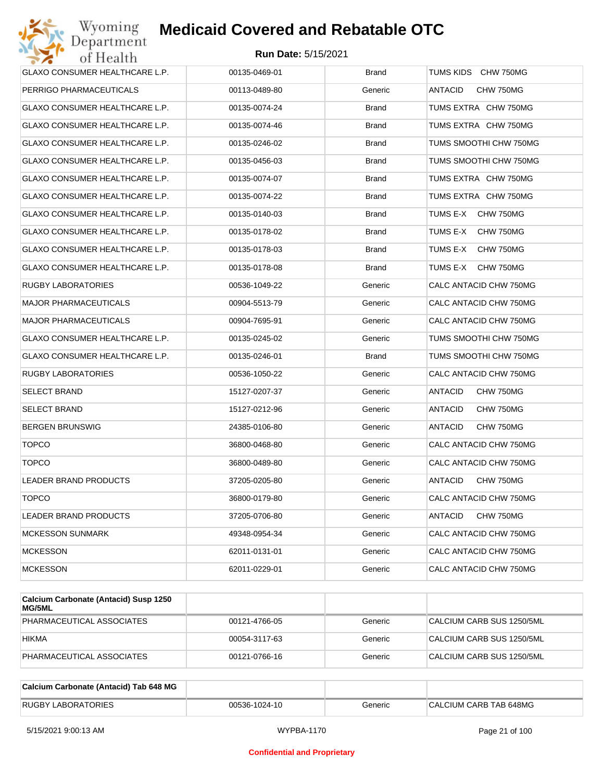

| Wyoming<br>Department                 | <b>Medicaid Covered and Rebatable OTC</b> |              |                             |
|---------------------------------------|-------------------------------------------|--------------|-----------------------------|
| of Health                             | <b>Run Date: 5/15/2021</b>                |              |                             |
| <b>GLAXO CONSUMER HEALTHCARE L.P.</b> | 00135-0469-01                             | <b>Brand</b> | TUMS KIDS CHW 750MG         |
| PERRIGO PHARMACEUTICALS               | 00113-0489-80                             | Generic      | ANTACID<br>CHW 750MG        |
| GLAXO CONSUMER HEALTHCARE L.P.        | 00135-0074-24                             | <b>Brand</b> | TUMS EXTRA CHW 750MG        |
| GLAXO CONSUMER HEALTHCARE L.P.        | 00135-0074-46                             | <b>Brand</b> | TUMS EXTRA CHW 750MG        |
| GLAXO CONSUMER HEALTHCARE L.P.        | 00135-0246-02                             | <b>Brand</b> | TUMS SMOOTHI CHW 750MG      |
| GLAXO CONSUMER HEALTHCARE L.P.        | 00135-0456-03                             | <b>Brand</b> | TUMS SMOOTHI CHW 750MG      |
| GLAXO CONSUMER HEALTHCARE L.P.        | 00135-0074-07                             | <b>Brand</b> | TUMS EXTRA CHW 750MG        |
| GLAXO CONSUMER HEALTHCARE L.P.        | 00135-0074-22                             | <b>Brand</b> | TUMS EXTRA CHW 750MG        |
| GLAXO CONSUMER HEALTHCARE L.P.        | 00135-0140-03                             | <b>Brand</b> | TUMS E-X<br>CHW 750MG       |
| GLAXO CONSUMER HEALTHCARE L.P.        | 00135-0178-02                             | <b>Brand</b> | TUMS E-X<br>CHW 750MG       |
| GLAXO CONSUMER HEALTHCARE L.P.        | 00135-0178-03                             | <b>Brand</b> | TUMS E-X<br>CHW 750MG       |
| <b>GLAXO CONSUMER HEALTHCARE L.P.</b> | 00135-0178-08                             | <b>Brand</b> | TUMS E-X<br>CHW 750MG       |
| RUGBY LABORATORIES                    | 00536-1049-22                             | Generic      | CALC ANTACID CHW 750MG      |
| <b>MAJOR PHARMACEUTICALS</b>          | 00904-5513-79                             | Generic      | CALC ANTACID CHW 750MG      |
| <b>MAJOR PHARMACEUTICALS</b>          | 00904-7695-91                             | Generic      | CALC ANTACID CHW 750MG      |
| GLAXO CONSUMER HEALTHCARE L.P.        | 00135-0245-02                             | Generic      | TUMS SMOOTHI CHW 750MG      |
| GLAXO CONSUMER HEALTHCARE L.P.        | 00135-0246-01                             | <b>Brand</b> | TUMS SMOOTHI CHW 750MG      |
| RUGBY LABORATORIES                    | 00536-1050-22                             | Generic      | CALC ANTACID CHW 750MG      |
| <b>SELECT BRAND</b>                   | 15127-0207-37                             | Generic      | ANTACID<br>CHW 750MG        |
| <b>SELECT BRAND</b>                   | 15127-0212-96                             | Generic      | <b>ANTACID</b><br>CHW 750MG |
| <b>BERGEN BRUNSWIG</b>                | 24385-0106-80                             | Generic      | ANTACID<br>CHW 750MG        |
| <b>TOPCO</b>                          | 36800-0468-80                             | Generic      | CALC ANTACID CHW 750MG      |
| <b>TOPCO</b>                          | 36800-0489-80                             | Generic      | CALC ANTACID CHW 750MG      |
| <b>LEADER BRAND PRODUCTS</b>          | 37205-0205-80                             | Generic      | CHW 750MG<br><b>ANTACID</b> |
| <b>TOPCO</b>                          | 36800-0179-80                             | Generic      | CALC ANTACID CHW 750MG      |
| LEADER BRAND PRODUCTS                 | 37205-0706-80                             | Generic      | CHW 750MG<br>ANTACID        |
| <b>MCKESSON SUNMARK</b>               | 49348-0954-34                             | Generic      | CALC ANTACID CHW 750MG      |
| <b>MCKESSON</b>                       | 62011-0131-01                             | Generic      | CALC ANTACID CHW 750MG      |
| <b>MCKESSON</b>                       | 62011-0229-01                             | Generic      | CALC ANTACID CHW 750MG      |

| Calcium Carbonate (Antacid) Susp 1250<br><b>MG/5ML</b> |               |         |                           |
|--------------------------------------------------------|---------------|---------|---------------------------|
| PHARMACEUTICAL ASSOCIATES                              | 00121-4766-05 | Generic | CALCIUM CARB SUS 1250/5ML |
| <b>HIKMA</b>                                           | 00054-3117-63 | Generic | CALCIUM CARB SUS 1250/5ML |
| PHARMACEUTICAL ASSOCIATES                              | 00121-0766-16 | Generic | CALCIUM CARB SUS 1250/5ML |

| Calcium Carbonate (Antacid) Tab 648 MG |               |         |                        |
|----------------------------------------|---------------|---------|------------------------|
| <b>RUGBY LABORATORIES</b>              | 00536-1024-10 | Generic | CALCIUM CARB TAB 648MG |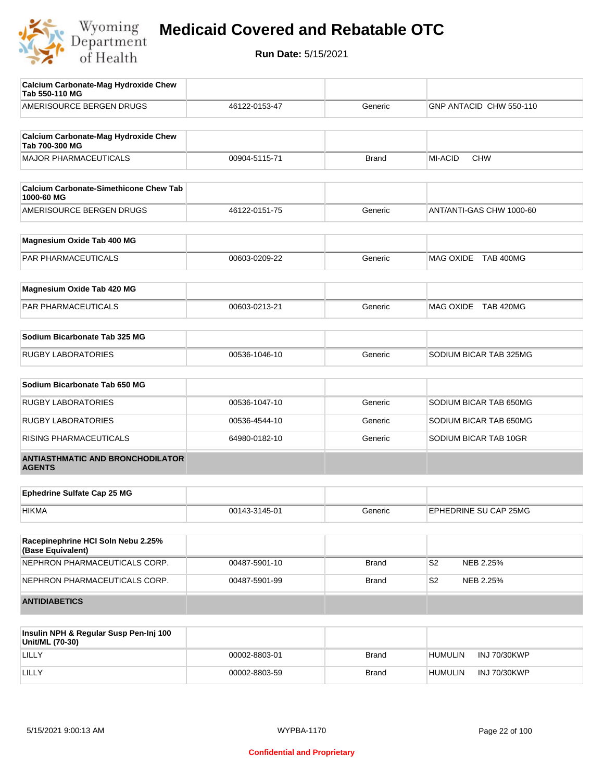

| Insulin NPH & Regular Susn Pen-Ini 100                        |               |              |                              |
|---------------------------------------------------------------|---------------|--------------|------------------------------|
| <b>ANTIDIABETICS</b>                                          |               |              |                              |
| NEPHRON PHARMACEUTICALS CORP.                                 | 00487-5901-99 | <b>Brand</b> | S2<br>NEB 2.25%              |
| NEPHRON PHARMACEUTICALS CORP.                                 | 00487-5901-10 | <b>Brand</b> | S2<br>NEB 2.25%              |
| Racepinephrine HCI Soln Nebu 2.25%<br>(Base Equivalent)       |               |              |                              |
| <b>HIKMA</b>                                                  | 00143-3145-01 | Generic      | EPHEDRINE SU CAP 25MG        |
| <b>Ephedrine Sulfate Cap 25 MG</b>                            |               |              |                              |
| <b>ANTIASTHMATIC AND BRONCHODILATOR</b><br><b>AGENTS</b>      |               |              |                              |
| RISING PHARMACEUTICALS                                        | 64980-0182-10 | Generic      | SODIUM BICAR TAB 10GR        |
| <b>RUGBY LABORATORIES</b>                                     | 00536-4544-10 | Generic      | SODIUM BICAR TAB 650MG       |
| <b>RUGBY LABORATORIES</b>                                     | 00536-1047-10 | Generic      | SODIUM BICAR TAB 650MG       |
| Sodium Bicarbonate Tab 650 MG                                 |               |              |                              |
| <b>RUGBY LABORATORIES</b>                                     | 00536-1046-10 | Generic      | SODIUM BICAR TAB 325MG       |
| Sodium Bicarbonate Tab 325 MG                                 |               |              |                              |
|                                                               |               | Generic      |                              |
| Magnesium Oxide Tab 420 MG<br>PAR PHARMACEUTICALS             | 00603-0213-21 |              | MAG OXIDE TAB 420MG          |
|                                                               |               |              |                              |
| <b>PAR PHARMACEUTICALS</b>                                    | 00603-0209-22 | Generic      | MAG OXIDE TAB 400MG          |
| Magnesium Oxide Tab 400 MG                                    |               |              |                              |
| AMERISOURCE BERGEN DRUGS                                      | 46122-0151-75 | Generic      | ANT/ANTI-GAS CHW 1000-60     |
| <b>Calcium Carbonate-Simethicone Chew Tab</b><br>1000-60 MG   |               |              |                              |
| <b>MAJOR PHARMACEUTICALS</b>                                  | 00904-5115-71 | <b>Brand</b> | <b>MI-ACID</b><br><b>CHW</b> |
| <b>Calcium Carbonate-Mag Hydroxide Chew</b><br>Tab 700-300 MG |               |              |                              |
| AMERISOURCE BERGEN DRUGS                                      | 46122-0153-47 | Generic      | GNP ANTACID CHW 550-110      |
| <b>Calcium Carbonate-Mag Hydroxide Chew</b><br>Tab 550-110 MG |               |              |                              |

| Insulin NPH & Regular Susp Pen-Inj 100<br>Unit/ML (70-30) |               |              |         |                     |
|-----------------------------------------------------------|---------------|--------------|---------|---------------------|
| LILLY                                                     | 00002-8803-01 | <b>Brand</b> | HUMULIN | INJ 70/30KWP        |
| LILLY                                                     | 00002-8803-59 | <b>Brand</b> | HUMULIN | <b>INJ 70/30KWP</b> |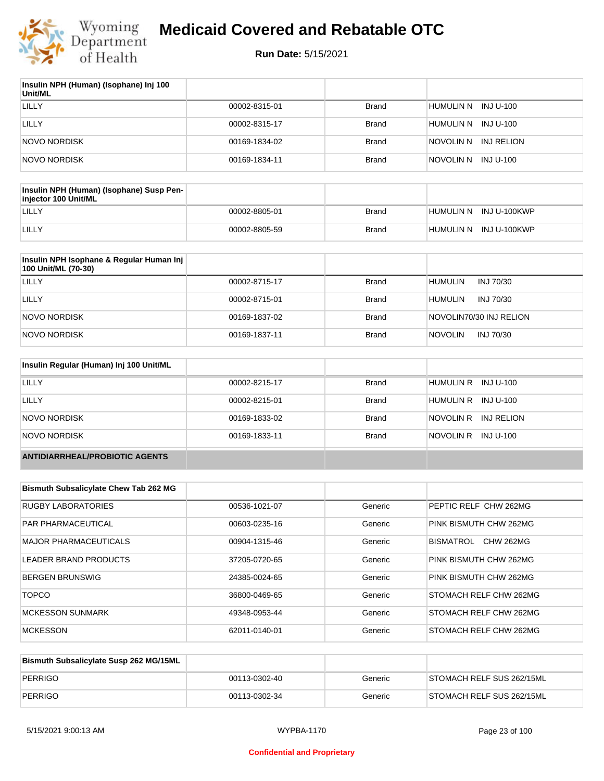

| Insulin NPH (Human) (Isophane) Inj 100<br>Unit/ML |               |              |                         |
|---------------------------------------------------|---------------|--------------|-------------------------|
| LILLY                                             | 00002-8315-01 | <b>Brand</b> | HUMULIN N<br>INJ U-100  |
| LILLY                                             | 00002-8315-17 | Brand        | HUMULIN N<br>INJ U-100  |
| NOVO NORDISK                                      | 00169-1834-02 | Brand        | INJ RELION<br>NOVOLIN N |
| NOVO NORDISK                                      | 00169-1834-11 | <b>Brand</b> | NOVOLIN N INJ U-100     |

| Insulin NPH (Human) (Isophane) Susp Pen-<br>injector 100 Unit/ML |               |       |                        |
|------------------------------------------------------------------|---------------|-------|------------------------|
| LILLY                                                            | 00002-8805-01 | Brand | HUMULIN N INJ U-100KWP |
| LILLY                                                            | 00002-8805-59 | Brand | HUMULIN N INJ U-100KWP |

| Insulin NPH Isophane & Regular Human Inj<br>100 Unit/ML (70-30) |               |              |                             |
|-----------------------------------------------------------------|---------------|--------------|-----------------------------|
| LILLY                                                           | 00002-8715-17 | Brand        | <b>HUMULIN</b><br>INJ 70/30 |
| LILLY                                                           | 00002-8715-01 | <b>Brand</b> | <b>HUMULIN</b><br>INJ 70/30 |
| NOVO NORDISK                                                    | 00169-1837-02 | <b>Brand</b> | NOVOLIN70/30 INJ RELION     |
| NOVO NORDISK                                                    | 00169-1837-11 | <b>Brand</b> | <b>NOVOLIN</b><br>INJ 70/30 |

| Insulin Regular (Human) Inj 100 Unit/ML |               |              |                         |
|-----------------------------------------|---------------|--------------|-------------------------|
| <b>LILLY</b>                            | 00002-8215-17 | <b>Brand</b> | HUMULIN R INJ U-100     |
| LILLY                                   | 00002-8215-01 | <b>Brand</b> | HUMULIN R INJ U-100     |
| NOVO NORDISK                            | 00169-1833-02 | <b>Brand</b> | NOVOLIN R<br>INJ RELION |
| NOVO NORDISK                            | 00169-1833-11 | <b>Brand</b> | NOVOLIN R INJ U-100     |
| <b>ANTIDIARRHEAL/PROBIOTIC AGENTS</b>   |               |              |                         |

| <b>Bismuth Subsalicylate Chew Tab 262 MG</b> |               |         |                               |
|----------------------------------------------|---------------|---------|-------------------------------|
| RUGBY LABORATORIES                           | 00536-1021-07 | Generic | PEPTIC RELF CHW 262MG         |
| <b>PAR PHARMACEUTICAL</b>                    | 00603-0235-16 | Generic | PINK BISMUTH CHW 262MG        |
| MAJOR PHARMACEUTICALS                        | 00904-1315-46 | Generic | <b>CHW 262MG</b><br>BISMATROL |
| LEADER BRAND PRODUCTS                        | 37205-0720-65 | Generic | PINK BISMUTH CHW 262MG        |
| <b>BERGEN BRUNSWIG</b>                       | 24385-0024-65 | Generic | PINK BISMUTH CHW 262MG        |
| <b>TOPCO</b>                                 | 36800-0469-65 | Generic | STOMACH RELF CHW 262MG        |
| <b>MCKESSON SUNMARK</b>                      | 49348-0953-44 | Generic | STOMACH RELF CHW 262MG        |
| <b>MCKESSON</b>                              | 62011-0140-01 | Generic | STOMACH RELF CHW 262MG        |

| Bismuth Subsalicylate Susp 262 MG/15ML |               |         |                           |
|----------------------------------------|---------------|---------|---------------------------|
| PERRIGO                                | 00113-0302-40 | Generic | STOMACH RELF SUS 262/15ML |
| PERRIGO                                | 00113-0302-34 | Generic | STOMACH RELF SUS 262/15ML |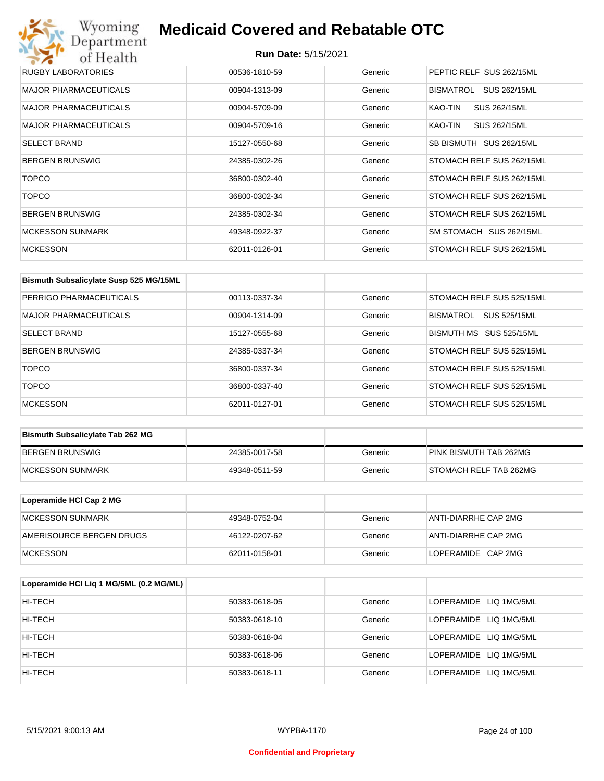## Wyoming<br>Department<br>of Health **Medicaid Covered and Rebatable OTC**

| RUGBY LABORATORIES           | 00536-1810-59 | Generic | PEPTIC RELF SUS 262/15ML  |
|------------------------------|---------------|---------|---------------------------|
| <b>MAJOR PHARMACEUTICALS</b> | 00904-1313-09 | Generic | BISMATROL<br>SUS 262/15ML |
| <b>MAJOR PHARMACEUTICALS</b> | 00904-5709-09 | Generic | KAO-TIN<br>SUS 262/15ML   |
| <b>MAJOR PHARMACEUTICALS</b> | 00904-5709-16 | Generic | SUS 262/15ML<br>KAO-TIN   |
| <b>SELECT BRAND</b>          | 15127-0550-68 | Generic | SB BISMUTH SUS 262/15ML   |
| <b>BERGEN BRUNSWIG</b>       | 24385-0302-26 | Generic | STOMACH RELF SUS 262/15ML |
| <b>TOPCO</b>                 | 36800-0302-40 | Generic | STOMACH RELF SUS 262/15ML |
| <b>TOPCO</b>                 | 36800-0302-34 | Generic | STOMACH RELF SUS 262/15ML |
| <b>BERGEN BRUNSWIG</b>       | 24385-0302-34 | Generic | STOMACH RELF SUS 262/15ML |
| <b>MCKESSON SUNMARK</b>      | 49348-0922-37 | Generic | SM STOMACH SUS 262/15ML   |
| <b>MCKESSON</b>              | 62011-0126-01 | Generic | STOMACH RELF SUS 262/15ML |

| Bismuth Subsalicylate Susp 525 MG/15ML |               |         |                                         |
|----------------------------------------|---------------|---------|-----------------------------------------|
| PERRIGO PHARMACEUTICALS                | 00113-0337-34 | Generic | STOMACH RELF SUS 525/15ML               |
| MAJOR PHARMACEUTICALS                  | 00904-1314-09 | Generic | <b>BISMATROL</b><br><b>SUS 525/15ML</b> |
| <b>SELECT BRAND</b>                    | 15127-0555-68 | Generic | BISMUTH MS SUS 525/15ML                 |
| <b>BERGEN BRUNSWIG</b>                 | 24385-0337-34 | Generic | STOMACH RELF SUS 525/15ML               |
| <b>TOPCO</b>                           | 36800-0337-34 | Generic | STOMACH RELF SUS 525/15ML               |
| <b>TOPCO</b>                           | 36800-0337-40 | Generic | STOMACH RELF SUS 525/15ML               |
| <b>MCKESSON</b>                        | 62011-0127-01 | Generic | STOMACH RELF SUS 525/15ML               |

| <b>Bismuth Subsalicylate Tab 262 MG</b> |               |         |                        |
|-----------------------------------------|---------------|---------|------------------------|
| BERGEN BRUNSWIG                         | 24385-0017-58 | Generic | PINK BISMUTH TAB 262MG |
| <b>IMCKESSON SUNMARK</b>                | 49348-0511-59 | Generic | STOMACH RELF TAB 262MG |

| Loperamide HCI Cap 2 MG  |               |         |                      |
|--------------------------|---------------|---------|----------------------|
| IMCKESSON SUNMARK        | 49348-0752-04 | Generic | ANTI-DIARRHE CAP 2MG |
| AMERISOURCE BERGEN DRUGS | 46122-0207-62 | Generic | ANTI-DIARRHE CAP 2MG |
| <b>IMCKESSON</b>         | 62011-0158-01 | Generic | LOPERAMIDE CAP 2MG   |

| Loperamide HCI Liq 1 MG/5ML (0.2 MG/ML) |               |         |                        |
|-----------------------------------------|---------------|---------|------------------------|
| HI-TECH                                 | 50383-0618-05 | Generic | LOPERAMIDE LIQ 1MG/5ML |
| HI-TECH                                 | 50383-0618-10 | Generic | LOPERAMIDE LIQ 1MG/5ML |
| HI-TECH                                 | 50383-0618-04 | Generic | LOPERAMIDE LIQ 1MG/5ML |
| HI-TECH                                 | 50383-0618-06 | Generic | LOPERAMIDE LIQ 1MG/5ML |
| HI-TECH                                 | 50383-0618-11 | Generic | LOPERAMIDE LIQ 1MG/5ML |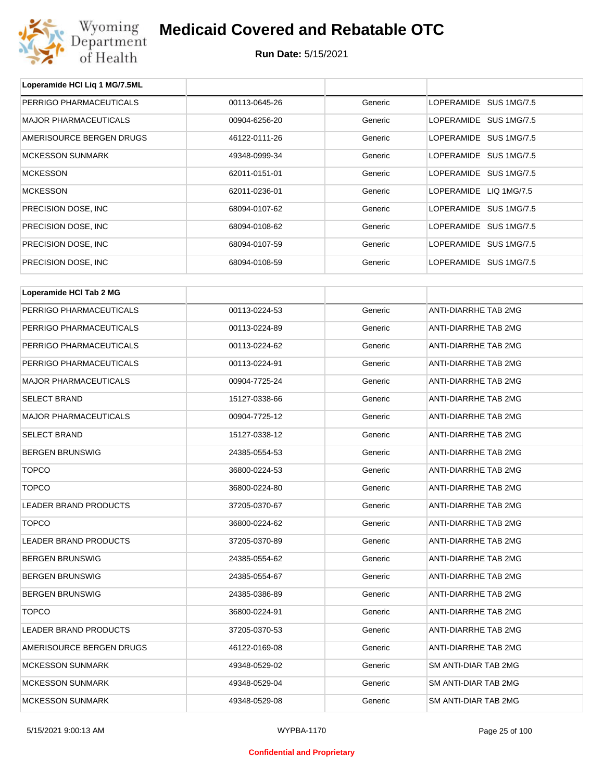

| Loperamide HCI Liq 1 MG/7.5ML |               |         |                        |  |
|-------------------------------|---------------|---------|------------------------|--|
| PERRIGO PHARMACEUTICALS       | 00113-0645-26 | Generic | LOPERAMIDE SUS 1MG/7.5 |  |
| <b>MAJOR PHARMACEUTICALS</b>  | 00904-6256-20 | Generic | LOPERAMIDE SUS 1MG/7.5 |  |
| AMERISOURCE BERGEN DRUGS      | 46122-0111-26 | Generic | LOPERAMIDE SUS 1MG/7.5 |  |
| <b>MCKESSON SUNMARK</b>       | 49348-0999-34 | Generic | LOPERAMIDE SUS 1MG/7.5 |  |
| <b>MCKESSON</b>               | 62011-0151-01 | Generic | LOPERAMIDE SUS 1MG/7.5 |  |
| <b>MCKESSON</b>               | 62011-0236-01 | Generic | LOPERAMIDE LIQ 1MG/7.5 |  |
| PRECISION DOSE, INC.          | 68094-0107-62 | Generic | LOPERAMIDE SUS 1MG/7.5 |  |
| PRECISION DOSE, INC.          | 68094-0108-62 | Generic | LOPERAMIDE SUS 1MG/7.5 |  |
| PRECISION DOSE, INC.          | 68094-0107-59 | Generic | LOPERAMIDE SUS 1MG/7.5 |  |
| PRECISION DOSE, INC.          | 68094-0108-59 | Generic | LOPERAMIDE SUS 1MG/7.5 |  |
| Loperamide HCI Tab 2 MG       |               |         |                        |  |
| PERRIGO PHARMACEUTICALS       | 00113-0224-53 | Generic | ANTI-DIARRHE TAB 2MG   |  |
| PERRIGO PHARMACEUTICALS       | 00113-0224-89 | Generic | ANTI-DIARRHE TAB 2MG   |  |
| PERRIGO PHARMACEUTICALS       | 00113-0224-62 | Generic | ANTI-DIARRHE TAB 2MG   |  |
| PERRIGO PHARMACEUTICALS       | 00113-0224-91 | Generic | ANTI-DIARRHE TAB 2MG   |  |
| <b>MAJOR PHARMACEUTICALS</b>  | 00904-7725-24 | Generic | ANTI-DIARRHE TAB 2MG   |  |
| <b>SELECT BRAND</b>           | 15127-0338-66 | Generic | ANTI-DIARRHE TAB 2MG   |  |
| <b>MAJOR PHARMACEUTICALS</b>  | 00904-7725-12 | Generic | ANTI-DIARRHE TAB 2MG   |  |
| <b>SELECT BRAND</b>           | 15127-0338-12 | Generic | ANTI-DIARRHE TAB 2MG   |  |
| <b>BERGEN BRUNSWIG</b>        | 24385-0554-53 | Generic | ANTI-DIARRHE TAB 2MG   |  |
| <b>TOPCO</b>                  | 36800-0224-53 | Generic | ANTI-DIARRHE TAB 2MG   |  |
| <b>TOPCO</b>                  | 36800-0224-80 | Generic | ANTI-DIARRHE TAB 2MG   |  |
| LEADER BRAND PRODUCTS         | 37205-0370-67 | Generic | ANTI-DIARRHE TAB 2MG   |  |
| TOPCO                         | 36800-0224-62 | Generic | ANTI-DIARRHE TAB 2MG   |  |
| LEADER BRAND PRODUCTS         | 37205-0370-89 | Generic | ANTI-DIARRHE TAB 2MG   |  |
| <b>BERGEN BRUNSWIG</b>        | 24385-0554-62 | Generic | ANTI-DIARRHE TAB 2MG   |  |
| <b>BERGEN BRUNSWIG</b>        | 24385-0554-67 | Generic | ANTI-DIARRHE TAB 2MG   |  |
| <b>BERGEN BRUNSWIG</b>        | 24385-0386-89 | Generic | ANTI-DIARRHE TAB 2MG   |  |
| <b>TOPCO</b>                  | 36800-0224-91 | Generic | ANTI-DIARRHE TAB 2MG   |  |
| LEADER BRAND PRODUCTS         | 37205-0370-53 | Generic | ANTI-DIARRHE TAB 2MG   |  |
| AMERISOURCE BERGEN DRUGS      | 46122-0169-08 | Generic | ANTI-DIARRHE TAB 2MG   |  |
| <b>MCKESSON SUNMARK</b>       | 49348-0529-02 | Generic | SM ANTI-DIAR TAB 2MG   |  |
| <b>MCKESSON SUNMARK</b>       | 49348-0529-04 | Generic | SM ANTI-DIAR TAB 2MG   |  |
| <b>MCKESSON SUNMARK</b>       | 49348-0529-08 | Generic | SM ANTI-DIAR TAB 2MG   |  |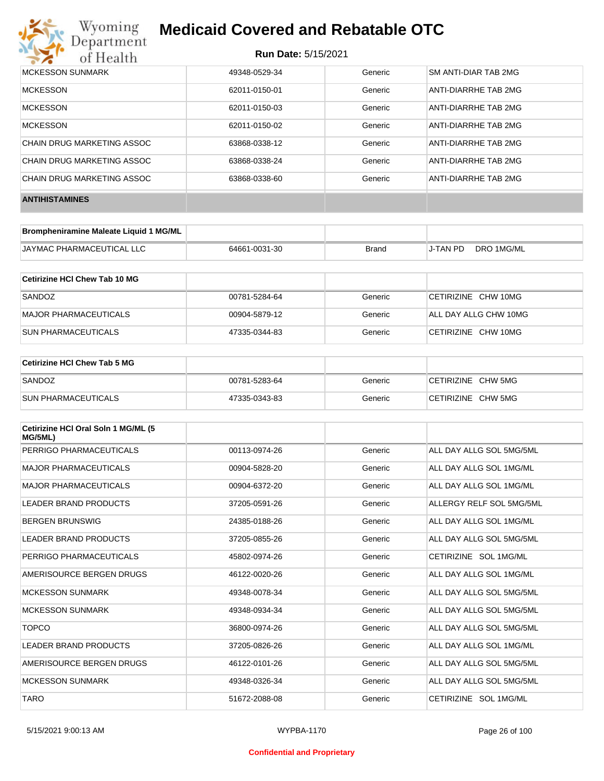

| MCKESSON SUNMARK           | 49348-0529-34 | Generic | SM ANTI-DIAR TAB 2MG |
|----------------------------|---------------|---------|----------------------|
| <b>MCKESSON</b>            | 62011-0150-01 | Generic | ANTI-DIARRHE TAB 2MG |
| <b>MCKESSON</b>            | 62011-0150-03 | Generic | ANTI-DIARRHE TAB 2MG |
| <b>MCKESSON</b>            | 62011-0150-02 | Generic | ANTI-DIARRHE TAB 2MG |
| CHAIN DRUG MARKETING ASSOC | 63868-0338-12 | Generic | ANTI-DIARRHE TAB 2MG |
| CHAIN DRUG MARKETING ASSOC | 63868-0338-24 | Generic | ANTI-DIARRHE TAB 2MG |
| CHAIN DRUG MARKETING ASSOC | 63868-0338-60 | Generic | ANTI-DIARRHE TAB 2MG |
| <b>ANTIHISTAMINES</b>      |               |         |                      |

| <b>Brompheniramine Maleate Liquid 1 MG/ML</b> |               |       |          |            |
|-----------------------------------------------|---------------|-------|----------|------------|
| <b>JAYMAC PHARMACEUTICAL LLC</b>              | 64661-0031-30 | Brand | J-TAN PD | DRO 1MG/ML |

| Cetirizine HCI Chew Tab 10 MG |               |         |                       |
|-------------------------------|---------------|---------|-----------------------|
| SANDOZ                        | 00781-5284-64 | Generic | CETIRIZINE CHW 10MG   |
| MAJOR PHARMACEUTICALS         | 00904-5879-12 | Generic | ALL DAY ALLG CHW 10MG |
| <b>SUN PHARMACEUTICALS</b>    | 47335-0344-83 | Generic | CETIRIZINE CHW 10MG   |

| Cetirizine HCI Chew Tab 5 MG |               |         |                    |
|------------------------------|---------------|---------|--------------------|
| SANDOZ                       | 00781-5283-64 | Generic | CETIRIZINE CHW 5MG |
| <b>SUN PHARMACEUTICALS</b>   | 47335-0343-83 | Generic | CETIRIZINE CHW 5MG |

| Cetirizine HCI Oral Soln 1 MG/ML (5<br>MG/5ML) |               |         |                          |
|------------------------------------------------|---------------|---------|--------------------------|
| PERRIGO PHARMACEUTICALS                        | 00113-0974-26 | Generic | ALL DAY ALLG SOL 5MG/5ML |
| <b>MAJOR PHARMACEUTICALS</b>                   | 00904-5828-20 | Generic | ALL DAY ALLG SOL 1MG/ML  |
| <b>MAJOR PHARMACEUTICALS</b>                   | 00904-6372-20 | Generic | ALL DAY ALLG SOL 1MG/ML  |
| <b>LEADER BRAND PRODUCTS</b>                   | 37205-0591-26 | Generic | ALLERGY RELF SOL 5MG/5ML |
| <b>BERGEN BRUNSWIG</b>                         | 24385-0188-26 | Generic | ALL DAY ALLG SOL 1MG/ML  |
| <b>LEADER BRAND PRODUCTS</b>                   | 37205-0855-26 | Generic | ALL DAY ALLG SOL 5MG/5ML |
| PERRIGO PHARMACEUTICALS                        | 45802-0974-26 | Generic | CETIRIZINE SOL 1MG/ML    |
| AMERISOURCE BERGEN DRUGS                       | 46122-0020-26 | Generic | ALL DAY ALLG SOL 1MG/ML  |
| <b>MCKESSON SUNMARK</b>                        | 49348-0078-34 | Generic | ALL DAY ALLG SOL 5MG/5ML |
| <b>MCKESSON SUNMARK</b>                        | 49348-0934-34 | Generic | ALL DAY ALLG SOL 5MG/5ML |
| <b>TOPCO</b>                                   | 36800-0974-26 | Generic | ALL DAY ALLG SOL 5MG/5ML |
| <b>LEADER BRAND PRODUCTS</b>                   | 37205-0826-26 | Generic | ALL DAY ALLG SOL 1MG/ML  |
| AMERISOURCE BERGEN DRUGS                       | 46122-0101-26 | Generic | ALL DAY ALLG SOL 5MG/5ML |
| <b>MCKESSON SUNMARK</b>                        | 49348-0326-34 | Generic | ALL DAY ALLG SOL 5MG/5ML |
| <b>TARO</b>                                    | 51672-2088-08 | Generic | CETIRIZINE SOL 1MG/ML    |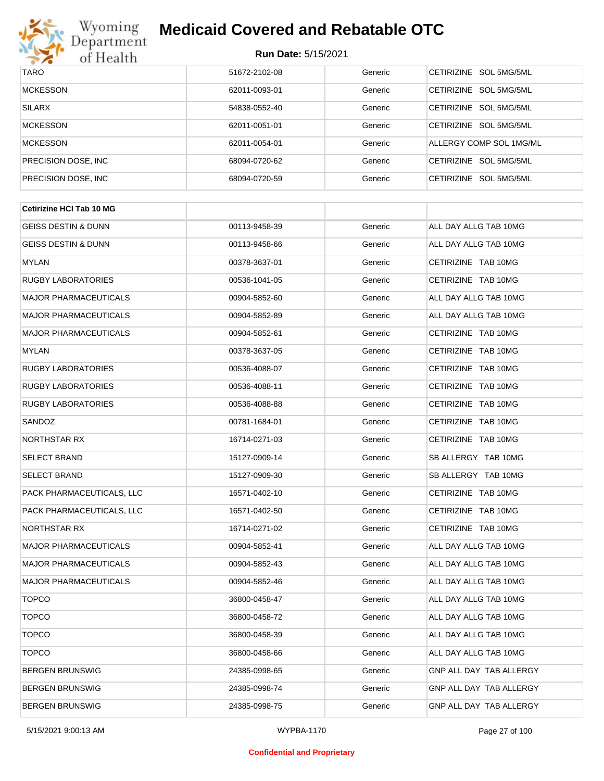

| <b>TARO</b>          | 51672-2102-08 | Generic | CETIRIZINE SOL 5MG/5ML           |
|----------------------|---------------|---------|----------------------------------|
| <b>MCKESSON</b>      | 62011-0093-01 | Generic | SOL 5MG/5ML<br><b>CFTIRIZINE</b> |
| <b>SILARX</b>        | 54838-0552-40 | Generic | CETIRIZINE SOL 5MG/5ML           |
| <b>MCKESSON</b>      | 62011-0051-01 | Generic | CETIRIZINE SOL 5MG/5ML           |
| <b>MCKESSON</b>      | 62011-0054-01 | Generic | ALLERGY COMP SOL 1MG/ML          |
| PRECISION DOSE, INC. | 68094-0720-62 | Generic | CETIRIZINE SOL 5MG/5ML           |
| PRECISION DOSE, INC. | 68094-0720-59 | Generic | CETIRIZINE SOL 5MG/5ML           |

| <b>Cetirizine HCI Tab 10 MG</b> |               |         |                                |
|---------------------------------|---------------|---------|--------------------------------|
| <b>GEISS DESTIN &amp; DUNN</b>  | 00113-9458-39 | Generic | ALL DAY ALLG TAB 10MG          |
| <b>GEISS DESTIN &amp; DUNN</b>  | 00113-9458-66 | Generic | ALL DAY ALLG TAB 10MG          |
| <b>MYLAN</b>                    | 00378-3637-01 | Generic | CETIRIZINE TAB 10MG            |
| <b>RUGBY LABORATORIES</b>       | 00536-1041-05 | Generic | CETIRIZINE TAB 10MG            |
| <b>MAJOR PHARMACEUTICALS</b>    | 00904-5852-60 | Generic | ALL DAY ALLG TAB 10MG          |
| <b>MAJOR PHARMACEUTICALS</b>    | 00904-5852-89 | Generic | ALL DAY ALLG TAB 10MG          |
| <b>MAJOR PHARMACEUTICALS</b>    | 00904-5852-61 | Generic | CETIRIZINE TAB 10MG            |
| <b>MYLAN</b>                    | 00378-3637-05 | Generic | CETIRIZINE TAB 10MG            |
| <b>RUGBY LABORATORIES</b>       | 00536-4088-07 | Generic | CETIRIZINE TAB 10MG            |
| <b>RUGBY LABORATORIES</b>       | 00536-4088-11 | Generic | CETIRIZINE TAB 10MG            |
| <b>RUGBY LABORATORIES</b>       | 00536-4088-88 | Generic | CETIRIZINE TAB 10MG            |
| SANDOZ                          | 00781-1684-01 | Generic | CETIRIZINE TAB 10MG            |
| NORTHSTAR RX                    | 16714-0271-03 | Generic | CETIRIZINE TAB 10MG            |
| <b>SELECT BRAND</b>             | 15127-0909-14 | Generic | SB ALLERGY TAB 10MG            |
| <b>SELECT BRAND</b>             | 15127-0909-30 | Generic | SB ALLERGY TAB 10MG            |
| PACK PHARMACEUTICALS, LLC       | 16571-0402-10 | Generic | CETIRIZINE TAB 10MG            |
| PACK PHARMACEUTICALS, LLC       | 16571-0402-50 | Generic | CETIRIZINE TAB 10MG            |
| NORTHSTAR RX                    | 16714-0271-02 | Generic | CETIRIZINE TAB 10MG            |
| <b>MAJOR PHARMACEUTICALS</b>    | 00904-5852-41 | Generic | ALL DAY ALLG TAB 10MG          |
| <b>MAJOR PHARMACEUTICALS</b>    | 00904-5852-43 | Generic | ALL DAY ALLG TAB 10MG          |
| <b>MAJOR PHARMACEUTICALS</b>    | 00904-5852-46 | Generic | ALL DAY ALLG TAB 10MG          |
| <b>TOPCO</b>                    | 36800-0458-47 | Generic | ALL DAY ALLG TAB 10MG          |
| <b>TOPCO</b>                    | 36800-0458-72 | Generic | ALL DAY ALLG TAB 10MG          |
| <b>TOPCO</b>                    | 36800-0458-39 | Generic | ALL DAY ALLG TAB 10MG          |
| <b>TOPCO</b>                    | 36800-0458-66 | Generic | ALL DAY ALLG TAB 10MG          |
| <b>BERGEN BRUNSWIG</b>          | 24385-0998-65 | Generic | GNP ALL DAY TAB ALLERGY        |
| <b>BERGEN BRUNSWIG</b>          | 24385-0998-74 | Generic | <b>GNP ALL DAY TAB ALLERGY</b> |
| <b>BERGEN BRUNSWIG</b>          | 24385-0998-75 | Generic | GNP ALL DAY TAB ALLERGY        |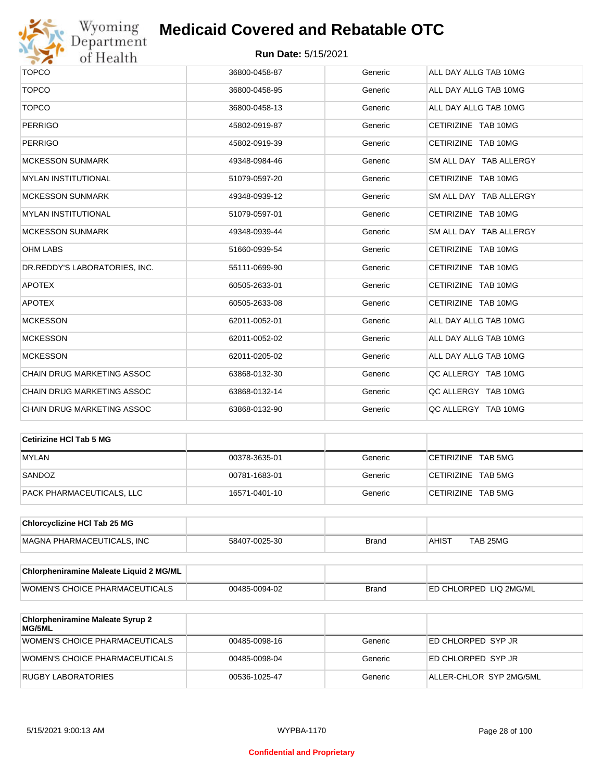

| <b>TOPCO</b>                  | 36800-0458-87 | Generic | ALL DAY ALLG TAB 10MG  |
|-------------------------------|---------------|---------|------------------------|
| <b>TOPCO</b>                  | 36800-0458-95 | Generic | ALL DAY ALLG TAB 10MG  |
| <b>TOPCO</b>                  | 36800-0458-13 | Generic | ALL DAY ALLG TAB 10MG  |
| <b>PERRIGO</b>                | 45802-0919-87 | Generic | CETIRIZINE TAB 10MG    |
| <b>PERRIGO</b>                | 45802-0919-39 | Generic | CETIRIZINE TAB 10MG    |
| <b>MCKESSON SUNMARK</b>       | 49348-0984-46 | Generic | SM ALL DAY TAB ALLERGY |
| <b>MYLAN INSTITUTIONAL</b>    | 51079-0597-20 | Generic | CETIRIZINE TAB 10MG    |
| <b>MCKESSON SUNMARK</b>       | 49348-0939-12 | Generic | SM ALL DAY TAB ALLERGY |
| <b>MYLAN INSTITUTIONAL</b>    | 51079-0597-01 | Generic | CETIRIZINE TAB 10MG    |
| <b>MCKESSON SUNMARK</b>       | 49348-0939-44 | Generic | SM ALL DAY TAB ALLERGY |
| <b>OHM LABS</b>               | 51660-0939-54 | Generic | CETIRIZINE TAB 10MG    |
| DR.REDDY'S LABORATORIES, INC. | 55111-0699-90 | Generic | CETIRIZINE TAB 10MG    |
| <b>APOTEX</b>                 | 60505-2633-01 | Generic | CETIRIZINE TAB 10MG    |
| <b>APOTEX</b>                 | 60505-2633-08 | Generic | CETIRIZINE TAB 10MG    |
| <b>MCKESSON</b>               | 62011-0052-01 | Generic | ALL DAY ALLG TAB 10MG  |
| <b>MCKESSON</b>               | 62011-0052-02 | Generic | ALL DAY ALLG TAB 10MG  |
| <b>MCKESSON</b>               | 62011-0205-02 | Generic | ALL DAY ALLG TAB 10MG  |
| CHAIN DRUG MARKETING ASSOC    | 63868-0132-30 | Generic | QC ALLERGY TAB 10MG    |
| CHAIN DRUG MARKETING ASSOC    | 63868-0132-14 | Generic | QC ALLERGY TAB 10MG    |
| CHAIN DRUG MARKETING ASSOC    | 63868-0132-90 | Generic | QC ALLERGY TAB 10MG    |
|                               |               |         |                        |

| Cetirizine HCI Tab 5 MG   |               |         |                    |
|---------------------------|---------------|---------|--------------------|
| <b>MYLAN</b>              | 00378-3635-01 | Generic | CETIRIZINE TAB 5MG |
| SANDOZ                    | 00781-1683-01 | Generic | CETIRIZINE TAB 5MG |
| PACK PHARMACEUTICALS, LLC | 16571-0401-10 | Generic | CETIRIZINE TAB 5MG |

| <b>Chlorcyclizine HCI Tab 25 MG</b> |               |       |       |          |
|-------------------------------------|---------------|-------|-------|----------|
| MAGNA PHARMACEUTICALS. INC          | 58407-0025-30 | Brand | AHIST | TAB 25MG |

| Chlorpheniramine Maleate Liquid 2 MG/ML |               |              |                                |
|-----------------------------------------|---------------|--------------|--------------------------------|
| WOMEN'S CHOICE PHARMACEUTICALS          | 00485-0094-02 | <b>Brand</b> | <b>IED CHLORPED LIQ 2MG/ML</b> |

| <b>Chlorpheniramine Maleate Syrup 2</b><br><b>MG/5ML</b> |               |         |                         |
|----------------------------------------------------------|---------------|---------|-------------------------|
| WOMEN'S CHOICE PHARMACEUTICALS                           | 00485-0098-16 | Generic | ED CHLORPED SYP JR      |
| WOMEN'S CHOICE PHARMACEUTICALS                           | 00485-0098-04 | Generic | ED CHLORPED SYP JR      |
| RUGBY LABORATORIES                                       | 00536-1025-47 | Generic | ALLER-CHLOR SYP 2MG/5ML |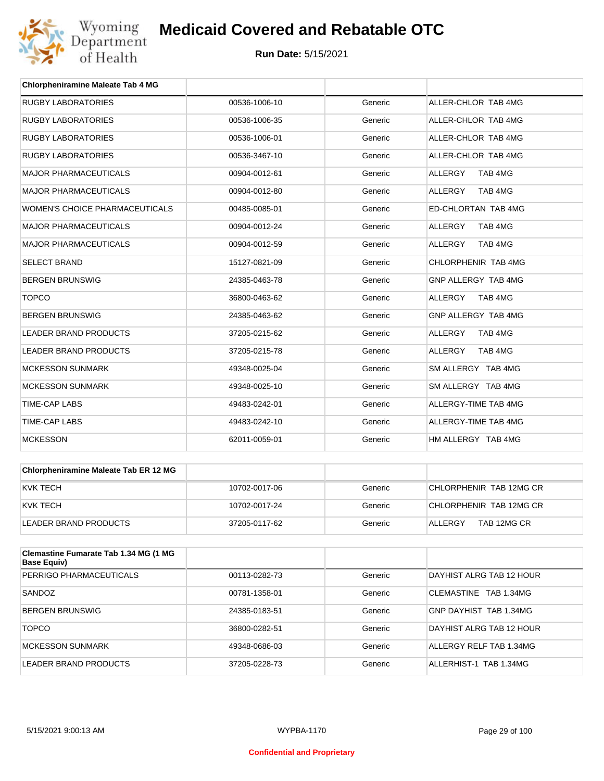

| <b>Chlorpheniramine Maleate Tab 4 MG</b> |               |         |                           |
|------------------------------------------|---------------|---------|---------------------------|
| <b>RUGBY LABORATORIES</b>                | 00536-1006-10 | Generic | ALLER-CHLOR TAB 4MG       |
| <b>RUGBY LABORATORIES</b>                | 00536-1006-35 | Generic | ALLER-CHLOR TAB 4MG       |
| <b>RUGBY LABORATORIES</b>                | 00536-1006-01 | Generic | ALLER-CHLOR TAB 4MG       |
| <b>RUGBY LABORATORIES</b>                | 00536-3467-10 | Generic | ALLER-CHLOR TAB 4MG       |
| <b>MAJOR PHARMACEUTICALS</b>             | 00904-0012-61 | Generic | TAB 4MG<br><b>ALLERGY</b> |
| <b>MAJOR PHARMACEUTICALS</b>             | 00904-0012-80 | Generic | <b>ALLERGY</b><br>TAB 4MG |
| <b>WOMEN'S CHOICE PHARMACEUTICALS</b>    | 00485-0085-01 | Generic | ED-CHLORTAN TAB 4MG       |
| <b>MAJOR PHARMACEUTICALS</b>             | 00904-0012-24 | Generic | ALLERGY<br>TAB 4MG        |
| <b>MAJOR PHARMACEUTICALS</b>             | 00904-0012-59 | Generic | <b>ALLERGY</b><br>TAB 4MG |
| <b>SELECT BRAND</b>                      | 15127-0821-09 | Generic | CHLORPHENIR TAB 4MG       |
| <b>BERGEN BRUNSWIG</b>                   | 24385-0463-78 | Generic | GNP ALLERGY TAB 4MG       |
| <b>TOPCO</b>                             | 36800-0463-62 | Generic | <b>ALLERGY</b><br>TAB 4MG |
| <b>BERGEN BRUNSWIG</b>                   | 24385-0463-62 | Generic | GNP ALLERGY TAB 4MG       |
| <b>LEADER BRAND PRODUCTS</b>             | 37205-0215-62 | Generic | ALLERGY<br>TAB 4MG        |
| <b>LEADER BRAND PRODUCTS</b>             | 37205-0215-78 | Generic | ALLERGY<br>TAB 4MG        |
| <b>MCKESSON SUNMARK</b>                  | 49348-0025-04 | Generic | SM ALLERGY TAB 4MG        |
| <b>MCKESSON SUNMARK</b>                  | 49348-0025-10 | Generic | SM ALLERGY TAB 4MG        |
| <b>TIME-CAP LABS</b>                     | 49483-0242-01 | Generic | ALLERGY-TIME TAB 4MG      |
| <b>TIME-CAP LABS</b>                     | 49483-0242-10 | Generic | ALLERGY-TIME TAB 4MG      |
| <b>MCKESSON</b>                          | 62011-0059-01 | Generic | HM ALLERGY TAB 4MG        |

| Chlorpheniramine Maleate Tab ER 12 MG |               |         |                         |
|---------------------------------------|---------------|---------|-------------------------|
| IKVK TECH                             | 10702-0017-06 | Generic | CHLORPHENIR TAB 12MG CR |
| IKVK TECH                             | 10702-0017-24 | Generic | CHLORPHENIR TAB 12MG CR |
| LEADER BRAND PRODUCTS                 | 37205-0117-62 | Generic | TAB 12MG CR<br>ALLERGY  |

| <b>Clemastine Fumarate Tab 1.34 MG (1 MG</b><br>Base Equiv) |               |         |                                 |
|-------------------------------------------------------------|---------------|---------|---------------------------------|
| PERRIGO PHARMACEUTICALS                                     | 00113-0282-73 | Generic | DAYHIST ALRG TAB 12 HOUR        |
| SANDOZ                                                      | 00781-1358-01 | Generic | <b>CLEMASTINE</b><br>TAB 1.34MG |
| <b>BERGEN BRUNSWIG</b>                                      | 24385-0183-51 | Generic | GNP DAYHIST TAB 1.34MG          |
| <b>TOPCO</b>                                                | 36800-0282-51 | Generic | DAYHIST ALRG TAB 12 HOUR        |
| MCKESSON SUNMARK                                            | 49348-0686-03 | Generic | ALLERGY RELF TAB 1.34MG         |
| LEADER BRAND PRODUCTS                                       | 37205-0228-73 | Generic | ALLERHIST-1 TAB 1.34MG          |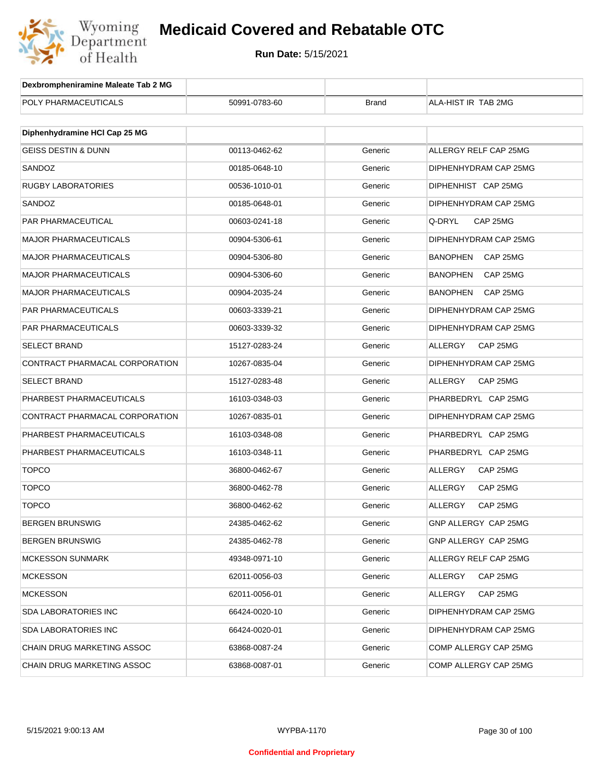

| Dexbrompheniramine Maleate Tab 2 MG |               |              |                             |
|-------------------------------------|---------------|--------------|-----------------------------|
| POLY PHARMACEUTICALS                | 50991-0783-60 | <b>Brand</b> | ALA-HIST IR TAB 2MG         |
|                                     |               |              |                             |
| Diphenhydramine HCI Cap 25 MG       |               |              |                             |
| <b>GEISS DESTIN &amp; DUNN</b>      | 00113-0462-62 | Generic      | ALLERGY RELF CAP 25MG       |
| SANDOZ                              | 00185-0648-10 | Generic      | DIPHENHYDRAM CAP 25MG       |
| RUGBY LABORATORIES                  | 00536-1010-01 | Generic      | DIPHENHIST CAP 25MG         |
| SANDOZ                              | 00185-0648-01 | Generic      | DIPHENHYDRAM CAP 25MG       |
| PAR PHARMACEUTICAL                  | 00603-0241-18 | Generic      | Q-DRYL<br>CAP 25MG          |
| <b>MAJOR PHARMACEUTICALS</b>        | 00904-5306-61 | Generic      | DIPHENHYDRAM CAP 25MG       |
| <b>MAJOR PHARMACEUTICALS</b>        | 00904-5306-80 | Generic      | <b>BANOPHEN</b><br>CAP 25MG |
| <b>MAJOR PHARMACEUTICALS</b>        | 00904-5306-60 | Generic      | <b>BANOPHEN</b><br>CAP 25MG |
| <b>MAJOR PHARMACEUTICALS</b>        | 00904-2035-24 | Generic      | <b>BANOPHEN</b><br>CAP 25MG |
| PAR PHARMACEUTICALS                 | 00603-3339-21 | Generic      | DIPHENHYDRAM CAP 25MG       |
| PAR PHARMACEUTICALS                 | 00603-3339-32 | Generic      | DIPHENHYDRAM CAP 25MG       |
| SELECT BRAND                        | 15127-0283-24 | Generic      | ALLERGY<br>CAP 25MG         |
| CONTRACT PHARMACAL CORPORATION      | 10267-0835-04 | Generic      | DIPHENHYDRAM CAP 25MG       |
| SELECT BRAND                        | 15127-0283-48 | Generic      | ALLERGY<br>CAP 25MG         |
| PHARBEST PHARMACEUTICALS            | 16103-0348-03 | Generic      | PHARBEDRYL CAP 25MG         |
| CONTRACT PHARMACAL CORPORATION      | 10267-0835-01 | Generic      | DIPHENHYDRAM CAP 25MG       |
| PHARBEST PHARMACEUTICALS            | 16103-0348-08 | Generic      | PHARBEDRYL CAP 25MG         |
| PHARBEST PHARMACEUTICALS            | 16103-0348-11 | Generic      | PHARBEDRYL CAP 25MG         |
| <b>TOPCO</b>                        | 36800-0462-67 | Generic      | ALLERGY<br>CAP 25MG         |
| <b>TOPCO</b>                        | 36800-0462-78 | Generic      | ALLERGY<br>CAP 25MG         |
| <b>TOPCO</b>                        | 36800-0462-62 | Generic      | <b>ALLERGY</b><br>CAP 25MG  |
| BERGEN BRUNSWIG                     | 24385-0462-62 | Generic      | GNP ALLERGY CAP 25MG        |
| <b>BERGEN BRUNSWIG</b>              | 24385-0462-78 | Generic      | GNP ALLERGY CAP 25MG        |
| <b>MCKESSON SUNMARK</b>             | 49348-0971-10 | Generic      | ALLERGY RELF CAP 25MG       |
| <b>MCKESSON</b>                     | 62011-0056-03 | Generic      | ALLERGY<br>CAP 25MG         |
| <b>MCKESSON</b>                     | 62011-0056-01 | Generic      | ALLERGY<br>CAP 25MG         |
| SDA LABORATORIES INC                | 66424-0020-10 | Generic      | DIPHENHYDRAM CAP 25MG       |
| SDA LABORATORIES INC                | 66424-0020-01 | Generic      | DIPHENHYDRAM CAP 25MG       |
| CHAIN DRUG MARKETING ASSOC          | 63868-0087-24 | Generic      | COMP ALLERGY CAP 25MG       |
| CHAIN DRUG MARKETING ASSOC          | 63868-0087-01 | Generic      | COMP ALLERGY CAP 25MG       |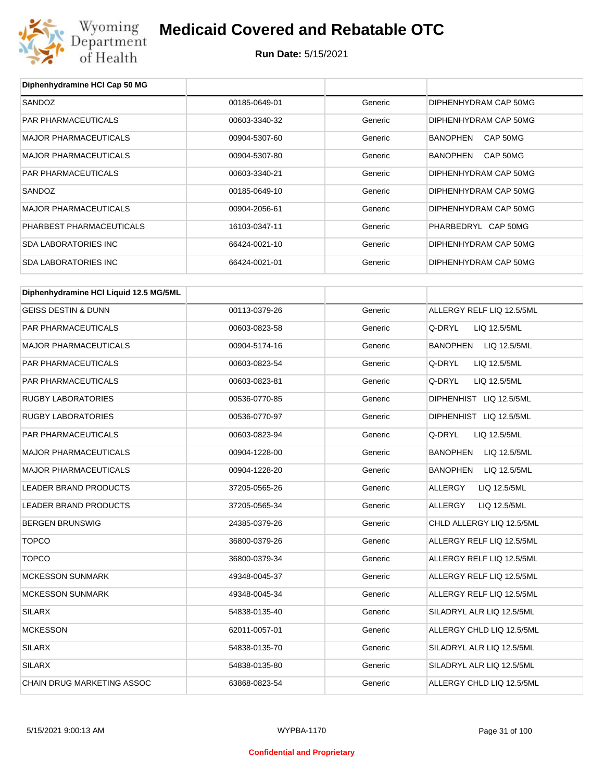

| Diphenhydramine HCI Cap 50 MG          |               |         |                                 |
|----------------------------------------|---------------|---------|---------------------------------|
| SANDOZ                                 | 00185-0649-01 | Generic | DIPHENHYDRAM CAP 50MG           |
| PAR PHARMACEUTICALS                    | 00603-3340-32 | Generic | DIPHENHYDRAM CAP 50MG           |
| <b>MAJOR PHARMACEUTICALS</b>           | 00904-5307-60 | Generic | <b>BANOPHEN</b><br>CAP 50MG     |
| <b>MAJOR PHARMACEUTICALS</b>           | 00904-5307-80 | Generic | <b>BANOPHEN</b><br>CAP 50MG     |
| PAR PHARMACEUTICALS                    | 00603-3340-21 | Generic | DIPHENHYDRAM CAP 50MG           |
| SANDOZ                                 | 00185-0649-10 | Generic | DIPHENHYDRAM CAP 50MG           |
| MAJOR PHARMACEUTICALS                  | 00904-2056-61 | Generic | DIPHENHYDRAM CAP 50MG           |
| PHARBEST PHARMACEUTICALS               | 16103-0347-11 | Generic | PHARBEDRYL CAP 50MG             |
| <b>SDA LABORATORIES INC</b>            | 66424-0021-10 | Generic | DIPHENHYDRAM CAP 50MG           |
| <b>SDA LABORATORIES INC</b>            | 66424-0021-01 | Generic | DIPHENHYDRAM CAP 50MG           |
| Diphenhydramine HCI Liquid 12.5 MG/5ML |               |         |                                 |
| <b>GEISS DESTIN &amp; DUNN</b>         | 00113-0379-26 | Generic | ALLERGY RELF LIQ 12.5/5ML       |
| PAR PHARMACEUTICALS                    | 00603-0823-58 | Generic | Q-DRYL<br>LIQ 12.5/5ML          |
| <b>MAJOR PHARMACEUTICALS</b>           | 00904-5174-16 | Generic | BANOPHEN LIQ 12.5/5ML           |
| PAR PHARMACEUTICALS                    | 00603-0823-54 | Generic | Q-DRYL<br>LIQ 12.5/5ML          |
| PAR PHARMACEUTICALS                    | 00603-0823-81 | Generic | Q-DRYL<br>LIQ 12.5/5ML          |
| <b>RUGBY LABORATORIES</b>              | 00536-0770-85 | Generic | DIPHENHIST LIQ 12.5/5ML         |
| <b>RUGBY LABORATORIES</b>              | 00536-0770-97 | Generic | DIPHENHIST LIQ 12.5/5ML         |
| PAR PHARMACEUTICALS                    | 00603-0823-94 | Generic | Q-DRYL<br>LIQ 12.5/5ML          |
| <b>MAJOR PHARMACEUTICALS</b>           | 00904-1228-00 | Generic | <b>BANOPHEN</b><br>LIQ 12.5/5ML |
| MAJOR PHARMACEUTICALS                  | 00904-1228-20 | Generic | <b>BANOPHEN</b><br>LIQ 12.5/5ML |
| LEADER BRAND PRODUCTS                  | 37205-0565-26 | Generic | ALLERGY<br>LIQ 12.5/5ML         |
| LEADER BRAND PRODUCTS                  | 37205-0565-34 | Generic | ALLERGY<br>LIQ 12.5/5ML         |
| <b>BERGEN BRUNSWIG</b>                 | 24385-0379-26 | Generic | CHLD ALLERGY LIQ 12.5/5ML       |
| <b>TOPCO</b>                           | 36800-0379-26 | Generic | ALLERGY RELF LIQ 12.5/5ML       |
| <b>TOPCO</b>                           | 36800-0379-34 | Generic | ALLERGY RELF LIQ 12.5/5ML       |
| <b>MCKESSON SUNMARK</b>                | 49348-0045-37 | Generic | ALLERGY RELF LIQ 12.5/5ML       |
| <b>MCKESSON SUNMARK</b>                | 49348-0045-34 | Generic | ALLERGY RELF LIQ 12.5/5ML       |
| <b>SILARX</b>                          | 54838-0135-40 | Generic | SILADRYL ALR LIQ 12.5/5ML       |
| <b>MCKESSON</b>                        | 62011-0057-01 | Generic | ALLERGY CHLD LIQ 12.5/5ML       |
| <b>SILARX</b>                          | 54838-0135-70 | Generic | SILADRYL ALR LIQ 12.5/5ML       |
| <b>SILARX</b>                          | 54838-0135-80 | Generic | SILADRYL ALR LIQ 12.5/5ML       |
| CHAIN DRUG MARKETING ASSOC             | 63868-0823-54 | Generic | ALLERGY CHLD LIQ 12.5/5ML       |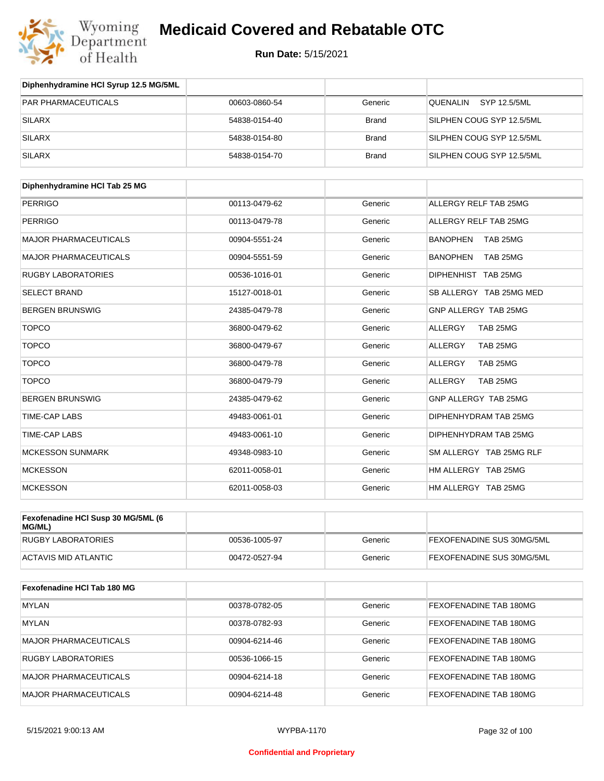

| Diphenhydramine HCI Syrup 12.5 MG/5ML |               |              |                           |
|---------------------------------------|---------------|--------------|---------------------------|
| <b>PAR PHARMACEUTICALS</b>            | 00603-0860-54 | Generic      | SYP 12.5/5ML<br>QUENALIN  |
| SILARX                                | 54838-0154-40 | <b>Brand</b> | SILPHEN COUG SYP 12.5/5ML |
| SILARX                                | 54838-0154-80 | <b>Brand</b> | SILPHEN COUG SYP 12.5/5ML |
| SILARX                                | 54838-0154-70 | <b>Brand</b> | SILPHEN COUG SYP 12.5/5ML |

| Diphenhydramine HCI Tab 25 MG |               |         |                             |
|-------------------------------|---------------|---------|-----------------------------|
| <b>PERRIGO</b>                | 00113-0479-62 | Generic | ALLERGY RELF TAB 25MG       |
| <b>PERRIGO</b>                | 00113-0479-78 | Generic | ALLERGY RELF TAB 25MG       |
| <b>MAJOR PHARMACEUTICALS</b>  | 00904-5551-24 | Generic | <b>BANOPHEN</b><br>TAB 25MG |
| <b>MAJOR PHARMACEUTICALS</b>  | 00904-5551-59 | Generic | <b>BANOPHEN</b><br>TAB 25MG |
| <b>RUGBY LABORATORIES</b>     | 00536-1016-01 | Generic | DIPHENHIST TAB 25MG         |
| <b>SELECT BRAND</b>           | 15127-0018-01 | Generic | SB ALLERGY TAB 25MG MED     |
| <b>BERGEN BRUNSWIG</b>        | 24385-0479-78 | Generic | GNP ALLERGY TAB 25MG        |
| <b>TOPCO</b>                  | 36800-0479-62 | Generic | <b>ALLERGY</b><br>TAB 25MG  |
| <b>TOPCO</b>                  | 36800-0479-67 | Generic | ALLERGY<br>TAB 25MG         |
| <b>TOPCO</b>                  | 36800-0479-78 | Generic | <b>ALLERGY</b><br>TAB 25MG  |
| <b>TOPCO</b>                  | 36800-0479-79 | Generic | <b>ALLERGY</b><br>TAB 25MG  |
| <b>BERGEN BRUNSWIG</b>        | 24385-0479-62 | Generic | GNP ALLERGY TAB 25MG        |
| <b>TIME-CAP LABS</b>          | 49483-0061-01 | Generic | DIPHENHYDRAM TAB 25MG       |
| <b>TIME-CAP LABS</b>          | 49483-0061-10 | Generic | DIPHENHYDRAM TAB 25MG       |
| <b>MCKESSON SUNMARK</b>       | 49348-0983-10 | Generic | SM ALLERGY TAB 25MG RLF     |
| <b>MCKESSON</b>               | 62011-0058-01 | Generic | HM ALLERGY TAB 25MG         |
| <b>MCKESSON</b>               | 62011-0058-03 | Generic | HM ALLERGY TAB 25MG         |

| Fexofenadine HCI Susp 30 MG/5ML (6<br>MG/ML) |               |         |                                  |
|----------------------------------------------|---------------|---------|----------------------------------|
| RUGBY LABORATORIES                           | 00536-1005-97 | Generic | <b>FEXOFENADINE SUS 30MG/5ML</b> |
| ACTAVIS MID ATLANTIC                         | 00472-0527-94 | Generic | <b>FEXOFENADINE SUS 30MG/5ML</b> |

| Fexofenadine HCI Tab 180 MG  |               |         |                               |
|------------------------------|---------------|---------|-------------------------------|
| <b>MYLAN</b>                 | 00378-0782-05 | Generic | <b>FEXOFENADINE TAB 180MG</b> |
| <b>MYLAN</b>                 | 00378-0782-93 | Generic | <b>FEXOFENADINE TAB 180MG</b> |
| <b>MAJOR PHARMACEUTICALS</b> | 00904-6214-46 | Generic | <b>FEXOFENADINE TAB 180MG</b> |
| <b>RUGBY LABORATORIES</b>    | 00536-1066-15 | Generic | <b>FEXOFENADINE TAB 180MG</b> |
| <b>MAJOR PHARMACEUTICALS</b> | 00904-6214-18 | Generic | <b>FEXOFENADINE TAB 180MG</b> |
| <b>MAJOR PHARMACEUTICALS</b> | 00904-6214-48 | Generic | <b>FEXOFENADINE TAB 180MG</b> |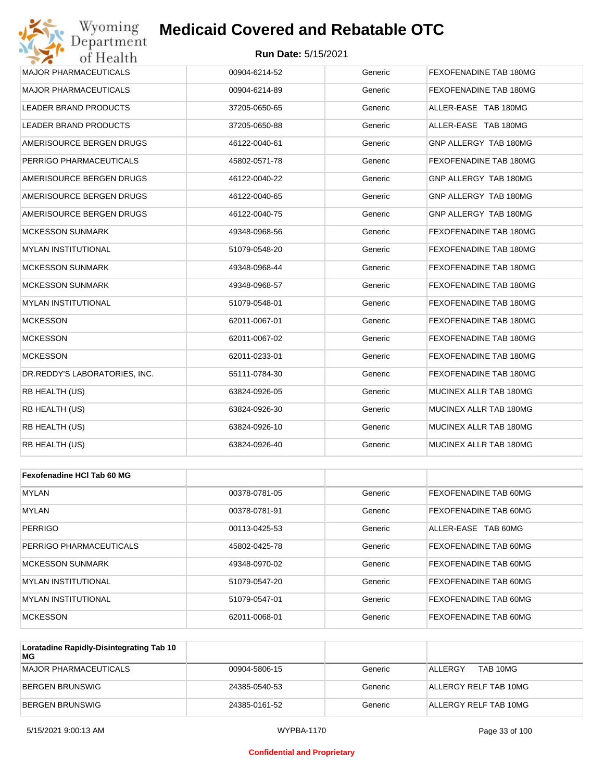### **Run Date:** 5/15/2021

| <b>MAJOR PHARMACEUTICALS</b>  | 00904-6214-52 | Generic | FEXOFENADINE TAB 180MG |
|-------------------------------|---------------|---------|------------------------|
| <b>MAJOR PHARMACEUTICALS</b>  | 00904-6214-89 | Generic | FEXOFENADINE TAB 180MG |
| LEADER BRAND PRODUCTS         | 37205-0650-65 | Generic | ALLER-EASE TAB 180MG   |
| <b>LEADER BRAND PRODUCTS</b>  | 37205-0650-88 | Generic | ALLER-EASE TAB 180MG   |
| AMERISOURCE BERGEN DRUGS      | 46122-0040-61 | Generic | GNP ALLERGY TAB 180MG  |
| PERRIGO PHARMACEUTICALS       | 45802-0571-78 | Generic | FEXOFENADINE TAB 180MG |
| AMERISOURCE BERGEN DRUGS      | 46122-0040-22 | Generic | GNP ALLERGY TAB 180MG  |
| AMERISOURCE BERGEN DRUGS      | 46122-0040-65 | Generic | GNP ALLERGY TAB 180MG  |
| AMERISOURCE BERGEN DRUGS      | 46122-0040-75 | Generic | GNP ALLERGY TAB 180MG  |
| <b>MCKESSON SUNMARK</b>       | 49348-0968-56 | Generic | FEXOFENADINE TAB 180MG |
| <b>MYLAN INSTITUTIONAL</b>    | 51079-0548-20 | Generic | FEXOFENADINE TAB 180MG |
| <b>MCKESSON SUNMARK</b>       | 49348-0968-44 | Generic | FEXOFENADINE TAB 180MG |
| <b>MCKESSON SUNMARK</b>       | 49348-0968-57 | Generic | FEXOFENADINE TAB 180MG |
| <b>MYLAN INSTITUTIONAL</b>    | 51079-0548-01 | Generic | FEXOFENADINE TAB 180MG |
| <b>MCKESSON</b>               | 62011-0067-01 | Generic | FEXOFENADINE TAB 180MG |
| <b>MCKESSON</b>               | 62011-0067-02 | Generic | FEXOFENADINE TAB 180MG |
| <b>MCKESSON</b>               | 62011-0233-01 | Generic | FEXOFENADINE TAB 180MG |
| DR.REDDY'S LABORATORIES, INC. | 55111-0784-30 | Generic | FEXOFENADINE TAB 180MG |
| RB HEALTH (US)                | 63824-0926-05 | Generic | MUCINEX ALLR TAB 180MG |
| RB HEALTH (US)                | 63824-0926-30 | Generic | MUCINEX ALLR TAB 180MG |
| RB HEALTH (US)                | 63824-0926-10 | Generic | MUCINEX ALLR TAB 180MG |
| RB HEALTH (US)                | 63824-0926-40 | Generic | MUCINEX ALLR TAB 180MG |
|                               |               |         |                        |
| Fexofenadine HCI Tab 60 MG    |               |         |                        |
| MYLAN                         | 00378-0781-05 | Generic | FEXOFENADINE TAB 60MG  |
| <b>MYLAN</b>                  | 00378-0781-91 | Generic | FEXOFENADINE TAB 60MG  |
| <b>PERRIGO</b>                | 00113-0425-53 | Generic | ALLER-EASE TAB 60MG    |
| PERRIGO PHARMACEUTICALS       | 45802-0425-78 | Generic | FEXOFENADINE TAB 60MG  |
| <b>MCKESSON SUNMARK</b>       | 49348-0970-02 | Generic | FEXOFENADINE TAB 60MG  |

| Loratadine Rapidly-Disintegrating Tab 10 |               |         |                              |
|------------------------------------------|---------------|---------|------------------------------|
| <b>MCKESSON</b>                          | 62011-0068-01 | Generic | <b>FEXOFENADINE TAB 60MG</b> |
| <b>IMYLAN INSTITUTIONAL</b>              | 51079-0547-01 | Generic | <b>FEXOFENADINE TAB 60MG</b> |
| <b>IMYLAN INSTITUTIONAL</b>              | 51079-0547-20 | Generic | <b>FEXOFENADINE TAB 60MG</b> |
| MUNESSUN SUNMARN                         | 49348-0970-02 | Generic | FEAUFENADINE TAB 60MG        |

| Loratadine Rapidly-Disintegrating Tab TV<br>МG |               |         |                       |
|------------------------------------------------|---------------|---------|-----------------------|
| <b>MAJOR PHARMACEUTICALS</b>                   | 00904-5806-15 | Generic | TAB 10MG<br>ALLERGY   |
| BERGEN BRUNSWIG                                | 24385-0540-53 | Generic | ALLERGY RELF TAB 10MG |
| BERGEN BRUNSWIG                                | 24385-0161-52 | Generic | ALLERGY RELF TAB 10MG |

#### **Confidential and Proprietary**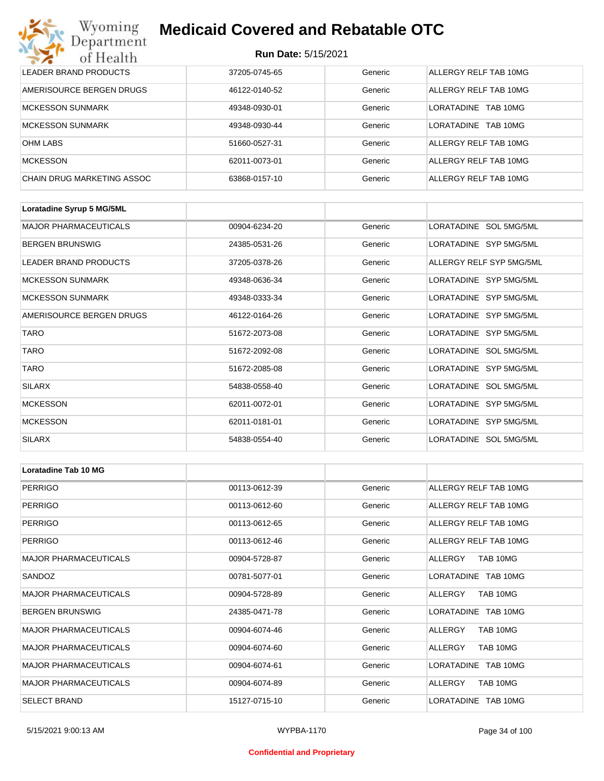#### **Run Date:** 5/15/2021

| Wyoming<br>Department             | <b>Medicaid Covered and Rebatable OTC</b><br><b>Run Date: 5/15/2021</b> |         |                               |  |
|-----------------------------------|-------------------------------------------------------------------------|---------|-------------------------------|--|
| of Health                         |                                                                         |         |                               |  |
| LEADER BRAND PRODUCTS             | 37205-0745-65                                                           | Generic | ALLERGY RELF TAB 10MG         |  |
| AMERISOURCE BERGEN DRUGS          | 46122-0140-52                                                           | Generic | ALLERGY RELF TAB 10MG         |  |
| <b>MCKESSON SUNMARK</b>           | 49348-0930-01                                                           | Generic | <b>LORATADINE</b><br>TAB 10MG |  |
| <b>MCKESSON SUNMARK</b>           | 49348-0930-44                                                           | Generic | <b>LORATADINE</b><br>TAB 10MG |  |
| <b>OHM LABS</b>                   | 51660-0527-31                                                           | Generic | ALLERGY RELF TAB 10MG         |  |
| <b>MCKESSON</b>                   | 62011-0073-01                                                           | Generic | ALLERGY RELF TAB 10MG         |  |
| <b>CHAIN DRUG MARKETING ASSOC</b> | 63868-0157-10                                                           | Generic | ALLERGY RELF TAB 10MG         |  |

| Loratadine Syrup 5 MG/5ML    |               |         |                          |
|------------------------------|---------------|---------|--------------------------|
| <b>MAJOR PHARMACEUTICALS</b> | 00904-6234-20 | Generic | LORATADINE SOL 5MG/5ML   |
| <b>BERGEN BRUNSWIG</b>       | 24385-0531-26 | Generic | LORATADINE SYP 5MG/5ML   |
| LEADER BRAND PRODUCTS        | 37205-0378-26 | Generic | ALLERGY RELF SYP 5MG/5ML |
| <b>MCKESSON SUNMARK</b>      | 49348-0636-34 | Generic | LORATADINE SYP 5MG/5ML   |
| <b>MCKESSON SUNMARK</b>      | 49348-0333-34 | Generic | LORATADINE SYP 5MG/5ML   |
| AMERISOURCE BERGEN DRUGS     | 46122-0164-26 | Generic | LORATADINE SYP 5MG/5ML   |
| <b>TARO</b>                  | 51672-2073-08 | Generic | LORATADINE SYP 5MG/5ML   |
| <b>TARO</b>                  | 51672-2092-08 | Generic | LORATADINE SOL 5MG/5ML   |
| <b>TARO</b>                  | 51672-2085-08 | Generic | LORATADINE SYP 5MG/5ML   |
| <b>SILARX</b>                | 54838-0558-40 | Generic | LORATADINE SOL 5MG/5ML   |
| <b>MCKESSON</b>              | 62011-0072-01 | Generic | LORATADINE SYP 5MG/5ML   |
| <b>MCKESSON</b>              | 62011-0181-01 | Generic | LORATADINE SYP 5MG/5ML   |
| <b>SILARX</b>                | 54838-0554-40 | Generic | LORATADINE SOL 5MG/5ML   |

| Loratadine Tab 10 MG         |               |         |                       |
|------------------------------|---------------|---------|-----------------------|
| <b>PERRIGO</b>               | 00113-0612-39 | Generic | ALLERGY RELF TAB 10MG |
| <b>PERRIGO</b>               | 00113-0612-60 | Generic | ALLERGY RELF TAB 10MG |
| <b>PERRIGO</b>               | 00113-0612-65 | Generic | ALLERGY RELF TAB 10MG |
| <b>PERRIGO</b>               | 00113-0612-46 | Generic | ALLERGY RELF TAB 10MG |
| <b>MAJOR PHARMACEUTICALS</b> | 00904-5728-87 | Generic | TAB 10MG<br>ALLERGY   |
| SANDOZ                       | 00781-5077-01 | Generic | LORATADINE TAB 10MG   |
| <b>MAJOR PHARMACEUTICALS</b> | 00904-5728-89 | Generic | ALLERGY<br>TAB 10MG   |
| <b>BERGEN BRUNSWIG</b>       | 24385-0471-78 | Generic | LORATADINE TAB 10MG   |
| <b>MAJOR PHARMACEUTICALS</b> | 00904-6074-46 | Generic | TAB 10MG<br>ALLERGY   |
| <b>MAJOR PHARMACEUTICALS</b> | 00904-6074-60 | Generic | TAB 10MG<br>ALLERGY   |
| <b>MAJOR PHARMACEUTICALS</b> | 00904-6074-61 | Generic | LORATADINE TAB 10MG   |
| <b>MAJOR PHARMACEUTICALS</b> | 00904-6074-89 | Generic | ALLERGY<br>TAB 10MG   |
| <b>SELECT BRAND</b>          | 15127-0715-10 | Generic | LORATADINE TAB 10MG   |

#### **Confidential and Proprietary**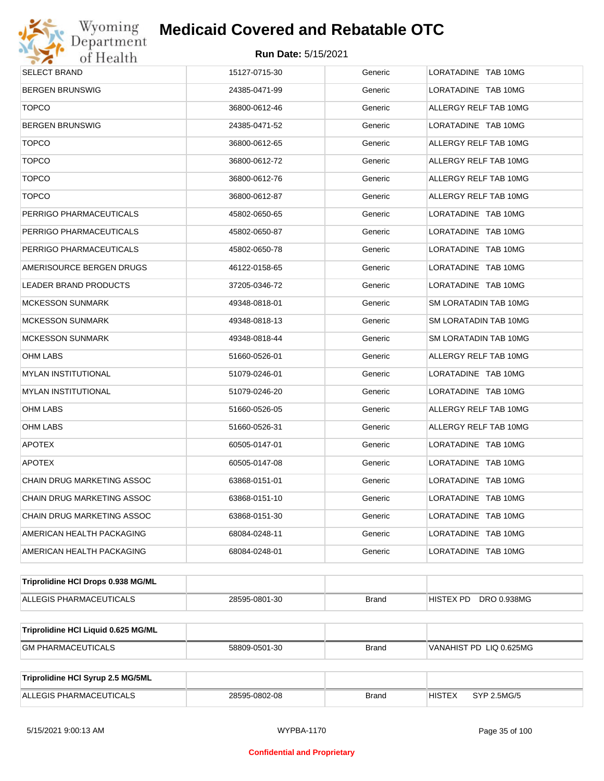

| SELECT BRAND                        | 15127-0715-30 | Generic      | LORATADINE TAB 10MG          |
|-------------------------------------|---------------|--------------|------------------------------|
| <b>BERGEN BRUNSWIG</b>              | 24385-0471-99 | Generic      | LORATADINE TAB 10MG          |
| <b>TOPCO</b>                        | 36800-0612-46 | Generic      | ALLERGY RELF TAB 10MG        |
| BERGEN BRUNSWIG                     | 24385-0471-52 | Generic      | LORATADINE TAB 10MG          |
| <b>TOPCO</b>                        | 36800-0612-65 | Generic      | ALLERGY RELF TAB 10MG        |
| <b>TOPCO</b>                        | 36800-0612-72 | Generic      | ALLERGY RELF TAB 10MG        |
| <b>TOPCO</b>                        | 36800-0612-76 | Generic      | ALLERGY RELF TAB 10MG        |
| <b>TOPCO</b>                        | 36800-0612-87 | Generic      | ALLERGY RELF TAB 10MG        |
| PERRIGO PHARMACEUTICALS             | 45802-0650-65 | Generic      | LORATADINE TAB 10MG          |
| PERRIGO PHARMACEUTICALS             | 45802-0650-87 | Generic      | LORATADINE TAB 10MG          |
| PERRIGO PHARMACEUTICALS             | 45802-0650-78 | Generic      | LORATADINE TAB 10MG          |
| AMERISOURCE BERGEN DRUGS            | 46122-0158-65 | Generic      | LORATADINE TAB 10MG          |
| <b>LEADER BRAND PRODUCTS</b>        | 37205-0346-72 | Generic      | LORATADINE TAB 10MG          |
| MCKESSON SUNMARK                    | 49348-0818-01 | Generic      | SM LORATADIN TAB 10MG        |
| MCKESSON SUNMARK                    | 49348-0818-13 | Generic      | SM LORATADIN TAB 10MG        |
| <b>MCKESSON SUNMARK</b>             | 49348-0818-44 | Generic      | SM LORATADIN TAB 10MG        |
| OHM LABS                            | 51660-0526-01 | Generic      | ALLERGY RELF TAB 10MG        |
| MYLAN INSTITUTIONAL                 | 51079-0246-01 | Generic      | LORATADINE TAB 10MG          |
| <b>MYLAN INSTITUTIONAL</b>          | 51079-0246-20 | Generic      | LORATADINE TAB 10MG          |
| OHM LABS                            | 51660-0526-05 | Generic      | ALLERGY RELF TAB 10MG        |
| OHM LABS                            | 51660-0526-31 | Generic      | ALLERGY RELF TAB 10MG        |
| <b>APOTEX</b>                       | 60505-0147-01 | Generic      | LORATADINE TAB 10MG          |
| <b>APOTEX</b>                       | 60505-0147-08 | Generic      | LORATADINE TAB 10MG          |
| CHAIN DRUG MARKETING ASSOC          | 63868-0151-01 | Generic      | LORATADINE TAB 10MG          |
| CHAIN DRUG MARKETING ASSOC          | 63868-0151-10 | Generic      | LORATADINE TAB 10MG          |
| CHAIN DRUG MARKETING ASSOC          | 63868-0151-30 | Generic      | LORATADINE TAB 10MG          |
| AMERICAN HEALTH PACKAGING           | 68084-0248-11 | Generic      | LORATADINE TAB 10MG          |
| AMERICAN HEALTH PACKAGING           | 68084-0248-01 | Generic      | LORATADINE TAB 10MG          |
| Triprolidine HCI Drops 0.938 MG/ML  |               |              |                              |
| ALLEGIS PHARMACEUTICALS             | 28595-0801-30 | <b>Brand</b> | HISTEX PD DRO 0.938MG        |
| Triprolidine HCI Liquid 0.625 MG/ML |               |              |                              |
| <b>GM PHARMACEUTICALS</b>           | 58809-0501-30 | <b>Brand</b> | VANAHIST PD LIQ 0.625MG      |
|                                     |               |              |                              |
| Triprolidine HCI Syrup 2.5 MG/5ML   |               |              |                              |
| ALLEGIS PHARMACEUTICALS             | 28595-0802-08 | <b>Brand</b> | <b>HISTEX</b><br>SYP 2.5MG/5 |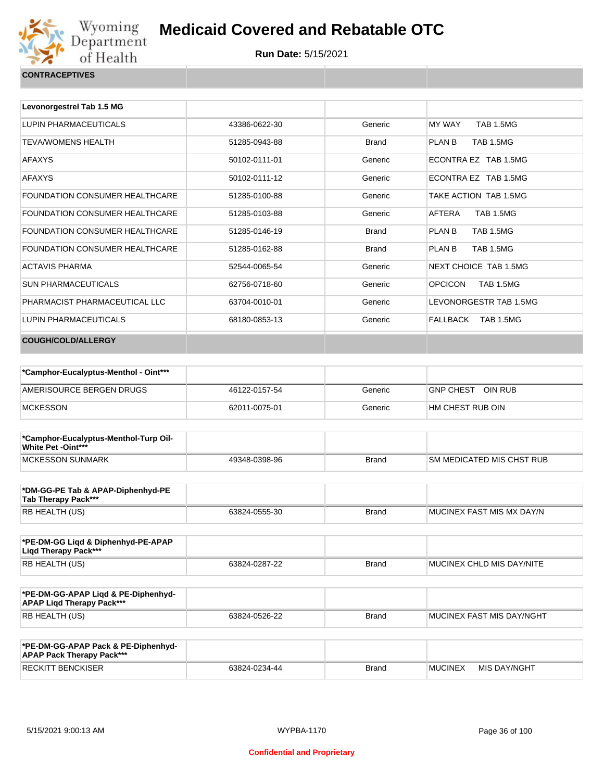

| Levonorgestrel Tab 1.5 MG             |               |              |                                    |
|---------------------------------------|---------------|--------------|------------------------------------|
| LUPIN PHARMACEUTICALS                 | 43386-0622-30 | Generic      | <b>MY WAY</b><br><b>TAB 1.5MG</b>  |
| <b>TEVA/WOMENS HEALTH</b>             | 51285-0943-88 | <b>Brand</b> | <b>TAB 1.5MG</b><br>PLAN B         |
| <b>AFAXYS</b>                         | 50102-0111-01 | Generic      | ECONTRA EZ TAB 1.5MG               |
| <b>AFAXYS</b>                         | 50102-0111-12 | Generic      | ECONTRA EZ TAB 1.5MG               |
| <b>FOUNDATION CONSUMER HEALTHCARE</b> | 51285-0100-88 | Generic      | TAKE ACTION TAB 1.5MG              |
| <b>FOUNDATION CONSUMER HEALTHCARE</b> | 51285-0103-88 | Generic      | AFTERA<br><b>TAB 1.5MG</b>         |
| <b>FOUNDATION CONSUMER HEALTHCARE</b> | 51285-0146-19 | <b>Brand</b> | PLAN B<br><b>TAB 1.5MG</b>         |
| <b>FOUNDATION CONSUMER HEALTHCARE</b> | 51285-0162-88 | <b>Brand</b> | <b>TAB 1.5MG</b><br>PLAN B         |
| <b>ACTAVIS PHARMA</b>                 | 52544-0065-54 | Generic      | NEXT CHOICE TAB 1.5MG              |
| <b>SUN PHARMACEUTICALS</b>            | 62756-0718-60 | Generic      | <b>OPCICON</b><br><b>TAB 1.5MG</b> |
| PHARMACIST PHARMACEUTICAL LLC         | 63704-0010-01 | Generic      | LEVONORGESTR TAB 1.5MG             |
| LUPIN PHARMACEUTICALS                 | 68180-0853-13 | Generic      | FALLBACK<br>TAB 1.5MG              |
| <b>COUGH/COLD/ALLERGY</b>             |               |              |                                    |

| *Camphor-Eucalyptus-Menthol - Oint*** |               |         |                   |
|---------------------------------------|---------------|---------|-------------------|
| AMERISOURCE BERGEN DRUGS              | 46122-0157-54 | Generic | GNP CHEST OIN RUB |
| MCKESSON                              | 62011-0075-01 | Generic | HM CHEST RUB OIN  |

| *Camphor-Eucalyptus-Menthol-Turp Oil-<br>White Pet -Oint*** |               |              |                            |
|-------------------------------------------------------------|---------------|--------------|----------------------------|
| <b>IMCKESSON SUNMARK</b>                                    | 49348-0398-96 | <b>Brand</b> | ISM MEDICATED MIS CHST RUB |

| *DM-GG-PE Tab & APAP-Diphenhyd-PE<br>Tab Therapy Pack*** |               |       |                            |
|----------------------------------------------------------|---------------|-------|----------------------------|
| RB HEALTH (US)                                           | 63824-0555-30 | Brand | IMUCINEX FAST MIS MX DAY/N |

| *PE-DM-GG Ligd & Diphenhyd-PE-APAP<br>Ligd Therapy Pack*** |               |       |                           |
|------------------------------------------------------------|---------------|-------|---------------------------|
| RB HEALTH (US)                                             | 63824-0287-22 | Brand | MUCINEX CHLD MIS DAY/NITE |

| *PE-DM-GG-APAP Ligd & PE-Diphenhyd-<br><b>APAP Ligd Therapy Pack***</b> |               |       |                           |
|-------------------------------------------------------------------------|---------------|-------|---------------------------|
| <b>RB HEALTH (US)</b>                                                   | 63824-0526-22 | Brand | MUCINEX FAST MIS DAY/NGHT |

| *PE-DM-GG-APAP Pack & PE-Diphenhyd-<br><b>APAP Pack Therapy Pack***</b> |               |              |                |              |
|-------------------------------------------------------------------------|---------------|--------------|----------------|--------------|
| <b>RECKITT BENCKISER</b>                                                | 63824-0234-44 | <b>Brand</b> | <b>MUCINEX</b> | MIS DAY/NGHT |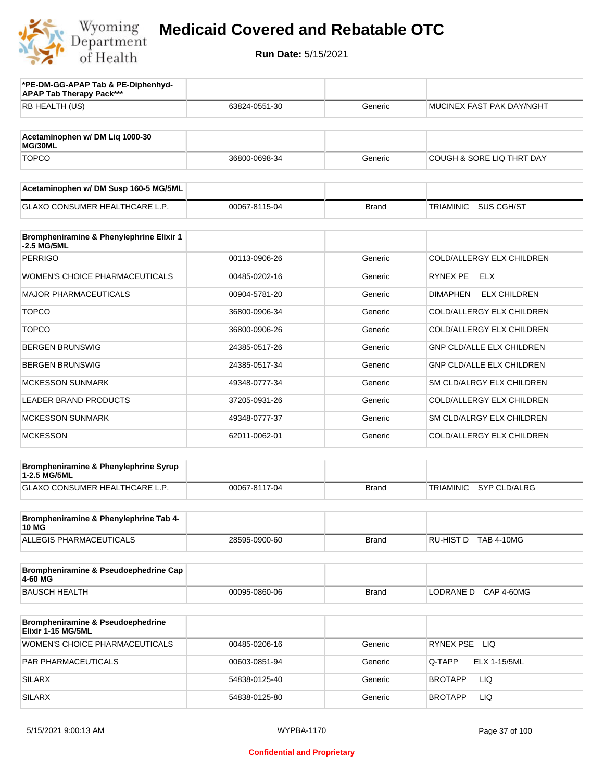

| *PE-DM-GG-APAP Tab & PE-Diphenhyd-<br><b>APAP Tab Therapy Pack***</b> |               |              |                                        |
|-----------------------------------------------------------------------|---------------|--------------|----------------------------------------|
| RB HEALTH (US)                                                        | 63824-0551-30 | Generic      | MUCINEX FAST PAK DAY/NGHT              |
| Acetaminophen w/ DM Liq 1000-30<br>MG/30ML                            |               |              |                                        |
| <b>TOPCO</b>                                                          | 36800-0698-34 | Generic      | COUGH & SORE LIQ THRT DAY              |
| Acetaminophen w/ DM Susp 160-5 MG/5ML                                 |               |              |                                        |
| <b>GLAXO CONSUMER HEALTHCARE L.P.</b>                                 | 00067-8115-04 | <b>Brand</b> | SUS CGH/ST<br><b>TRIAMINIC</b>         |
| Brompheniramine & Phenylephrine Elixir 1<br>-2.5 MG/5ML               |               |              |                                        |
| <b>PERRIGO</b>                                                        | 00113-0906-26 | Generic      | COLD/ALLERGY ELX CHILDREN              |
| <b>WOMEN'S CHOICE PHARMACEUTICALS</b>                                 | 00485-0202-16 | Generic      | RYNEX PE<br>ELX                        |
| <b>MAJOR PHARMACEUTICALS</b>                                          | 00904-5781-20 | Generic      | <b>ELX CHILDREN</b><br><b>DIMAPHEN</b> |
| <b>TOPCO</b>                                                          | 36800-0906-34 | Generic      | COLD/ALLERGY ELX CHILDREN              |
| <b>TOPCO</b>                                                          | 36800-0906-26 | Generic      | COLD/ALLERGY ELX CHILDREN              |
| <b>BERGEN BRUNSWIG</b>                                                | 24385-0517-26 | Generic      | <b>GNP CLD/ALLE ELX CHILDREN</b>       |
| <b>BERGEN BRUNSWIG</b>                                                | 24385-0517-34 | Generic      | <b>GNP CLD/ALLE ELX CHILDREN</b>       |
| <b>MCKESSON SUNMARK</b>                                               | 49348-0777-34 | Generic      | SM CLD/ALRGY ELX CHILDREN              |
| LEADER BRAND PRODUCTS                                                 | 37205-0931-26 | Generic      | COLD/ALLERGY ELX CHILDREN              |
| <b>MCKESSON SUNMARK</b>                                               | 49348-0777-37 | Generic      | SM CLD/ALRGY ELX CHILDREN              |
| <b>MCKESSON</b>                                                       | 62011-0062-01 | Generic      | COLD/ALLERGY ELX CHILDREN              |
| Brompheniramine & Phenylephrine Syrup<br>1-2.5 MG/5ML                 |               |              |                                        |
| GLAXO CONSUMER HEALTHCARE L.P.                                        | 00067-8117-04 | <b>Brand</b> | TRIAMINIC<br>SYP CLD/ALRG              |
| Brompheniramine & Phenylephrine Tab 4-<br><b>10 MG</b>                |               |              |                                        |
| ALLEGIS PHARMACEUTICALS                                               | 28595-0900-60 | <b>Brand</b> | RU-HIST D TAB 4-10MG                   |
| Brompheniramine & Pseudoephedrine Cap<br>4-60 MG                      |               |              |                                        |
| <b>BAUSCH HEALTH</b>                                                  | 00095-0860-06 | <b>Brand</b> | LODRANE D<br><b>CAP 4-60MG</b>         |
| Brompheniramine & Pseudoephedrine<br>Elixir 1-15 MG/5ML               |               |              |                                        |
| WOMEN'S CHOICE PHARMACEUTICALS                                        | 00485-0206-16 | Generic      | RYNEX PSE LIQ                          |
| PAR PHARMACEUTICALS                                                   | 00603-0851-94 | Generic      | <b>ELX 1-15/5ML</b><br>Q-TAPP          |
| <b>SILARX</b>                                                         | 54838-0125-40 | Generic      | <b>LIQ</b><br><b>BROTAPP</b>           |
| <b>SILARX</b>                                                         | 54838-0125-80 | Generic      | LIQ<br><b>BROTAPP</b>                  |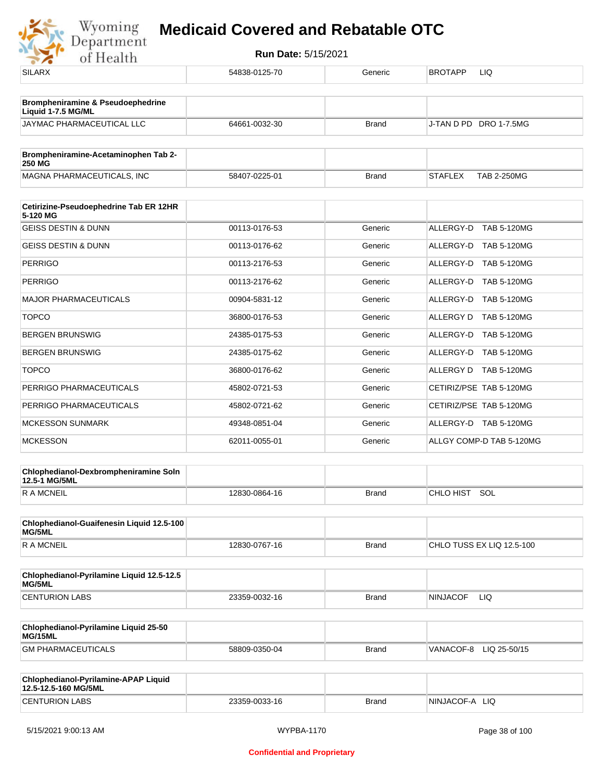| ---                                                          |               |              |                                 |
|--------------------------------------------------------------|---------------|--------------|---------------------------------|
| <b>SILARX</b>                                                | 54838-0125-70 | Generic      | BROTAPP<br>LIQ                  |
| Brompheniramine & Pseudoephedrine<br>Liquid 1-7.5 MG/ML      |               |              |                                 |
| JAYMAC PHARMACEUTICAL LLC                                    | 64661-0032-30 | <b>Brand</b> | J-TAN D PD DRO 1-7.5MG          |
| Brompheniramine-Acetaminophen Tab 2-                         |               |              |                                 |
| <b>250 MG</b>                                                |               |              |                                 |
| MAGNA PHARMACEUTICALS, INC                                   | 58407-0225-01 | <b>Brand</b> | STAFLEX<br><b>TAB 2-250MG</b>   |
| Cetirizine-Pseudoephedrine Tab ER 12HR<br>5-120 MG           |               |              |                                 |
| <b>GEISS DESTIN &amp; DUNN</b>                               | 00113-0176-53 | Generic      | ALLERGY-D<br><b>TAB 5-120MG</b> |
| <b>GEISS DESTIN &amp; DUNN</b>                               | 00113-0176-62 | Generic      | ALLERGY-D TAB 5-120MG           |
| <b>PERRIGO</b>                                               | 00113-2176-53 | Generic      | <b>TAB 5-120MG</b><br>ALLERGY-D |
| <b>PERRIGO</b>                                               | 00113-2176-62 | Generic      | ALLERGY-D TAB 5-120MG           |
| <b>MAJOR PHARMACEUTICALS</b>                                 | 00904-5831-12 | Generic      | <b>TAB 5-120MG</b><br>ALLERGY-D |
| <b>TOPCO</b>                                                 | 36800-0176-53 | Generic      | ALLERGY D TAB 5-120MG           |
| <b>BERGEN BRUNSWIG</b>                                       | 24385-0175-53 | Generic      | <b>TAB 5-120MG</b><br>ALLERGY-D |
| <b>BERGEN BRUNSWIG</b>                                       | 24385-0175-62 | Generic      | ALLERGY-D TAB 5-120MG           |
| <b>TOPCO</b>                                                 | 36800-0176-62 | Generic      | ALLERGY D TAB 5-120MG           |
| PERRIGO PHARMACEUTICALS                                      | 45802-0721-53 | Generic      | CETIRIZ/PSE TAB 5-120MG         |
| PERRIGO PHARMACEUTICALS                                      | 45802-0721-62 | Generic      | CETIRIZ/PSE TAB 5-120MG         |
| <b>MCKESSON SUNMARK</b>                                      | 49348-0851-04 | Generic      | ALLERGY-D TAB 5-120MG           |
| <b>MCKESSON</b>                                              | 62011-0055-01 | Generic      | ALLGY COMP-D TAB 5-120MG        |
| Chlophedianol-Dexbrompheniramine Soln<br>12.5-1 MG/5ML       |               |              |                                 |
| <b>RAMCNEIL</b>                                              | 12830-0864-16 | <b>Brand</b> | CHLO HIST SOL                   |
| Chlophedianol-Guaifenesin Liquid 12.5-100                    |               |              |                                 |
| MG/5ML<br><b>RAMCNEIL</b>                                    | 12830-0767-16 | <b>Brand</b> | CHLO TUSS EX LIQ 12.5-100       |
| Chlophedianol-Pyrilamine Liquid 12.5-12.5                    |               |              |                                 |
| MG/5ML                                                       |               |              |                                 |
| <b>CENTURION LABS</b>                                        | 23359-0032-16 | <b>Brand</b> | NINJACOF<br>LIQ.                |
| Chlophedianol-Pyrilamine Liquid 25-50<br>MG/15ML             |               |              |                                 |
| <b>GM PHARMACEUTICALS</b>                                    | 58809-0350-04 | <b>Brand</b> | VANACOF-8 LIQ 25-50/15          |
| Chlophedianol-Pyrilamine-APAP Liquid<br>12.5-12.5-160 MG/5ML |               |              |                                 |
| <b>CENTURION LABS</b>                                        | 23359-0033-16 | <b>Brand</b> | NINJACOF-A LIQ                  |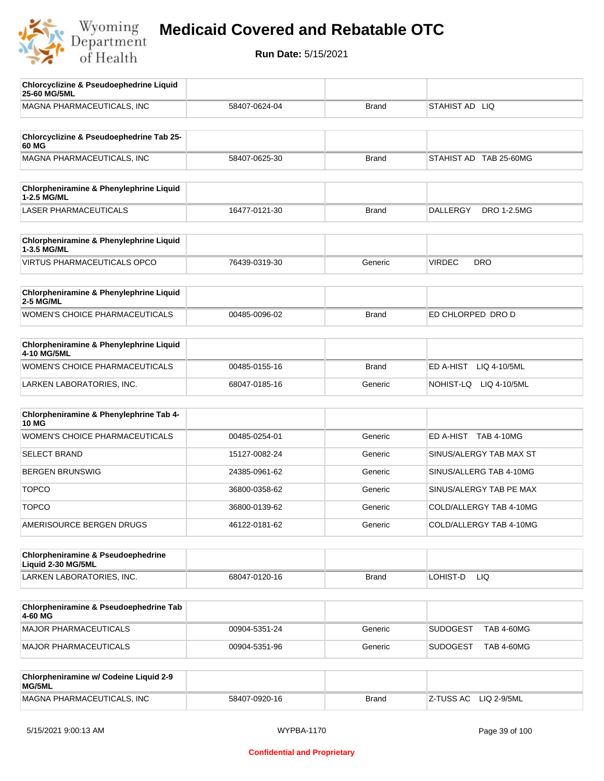

| <b>Chlorcyclizine &amp; Pseudoephedrine Liquid</b><br>25-60 MG/5ML  |               |              |                                       |
|---------------------------------------------------------------------|---------------|--------------|---------------------------------------|
| MAGNA PHARMACEUTICALS, INC                                          | 58407-0624-04 | <b>Brand</b> | STAHIST AD LIQ                        |
| Chlorcyclizine & Pseudoephedrine Tab 25-<br>60 MG                   |               |              |                                       |
| MAGNA PHARMACEUTICALS, INC                                          | 58407-0625-30 | <b>Brand</b> | STAHIST AD TAB 25-60MG                |
| Chlorpheniramine & Phenylephrine Liquid<br>1-2.5 MG/ML              |               |              |                                       |
| <b>LASER PHARMACEUTICALS</b>                                        | 16477-0121-30 | <b>Brand</b> | <b>DALLERGY</b><br><b>DRO 1-2.5MG</b> |
| Chlorpheniramine & Phenylephrine Liquid<br>1-3.5 MG/ML              |               |              |                                       |
| <b>VIRTUS PHARMACEUTICALS OPCO</b>                                  | 76439-0319-30 | Generic      | <b>VIRDEC</b><br><b>DRO</b>           |
| Chlorpheniramine & Phenylephrine Liquid<br>2-5 MG/ML                |               |              |                                       |
| WOMEN'S CHOICE PHARMACEUTICALS                                      | 00485-0096-02 | <b>Brand</b> | ED CHLORPED DRO D                     |
| Chlorpheniramine & Phenylephrine Liquid<br>4-10 MG/5ML              |               |              |                                       |
| WOMEN'S CHOICE PHARMACEUTICALS                                      | 00485-0155-16 | <b>Brand</b> | ED A-HIST<br>LIQ 4-10/5ML             |
| LARKEN LABORATORIES, INC.                                           | 68047-0185-16 | Generic      | NOHIST-LQ LIQ 4-10/5ML                |
| Chlorpheniramine & Phenylephrine Tab 4-<br><b>10 MG</b>             |               |              |                                       |
| <b>WOMEN'S CHOICE PHARMACEUTICALS</b>                               | 00485-0254-01 | Generic      | ED A-HIST TAB 4-10MG                  |
| <b>SELECT BRAND</b>                                                 | 15127-0082-24 | Generic      | SINUS/ALERGY TAB MAX ST               |
| <b>BERGEN BRUNSWIG</b>                                              | 24385-0961-62 | Generic      | SINUS/ALLERG TAB 4-10MG               |
| <b>TOPCO</b>                                                        | 36800-0358-62 | Generic      | SINUS/ALERGY TAB PE MAX               |
| <b>TOPCO</b>                                                        | 36800-0139-62 | Generic      | COLD/ALLERGY TAB 4-10MG               |
| AMERISOURCE BERGEN DRUGS                                            | 46122-0181-62 | Generic      | COLD/ALLERGY TAB 4-10MG               |
| <b>Chlorpheniramine &amp; Pseudoephedrine</b><br>Liquid 2-30 MG/5ML |               |              |                                       |
| LARKEN LABORATORIES, INC.                                           | 68047-0120-16 | <b>Brand</b> | LOHIST-D<br>LIQ.                      |
| Chlorpheniramine & Pseudoephedrine Tab<br>4-60 MG                   |               |              |                                       |
| <b>MAJOR PHARMACEUTICALS</b>                                        | 00904-5351-24 | Generic      | <b>SUDOGEST</b><br><b>TAB 4-60MG</b>  |
| <b>MAJOR PHARMACEUTICALS</b>                                        | 00904-5351-96 | Generic      | <b>SUDOGEST</b><br><b>TAB 4-60MG</b>  |
| Chlorpheniramine w/ Codeine Liquid 2-9<br>MG/5ML                    |               |              |                                       |
| MAGNA PHARMACEUTICALS, INC                                          | 58407-0920-16 | <b>Brand</b> | Z-TUSS AC<br>LIQ 2-9/5ML              |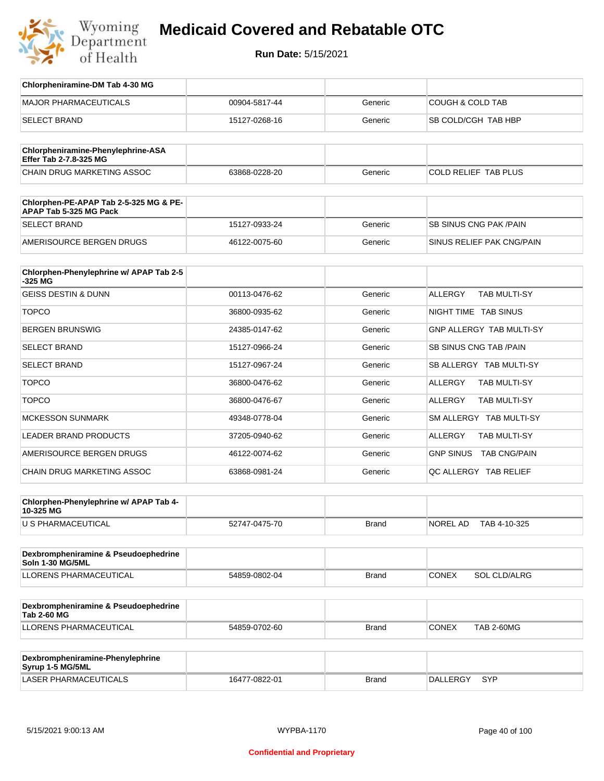

| Chlorpheniramine-DM Tab 4-30 MG                                  |               |              |                                   |
|------------------------------------------------------------------|---------------|--------------|-----------------------------------|
| <b>MAJOR PHARMACEUTICALS</b>                                     | 00904-5817-44 | Generic      | <b>COUGH &amp; COLD TAB</b>       |
| <b>SELECT BRAND</b>                                              | 15127-0268-16 | Generic      | SB COLD/CGH TAB HBP               |
|                                                                  |               |              |                                   |
| Chlorpheniramine-Phenylephrine-ASA<br>Effer Tab 2-7.8-325 MG     |               |              |                                   |
| CHAIN DRUG MARKETING ASSOC                                       | 63868-0228-20 | Generic      | COLD RELIEF TAB PLUS              |
|                                                                  |               |              |                                   |
| Chlorphen-PE-APAP Tab 2-5-325 MG & PE-<br>APAP Tab 5-325 MG Pack |               |              |                                   |
| <b>SELECT BRAND</b>                                              | 15127-0933-24 | Generic      | <b>SB SINUS CNG PAK/PAIN</b>      |
| AMERISOURCE BERGEN DRUGS                                         | 46122-0075-60 | Generic      | SINUS RELIEF PAK CNG/PAIN         |
|                                                                  |               |              |                                   |
| Chlorphen-Phenylephrine w/ APAP Tab 2-5<br>$-325$ MG             |               |              |                                   |
| <b>GEISS DESTIN &amp; DUNN</b>                                   | 00113-0476-62 | Generic      | <b>ALLERGY</b><br>TAB MULTI-SY    |
| <b>TOPCO</b>                                                     | 36800-0935-62 | Generic      | NIGHT TIME TAB SINUS              |
| <b>BERGEN BRUNSWIG</b>                                           | 24385-0147-62 | Generic      | <b>GNP ALLERGY TAB MULTI-SY</b>   |
| <b>SELECT BRAND</b>                                              | 15127-0966-24 | Generic      | <b>SB SINUS CNG TAB /PAIN</b>     |
| <b>SELECT BRAND</b>                                              | 15127-0967-24 | Generic      | SB ALLERGY TAB MULTI-SY           |
| <b>TOPCO</b>                                                     | 36800-0476-62 | Generic      | ALLERGY<br>TAB MULTI-SY           |
| <b>TOPCO</b>                                                     | 36800-0476-67 | Generic      | <b>ALLERGY</b><br>TAB MULTI-SY    |
| <b>MCKESSON SUNMARK</b>                                          | 49348-0778-04 | Generic      | SM ALLERGY TAB MULTI-SY           |
| <b>LEADER BRAND PRODUCTS</b>                                     | 37205-0940-62 | Generic      | <b>ALLERGY</b><br>TAB MULTI-SY    |
| AMERISOURCE BERGEN DRUGS                                         | 46122-0074-62 | Generic      | GNP SINUS TAB CNG/PAIN            |
| CHAIN DRUG MARKETING ASSOC                                       | 63868-0981-24 | Generic      | OC ALLERGY TAB RELIEF             |
|                                                                  |               |              |                                   |
| Chlorphen-Phenylephrine w/ APAP Tab 4-<br>10-325 MG              |               |              |                                   |
| U S PHARMACEUTICAL                                               | 52747-0475-70 | Brand        | NOREL AD<br>TAB 4-10-325          |
|                                                                  |               |              |                                   |
| Dexbrompheniramine & Pseudoephedrine<br>Soln 1-30 MG/5ML         |               |              |                                   |
| LLORENS PHARMACEUTICAL                                           | 54859-0802-04 | Brand        | SOL CLD/ALRG<br><b>CONEX</b>      |
|                                                                  |               |              |                                   |
| Dexbrompheniramine & Pseudoephedrine<br><b>Tab 2-60 MG</b>       |               |              |                                   |
| LLORENS PHARMACEUTICAL                                           | 54859-0702-60 | <b>Brand</b> | <b>CONEX</b><br><b>TAB 2-60MG</b> |
|                                                                  |               |              |                                   |
| Dexbrompheniramine-Phenylephrine<br>Syrup 1-5 MG/5ML             |               |              |                                   |
| LASER PHARMACEUTICALS                                            | 16477-0822-01 | <b>Brand</b> | DALLERGY SYP                      |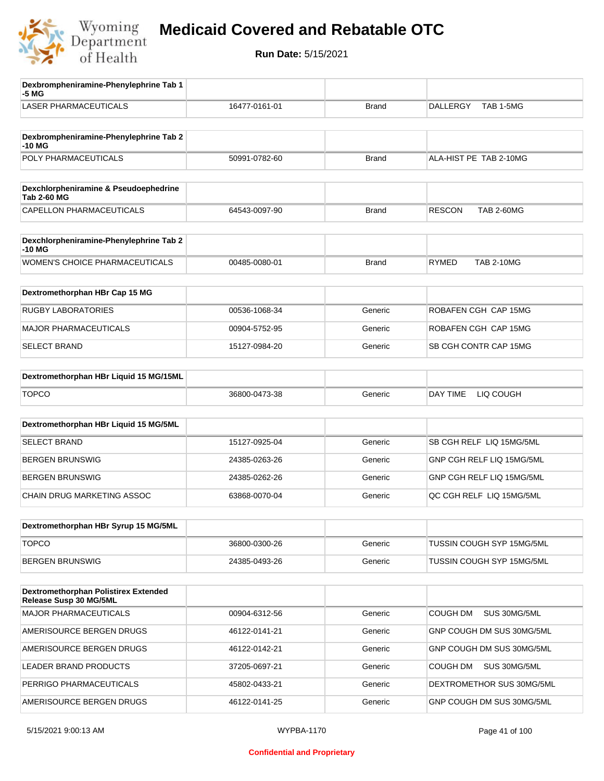

| Dexbrompheniramine-Phenylephrine Tab 1<br>-5 MG                       |               |              |                                    |
|-----------------------------------------------------------------------|---------------|--------------|------------------------------------|
| <b>LASER PHARMACEUTICALS</b>                                          | 16477-0161-01 | <b>Brand</b> | TAB 1-5MG<br>DALLERGY              |
| Dexbrompheniramine-Phenylephrine Tab 2<br>-10 MG                      |               |              |                                    |
| POLY PHARMACEUTICALS                                                  | 50991-0782-60 | <b>Brand</b> | ALA-HIST PE TAB 2-10MG             |
| Dexchlorpheniramine & Pseudoephedrine<br><b>Tab 2-60 MG</b>           |               |              |                                    |
| CAPELLON PHARMACEUTICALS                                              | 64543-0097-90 | <b>Brand</b> | <b>RESCON</b><br><b>TAB 2-60MG</b> |
| Dexchlorpheniramine-Phenylephrine Tab 2<br>-10 MG                     |               |              |                                    |
| <b>WOMEN'S CHOICE PHARMACEUTICALS</b>                                 | 00485-0080-01 | <b>Brand</b> | <b>RYMED</b><br><b>TAB 2-10MG</b>  |
| Dextromethorphan HBr Cap 15 MG                                        |               |              |                                    |
| <b>RUGBY LABORATORIES</b>                                             | 00536-1068-34 | Generic      | ROBAFEN CGH CAP 15MG               |
| <b>MAJOR PHARMACEUTICALS</b>                                          | 00904-5752-95 | Generic      | ROBAFEN CGH CAP 15MG               |
| <b>SELECT BRAND</b>                                                   | 15127-0984-20 | Generic      | SB CGH CONTR CAP 15MG              |
| Dextromethorphan HBr Liquid 15 MG/15ML                                |               |              |                                    |
| <b>TOPCO</b>                                                          | 36800-0473-38 | Generic      | DAY TIME<br>LIQ COUGH              |
| Dextromethorphan HBr Liquid 15 MG/5ML                                 |               |              |                                    |
| <b>SELECT BRAND</b>                                                   | 15127-0925-04 | Generic      | SB CGH RELF LIQ 15MG/5ML           |
| <b>BERGEN BRUNSWIG</b>                                                | 24385-0263-26 | Generic      | GNP CGH RELF LIQ 15MG/5ML          |
| <b>BERGEN BRUNSWIG</b>                                                | 24385-0262-26 | Generic      | GNP CGH RELF LIQ 15MG/5ML          |
| <b>CHAIN DRUG MARKETING ASSOC</b>                                     | 63868-0070-04 | Generic      | QC CGH RELF LIQ 15MG/5ML           |
| Dextromethorphan HBr Syrup 15 MG/5ML                                  |               |              |                                    |
| <b>TOPCO</b>                                                          | 36800-0300-26 | Generic      | TUSSIN COUGH SYP 15MG/5ML          |
| <b>BERGEN BRUNSWIG</b>                                                | 24385-0493-26 | Generic      | TUSSIN COUGH SYP 15MG/5ML          |
| <b>Dextromethorphan Polistirex Extended</b><br>Release Susp 30 MG/5ML |               |              |                                    |
| MAJOR PHARMACEUTICALS                                                 | 00904-6312-56 | Generic      | <b>COUGH DM</b><br>SUS 30MG/5ML    |
| AMERISOURCE BERGEN DRUGS                                              | 46122-0141-21 | Generic      | GNP COUGH DM SUS 30MG/5ML          |
| AMERISOURCE BERGEN DRUGS                                              | 46122-0142-21 | Generic      | GNP COUGH DM SUS 30MG/5ML          |
| LEADER BRAND PRODUCTS                                                 | 37205-0697-21 | Generic      | COUGH DM<br>SUS 30MG/5ML           |
| PERRIGO PHARMACEUTICALS                                               | 45802-0433-21 | Generic      | DEXTROMETHOR SUS 30MG/5ML          |
| AMERISOURCE BERGEN DRUGS                                              | 46122-0141-25 | Generic      | GNP COUGH DM SUS 30MG/5ML          |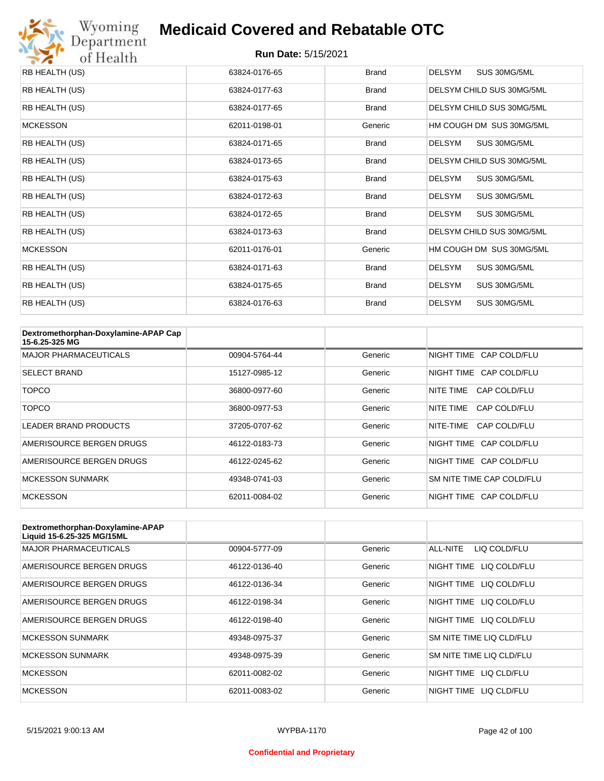

| RB HEALTH (US)  | 63824-0176-65 | Brand        | DELSYM<br>SUS 30MG/5ML        |
|-----------------|---------------|--------------|-------------------------------|
| RB HEALTH (US)  | 63824-0177-63 | Brand        | DELSYM CHILD SUS 30MG/5ML     |
| RB HEALTH (US)  | 63824-0177-65 | <b>Brand</b> | DELSYM CHILD SUS 30MG/5ML     |
| <b>MCKESSON</b> | 62011-0198-01 | Generic      | HM COUGH DM SUS 30MG/5ML      |
| RB HEALTH (US)  | 63824-0171-65 | <b>Brand</b> | DELSYM<br>SUS 30MG/5ML        |
| RB HEALTH (US)  | 63824-0173-65 | Brand        | DELSYM CHILD SUS 30MG/5ML     |
| RB HEALTH (US)  | 63824-0175-63 | Brand        | DELSYM<br>SUS 30MG/5ML        |
| RB HEALTH (US)  | 63824-0172-63 | <b>Brand</b> | <b>DELSYM</b><br>SUS 30MG/5ML |
| RB HEALTH (US)  | 63824-0172-65 | Brand        | SUS 30MG/5ML<br><b>DELSYM</b> |
| RB HEALTH (US)  | 63824-0173-63 | Brand        | DELSYM CHILD SUS 30MG/5ML     |
| <b>MCKESSON</b> | 62011-0176-01 | Generic      | HM COUGH DM SUS 30MG/5ML      |
| RB HEALTH (US)  | 63824-0171-63 | Brand        | <b>DELSYM</b><br>SUS 30MG/5ML |
| RB HEALTH (US)  | 63824-0175-65 | <b>Brand</b> | <b>DELSYM</b><br>SUS 30MG/5ML |
| RB HEALTH (US)  | 63824-0176-63 | <b>Brand</b> | <b>DELSYM</b><br>SUS 30MG/5ML |

| Dextromethorphan-Doxylamine-APAP Cap<br>15-6.25-325 MG |               |         |                           |
|--------------------------------------------------------|---------------|---------|---------------------------|
| <b>MAJOR PHARMACEUTICALS</b>                           | 00904-5764-44 | Generic | NIGHT TIME CAP COLD/FLU   |
| <b>SELECT BRAND</b>                                    | 15127-0985-12 | Generic | NIGHT TIME CAP COLD/FLU   |
| <b>TOPCO</b>                                           | 36800-0977-60 | Generic | NITE TIME<br>CAP COLD/FLU |
| <b>TOPCO</b>                                           | 36800-0977-53 | Generic | NITE TIME<br>CAP COLD/FLU |
| LEADER BRAND PRODUCTS                                  | 37205-0707-62 | Generic | NITE-TIME<br>CAP COLD/FLU |
| AMERISOURCE BERGEN DRUGS                               | 46122-0183-73 | Generic | NIGHT TIME CAP COLD/FLU   |
| AMERISOURCE BERGEN DRUGS                               | 46122-0245-62 | Generic | NIGHT TIME CAP COLD/FLU   |
| <b>MCKESSON SUNMARK</b>                                | 49348-0741-03 | Generic | SM NITE TIME CAP COLD/FLU |
| <b>MCKESSON</b>                                        | 62011-0084-02 | Generic | NIGHT TIME CAP COLD/FLU   |

| Dextromethorphan-Doxylamine-APAP<br>Liquid 15-6.25-325 MG/15ML |               |         |                            |
|----------------------------------------------------------------|---------------|---------|----------------------------|
| <b>MAJOR PHARMACEUTICALS</b>                                   | 00904-5777-09 | Generic | ALL-NITE<br>LIQ COLD/FLU   |
| AMERISOURCE BERGEN DRUGS                                       | 46122-0136-40 | Generic | NIGHT TIME<br>LIQ COLD/FLU |
| AMERISOURCE BERGEN DRUGS                                       | 46122-0136-34 | Generic | NIGHT TIME<br>LIQ COLD/FLU |
| AMERISOURCE BERGEN DRUGS                                       | 46122-0198-34 | Generic | NIGHT TIME<br>LIQ COLD/FLU |
| AMERISOURCE BERGEN DRUGS                                       | 46122-0198-40 | Generic | NIGHT TIME LIQ COLD/FLU    |
| <b>MCKESSON SUNMARK</b>                                        | 49348-0975-37 | Generic | SM NITE TIME LIQ CLD/FLU   |
| <b>MCKESSON SUNMARK</b>                                        | 49348-0975-39 | Generic | SM NITE TIME LIQ CLD/FLU   |
| <b>MCKESSON</b>                                                | 62011-0082-02 | Generic | NIGHT TIME LIQ CLD/FLU     |
| <b>MCKESSON</b>                                                | 62011-0083-02 | Generic | NIGHT TIME<br>LIO CLD/FLU  |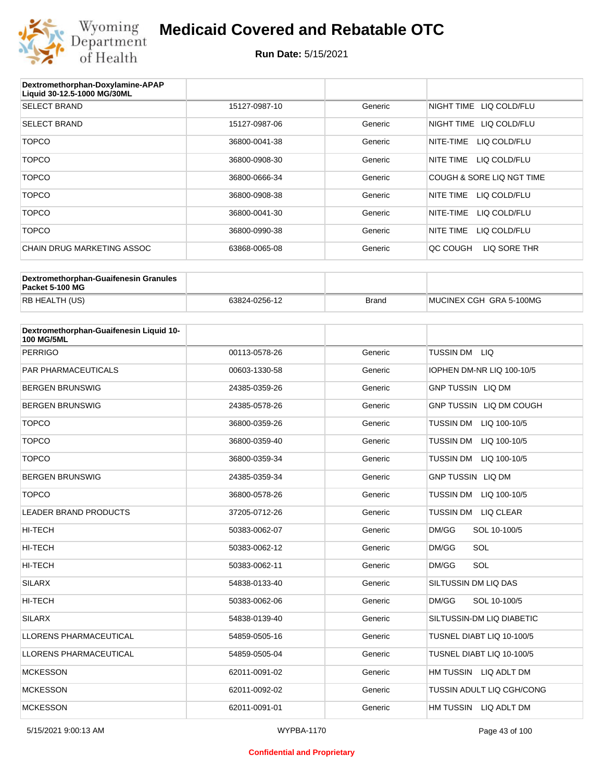

| Dextromethorphan-Doxylamine-APAP<br>Liquid 30-12.5-1000 MG/30ML |               |         |                           |
|-----------------------------------------------------------------|---------------|---------|---------------------------|
| <b>SELECT BRAND</b>                                             | 15127-0987-10 | Generic | NIGHT TIME LIQ COLD/FLU   |
| <b>SELECT BRAND</b>                                             | 15127-0987-06 | Generic | NIGHT TIME LIQ COLD/FLU   |
| <b>TOPCO</b>                                                    | 36800-0041-38 | Generic | LIQ COLD/FLU<br>NITE-TIME |
| <b>TOPCO</b>                                                    | 36800-0908-30 | Generic | NITE TIME<br>LIQ COLD/FLU |
| <b>TOPCO</b>                                                    | 36800-0666-34 | Generic | COUGH & SORE LIQ NGT TIME |
| <b>TOPCO</b>                                                    | 36800-0908-38 | Generic | NITE TIME<br>LIQ COLD/FLU |
| <b>TOPCO</b>                                                    | 36800-0041-30 | Generic | LIQ COLD/FLU<br>NITE-TIME |
| <b>TOPCO</b>                                                    | 36800-0990-38 | Generic | NITE TIME<br>LIQ COLD/FLU |
| CHAIN DRUG MARKETING ASSOC                                      | 63868-0065-08 | Generic | LIQ SORE THR<br>QC COUGH  |

| Dextromethorphan-Guaifenesin Granules<br>Packet 5-100 MG |               |              |                         |
|----------------------------------------------------------|---------------|--------------|-------------------------|
| RB HEALTH (US)                                           | 63824-0256-12 | <b>Brand</b> | MUCINEX CGH GRA 5-100MG |

| Dextromethorphan-Guaifenesin Liquid 10-<br><b>100 MG/5ML</b> |               |         |                                      |
|--------------------------------------------------------------|---------------|---------|--------------------------------------|
| <b>PERRIGO</b>                                               | 00113-0578-26 | Generic | TUSSIN DM LIQ                        |
| <b>PAR PHARMACEUTICALS</b>                                   | 00603-1330-58 | Generic | IOPHEN DM-NR LIQ 100-10/5            |
| <b>BERGEN BRUNSWIG</b>                                       | 24385-0359-26 | Generic | <b>GNP TUSSIN LIQ DM</b>             |
| <b>BERGEN BRUNSWIG</b>                                       | 24385-0578-26 | Generic | GNP TUSSIN LIQ DM COUGH              |
| <b>TOPCO</b>                                                 | 36800-0359-26 | Generic | TUSSIN DM LIQ 100-10/5               |
| <b>TOPCO</b>                                                 | 36800-0359-40 | Generic | <b>TUSSIN DM</b><br>LIQ 100-10/5     |
| <b>TOPCO</b>                                                 | 36800-0359-34 | Generic | <b>TUSSIN DM</b><br>LIQ 100-10/5     |
| <b>BERGEN BRUNSWIG</b>                                       | 24385-0359-34 | Generic | <b>GNP TUSSIN LIQ DM</b>             |
| <b>TOPCO</b>                                                 | 36800-0578-26 | Generic | <b>TUSSIN DM</b><br>LIQ 100-10/5     |
| <b>LEADER BRAND PRODUCTS</b>                                 | 37205-0712-26 | Generic | <b>TUSSIN DM</b><br><b>LIQ CLEAR</b> |
| HI-TECH                                                      | 50383-0062-07 | Generic | DM/GG<br>SOL 10-100/5                |
| HI-TECH                                                      | 50383-0062-12 | Generic | DM/GG<br>SOL                         |
| HI-TECH                                                      | 50383-0062-11 | Generic | SOL<br>DM/GG                         |
| <b>SILARX</b>                                                | 54838-0133-40 | Generic | SILTUSSIN DM LIQ DAS                 |
| HI-TECH                                                      | 50383-0062-06 | Generic | DM/GG<br>SOL 10-100/5                |
| <b>SILARX</b>                                                | 54838-0139-40 | Generic | SILTUSSIN-DM LIQ DIABETIC            |
| <b>LLORENS PHARMACEUTICAL</b>                                | 54859-0505-16 | Generic | TUSNEL DIABT LIQ 10-100/5            |
| LLORENS PHARMACEUTICAL                                       | 54859-0505-04 | Generic | TUSNEL DIABT LIQ 10-100/5            |
| <b>MCKESSON</b>                                              | 62011-0091-02 | Generic | HM TUSSIN LIQ ADLT DM                |
| <b>MCKESSON</b>                                              | 62011-0092-02 | Generic | TUSSIN ADULT LIQ CGH/CONG            |
| <b>MCKESSON</b>                                              | 62011-0091-01 | Generic | HM TUSSIN LIQ ADLT DM                |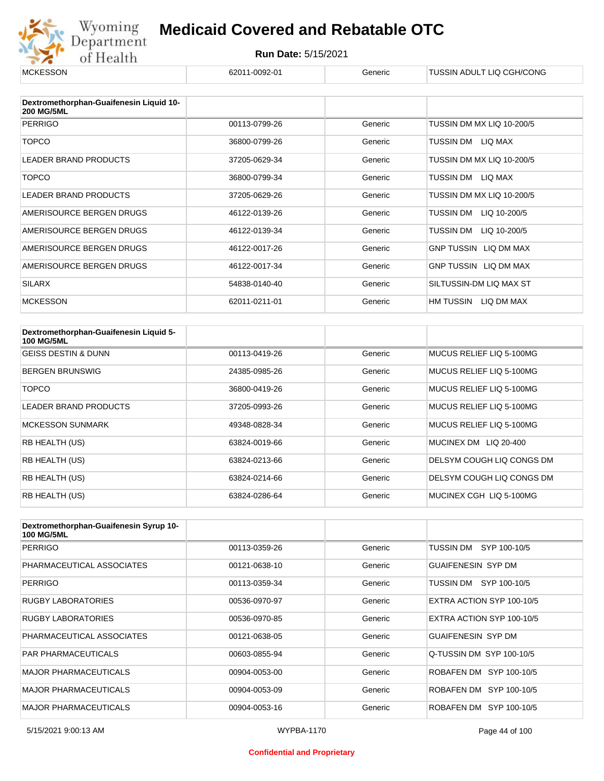

| <b>MCKESSON</b>                                              | 62011-0092-01 | Generic | TUSSIN ADULT LIQ CGH/CONG |
|--------------------------------------------------------------|---------------|---------|---------------------------|
|                                                              |               |         |                           |
| Dextromethorphan-Guaifenesin Liquid 10-<br><b>200 MG/5ML</b> |               |         |                           |
| <b>PERRIGO</b>                                               | 00113-0799-26 | Generic | TUSSIN DM MX LIQ 10-200/5 |
| <b>TOPCO</b>                                                 | 36800-0799-26 | Generic | TUSSIN DM LIQ MAX         |
| LEADER BRAND PRODUCTS                                        | 37205-0629-34 | Generic | TUSSIN DM MX LIQ 10-200/5 |
| <b>TOPCO</b>                                                 | 36800-0799-34 | Generic | TUSSIN DM LIQ MAX         |
| <b>LEADER BRAND PRODUCTS</b>                                 | 37205-0629-26 | Generic | TUSSIN DM MX LIQ 10-200/5 |
| AMERISOURCE BERGEN DRUGS                                     | 46122-0139-26 | Generic | TUSSIN DM<br>LIQ 10-200/5 |
| AMERISOURCE BERGEN DRUGS                                     | 46122-0139-34 | Generic | TUSSIN DM<br>LIQ 10-200/5 |
| AMERISOURCE BERGEN DRUGS                                     | 46122-0017-26 | Generic | GNP TUSSIN LIQ DM MAX     |
| AMERISOURCE BERGEN DRUGS                                     | 46122-0017-34 | Generic | GNP TUSSIN LIQ DM MAX     |
| <b>SILARX</b>                                                | 54838-0140-40 | Generic | SILTUSSIN-DM LIQ MAX ST   |
| <b>MCKESSON</b>                                              | 62011-0211-01 | Generic | HM TUSSIN LIQ DM MAX      |

| Dextromethorphan-Guaifenesin Liquid 5-<br><b>100 MG/5ML</b> |               |         |                           |
|-------------------------------------------------------------|---------------|---------|---------------------------|
| <b>GEISS DESTIN &amp; DUNN</b>                              | 00113-0419-26 | Generic | MUCUS RELIEF LIO 5-100MG  |
| <b>BERGEN BRUNSWIG</b>                                      | 24385-0985-26 | Generic | MUCUS RELIEF LIO 5-100MG  |
| <b>TOPCO</b>                                                | 36800-0419-26 | Generic | MUCUS RELIEF LIO 5-100MG  |
| <b>LEADER BRAND PRODUCTS</b>                                | 37205-0993-26 | Generic | MUCUS RELIEF LIQ 5-100MG  |
| <b>MCKESSON SUNMARK</b>                                     | 49348-0828-34 | Generic | MUCUS RELIEF LIQ 5-100MG  |
| RB HEALTH (US)                                              | 63824-0019-66 | Generic | MUCINEX DM LIQ 20-400     |
| RB HEALTH (US)                                              | 63824-0213-66 | Generic | DELSYM COUGH LIQ CONGS DM |
| <b>RB HEALTH (US)</b>                                       | 63824-0214-66 | Generic | DELSYM COUGH LIQ CONGS DM |
| RB HEALTH (US)                                              | 63824-0286-64 | Generic | MUCINEX CGH LIQ 5-100MG   |

| Dextromethorphan-Guaifenesin Syrup 10-<br><b>100 MG/5ML</b> |               |         |                           |
|-------------------------------------------------------------|---------------|---------|---------------------------|
| <b>PERRIGO</b>                                              | 00113-0359-26 | Generic | TUSSIN DM<br>SYP 100-10/5 |
| PHARMACEUTICAL ASSOCIATES                                   | 00121-0638-10 | Generic | <b>GUAIFENESIN SYP DM</b> |
| <b>PERRIGO</b>                                              | 00113-0359-34 | Generic | TUSSIN DM SYP 100-10/5    |
| <b>RUGBY LABORATORIES</b>                                   | 00536-0970-97 | Generic | EXTRA ACTION SYP 100-10/5 |
| <b>RUGBY LABORATORIES</b>                                   | 00536-0970-85 | Generic | EXTRA ACTION SYP 100-10/5 |
| PHARMACEUTICAL ASSOCIATES                                   | 00121-0638-05 | Generic | GUAIFFNESIN SYP DM        |
| <b>PAR PHARMACEUTICALS</b>                                  | 00603-0855-94 | Generic | Q-TUSSIN DM SYP 100-10/5  |
| <b>MAJOR PHARMACEUTICALS</b>                                | 00904-0053-00 | Generic | ROBAFEN DM SYP 100-10/5   |
| <b>MAJOR PHARMACEUTICALS</b>                                | 00904-0053-09 | Generic | ROBAFEN DM SYP 100-10/5   |
| <b>MAJOR PHARMACEUTICALS</b>                                | 00904-0053-16 | Generic | ROBAFEN DM SYP 100-10/5   |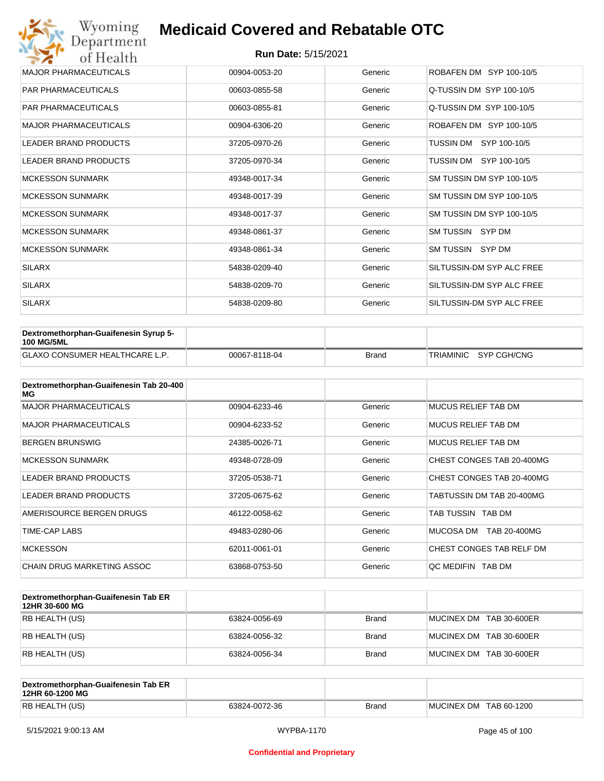| Wyoming<br>Department        | <b>Medicaid Covered and Rebatable OTC</b> |         |                           |  |  |  |
|------------------------------|-------------------------------------------|---------|---------------------------|--|--|--|
| of Health                    | <b>Run Date: 5/15/2021</b>                |         |                           |  |  |  |
| <b>MAJOR PHARMACEUTICALS</b> | 00904-0053-20                             | Generic | ROBAFEN DM SYP 100-10/5   |  |  |  |
| <b>PAR PHARMACEUTICALS</b>   | 00603-0855-58                             | Generic | Q-TUSSIN DM SYP 100-10/5  |  |  |  |
| <b>PAR PHARMACEUTICALS</b>   | 00603-0855-81                             | Generic | Q-TUSSIN DM SYP 100-10/5  |  |  |  |
| <b>MAJOR PHARMACEUTICALS</b> | 00904-6306-20                             | Generic | ROBAFEN DM SYP 100-10/5   |  |  |  |
| <b>LEADER BRAND PRODUCTS</b> | 37205-0970-26                             | Generic | SYP 100-10/5<br>TUSSIN DM |  |  |  |
| <b>LEADER BRAND PRODUCTS</b> | 37205-0970-34                             | Generic | TUSSIN DM SYP 100-10/5    |  |  |  |
| <b>MCKESSON SUNMARK</b>      | 49348-0017-34                             | Generic | SM TUSSIN DM SYP 100-10/5 |  |  |  |
| <b>MCKESSON SUNMARK</b>      | 49348-0017-39                             | Generic | SM TUSSIN DM SYP 100-10/5 |  |  |  |
| <b>MCKESSON SUNMARK</b>      | 49348-0017-37                             | Generic | SM TUSSIN DM SYP 100-10/5 |  |  |  |
| <b>MCKESSON SUNMARK</b>      | 49348-0861-37                             | Generic | SM TUSSIN SYP DM          |  |  |  |
| <b>MCKESSON SUNMARK</b>      | 49348-0861-34                             | Generic | SM TUSSIN SYP DM          |  |  |  |
| <b>SILARX</b>                | 54838-0209-40                             | Generic | SILTUSSIN-DM SYP ALC FREE |  |  |  |
| <b>SILARX</b>                | 54838-0209-70                             | Generic | SILTUSSIN-DM SYP ALC FREE |  |  |  |
| <b>SILARX</b>                | 54838-0209-80                             | Generic | SILTUSSIN-DM SYP ALC FREE |  |  |  |

| <b>Dextromethorphan-Guaifenesin Syrup 5-</b><br><b>100 MG/5ML</b> |               |       |                       |
|-------------------------------------------------------------------|---------------|-------|-----------------------|
| <b>GLAXO CONSUMER HEALTHCARE L.P.</b>                             | 00067-8118-04 | Brand | TRIAMINIC SYP CGH/CNG |

| Dextromethorphan-Guaifenesin Tab 20-400<br>MG |               |         |                            |
|-----------------------------------------------|---------------|---------|----------------------------|
| <b>MAJOR PHARMACEUTICALS</b>                  | 00904-6233-46 | Generic | <b>MUCUS RELIEF TAB DM</b> |
| <b>MAJOR PHARMACEUTICALS</b>                  | 00904-6233-52 | Generic | <b>MUCUS RELIEF TAB DM</b> |
| <b>BERGEN BRUNSWIG</b>                        | 24385-0026-71 | Generic | <b>MUCUS RELIEF TAB DM</b> |
| <b>MCKESSON SUNMARK</b>                       | 49348-0728-09 | Generic | CHEST CONGES TAB 20-400MG  |
| <b>LEADER BRAND PRODUCTS</b>                  | 37205-0538-71 | Generic | CHEST CONGES TAB 20-400MG  |
| <b>LEADER BRAND PRODUCTS</b>                  | 37205-0675-62 | Generic | TABTUSSIN DM TAB 20-400MG  |
| AMERISOURCE BERGEN DRUGS                      | 46122-0058-62 | Generic | TAB TUSSIN TAB DM          |
| TIME-CAP LABS                                 | 49483-0280-06 | Generic | MUCOSA DM<br>TAB 20-400MG  |
| <b>MCKESSON</b>                               | 62011-0061-01 | Generic | CHEST CONGES TAB RELF DM   |
| CHAIN DRUG MARKETING ASSOC                    | 63868-0753-50 | Generic | OC MEDIFIN TAB DM          |

| Dextromethorphan-Guaifenesin Tab ER<br>12HR 30-600 MG |               |       |                         |
|-------------------------------------------------------|---------------|-------|-------------------------|
| RB HEALTH (US)                                        | 63824-0056-69 | Brand | MUCINEX DM TAB 30-600ER |
| RB HEALTH (US)                                        | 63824-0056-32 | Brand | MUCINEX DM TAB 30-600ER |
| RB HEALTH (US)                                        | 63824-0056-34 | Brand | MUCINEX DM TAB 30-600ER |

| Dextromethorphan-Guaifenesin Tab ER<br>12HR 60-1200 MG |               |              |                        |
|--------------------------------------------------------|---------------|--------------|------------------------|
| RB HEALTH (US)                                         | 63824-0072-36 | <b>Brand</b> | MUCINEX DM TAB 60-1200 |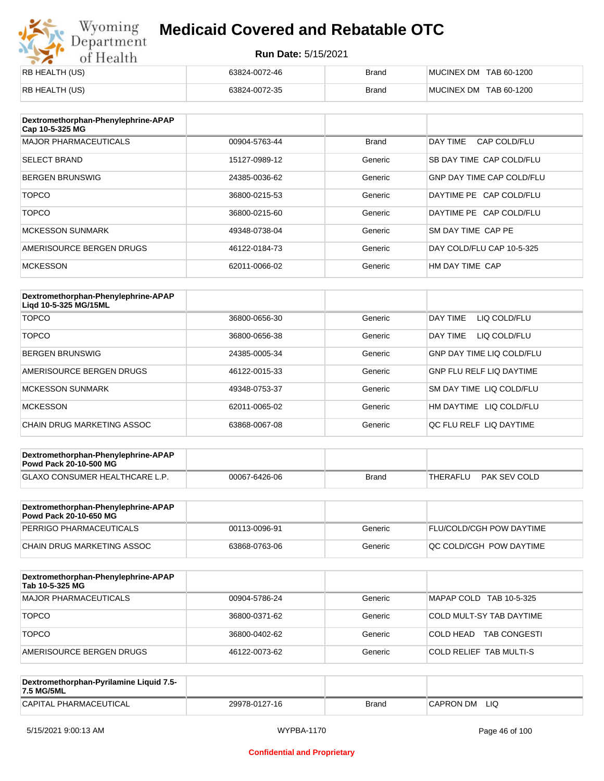# Wyoming<br>Department<br>of Health

#### **Medicaid Covered and Rebatable OTC**

| <b>RB HEALTH (US)</b> | 63824-0072-46 | <b>Brand</b> | MUCINEX DM TAB 60-1200 |
|-----------------------|---------------|--------------|------------------------|
| RB HEALTH (US)        | 63824-0072-35 | <b>Brand</b> | MUCINEX DM TAB 60-1200 |

| Dextromethorphan-Phenylephrine-APAP<br>Cap 10-5-325 MG |               |              |                                  |
|--------------------------------------------------------|---------------|--------------|----------------------------------|
| <b>MAJOR PHARMACEUTICALS</b>                           | 00904-5763-44 | <b>Brand</b> | DAY TIME<br>CAP COLD/FLU         |
| <b>SELECT BRAND</b>                                    | 15127-0989-12 | Generic      | SB DAY TIME CAP COLD/FLU         |
| <b>BERGEN BRUNSWIG</b>                                 | 24385-0036-62 | Generic      | <b>GNP DAY TIME CAP COLD/FLU</b> |
| <b>TOPCO</b>                                           | 36800-0215-53 | Generic      | DAYTIME PE CAP COLD/FLU          |
| <b>TOPCO</b>                                           | 36800-0215-60 | Generic      | DAYTIME PE CAP COLD/FLU          |
| <b>MCKESSON SUNMARK</b>                                | 49348-0738-04 | Generic      | SM DAY TIME CAP PE               |
| AMERISOURCE BERGEN DRUGS                               | 46122-0184-73 | Generic      | DAY COLD/FLU CAP 10-5-325        |
| <b>MCKESSON</b>                                        | 62011-0066-02 | Generic      | HM DAY TIME CAP                  |

| Dextromethorphan-Phenylephrine-APAP<br>Ligd 10-5-325 MG/15ML |               |         |                                  |
|--------------------------------------------------------------|---------------|---------|----------------------------------|
| <b>TOPCO</b>                                                 | 36800-0656-30 | Generic | DAY TIME<br>LIQ COLD/FLU         |
| <b>TOPCO</b>                                                 | 36800-0656-38 | Generic | DAY TIME<br>LIQ COLD/FLU         |
| <b>BERGEN BRUNSWIG</b>                                       | 24385-0005-34 | Generic | <b>GNP DAY TIME LIQ COLD/FLU</b> |
| AMERISOURCE BERGEN DRUGS                                     | 46122-0015-33 | Generic | <b>GNP FLU RELF LIQ DAYTIME</b>  |
| <b>MCKESSON SUNMARK</b>                                      | 49348-0753-37 | Generic | SM DAY TIME LIQ COLD/FLU         |
| <b>MCKESSON</b>                                              | 62011-0065-02 | Generic | HM DAYTIME<br>LIQ COLD/FLU       |
| CHAIN DRUG MARKETING ASSOC                                   | 63868-0067-08 | Generic | OC FLU RELF LIO DAYTIME          |

| Dextromethorphan-Phenylephrine-APAP<br><b>Powd Pack 20-10-500 MG</b> |               |       |                          |  |
|----------------------------------------------------------------------|---------------|-------|--------------------------|--|
| GLAXO CONSUMER HEALTHCARE L.P.                                       | 00067-6426-06 | Brand | PAK SEV COLD<br>THERAFLU |  |
|                                                                      |               |       |                          |  |

| Dextromethorphan-Phenylephrine-APAP<br><b>Powd Pack 20-10-650 MG</b> |               |         |                                 |
|----------------------------------------------------------------------|---------------|---------|---------------------------------|
| PERRIGO PHARMACEUTICALS                                              | 00113-0096-91 | Generic | <b>FLU/COLD/CGH POW DAYTIME</b> |
| CHAIN DRUG MARKETING ASSOC                                           | 63868-0763-06 | Generic | IQC COLD/CGH POW DAYTIME        |

| Dextromethorphan-Phenylephrine-APAP<br>Tab 10-5-325 MG |               |         |                                  |
|--------------------------------------------------------|---------------|---------|----------------------------------|
| MAJOR PHARMACEUTICALS                                  | 00904-5786-24 | Generic | MAPAP COLD TAB 10-5-325          |
| <b>TOPCO</b>                                           | 36800-0371-62 | Generic | COLD MULT-SY TAB DAYTIME         |
| <b>TOPCO</b>                                           | 36800-0402-62 | Generic | <b>TAB CONGESTI</b><br>COLD HEAD |
| AMERISOURCE BERGEN DRUGS                               | 46122-0073-62 | Generic | <b>COLD RELIEF TAB MULTI-S</b>   |

| Dextromethorphan-Pyrilamine Liquid 7.5-<br>7.5 MG/5ML |               |       |                  |
|-------------------------------------------------------|---------------|-------|------------------|
| CAPITAL PHARMACEUTICAL                                | 29978-0127-16 | Brand | LIQ<br>CAPRON DM |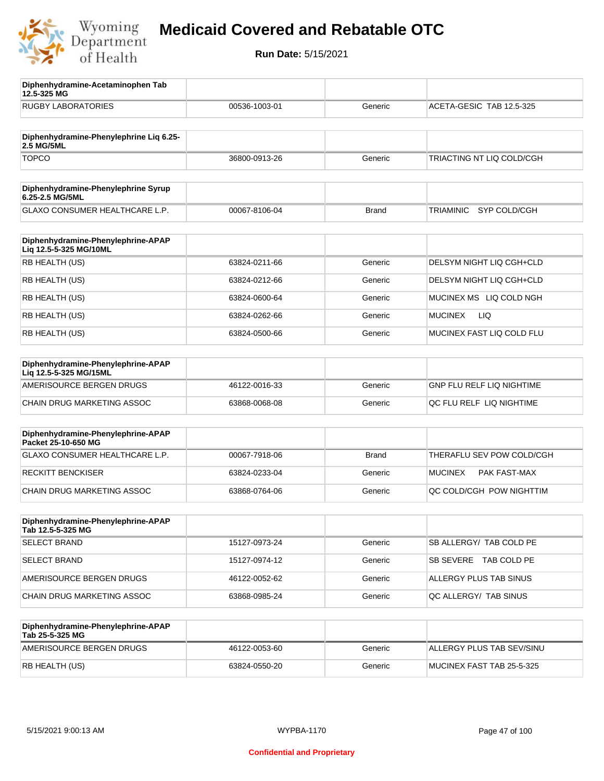

**12.5-325 MG**

**Diphenhydramine-Acetaminophen Tab** 

## **Medicaid Covered and Rebatable OTC**

| <b>RUGBY LABORATORIES</b>                                    | 00536-1003-01 | Generic      | ACETA-GESIC TAB 12.5-325       |
|--------------------------------------------------------------|---------------|--------------|--------------------------------|
| Diphenhydramine-Phenylephrine Lig 6.25-<br>2.5 MG/5ML        |               |              |                                |
| <b>TOPCO</b>                                                 | 36800-0913-26 | Generic      | TRIACTING NT LIQ COLD/CGH      |
| Diphenhydramine-Phenylephrine Syrup<br>6.25-2.5 MG/5ML       |               |              |                                |
| GLAXO CONSUMER HEALTHCARE L.P.                               | 00067-8106-04 | <b>Brand</b> | SYP COLD/CGH<br>TRIAMINIC      |
| Diphenhydramine-Phenylephrine-APAP<br>Liq 12.5-5-325 MG/10ML |               |              |                                |
| RB HEALTH (US)                                               | 63824-0211-66 | Generic      | DELSYM NIGHT LIQ CGH+CLD       |
| RB HEALTH (US)                                               | 63824-0212-66 | Generic      | DELSYM NIGHT LIQ CGH+CLD       |
| RB HEALTH (US)                                               | 63824-0600-64 | Generic      | MUCINEX MS LIQ COLD NGH        |
| RB HEALTH (US)                                               | 63824-0262-66 | Generic      | LIQ<br><b>MUCINEX</b>          |
| RB HEALTH (US)                                               | 63824-0500-66 | Generic      | MUCINEX FAST LIQ COLD FLU      |
| Diphenhydramine-Phenylephrine-APAP<br>Liq 12.5-5-325 MG/15ML |               |              |                                |
| AMERISOURCE BERGEN DRUGS                                     | 46122-0016-33 | Generic      | GNP FLU RELF LIQ NIGHTIME      |
| CHAIN DRUG MARKETING ASSOC                                   | 63868-0068-08 | Generic      | QC FLU RELF LIQ NIGHTIME       |
| Diphenhydramine-Phenylephrine-APAP<br>Packet 25-10-650 MG    |               |              |                                |
| GLAXO CONSUMER HEALTHCARE L.P.                               | 00067-7918-06 | <b>Brand</b> | THERAFLU SEV POW COLD/CGH      |
| <b>RECKITT BENCKISER</b>                                     | 63824-0233-04 | Generic      | <b>MUCINEX</b><br>PAK FAST-MAX |
| <b>CHAIN DRUG MARKETING ASSOC</b>                            | 63868-0764-06 | Generic      | QC COLD/CGH POW NIGHTTIM       |
| Diphenhydramine-Phenylephrine-APAP<br>Tab 12.5-5-325 MG      |               |              |                                |
| <b>SELECT BRAND</b>                                          | 15127-0973-24 | Generic      | SB ALLERGY/ TAB COLD PE        |
| <b>SELECT BRAND</b>                                          | 15127-0974-12 | Generic      | SB SEVERE TAB COLD PE          |
| AMERISOURCE BERGEN DRUGS                                     | 46122-0052-62 | Generic      | ALLERGY PLUS TAB SINUS         |
| CHAIN DRUG MARKETING ASSOC                                   | 63868-0985-24 | Generic      | QC ALLERGY/ TAB SINUS          |
| Diphenhydramine-Phenylephrine-APAP<br>Tab 25-5-325 MG        |               |              |                                |
| AMERISOURCE BERGEN DRUGS                                     | 46122-0053-60 | Generic      | ALLERGY PLUS TAB SEV/SINU      |
| RB HEALTH (US)                                               | 63824-0550-20 | Generic      | MUCINEX FAST TAB 25-5-325      |
|                                                              |               |              |                                |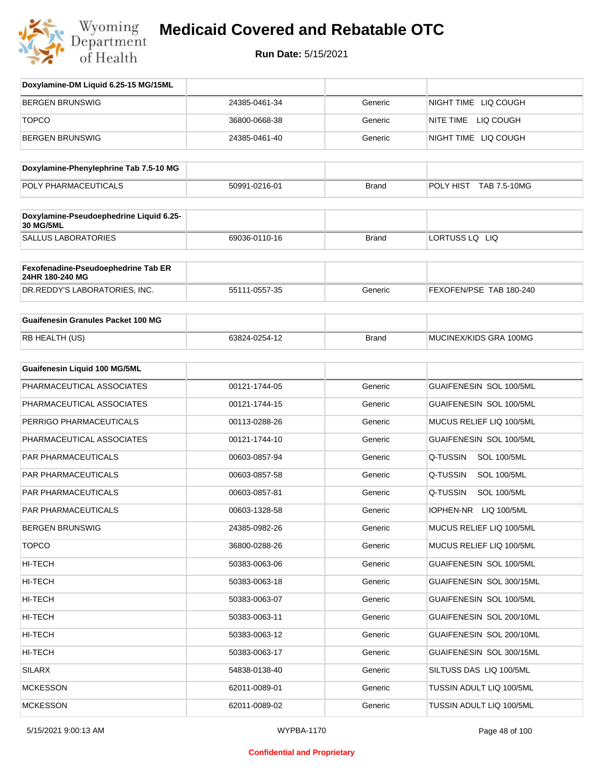

| Doxylamine-DM Liquid 6.25-15 MG/15ML                        |               |              |                                |
|-------------------------------------------------------------|---------------|--------------|--------------------------------|
| <b>BERGEN BRUNSWIG</b>                                      | 24385-0461-34 | Generic      | NIGHT TIME LIQ COUGH           |
| <b>TOPCO</b>                                                | 36800-0668-38 | Generic      | NITE TIME LIQ COUGH            |
| <b>BERGEN BRUNSWIG</b>                                      | 24385-0461-40 | Generic      | NIGHT TIME LIQ COUGH           |
|                                                             |               |              |                                |
| Doxylamine-Phenylephrine Tab 7.5-10 MG                      |               |              |                                |
| POLY PHARMACEUTICALS                                        | 50991-0216-01 | <b>Brand</b> | POLY HIST TAB 7.5-10MG         |
| Doxylamine-Pseudoephedrine Liquid 6.25-<br><b>30 MG/5ML</b> |               |              |                                |
| <b>SALLUS LABORATORIES</b>                                  | 69036-0110-16 | <b>Brand</b> | LORTUSS LQ LIQ                 |
| Fexofenadine-Pseudoephedrine Tab ER<br>24HR 180-240 MG      |               |              |                                |
| DR.REDDY'S LABORATORIES, INC.                               | 55111-0557-35 | Generic      | FEXOFEN/PSE TAB 180-240        |
| <b>Guaifenesin Granules Packet 100 MG</b>                   |               |              |                                |
| RB HEALTH (US)                                              | 63824-0254-12 | <b>Brand</b> | MUCINEX/KIDS GRA 100MG         |
| Guaifenesin Liquid 100 MG/5ML                               |               |              |                                |
| PHARMACEUTICAL ASSOCIATES                                   | 00121-1744-05 | Generic      | GUAIFENESIN SOL 100/5ML        |
| PHARMACEUTICAL ASSOCIATES                                   | 00121-1744-15 | Generic      | GUAIFENESIN SOL 100/5ML        |
| PERRIGO PHARMACEUTICALS                                     | 00113-0288-26 | Generic      | MUCUS RELIEF LIQ 100/5ML       |
| PHARMACEUTICAL ASSOCIATES                                   | 00121-1744-10 | Generic      | GUAIFENESIN SOL 100/5ML        |
| PAR PHARMACEUTICALS                                         | 00603-0857-94 | Generic      | Q-TUSSIN<br><b>SOL 100/5ML</b> |
| PAR PHARMACEUTICALS                                         | 00603-0857-58 | Generic      | Q-TUSSIN<br><b>SOL 100/5ML</b> |
| PAR PHARMACEUTICALS                                         | 00603-0857-81 | Generic      | Q-TUSSIN<br><b>SOL 100/5ML</b> |
| <b>PAR PHARMACEUTICALS</b>                                  | 00603-1328-58 | Generic      | IOPHEN-NR<br>LIQ 100/5ML       |
| <b>BERGEN BRUNSWIG</b>                                      | 24385-0982-26 | Generic      | MUCUS RELIEF LIQ 100/5ML       |
| <b>TOPCO</b>                                                | 36800-0288-26 | Generic      | MUCUS RELIEF LIQ 100/5ML       |
| HI-TECH                                                     | 50383-0063-06 | Generic      | GUAIFENESIN SOL 100/5ML        |
| HI-TECH                                                     | 50383-0063-18 | Generic      | GUAIFENESIN SOL 300/15ML       |
| HI-TECH                                                     | 50383-0063-07 | Generic      | GUAIFENESIN SOL 100/5ML        |
| HI-TECH                                                     | 50383-0063-11 | Generic      | GUAIFENESIN SOL 200/10ML       |
| HI-TECH                                                     | 50383-0063-12 | Generic      | GUAIFENESIN SOL 200/10ML       |
| HI-TECH                                                     | 50383-0063-17 | Generic      | GUAIFENESIN SOL 300/15ML       |
| <b>SILARX</b>                                               | 54838-0138-40 | Generic      | SILTUSS DAS LIQ 100/5ML        |
| <b>MCKESSON</b>                                             | 62011-0089-01 | Generic      | TUSSIN ADULT LIQ 100/5ML       |
| <b>MCKESSON</b>                                             | 62011-0089-02 | Generic      | TUSSIN ADULT LIQ 100/5ML       |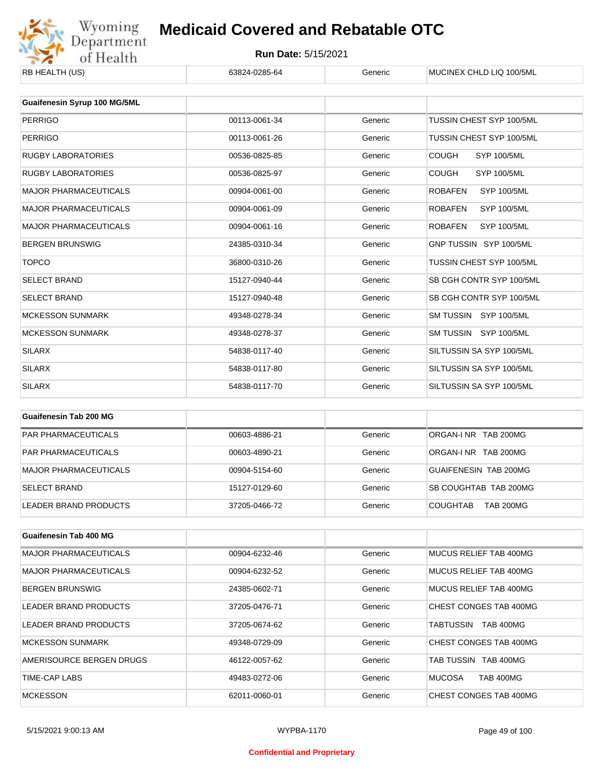

| ND NEALIN (US)               | 00024-0200-04 | usiici  | <b>IVIUUIIVEA UHLIJ LIU TUU/JIVIL</b> |
|------------------------------|---------------|---------|---------------------------------------|
| Guaifenesin Syrup 100 MG/5ML |               |         |                                       |
|                              |               |         |                                       |
| <b>PERRIGO</b>               | 00113-0061-34 | Generic | TUSSIN CHEST SYP 100/5ML              |
| <b>PERRIGO</b>               | 00113-0061-26 | Generic | TUSSIN CHEST SYP 100/5ML              |
| <b>RUGBY LABORATORIES</b>    | 00536-0825-85 | Generic | <b>COUGH</b><br>SYP 100/5ML           |
| <b>RUGBY LABORATORIES</b>    | 00536-0825-97 | Generic | <b>COUGH</b><br>SYP 100/5ML           |
| <b>MAJOR PHARMACEUTICALS</b> | 00904-0061-00 | Generic | <b>ROBAFEN</b><br><b>SYP 100/5ML</b>  |
| <b>MAJOR PHARMACEUTICALS</b> | 00904-0061-09 | Generic | <b>ROBAFEN</b><br><b>SYP 100/5ML</b>  |
| <b>MAJOR PHARMACEUTICALS</b> | 00904-0061-16 | Generic | <b>ROBAFEN</b><br><b>SYP 100/5ML</b>  |
| <b>BERGEN BRUNSWIG</b>       | 24385-0310-34 | Generic | GNP TUSSIN SYP 100/5ML                |
| <b>TOPCO</b>                 | 36800-0310-26 | Generic | TUSSIN CHEST SYP 100/5ML              |
| <b>SELECT BRAND</b>          | 15127-0940-44 | Generic | SB CGH CONTR SYP 100/5ML              |
| <b>SELECT BRAND</b>          | 15127-0940-48 | Generic | SB CGH CONTR SYP 100/5ML              |
| <b>MCKESSON SUNMARK</b>      | 49348-0278-34 | Generic | SM TUSSIN SYP 100/5ML                 |
| <b>MCKESSON SUNMARK</b>      | 49348-0278-37 | Generic | SM TUSSIN SYP 100/5ML                 |
| <b>SILARX</b>                | 54838-0117-40 | Generic | SILTUSSIN SA SYP 100/5ML              |
| <b>SILARX</b>                | 54838-0117-80 | Generic | SILTUSSIN SA SYP 100/5ML              |
| <b>SILARX</b>                | 54838-0117-70 | Generic | SILTUSSIN SA SYP 100/5ML              |

| Guaifenesin Tab 200 MG       |               |         |                                     |
|------------------------------|---------------|---------|-------------------------------------|
| <b>PAR PHARMACEUTICALS</b>   | 00603-4886-21 | Generic | ORGAN-INR TAB 200MG                 |
| <b>PAR PHARMACEUTICALS</b>   | 00603-4890-21 | Generic | ORGAN-INR TAB 200MG                 |
| <b>MAJOR PHARMACEUTICALS</b> | 00904-5154-60 | Generic | GUAIFENESIN TAB 200MG               |
| <b>SELECT BRAND</b>          | 15127-0129-60 | Generic | SB COUGHTAB TAB 200MG               |
| LEADER BRAND PRODUCTS        | 37205-0466-72 | Generic | <b>TAB 200MG</b><br><b>COUGHTAB</b> |

| Guaifenesin Tab 400 MG       |               |         |                                   |
|------------------------------|---------------|---------|-----------------------------------|
| <b>MAJOR PHARMACEUTICALS</b> | 00904-6232-46 | Generic | MUCUS RELIEF TAB 400MG            |
| <b>MAJOR PHARMACEUTICALS</b> | 00904-6232-52 | Generic | MUCUS RELIEF TAB 400MG            |
| <b>BERGEN BRUNSWIG</b>       | 24385-0602-71 | Generic | MUCUS RELIEF TAB 400MG            |
| LEADER BRAND PRODUCTS        | 37205-0476-71 | Generic | CHEST CONGES TAB 400MG            |
| LEADER BRAND PRODUCTS        | 37205-0674-62 | Generic | <b>TAB 400MG</b><br>TABTUSSIN     |
| <b>MCKESSON SUNMARK</b>      | 49348-0729-09 | Generic | CHEST CONGES TAB 400MG            |
| AMERISOURCE BERGEN DRUGS     | 46122-0057-62 | Generic | TAB TUSSIN TAB 400MG              |
| TIME-CAP LABS                | 49483-0272-06 | Generic | <b>MUCOSA</b><br><b>TAB 400MG</b> |
| <b>MCKESSON</b>              | 62011-0060-01 | Generic | CHEST CONGES TAB 400MG            |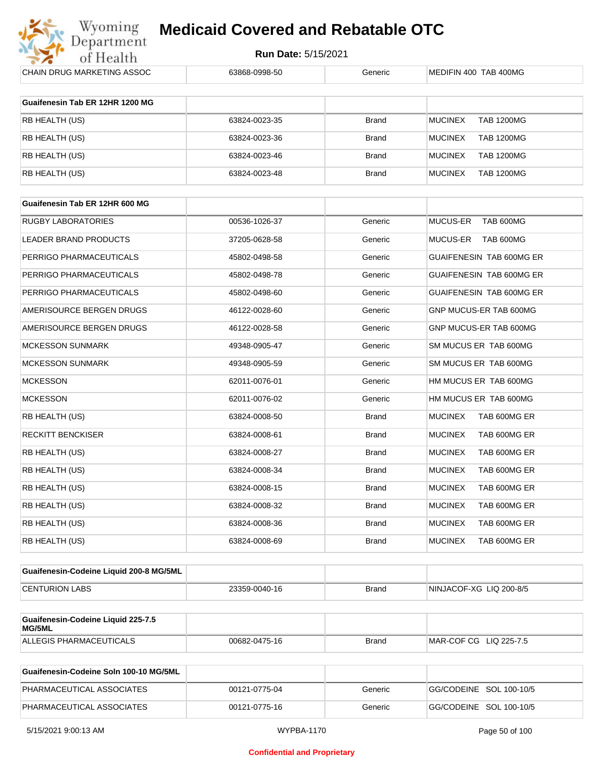

| CHAIN DRUG MARKETING ASSOC                   | 63868-0998-50 | Generic      | MEDIFIN 400 TAB 400MG               |
|----------------------------------------------|---------------|--------------|-------------------------------------|
| Guaifenesin Tab ER 12HR 1200 MG              |               |              |                                     |
| RB HEALTH (US)                               | 63824-0023-35 | <b>Brand</b> | <b>MUCINEX</b><br><b>TAB 1200MG</b> |
| RB HEALTH (US)                               | 63824-0023-36 | <b>Brand</b> | <b>MUCINEX</b><br><b>TAB 1200MG</b> |
| RB HEALTH (US)                               | 63824-0023-46 | <b>Brand</b> | <b>MUCINEX</b><br><b>TAB 1200MG</b> |
| RB HEALTH (US)                               | 63824-0023-48 | <b>Brand</b> | <b>MUCINEX</b><br><b>TAB 1200MG</b> |
| Guaifenesin Tab ER 12HR 600 MG               |               |              |                                     |
| <b>RUGBY LABORATORIES</b>                    | 00536-1026-37 | Generic      | MUCUS-ER<br>TAB 600MG               |
| LEADER BRAND PRODUCTS                        | 37205-0628-58 | Generic      | MUCUS-ER<br>TAB 600MG               |
|                                              |               |              |                                     |
| PERRIGO PHARMACEUTICALS                      | 45802-0498-58 | Generic      | GUAIFENESIN TAB 600MG ER            |
| PERRIGO PHARMACEUTICALS                      | 45802-0498-78 | Generic      | GUAIFENESIN TAB 600MG ER            |
| PERRIGO PHARMACEUTICALS                      | 45802-0498-60 | Generic      | GUAIFENESIN TAB 600MG ER            |
| AMERISOURCE BERGEN DRUGS                     | 46122-0028-60 | Generic      | GNP MUCUS-ER TAB 600MG              |
| AMERISOURCE BERGEN DRUGS                     | 46122-0028-58 | Generic      | GNP MUCUS-ER TAB 600MG              |
| <b>MCKESSON SUNMARK</b>                      | 49348-0905-47 | Generic      | SM MUCUS ER TAB 600MG               |
| <b>MCKESSON SUNMARK</b>                      | 49348-0905-59 | Generic      | SM MUCUS ER TAB 600MG               |
| <b>MCKESSON</b>                              | 62011-0076-01 | Generic      | HM MUCUS ER TAB 600MG               |
| <b>MCKESSON</b>                              | 62011-0076-02 | Generic      | HM MUCUS ER TAB 600MG               |
| RB HEALTH (US)                               | 63824-0008-50 | <b>Brand</b> | <b>MUCINEX</b><br>TAB 600MG ER      |
| <b>RECKITT BENCKISER</b>                     | 63824-0008-61 | <b>Brand</b> | TAB 600MG ER<br><b>MUCINEX</b>      |
| RB HEALTH (US)                               | 63824-0008-27 | <b>Brand</b> | <b>MUCINEX</b><br>TAB 600MG ER      |
| RB HEALTH (US)                               | 63824-0008-34 | <b>Brand</b> | <b>MUCINEX</b><br>TAB 600MG ER      |
| RB HEALTH (US)                               | 63824-0008-15 | <b>Brand</b> | <b>MUCINEX</b><br>TAB 600MG ER      |
| RB HEALTH (US)                               | 63824-0008-32 | <b>Brand</b> | <b>MUCINEX</b><br>TAB 600MG ER      |
| RB HEALTH (US)                               | 63824-0008-36 | <b>Brand</b> | <b>MUCINEX</b><br>TAB 600MG ER      |
| RB HEALTH (US)                               | 63824-0008-69 | <b>Brand</b> | TAB 600MG ER<br><b>MUCINEX</b>      |
| Guaifenesin-Codeine Liquid 200-8 MG/5ML      |               |              |                                     |
| <b>CENTURION LABS</b>                        | 23359-0040-16 | <b>Brand</b> | NINJACOF-XG LIQ 200-8/5             |
|                                              |               |              |                                     |
| Guaifenesin-Codeine Liquid 225-7.5<br>MG/5ML |               |              |                                     |
| ALLEGIS PHARMACEUTICALS                      | 00682-0475-16 | <b>Brand</b> | MAR-COF CG LIQ 225-7.5              |
|                                              |               |              |                                     |

| Guaifenesin-Codeine Soln 100-10 MG/5ML |               |         |                          |
|----------------------------------------|---------------|---------|--------------------------|
| PHARMACEUTICAL ASSOCIATES              | 00121-0775-04 | Generic | IGG/CODEINE SOL 100-10/5 |
| PHARMACEUTICAL ASSOCIATES              | 00121-0775-16 | Generic | GG/CODEINE SOL 100-10/5  |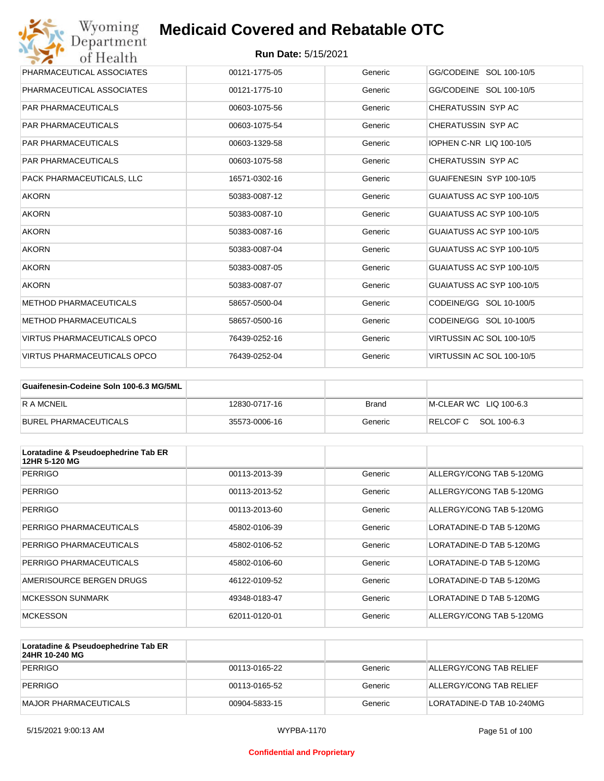| Wyoming<br>Department              | <b>Medicaid Covered and Rebatable OTC</b> |         |                           |
|------------------------------------|-------------------------------------------|---------|---------------------------|
| of Health                          | <b>Run Date: 5/15/2021</b>                |         |                           |
| PHARMACEUTICAL ASSOCIATES          | 00121-1775-05                             | Generic | GG/CODEINE SOL 100-10/5   |
| PHARMACEUTICAL ASSOCIATES          | 00121-1775-10                             | Generic | GG/CODEINE SOL 100-10/5   |
| <b>PAR PHARMACEUTICALS</b>         | 00603-1075-56                             | Generic | CHERATUSSIN SYP AC        |
| <b>PAR PHARMACEUTICALS</b>         | 00603-1075-54                             | Generic | CHERATUSSIN SYP AC        |
| <b>PAR PHARMACEUTICALS</b>         | 00603-1329-58                             | Generic | IOPHEN C-NR LIQ 100-10/5  |
| <b>PAR PHARMACEUTICALS</b>         | 00603-1075-58                             | Generic | CHERATUSSIN SYP AC        |
| PACK PHARMACEUTICALS. LLC          | 16571-0302-16                             | Generic | GUAIFENESIN SYP 100-10/5  |
| <b>AKORN</b>                       | 50383-0087-12                             | Generic | GUAIATUSS AC SYP 100-10/5 |
| <b>AKORN</b>                       | 50383-0087-10                             | Generic | GUAIATUSS AC SYP 100-10/5 |
| <b>AKORN</b>                       | 50383-0087-16                             | Generic | GUAIATUSS AC SYP 100-10/5 |
| <b>AKORN</b>                       | 50383-0087-04                             | Generic | GUAIATUSS AC SYP 100-10/5 |
| <b>AKORN</b>                       | 50383-0087-05                             | Generic | GUAIATUSS AC SYP 100-10/5 |
| <b>AKORN</b>                       | 50383-0087-07                             | Generic | GUAIATUSS AC SYP 100-10/5 |
| <b>METHOD PHARMACEUTICALS</b>      | 58657-0500-04                             | Generic | CODEINE/GG SOL 10-100/5   |
| <b>METHOD PHARMACEUTICALS</b>      | 58657-0500-16                             | Generic | CODEINE/GG SOL 10-100/5   |
| <b>VIRTUS PHARMACEUTICALS OPCO</b> | 76439-0252-16                             | Generic | VIRTUSSIN AC SOL 100-10/5 |
| VIRTUS PHARMACEUTICALS OPCO        | 76439-0252-04                             | Generic | VIRTUSSIN AC SOL 100-10/5 |

| Guaifenesin-Codeine Soln 100-6.3 MG/5ML |               |         |                        |
|-----------------------------------------|---------------|---------|------------------------|
| <b>R A MCNEIL</b>                       | 12830-0717-16 | Brand   | M-CLEAR WC LIQ 100-6.3 |
| BUREL PHARMACEUTICALS                   | 35573-0006-16 | Generic | RELCOFC SOL 100-6.3    |

| Loratadine & Pseudoephedrine Tab ER<br>12HR 5-120 MG |               |         |                          |
|------------------------------------------------------|---------------|---------|--------------------------|
| <b>PERRIGO</b>                                       | 00113-2013-39 | Generic | ALLERGY/CONG TAB 5-120MG |
| <b>PERRIGO</b>                                       | 00113-2013-52 | Generic | ALLERGY/CONG TAB 5-120MG |
| <b>PERRIGO</b>                                       | 00113-2013-60 | Generic | ALLERGY/CONG TAB 5-120MG |
| PERRIGO PHARMACEUTICALS                              | 45802-0106-39 | Generic | LORATADINE-D TAB 5-120MG |
| PERRIGO PHARMACEUTICALS                              | 45802-0106-52 | Generic | LORATADINE-D TAB 5-120MG |
| PERRIGO PHARMACEUTICALS                              | 45802-0106-60 | Generic | LORATADINE-D TAB 5-120MG |
| AMERISOURCE BERGEN DRUGS                             | 46122-0109-52 | Generic | LORATADINE-D TAB 5-120MG |
| <b>MCKESSON SUNMARK</b>                              | 49348-0183-47 | Generic | LORATADINE D TAB 5-120MG |
| <b>MCKESSON</b>                                      | 62011-0120-01 | Generic | ALLERGY/CONG TAB 5-120MG |

| Loratadine & Pseudoephedrine Tab ER<br>24HR 10-240 MG |               |         |                           |
|-------------------------------------------------------|---------------|---------|---------------------------|
| PERRIGO                                               | 00113-0165-22 | Generic | ALLERGY/CONG TAB RELIEF   |
| PERRIGO                                               | 00113-0165-52 | Generic | ALLERGY/CONG TAB RELIEF   |
| MAJOR PHARMACEUTICALS                                 | 00904-5833-15 | Generic | LORATADINE-D TAB 10-240MG |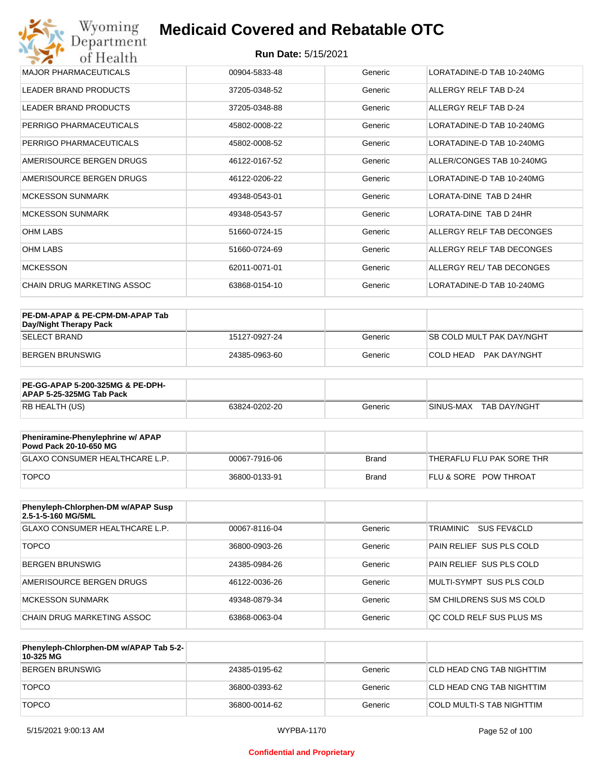| Wyoming<br>Department             | <b>Medicaid Covered and Rebatable OTC</b> |         |                                |
|-----------------------------------|-------------------------------------------|---------|--------------------------------|
| of Health                         | <b>Run Date: 5/15/2021</b>                |         |                                |
| <b>MAJOR PHARMACEUTICALS</b>      | 00904-5833-48                             | Generic | LORATADINE-D TAB 10-240MG      |
| <b>LEADER BRAND PRODUCTS</b>      | 37205-0348-52                             | Generic | ALLERGY RELF TAB D-24          |
| <b>LEADER BRAND PRODUCTS</b>      | 37205-0348-88                             | Generic | ALLERGY RELF TAB D-24          |
| PERRIGO PHARMACEUTICALS           | 45802-0008-22                             | Generic | LORATADINE-D TAB 10-240MG      |
| PERRIGO PHARMACEUTICALS           | 45802-0008-52                             | Generic | LORATADINE-D TAB 10-240MG      |
| AMERISOURCE BERGEN DRUGS          | 46122-0167-52                             | Generic | ALLER/CONGES TAB 10-240MG      |
| AMERISOURCE BERGEN DRUGS          | 46122-0206-22                             | Generic | LORATADINE-D TAB 10-240MG      |
| <b>MCKESSON SUNMARK</b>           | 49348-0543-01                             | Generic | <b>I ORATA-DINE TAB D 24HR</b> |
| <b>MCKESSON SUNMARK</b>           | 49348-0543-57                             | Generic | LORATA-DINE TAB D 24HR         |
| <b>OHM LABS</b>                   | 51660-0724-15                             | Generic | ALLERGY RELF TAB DECONGES      |
| <b>OHM LABS</b>                   | 51660-0724-69                             | Generic | ALLERGY RELF TAB DECONGES      |
| <b>MCKESSON</b>                   | 62011-0071-01                             | Generic | ALLERGY REL/ TAB DECONGES      |
| <b>CHAIN DRUG MARKETING ASSOC</b> | 63868-0154-10                             | Generic | LORATADINE-D TAB 10-240MG      |

| PE-DM-APAP & PE-CPM-DM-APAP Tab<br>Day/Night Therapy Pack |               |         |                                  |
|-----------------------------------------------------------|---------------|---------|----------------------------------|
| <b>SELECT BRAND</b>                                       | 15127-0927-24 | Generic | <b>SB COLD MULT PAK DAY/NGHT</b> |
| BERGEN BRUNSWIG                                           | 24385-0963-60 | Generic | PAK DAY/NGHT<br>ICOI D HEAD.     |

| <b>PE-GG-APAP 5-200-325MG &amp; PE-DPH-</b><br>APAP 5-25-325MG Tab Pack |               |         |                           |
|-------------------------------------------------------------------------|---------------|---------|---------------------------|
| RB HEALTH (US)                                                          | 63824-0202-20 | Generic | SINUS-MAX<br>TAB DAY/NGHT |

| Pheniramine-Phenylephrine w/ APAP<br>Powd Pack 20-10-650 MG |               |       |                                  |
|-------------------------------------------------------------|---------------|-------|----------------------------------|
| GLAXO CONSUMER HEALTHCARE L.P.                              | 00067-7916-06 | Brand | 'THERAFLU FLU PAK SORE THR       |
| <b>TOPCO</b>                                                | 36800-0133-91 | Brand | <b>FLU &amp; SORE POW THROAT</b> |

| Phenyleph-Chlorphen-DM w/APAP Susp<br>2.5-1-5-160 MG/5ML |               |         |                          |
|----------------------------------------------------------|---------------|---------|--------------------------|
| GLAXO CONSUMER HEALTHCARE L.P.                           | 00067-8116-04 | Generic | TRIAMINIC<br>SUS FEV&CLD |
| <b>TOPCO</b>                                             | 36800-0903-26 | Generic | PAIN RELIEF SUS PLS COLD |
| <b>BERGEN BRUNSWIG</b>                                   | 24385-0984-26 | Generic | PAIN RELIEF SUS PLS COLD |
| AMERISOURCE BERGEN DRUGS                                 | 46122-0036-26 | Generic | MULTI-SYMPT SUS PLS COLD |
| MCKESSON SUNMARK                                         | 49348-0879-34 | Generic | SM CHILDRENS SUS MS COLD |
| CHAIN DRUG MARKETING ASSOC                               | 63868-0063-04 | Generic | OC COLD RELF SUS PLUS MS |

| Phenyleph-Chlorphen-DM w/APAP Tab 5-2-<br>10-325 MG |               |         |                           |
|-----------------------------------------------------|---------------|---------|---------------------------|
| BERGEN BRUNSWIG                                     | 24385-0195-62 | Generic | CLD HEAD CNG TAB NIGHTTIM |
| <b>TOPCO</b>                                        | 36800-0393-62 | Generic | CLD HEAD CNG TAB NIGHTTIM |
| <b>TOPCO</b>                                        | 36800-0014-62 | Generic | COLD MULTI-S TAB NIGHTTIM |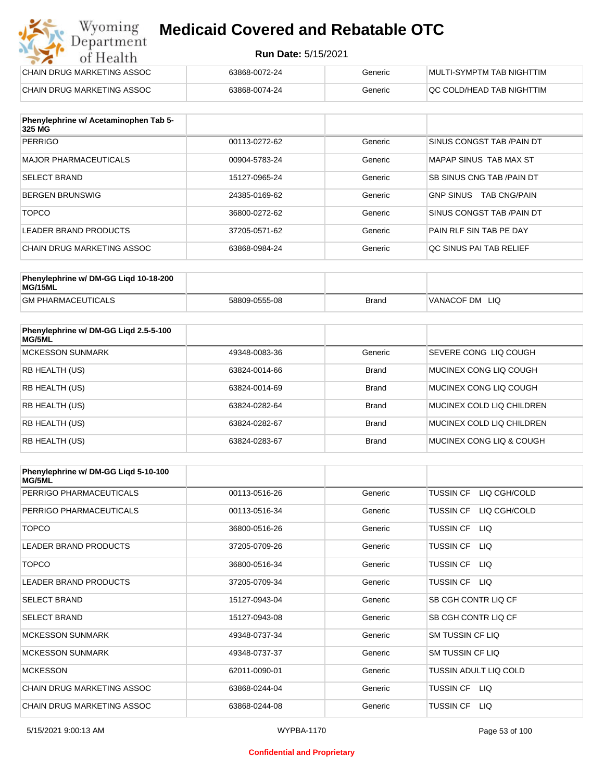#### **Run Date:** 5/15/2021

| Wyoming<br><b>Medicaid Covered and Rebatable OTC</b><br>Department |                            |         |                           |  |
|--------------------------------------------------------------------|----------------------------|---------|---------------------------|--|
| of Health                                                          | <b>Run Date: 5/15/2021</b> |         |                           |  |
| CHAIN DRUG MARKETING ASSOC                                         | 63868-0072-24              | Generic | MULTI-SYMPTM TAB NIGHTTIM |  |
| CHAIN DRUG MARKETING ASSOC                                         | 63868-0074-24              | Generic | QC COLD/HEAD TAB NIGHTTIM |  |

| Phenylephrine w/ Acetaminophen Tab 5-<br>325 MG |               |         |                                         |
|-------------------------------------------------|---------------|---------|-----------------------------------------|
| <b>PERRIGO</b>                                  | 00113-0272-62 | Generic | SINUS CONGST TAB /PAIN DT               |
| MAJOR PHARMACEUTICALS                           | 00904-5783-24 | Generic | MAPAP SINUS TAB MAX ST                  |
| <b>SELECT BRAND</b>                             | 15127-0965-24 | Generic | <b>SB SINUS CNG TAB /PAIN DT</b>        |
| BERGEN BRUNSWIG                                 | 24385-0169-62 | Generic | <b>TAB CNG/PAIN</b><br><b>GNP SINUS</b> |
| <b>TOPCO</b>                                    | 36800-0272-62 | Generic | SINUS CONGST TAB /PAIN DT               |
| LEADER BRAND PRODUCTS                           | 37205-0571-62 | Generic | PAIN RLF SIN TAB PE DAY                 |
| CHAIN DRUG MARKETING ASSOC                      | 63868-0984-24 | Generic | OC SINUS PAI TAB RELIEF                 |

| Phenylephrine w/ DM-GG Ligd 10-18-200<br>MG/15ML |               |              |                   |
|--------------------------------------------------|---------------|--------------|-------------------|
| <b>GM PHARMACEUTICALS</b>                        | 58809-0555-08 | <b>Brand</b> | VANACOF DM<br>LIQ |

| Phenylephrine w/ DM-GG Ligd 2.5-5-100<br>MG/5ML |               |              |                                  |
|-------------------------------------------------|---------------|--------------|----------------------------------|
| <b>MCKESSON SUNMARK</b>                         | 49348-0083-36 | Generic      | SEVERE CONG LIO COUGH            |
| RB HEALTH (US)                                  | 63824-0014-66 | <b>Brand</b> | MUCINEX CONG LIO COUGH           |
| <b>RB HEALTH (US)</b>                           | 63824-0014-69 | <b>Brand</b> | MUCINEX CONG LIO COUGH           |
| <b>RB HEALTH (US)</b>                           | 63824-0282-64 | <b>Brand</b> | MUCINEX COLD LIQ CHILDREN        |
| RB HEALTH (US)                                  | 63824-0282-67 | <b>Brand</b> | <b>MUCINEX COLD LIQ CHILDREN</b> |
| RB HEALTH (US)                                  | 63824-0283-67 | <b>Brand</b> | MUCINEX CONG LIO & COUGH         |

| Phenylephrine w/ DM-GG Ligd 5-10-100<br><b>MG/5ML</b> |               |         |                                  |
|-------------------------------------------------------|---------------|---------|----------------------------------|
| PERRIGO PHARMACEUTICALS                               | 00113-0516-26 | Generic | <b>TUSSIN CF</b><br>LIQ CGH/COLD |
| PERRIGO PHARMACEUTICALS                               | 00113-0516-34 | Generic | LIQ CGH/COLD<br><b>TUSSIN CF</b> |
| <b>TOPCO</b>                                          | 36800-0516-26 | Generic | <b>TUSSIN CF</b><br>LIQ.         |
| <b>LEADER BRAND PRODUCTS</b>                          | 37205-0709-26 | Generic | <b>TUSSIN CF</b><br>LIQ.         |
| <b>TOPCO</b>                                          | 36800-0516-34 | Generic | <b>TUSSIN CF</b><br>LIQ.         |
| <b>LEADER BRAND PRODUCTS</b>                          | 37205-0709-34 | Generic | <b>TUSSIN CF</b><br>LIQ.         |
| <b>SELECT BRAND</b>                                   | 15127-0943-04 | Generic | SB CGH CONTR LIQ CF              |
| <b>SELECT BRAND</b>                                   | 15127-0943-08 | Generic | SB CGH CONTR LIQ CF              |
| <b>MCKESSON SUNMARK</b>                               | 49348-0737-34 | Generic | SM TUSSIN CF LIQ                 |
| <b>MCKESSON SUNMARK</b>                               | 49348-0737-37 | Generic | SM TUSSIN CF LIQ                 |
| <b>MCKESSON</b>                                       | 62011-0090-01 | Generic | TUSSIN ADULT LIQ COLD            |
| <b>CHAIN DRUG MARKETING ASSOC</b>                     | 63868-0244-04 | Generic | <b>TUSSIN CF</b><br>LIQ.         |
| CHAIN DRUG MARKETING ASSOC                            | 63868-0244-08 | Generic | <b>TUSSIN CF</b><br>LIQ.         |

#### **Confidential and Proprietary**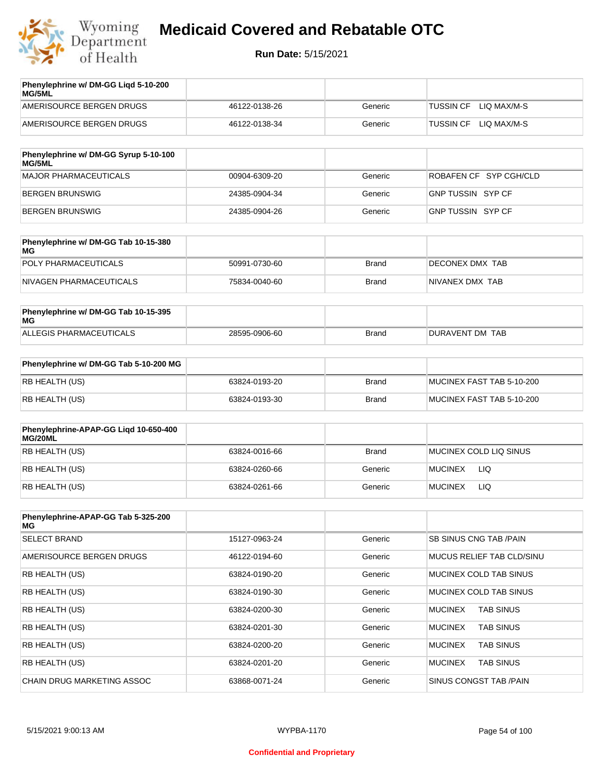

| Phenylephrine w/ DM-GG Ligd 5-10-200<br><b>MG/5ML</b> |               |         |                          |
|-------------------------------------------------------|---------------|---------|--------------------------|
| AMERISOURCE BERGEN DRUGS                              | 46122-0138-26 | Generic | LIO MAX/M-S<br>TUSSIN CF |
| AMERISOURCE BERGEN DRUGS                              | 46122-0138-34 | Generic | LIO MAX/M-S<br>TUSSIN CF |
|                                                       |               |         |                          |

| Phenylephrine w/ DM-GG Syrup 5-10-100<br><b>MG/5ML</b> |               |         |                        |
|--------------------------------------------------------|---------------|---------|------------------------|
| MAJOR PHARMACEUTICALS                                  | 00904-6309-20 | Generic | ROBAFEN CF SYP CGH/CLD |
| BERGEN BRUNSWIG                                        | 24385-0904-34 | Generic | GNP TUSSIN SYP CF      |
| BERGEN BRUNSWIG                                        | 24385-0904-26 | Generic | GNP TUSSIN SYP CF      |

| Phenylephrine w/ DM-GG Tab 10-15-380<br>MG |               |              |                 |
|--------------------------------------------|---------------|--------------|-----------------|
| POLY PHARMACEUTICALS                       | 50991-0730-60 | <b>Brand</b> | DECONEX DMX TAB |
| NIVAGEN PHARMACEUTICALS                    | 75834-0040-60 | Brand        | NIVANEX DMX TAB |

| Phenylephrine w/ DM-GG Tab 10-15-395<br>MG |               |       |                 |
|--------------------------------------------|---------------|-------|-----------------|
| ALLEGIS PHARMACEUTICALS                    | 28595-0906-60 | Brand | DURAVENT DM TAB |

| Phenylephrine w/ DM-GG Tab 5-10-200 MG |               |       |                           |
|----------------------------------------|---------------|-------|---------------------------|
| RB HEALTH (US)                         | 63824-0193-20 | Brand | MUCINEX FAST TAB 5-10-200 |
| RB HEALTH (US)                         | 63824-0193-30 | Brand | MUCINEX FAST TAB 5-10-200 |

| Phenylephrine-APAP-GG Ligd 10-650-400<br>MG/20ML |               |         |                        |
|--------------------------------------------------|---------------|---------|------------------------|
| RB HEALTH (US)                                   | 63824-0016-66 | Brand   | MUCINEX COLD LIQ SINUS |
| RB HEALTH (US)                                   | 63824-0260-66 | Generic | LIQ<br><b>MUCINEX</b>  |
| RB HEALTH (US)                                   | 63824-0261-66 | Generic | <b>MUCINEX</b><br>LIQ  |

| Phenylephrine-APAP-GG Tab 5-325-200<br>MG |               |         |                                    |
|-------------------------------------------|---------------|---------|------------------------------------|
| <b>SELECT BRAND</b>                       | 15127-0963-24 | Generic | SB SINUS CNG TAB / PAIN            |
| AMERISOURCE BERGEN DRUGS                  | 46122-0194-60 | Generic | MUCUS RELIEF TAB CLD/SINU          |
| <b>RB HEALTH (US)</b>                     | 63824-0190-20 | Generic | MUCINEX COLD TAB SINUS             |
| <b>RB HEALTH (US)</b>                     | 63824-0190-30 | Generic | MUCINEX COLD TAB SINUS             |
| <b>RB HEALTH (US)</b>                     | 63824-0200-30 | Generic | <b>TAB SINUS</b><br><b>MUCINEX</b> |
| <b>RB HEALTH (US)</b>                     | 63824-0201-30 | Generic | <b>MUCINEX</b><br><b>TAB SINUS</b> |
| <b>RB HEALTH (US)</b>                     | 63824-0200-20 | Generic | <b>TAB SINUS</b><br><b>MUCINEX</b> |
| <b>RB HEALTH (US)</b>                     | 63824-0201-20 | Generic | <b>MUCINEX</b><br><b>TAB SINUS</b> |
| <b>CHAIN DRUG MARKETING ASSOC</b>         | 63868-0071-24 | Generic | SINUS CONGST TAB /PAIN             |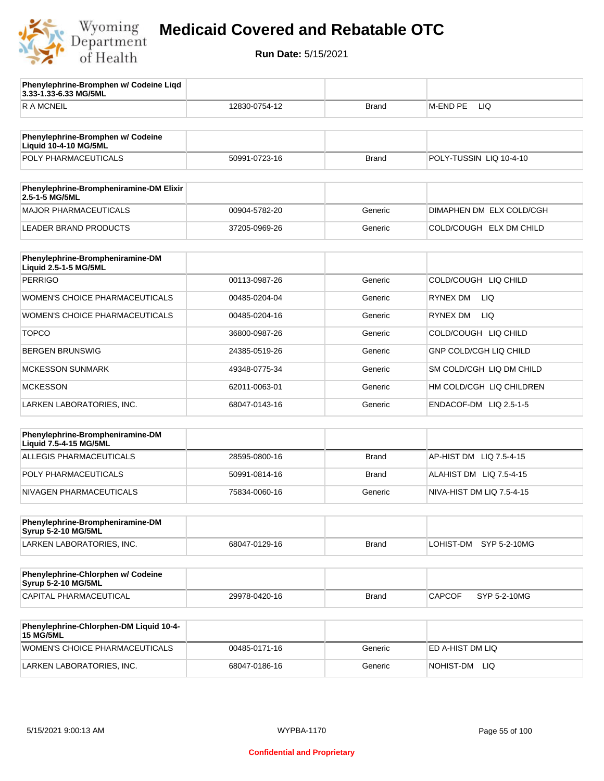

**3.33-1.33-6.33 MG/5ML**

**Phenylephrine-Bromphen w/ Codeine Liqd** 

## **Medicaid Covered and Rebatable OTC**

**Run Date:** 5/15/2021

R A MCNEIL **12830-0754-12 Brand M-END PE LIQ** 

| Phenylephrine-Bromphen w/ Codeine<br><b>Liquid 10-4-10 MG/5ML</b> |               |              |                               |
|-------------------------------------------------------------------|---------------|--------------|-------------------------------|
| POLY PHARMACEUTICALS                                              | 50991-0723-16 | <b>Brand</b> | POLY-TUSSIN LIQ 10-4-10       |
| Phenylephrine-Brompheniramine-DM Elixir                           |               |              |                               |
| 2.5-1-5 MG/5ML                                                    |               |              |                               |
| MAJOR PHARMACEUTICALS                                             | 00904-5782-20 | Generic      | DIMAPHEN DM ELX COLD/CGH      |
| <b>LEADER BRAND PRODUCTS</b>                                      | 37205-0969-26 | Generic      | COLD/COUGH ELX DM CHILD       |
| Phenylephrine-Brompheniramine-DM<br>Liquid 2.5-1-5 MG/5ML         |               |              |                               |
| <b>PERRIGO</b>                                                    | 00113-0987-26 | Generic      | COLD/COUGH LIQ CHILD          |
| <b>WOMEN'S CHOICE PHARMACEUTICALS</b>                             | 00485-0204-04 | Generic      | <b>RYNEX DM</b><br>LIQ.       |
| WOMEN'S CHOICE PHARMACEUTICALS                                    | 00485-0204-16 | Generic      | <b>RYNEX DM</b><br>LIQ.       |
| <b>TOPCO</b>                                                      | 36800-0987-26 | Generic      | COLD/COUGH LIQ CHILD          |
| <b>BERGEN BRUNSWIG</b>                                            | 24385-0519-26 | Generic      | <b>GNP COLD/CGH LIQ CHILD</b> |
| <b>MCKESSON SUNMARK</b>                                           | 49348-0775-34 | Generic      | SM COLD/CGH LIQ DM CHILD      |
| <b>MCKESSON</b>                                                   | 62011-0063-01 | Generic      | HM COLD/CGH LIQ CHILDREN      |
| LARKEN LABORATORIES, INC.                                         | 68047-0143-16 | Generic      | ENDACOF-DM LIQ 2.5-1-5        |
| Phenylephrine-Brompheniramine-DM                                  |               |              |                               |
| Liquid 7.5-4-15 MG/5ML                                            |               |              |                               |
| <b>ALLEGIS PHARMACEUTICALS</b>                                    | 28595-0800-16 | <b>Brand</b> | AP-HIST DM LIQ 7.5-4-15       |
| POLY PHARMACEUTICALS                                              | 50991-0814-16 | <b>Brand</b> | ALAHIST DM LIQ 7.5-4-15       |
| NIVAGEN PHARMACEUTICALS                                           | 75834-0060-16 | Generic      | NIVA-HIST DM LIQ 7.5-4-15     |
|                                                                   |               |              |                               |
| Phenylephrine-Brompheniramine-DM<br><b>Syrup 5-2-10 MG/5ML</b>    |               |              |                               |
| LARKEN LABORATORIES, INC.                                         | 68047-0129-16 | <b>Brand</b> | LOHIST-DM SYP 5-2-10MG        |
|                                                                   |               |              |                               |
| Phenylephrine-Chlorphen w/ Codeine<br><b>Syrup 5-2-10 MG/5ML</b>  |               |              |                               |
| CAPITAL PHARMACEUTICAL                                            | 29978-0420-16 | <b>Brand</b> | <b>CAPCOF</b><br>SYP 5-2-10MG |
| Phenylephrine-Chlorphen-DM Liquid 10-4-<br><b>15 MG/5ML</b>       |               |              |                               |
| <b>WOMEN'S CHOICE PHARMACEUTICALS</b>                             | 00485-0171-16 | Generic      | ED A-HIST DM LIQ              |
| LARKEN LABORATORIES, INC.                                         | 68047-0186-16 | Generic      | NOHIST-DM<br>LIQ.             |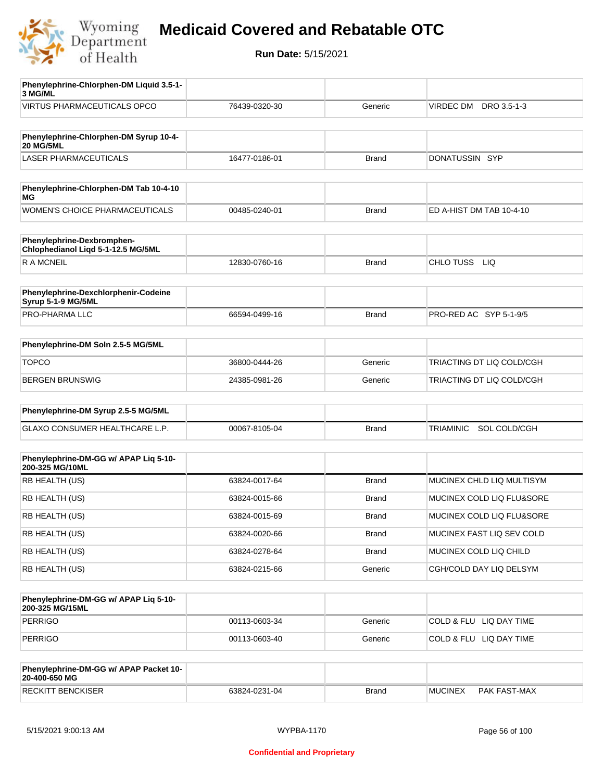

| Phenylephrine-Chlorphen-DM Liquid 3.5-1-<br>3 MG/ML              |               |              |                                  |
|------------------------------------------------------------------|---------------|--------------|----------------------------------|
| <b>VIRTUS PHARMACEUTICALS OPCO</b>                               | 76439-0320-30 | Generic      | VIRDEC DM<br>DRO 3.5-1-3         |
|                                                                  |               |              |                                  |
| Phenylephrine-Chlorphen-DM Syrup 10-4-<br><b>20 MG/5ML</b>       |               |              |                                  |
| <b>LASER PHARMACEUTICALS</b>                                     | 16477-0186-01 | Brand        | DONATUSSIN SYP                   |
|                                                                  |               |              |                                  |
| Phenylephrine-Chlorphen-DM Tab 10-4-10<br>МG                     |               |              |                                  |
| <b>WOMEN'S CHOICE PHARMACEUTICALS</b>                            | 00485-0240-01 | Brand        | ED A-HIST DM TAB 10-4-10         |
|                                                                  |               |              |                                  |
| Phenylephrine-Dexbromphen-<br>Chlophedianol Liqd 5-1-12.5 MG/5ML |               |              |                                  |
| <b>RAMCNEIL</b>                                                  | 12830-0760-16 | <b>Brand</b> | CHLO TUSS<br>LIQ                 |
|                                                                  |               |              |                                  |
| Phenylephrine-Dexchlorphenir-Codeine<br>Syrup 5-1-9 MG/5ML       |               |              |                                  |
| PRO-PHARMA LLC                                                   | 66594-0499-16 | Brand        | PRO-RED AC SYP 5-1-9/5           |
|                                                                  |               |              |                                  |
| Phenylephrine-DM Soln 2.5-5 MG/5ML                               |               |              |                                  |
| <b>TOPCO</b>                                                     | 36800-0444-26 | Generic      | TRIACTING DT LIQ COLD/CGH        |
| BERGEN BRUNSWIG                                                  | 24385-0981-26 | Generic      | TRIACTING DT LIQ COLD/CGH        |
|                                                                  |               |              |                                  |
| Phenylephrine-DM Syrup 2.5-5 MG/5ML                              |               |              |                                  |
| GLAXO CONSUMER HEALTHCARE L.P.                                   | 00067-8105-04 | Brand        | SOL COLD/CGH<br><b>TRIAMINIC</b> |
|                                                                  |               |              |                                  |
| Phenylephrine-DM-GG w/ APAP Liq 5-10-<br>200-325 MG/10ML         |               |              |                                  |
| RB HEALTH (US)                                                   | 63824-0017-64 | <b>Brand</b> | MUCINEX CHLD LIQ MULTISYM        |
| RB HEALTH (US)                                                   | 63824-0015-66 | Brand        | MUCINEX COLD LIQ FLU&SORE        |
| RB HEALTH (US)                                                   | 63824-0015-69 | <b>Brand</b> | MUCINEX COLD LIQ FLU&SORE        |
| RB HEALTH (US)                                                   | 63824-0020-66 | Brand        | MUCINEX FAST LIQ SEV COLD        |
| RB HEALTH (US)                                                   | 63824-0278-64 | <b>Brand</b> | MUCINEX COLD LIQ CHILD           |
| RB HEALTH (US)                                                   | 63824-0215-66 | Generic      | CGH/COLD DAY LIQ DELSYM          |
|                                                                  |               |              |                                  |
| Phenylephrine-DM-GG w/ APAP Liq 5-10-<br>200-325 MG/15ML         |               |              |                                  |
| <b>PERRIGO</b>                                                   | 00113-0603-34 | Generic      | COLD & FLU LIQ DAY TIME          |
| PERRIGO                                                          | 00113-0603-40 | Generic      | COLD & FLU LIQ DAY TIME          |
|                                                                  |               |              |                                  |
| Phenylephrine-DM-GG w/ APAP Packet 10-<br>20-400-650 MG          |               |              |                                  |
| <b>RECKITT BENCKISER</b>                                         | 63824-0231-04 | <b>Brand</b> | <b>MUCINEX</b><br>PAK FAST-MAX   |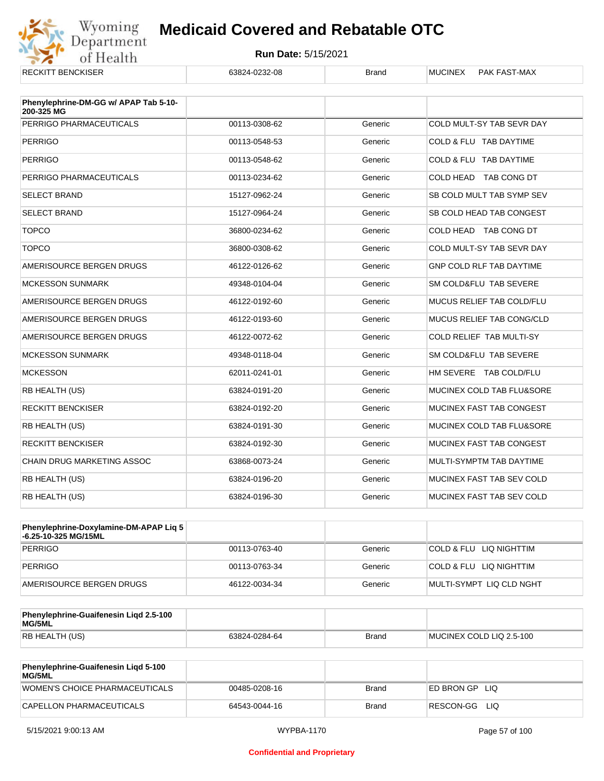

| NEUNTI BENUNJEN                                     | 00024-0202-00 | Pianu   |                                 |
|-----------------------------------------------------|---------------|---------|---------------------------------|
| Phenylephrine-DM-GG w/ APAP Tab 5-10-<br>200-325 MG |               |         |                                 |
| PERRIGO PHARMACEUTICALS                             | 00113-0308-62 | Generic | COLD MULT-SY TAB SEVR DAY       |
| <b>PERRIGO</b>                                      | 00113-0548-53 | Generic | COLD & FLU TAB DAYTIME          |
| <b>PERRIGO</b>                                      | 00113-0548-62 | Generic | COLD & FLU TAB DAYTIME          |
| PERRIGO PHARMACEUTICALS                             | 00113-0234-62 | Generic | COLD HEAD TAB CONG DT           |
| <b>SELECT BRAND</b>                                 | 15127-0962-24 | Generic | SB COLD MULT TAB SYMP SEV       |
| <b>SELECT BRAND</b>                                 | 15127-0964-24 | Generic | SB COLD HEAD TAB CONGEST        |
| <b>TOPCO</b>                                        | 36800-0234-62 | Generic | COLD HEAD TAB CONG DT           |
| <b>TOPCO</b>                                        | 36800-0308-62 | Generic | COLD MULT-SY TAB SEVR DAY       |
| AMERISOURCE BERGEN DRUGS                            | 46122-0126-62 | Generic | <b>GNP COLD RLF TAB DAYTIME</b> |
| <b>MCKESSON SUNMARK</b>                             | 49348-0104-04 | Generic | SM COLD&FLU TAB SEVERE          |
| AMERISOURCE BERGEN DRUGS                            | 46122-0192-60 | Generic | MUCUS RELIEF TAB COLD/FLU       |
| AMERISOURCE BERGEN DRUGS                            | 46122-0193-60 | Generic | MUCUS RELIEF TAB CONG/CLD       |
| AMERISOURCE BERGEN DRUGS                            | 46122-0072-62 | Generic | <b>COLD RELIEF TAB MULTI-SY</b> |
| <b>MCKESSON SUNMARK</b>                             | 49348-0118-04 | Generic | SM COLD&FLU TAB SEVERE          |
| <b>MCKESSON</b>                                     | 62011-0241-01 | Generic | HM SEVERE TAB COLD/FLU          |
| RB HEALTH (US)                                      | 63824-0191-20 | Generic | MUCINEX COLD TAB FLU&SORE       |
| <b>RECKITT BENCKISER</b>                            | 63824-0192-20 | Generic | MUCINEX FAST TAB CONGEST        |
| <b>RB HEALTH (US)</b>                               | 63824-0191-30 | Generic | MUCINEX COLD TAB FLU&SORE       |
| <b>RECKITT BENCKISER</b>                            | 63824-0192-30 | Generic | MUCINEX FAST TAB CONGEST        |
| <b>CHAIN DRUG MARKETING ASSOC</b>                   | 63868-0073-24 | Generic | MULTI-SYMPTM TAB DAYTIME        |
| RB HEALTH (US)                                      | 63824-0196-20 | Generic | MUCINEX FAST TAB SEV COLD       |
| RB HEALTH (US)                                      | 63824-0196-30 | Generic | MUCINEX FAST TAB SEV COLD       |

| Phenylephrine-Doxylamine-DM-APAP Liq 5<br>⊦6.25-10-325 MG/15ML |               |         |                          |
|----------------------------------------------------------------|---------------|---------|--------------------------|
| PERRIGO                                                        | 00113-0763-40 | Generic | COLD & FLU LIQ NIGHTTIM  |
| PERRIGO                                                        | 00113-0763-34 | Generic | COLD & FLU LIQ NIGHTTIM  |
| AMERISOURCE BERGEN DRUGS                                       | 46122-0034-34 | Generic | MULTI-SYMPT LIQ CLD NGHT |

| Phenylephrine-Guaifenesin Ligd 2.5-100<br>MG/5ML |               |              |                          |
|--------------------------------------------------|---------------|--------------|--------------------------|
| RB HEALTH (US)                                   | 63824-0284-64 | <b>Brand</b> | MUCINEX COLD LIQ 2.5-100 |

| <b>Phenylephrine-Guaifenesin Ligd 5-100</b><br><b>MG/5ML</b> |               |       |                    |
|--------------------------------------------------------------|---------------|-------|--------------------|
| WOMEN'S CHOICE PHARMACEUTICALS                               | 00485-0208-16 | Brand | ED BRON GP<br>-LIQ |
| CAPELLON PHARMACEUTICALS                                     | 64543-0044-16 | Brand | RESCON-GG<br>LIQ   |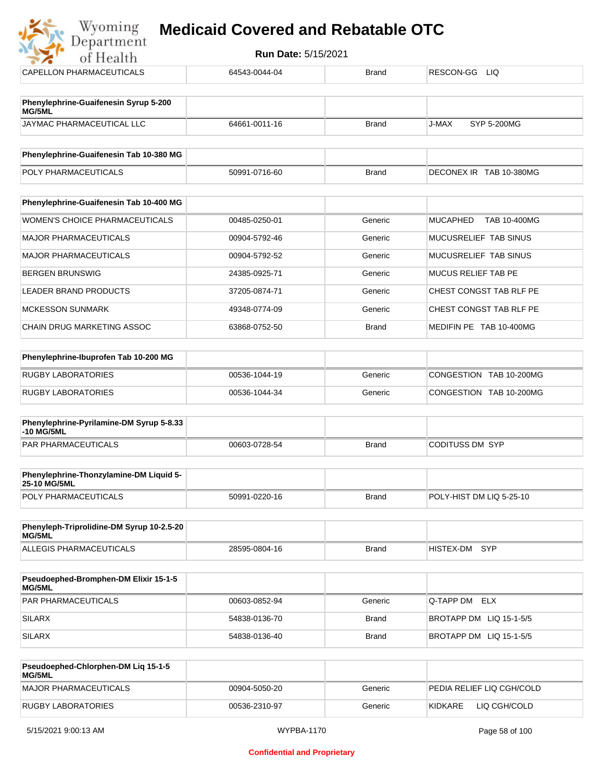| Department<br><b>Run Date: 5/15/2021</b><br>of Health |               |              |                                 |  |  |
|-------------------------------------------------------|---------------|--------------|---------------------------------|--|--|
| CAPELLON PHARMACEUTICALS                              | 64543-0044-04 | <b>Brand</b> | RESCON-GG<br><b>LIQ</b>         |  |  |
| Phenylephrine-Guaifenesin Syrup 5-200<br>MG/5ML       |               |              |                                 |  |  |
| JAYMAC PHARMACEUTICAL LLC                             | 64661-0011-16 | <b>Brand</b> | J-MAX<br>SYP 5-200MG            |  |  |
| Phenylephrine-Guaifenesin Tab 10-380 MG               |               |              |                                 |  |  |
| POLY PHARMACEUTICALS                                  | 50991-0716-60 | <b>Brand</b> | DECONEX IR TAB 10-380MG         |  |  |
| Phenylephrine-Guaifenesin Tab 10-400 MG               |               |              |                                 |  |  |
| <b>WOMEN'S CHOICE PHARMACEUTICALS</b>                 | 00485-0250-01 | Generic      | <b>MUCAPHED</b><br>TAB 10-400MG |  |  |
| <b>MAJOR PHARMACEUTICALS</b>                          | 00904-5792-46 | Generic      | MUCUSRELIEF TAB SINUS           |  |  |
| <b>MAJOR PHARMACEUTICALS</b>                          | 00904-5792-52 | Generic      | MUCUSRELIEF TAB SINUS           |  |  |
| <b>BERGEN BRUNSWIG</b>                                | 24385-0925-71 | Generic      | <b>MUCUS RELIEF TAB PE</b>      |  |  |
| <b>LEADER BRAND PRODUCTS</b>                          | 37205-0874-71 | Generic      | CHEST CONGST TAB RLF PE         |  |  |
| <b>MCKESSON SUNMARK</b>                               | 49348-0774-09 | Generic      | CHEST CONGST TAB RLF PE         |  |  |
| <b>CHAIN DRUG MARKETING ASSOC</b>                     | 63868-0752-50 | <b>Brand</b> | MEDIFIN PE TAB 10-400MG         |  |  |
| Phenylephrine-Ibuprofen Tab 10-200 MG                 |               |              |                                 |  |  |
| <b>RUGBY LABORATORIES</b>                             | 00536-1044-19 | Generic      | CONGESTION TAB 10-200MG         |  |  |
| <b>RUGBY LABORATORIES</b>                             | 00536-1044-34 | Generic      | CONGESTION TAB 10-200MG         |  |  |

| Phenylephrine-Pyrilamine-DM Syrup 5-8.33<br>-10 MG/5ML |               |              |                 |
|--------------------------------------------------------|---------------|--------------|-----------------|
| <b>PAR PHARMACEUTICALS</b>                             | 00603-0728-54 | <b>Brand</b> | CODITUSS DM SYP |

| <b>Phenylephrine-Thonzylamine-DM Liquid 5-</b><br><b>25-10 MG/5ML</b> |               |       |                          |
|-----------------------------------------------------------------------|---------------|-------|--------------------------|
| <b>POLY PHARMACEUTICALS</b>                                           | 50991-0220-16 | Brand | POLY-HIST DM LIQ 5-25-10 |

| Phenyleph-Triprolidine-DM Syrup 10-2.5-20<br>MG/5ML |               |       |               |  |
|-----------------------------------------------------|---------------|-------|---------------|--|
| ALLEGIS PHARMACEUTICALS                             | 28595-0804-16 | Brand | HISTEX-DM SYP |  |

| <b>Pseudoephed-Bromphen-DM Elixir 15-1-5</b><br><b>MG/5ML</b> |               |         |                         |
|---------------------------------------------------------------|---------------|---------|-------------------------|
| <b>PAR PHARMACEUTICALS</b>                                    | 00603-0852-94 | Generic | <b>Q-TAPP DM ELX</b>    |
| <b>SILARX</b>                                                 | 54838-0136-70 | Brand   | BROTAPP DM LIQ 15-1-5/5 |
| <b>SILARX</b>                                                 | 54838-0136-40 | Brand   | BROTAPP DM LIQ 15-1-5/5 |

| Pseudoephed-Chlorphen-DM Lig 15-1-5<br><b>MG/5ML</b> |               |         |                           |
|------------------------------------------------------|---------------|---------|---------------------------|
| MAJOR PHARMACEUTICALS                                | 00904-5050-20 | Generic | PEDIA RELIEF LIO CGH/COLD |
| RUGBY LABORATORIES                                   | 00536-2310-97 | Generic | KIDKARE<br>LIQ CGH/COLD   |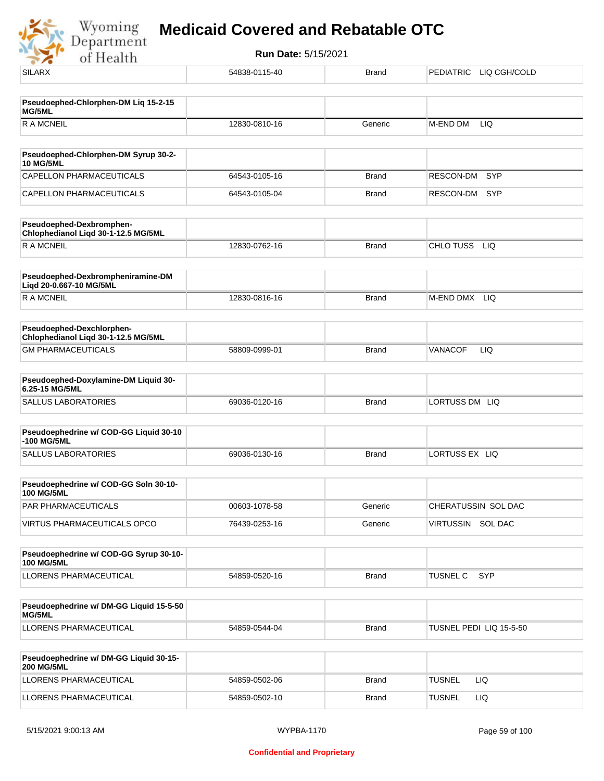Wyoming<br>Department<br>of Health

| .                                                                |               |              |                               |
|------------------------------------------------------------------|---------------|--------------|-------------------------------|
| <b>SILARX</b>                                                    | 54838-0115-40 | <b>Brand</b> | PEDIATRIC LIQ CGH/COLD        |
|                                                                  |               |              |                               |
| Pseudoephed-Chlorphen-DM Liq 15-2-15<br>MG/5ML                   |               |              |                               |
| <b>RAMCNEIL</b>                                                  | 12830-0810-16 | Generic      | <b>LIQ</b><br><b>M-END DM</b> |
| Pseudoephed-Chlorphen-DM Syrup 30-2-                             |               |              |                               |
| <b>10 MG/5ML</b>                                                 |               |              |                               |
| CAPELLON PHARMACEUTICALS                                         | 64543-0105-16 | <b>Brand</b> | SYP<br>RESCON-DM              |
| CAPELLON PHARMACEUTICALS                                         | 64543-0105-04 | <b>Brand</b> | RESCON-DM<br>SYP              |
| Pseudoephed-Dexbromphen-<br>Chlophedianol Liqd 30-1-12.5 MG/5ML  |               |              |                               |
| <b>RAMCNEIL</b>                                                  | 12830-0762-16 | <b>Brand</b> | CHLO TUSS LIQ                 |
| Pseudoephed-Dexbrompheniramine-DM<br>Liqd 20-0.667-10 MG/5ML     |               |              |                               |
| R A MCNEIL                                                       | 12830-0816-16 | <b>Brand</b> | <b>LIQ</b><br>M-END DMX       |
| Pseudoephed-Dexchlorphen-<br>Chlophedianol Liqd 30-1-12.5 MG/5ML |               |              |                               |
| <b>GM PHARMACEUTICALS</b>                                        | 58809-0999-01 | <b>Brand</b> | VANACOF<br>LIQ                |
| Pseudoephed-Doxylamine-DM Liquid 30-                             |               |              |                               |
| 6.25-15 MG/5ML                                                   |               |              |                               |
| <b>SALLUS LABORATORIES</b>                                       | 69036-0120-16 | <b>Brand</b> | LORTUSS DM LIQ                |
| Pseudoephedrine w/ COD-GG Liquid 30-10<br>-100 MG/5ML            |               |              |                               |
| <b>SALLUS LABORATORIES</b>                                       | 69036-0130-16 | <b>Brand</b> | LORTUSS EX LIQ                |
| Pseudoephedrine w/ COD-GG Soln 30-10-<br><b>100 MG/5ML</b>       |               |              |                               |
| PAR PHARMACEUTICALS                                              | 00603-1078-58 | Generic      | CHERATUSSIN SOL DAC           |
| <b>VIRTUS PHARMACEUTICALS OPCO</b>                               | 76439-0253-16 | Generic      | VIRTUSSIN SOL DAC             |
| Pseudoephedrine w/ COD-GG Syrup 30-10-<br><b>100 MG/5ML</b>      |               |              |                               |
| LLORENS PHARMACEUTICAL                                           | 54859-0520-16 | <b>Brand</b> | <b>SYP</b><br><b>TUSNEL C</b> |
|                                                                  |               |              |                               |
| Pseudoephedrine w/ DM-GG Liquid 15-5-50<br>MG/5ML                |               |              |                               |
| <b>LLORENS PHARMACEUTICAL</b>                                    | 54859-0544-04 | <b>Brand</b> | TUSNEL PEDI LIQ 15-5-50       |
| Pseudoephedrine w/ DM-GG Liquid 30-15-<br><b>200 MG/5ML</b>      |               |              |                               |
| LLORENS PHARMACEUTICAL                                           | 54859-0502-06 | <b>Brand</b> | <b>TUSNEL</b><br>LIQ.         |
| LLORENS PHARMACEUTICAL                                           | 54859-0502-10 | <b>Brand</b> | <b>TUSNEL</b><br><b>LIQ</b>   |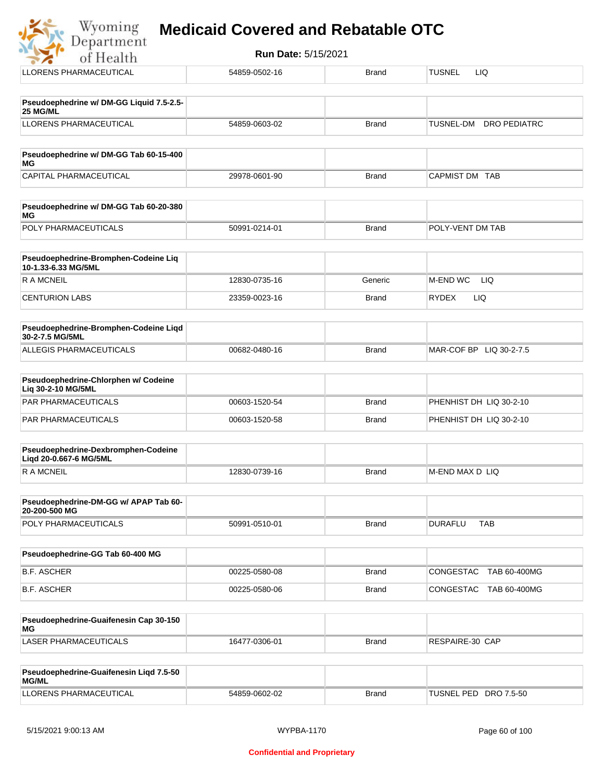|  |  | <b>Medicaid Covered and Rebatable OTC</b> |  |
|--|--|-------------------------------------------|--|
|  |  |                                           |  |

| $\mathbbm{W}$ yoming<br><b>Medicaid Covered and Rebatable OTC</b><br>Department |               |                            |                              |  |  |
|---------------------------------------------------------------------------------|---------------|----------------------------|------------------------------|--|--|
| of Health                                                                       |               | <b>Run Date: 5/15/2021</b> |                              |  |  |
| LLORENS PHARMACEUTICAL                                                          | 54859-0502-16 | <b>Brand</b>               | <b>TUSNEL</b><br><b>LIQ</b>  |  |  |
| Pseudoephedrine w/ DM-GG Liquid 7.5-2.5-<br>25 MG/ML                            |               |                            |                              |  |  |
| <b>LLORENS PHARMACEUTICAL</b>                                                   | 54859-0603-02 | <b>Brand</b>               | TUSNEL-DM<br>DRO PEDIATRC    |  |  |
| Pseudoephedrine w/ DM-GG Tab 60-15-400<br>МG                                    |               |                            |                              |  |  |
| CAPITAL PHARMACEUTICAL                                                          | 29978-0601-90 | <b>Brand</b>               | CAPMIST DM TAB               |  |  |
| Pseudoephedrine w/ DM-GG Tab 60-20-380<br>МG                                    |               |                            |                              |  |  |
| POLY PHARMACEUTICALS                                                            | 50991-0214-01 | <b>Brand</b>               | POLY-VENT DM TAB             |  |  |
| Pseudoephedrine-Bromphen-Codeine Liq<br>10-1.33-6.33 MG/5ML                     |               |                            |                              |  |  |
| R A MCNEIL                                                                      | 12830-0735-16 | Generic                    | <b>M-END WC</b><br>LIQ.      |  |  |
| <b>CENTURION LABS</b>                                                           | 23359-0023-16 | <b>Brand</b>               | LIQ<br><b>RYDEX</b>          |  |  |
| Pseudoephedrine-Bromphen-Codeine Liqd<br>30-2-7.5 MG/5ML                        |               |                            |                              |  |  |
| ALLEGIS PHARMACEUTICALS                                                         | 00682-0480-16 | <b>Brand</b>               | MAR-COF BP LIQ 30-2-7.5      |  |  |
| Pseudoephedrine-Chlorphen w/ Codeine<br>Lig 30-2-10 MG/5ML                      |               |                            |                              |  |  |
| <b>PAR PHARMACEUTICALS</b>                                                      | 00603-1520-54 | <b>Brand</b>               | PHENHIST DH LIQ 30-2-10      |  |  |
| <b>PAR PHARMACEUTICALS</b>                                                      | 00603-1520-58 | <b>Brand</b>               | PHENHIST DH LIQ 30-2-10      |  |  |
| Pseudoephedrine-Dexbromphen-Codeine<br>Liqd 20-0.667-6 MG/5ML                   |               |                            |                              |  |  |
| R A MCNEIL                                                                      | 12830-0739-16 | <b>Brand</b>               | M-END MAX D LIQ              |  |  |
| Pseudoephedrine-DM-GG w/ APAP Tab 60-<br>20-200-500 MG                          |               |                            |                              |  |  |
| POLY PHARMACEUTICALS                                                            | 50991-0510-01 | <b>Brand</b>               | <b>DURAFLU</b><br><b>TAB</b> |  |  |
| Pseudoephedrine-GG Tab 60-400 MG                                                |               |                            |                              |  |  |
| <b>B.F. ASCHER</b>                                                              | 00225-0580-08 | Brand                      | CONGESTAC TAB 60-400MG       |  |  |
| <b>B.F. ASCHER</b>                                                              | 00225-0580-06 | Brand                      | CONGESTAC TAB 60-400MG       |  |  |
| Pseudoephedrine-Guaifenesin Cap 30-150<br>МG                                    |               |                            |                              |  |  |
| LASER PHARMACEUTICALS                                                           | 16477-0306-01 | <b>Brand</b>               | RESPAIRE-30 CAP              |  |  |

| <b>Pseudoephedrine-Guaifenesin Ligd 7.5-50</b><br>MG/ML |               |              |                       |
|---------------------------------------------------------|---------------|--------------|-----------------------|
| LLORENS PHARMACEUTICAL                                  | 54859-0602-02 | <b>Brand</b> | TUSNEL PED DRO 7.5-50 |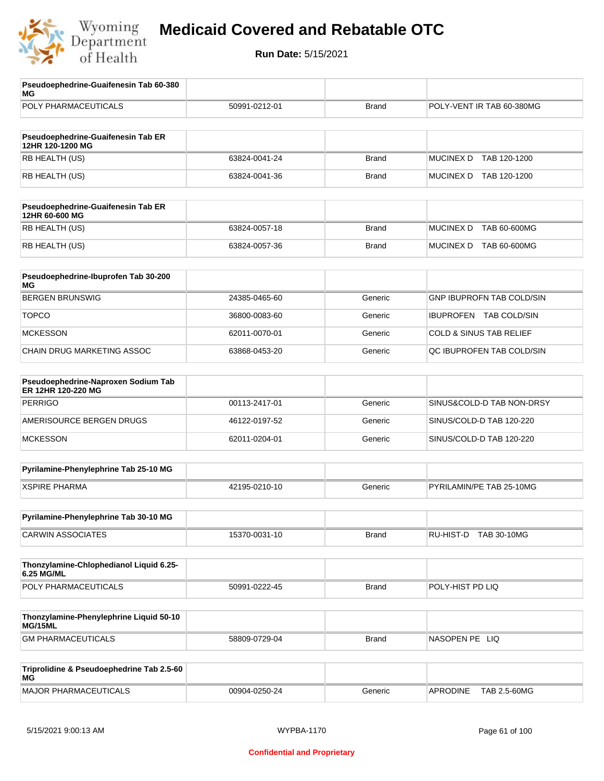

| Pseudoephedrine-Guaifenesin Tab 60-380<br>MG              |               |              |                                    |
|-----------------------------------------------------------|---------------|--------------|------------------------------------|
| POLY PHARMACEUTICALS                                      | 50991-0212-01 | <b>Brand</b> | POLY-VENT IR TAB 60-380MG          |
| Pseudoephedrine-Guaifenesin Tab ER<br>12HR 120-1200 MG    |               |              |                                    |
| RB HEALTH (US)                                            | 63824-0041-24 | <b>Brand</b> | <b>MUCINEX D</b><br>TAB 120-1200   |
| RB HEALTH (US)                                            | 63824-0041-36 | <b>Brand</b> | MUCINEX D TAB 120-1200             |
| Pseudoephedrine-Guaifenesin Tab ER<br>12HR 60-600 MG      |               |              |                                    |
| RB HEALTH (US)                                            | 63824-0057-18 | <b>Brand</b> | <b>MUCINEX D</b><br>TAB 60-600MG   |
| RB HEALTH (US)                                            | 63824-0057-36 | <b>Brand</b> | MUCINEX D TAB 60-600MG             |
| Pseudoephedrine-Ibuprofen Tab 30-200<br>MG                |               |              |                                    |
| <b>BERGEN BRUNSWIG</b>                                    | 24385-0465-60 | Generic      | GNP IBUPROFN TAB COLD/SIN          |
| <b>TOPCO</b>                                              | 36800-0083-60 | Generic      | IBUPROFEN TAB COLD/SIN             |
| <b>MCKESSON</b>                                           | 62011-0070-01 | Generic      | <b>COLD &amp; SINUS TAB RELIEF</b> |
| CHAIN DRUG MARKETING ASSOC                                | 63868-0453-20 | Generic      | QC IBUPROFEN TAB COLD/SIN          |
| Pseudoephedrine-Naproxen Sodium Tab<br>ER 12HR 120-220 MG |               |              |                                    |
| <b>PERRIGO</b>                                            | 00113-2417-01 | Generic      | SINUS&COLD-D TAB NON-DRSY          |
| AMERISOURCE BERGEN DRUGS                                  | 46122-0197-52 | Generic      | SINUS/COLD-D TAB 120-220           |
| <b>MCKESSON</b>                                           | 62011-0204-01 | Generic      | SINUS/COLD-D TAB 120-220           |
| Pyrilamine-Phenylephrine Tab 25-10 MG                     |               |              |                                    |
| <b>XSPIRE PHARMA</b>                                      | 42195-0210-10 | Generic      | PYRILAMIN/PE TAB 25-10MG           |
| Pyrilamine-Phenylephrine Tab 30-10 MG                     |               |              |                                    |
| <b>CARWIN ASSOCIATES</b>                                  | 15370-0031-10 | Brand        | RU-HIST-D<br>TAB 30-10MG           |
| Thonzylamine-Chlophedianol Liquid 6.25-<br>6.25 MG/ML     |               |              |                                    |
| POLY PHARMACEUTICALS                                      | 50991-0222-45 | Brand        | POLY-HIST PD LIQ                   |
| Thonzylamine-Phenylephrine Liquid 50-10<br>MG/15ML        |               |              |                                    |
| <b>GM PHARMACEUTICALS</b>                                 | 58809-0729-04 | <b>Brand</b> | NASOPEN PE LIQ                     |
| Triprolidine & Pseudoephedrine Tab 2.5-60<br>ΜG           |               |              |                                    |
| <b>MAJOR PHARMACEUTICALS</b>                              | 00904-0250-24 | Generic      | TAB 2.5-60MG<br><b>APRODINE</b>    |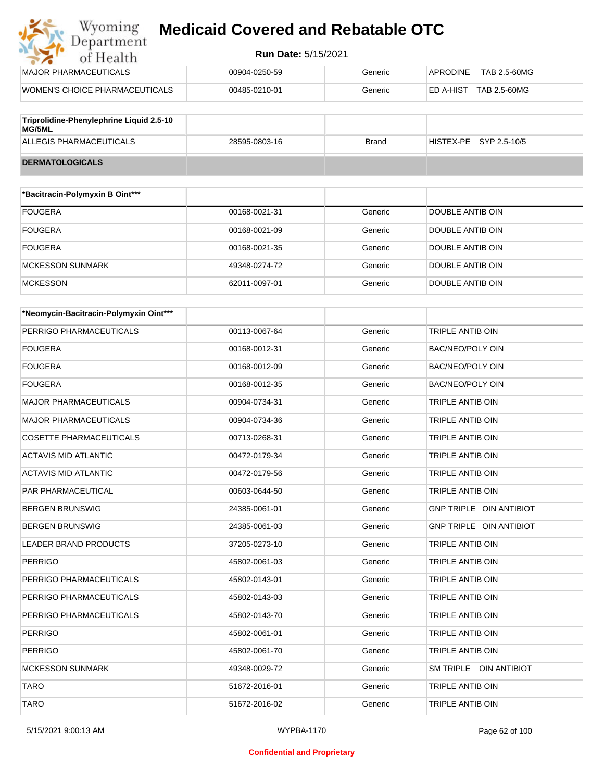#### **Run Date:** 5/15/2021

| Wyoming<br><b>Medicaid Covered and Rebatable OTC</b><br>Department |                            |         |                           |  |  |
|--------------------------------------------------------------------|----------------------------|---------|---------------------------|--|--|
| of Health                                                          | <b>Run Date: 5/15/2021</b> |         |                           |  |  |
| MAJOR PHARMACEUTICALS                                              | 00904-0250-59              | Generic | APRODINE<br>TAB 2.5-60MG  |  |  |
| WOMEN'S CHOICE PHARMACEUTICALS                                     | 00485-0210-01              | Generic | ED A-HIST<br>TAB 2.5-60MG |  |  |
|                                                                    |                            |         |                           |  |  |

| Triprolidine-Phenylephrine Liquid 2.5-10<br><b>MG/5ML</b> |               |       |                        |
|-----------------------------------------------------------|---------------|-------|------------------------|
| ALLEGIS PHARMACEUTICALS                                   | 28595-0803-16 | Brand | HISTEX-PE SYP 2.5-10/5 |
| <b>DERMATOLOGICALS</b>                                    |               |       |                        |

| *Bacitracin-Polymyxin B Oint*** |               |         |                  |
|---------------------------------|---------------|---------|------------------|
| <b>FOUGERA</b>                  | 00168-0021-31 | Generic | DOUBLE ANTIB OIN |
| <b>FOUGERA</b>                  | 00168-0021-09 | Generic | DOUBLE ANTIB OIN |
| <b>FOUGERA</b>                  | 00168-0021-35 | Generic | DOUBLE ANTIB OIN |
| MCKESSON SUNMARK                | 49348-0274-72 | Generic | DOUBLE ANTIB OIN |
| <b>MCKESSON</b>                 | 62011-0097-01 | Generic | DOUBLE ANTIB OIN |

| *Neomycin-Bacitracin-Polymyxin Oint*** |               |         |                         |
|----------------------------------------|---------------|---------|-------------------------|
| PERRIGO PHARMACEUTICALS                | 00113-0067-64 | Generic | <b>TRIPLE ANTIB OIN</b> |
| <b>FOUGERA</b>                         | 00168-0012-31 | Generic | <b>BAC/NEO/POLY OIN</b> |
| <b>FOUGERA</b>                         | 00168-0012-09 | Generic | <b>BAC/NEO/POLY OIN</b> |
| <b>FOUGERA</b>                         | 00168-0012-35 | Generic | <b>BAC/NEO/POLY OIN</b> |
| <b>MAJOR PHARMACEUTICALS</b>           | 00904-0734-31 | Generic | <b>TRIPLE ANTIB OIN</b> |
| <b>MAJOR PHARMACEUTICALS</b>           | 00904-0734-36 | Generic | TRIPLE ANTIB OIN        |
| <b>COSETTE PHARMACEUTICALS</b>         | 00713-0268-31 | Generic | TRIPLE ANTIB OIN        |
| <b>ACTAVIS MID ATLANTIC</b>            | 00472-0179-34 | Generic | TRIPLE ANTIB OIN        |
| <b>ACTAVIS MID ATLANTIC</b>            | 00472-0179-56 | Generic | TRIPLE ANTIB OIN        |
| <b>PAR PHARMACEUTICAL</b>              | 00603-0644-50 | Generic | TRIPLE ANTIB OIN        |
| <b>BERGEN BRUNSWIG</b>                 | 24385-0061-01 | Generic | GNP TRIPLE OIN ANTIBIOT |
| <b>BERGEN BRUNSWIG</b>                 | 24385-0061-03 | Generic | GNP TRIPLE OIN ANTIBIOT |
| <b>LEADER BRAND PRODUCTS</b>           | 37205-0273-10 | Generic | <b>TRIPLE ANTIB OIN</b> |
| <b>PERRIGO</b>                         | 45802-0061-03 | Generic | <b>TRIPLE ANTIB OIN</b> |
| PERRIGO PHARMACEUTICALS                | 45802-0143-01 | Generic | TRIPLE ANTIB OIN        |
| PERRIGO PHARMACEUTICALS                | 45802-0143-03 | Generic | TRIPLE ANTIB OIN        |
| PERRIGO PHARMACEUTICALS                | 45802-0143-70 | Generic | TRIPLE ANTIB OIN        |
| <b>PERRIGO</b>                         | 45802-0061-01 | Generic | TRIPLE ANTIB OIN        |
| <b>PERRIGO</b>                         | 45802-0061-70 | Generic | TRIPLE ANTIB OIN        |
| <b>MCKESSON SUNMARK</b>                | 49348-0029-72 | Generic | SM TRIPLE OIN ANTIBIOT  |
| <b>TARO</b>                            | 51672-2016-01 | Generic | TRIPLE ANTIB OIN        |
| <b>TARO</b>                            | 51672-2016-02 | Generic | <b>TRIPLE ANTIB OIN</b> |

5/15/2021 9:00:13 AM WYPBA-1170 Page 62 of 100

#### **Confidential and Proprietary**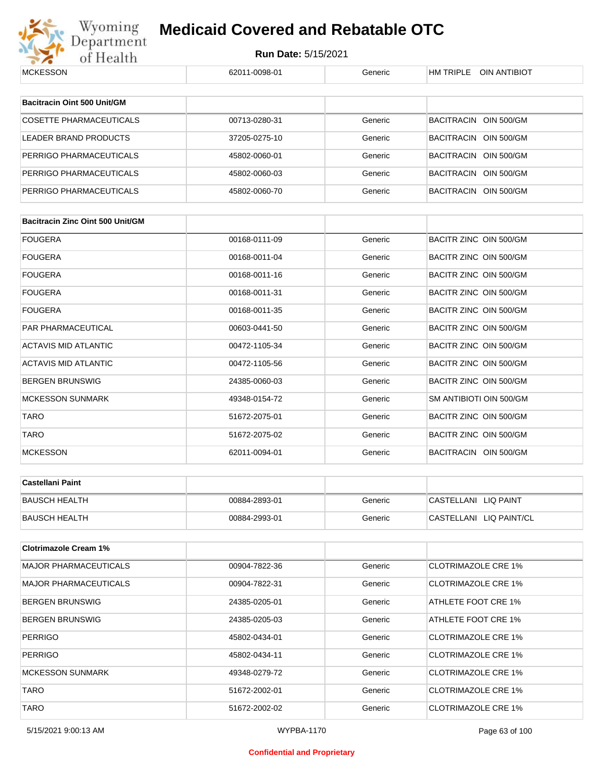

| <b>MCKESSON</b>                         | 62011-0098-01 | Generic | HM TRIPLE OIN ANTIBIOT     |
|-----------------------------------------|---------------|---------|----------------------------|
|                                         |               |         |                            |
| Bacitracin Oint 500 Unit/GM             |               |         |                            |
| <b>COSETTE PHARMACEUTICALS</b>          | 00713-0280-31 | Generic | BACITRACIN OIN 500/GM      |
| LEADER BRAND PRODUCTS                   | 37205-0275-10 | Generic | BACITRACIN OIN 500/GM      |
| PERRIGO PHARMACEUTICALS                 | 45802-0060-01 | Generic | BACITRACIN OIN 500/GM      |
| PERRIGO PHARMACEUTICALS                 | 45802-0060-03 | Generic | BACITRACIN OIN 500/GM      |
| PERRIGO PHARMACEUTICALS                 | 45802-0060-70 | Generic | BACITRACIN OIN 500/GM      |
|                                         |               |         |                            |
| <b>Bacitracin Zinc Oint 500 Unit/GM</b> |               |         |                            |
| FOUGERA                                 | 00168-0111-09 | Generic | BACITR ZINC OIN 500/GM     |
| FOUGERA                                 | 00168-0011-04 | Generic | BACITR ZINC OIN 500/GM     |
| FOUGERA                                 | 00168-0011-16 | Generic | BACITR ZINC OIN 500/GM     |
| FOUGERA                                 | 00168-0011-31 | Generic | BACITR ZINC OIN 500/GM     |
| FOUGERA                                 | 00168-0011-35 | Generic | BACITR ZINC OIN 500/GM     |
| PAR PHARMACEUTICAL                      | 00603-0441-50 | Generic | BACITR ZINC OIN 500/GM     |
| ACTAVIS MID ATLANTIC                    | 00472-1105-34 | Generic | BACITR ZINC OIN 500/GM     |
| ACTAVIS MID ATLANTIC                    | 00472-1105-56 | Generic | BACITR ZINC OIN 500/GM     |
| BERGEN BRUNSWIG                         | 24385-0060-03 | Generic | BACITR ZINC OIN 500/GM     |
| <b>MCKESSON SUNMARK</b>                 | 49348-0154-72 | Generic | SM ANTIBIOTI OIN 500/GM    |
| <b>TARO</b>                             | 51672-2075-01 | Generic | BACITR ZINC OIN 500/GM     |
| TARO                                    | 51672-2075-02 | Generic | BACITR ZINC OIN 500/GM     |
| <b>MCKESSON</b>                         | 62011-0094-01 | Generic | BACITRACIN OIN 500/GM      |
|                                         |               |         |                            |
| <b>Castellani Paint</b>                 |               |         |                            |
| <b>BAUSCH HEALTH</b>                    | 00884-2893-01 | Generic | CASTELLANI LIQ PAINT       |
| <b>BAUSCH HEALTH</b>                    | 00884-2993-01 | Generic | CASTELLANI LIQ PAINT/CL    |
| <b>Clotrimazole Cream 1%</b>            |               |         |                            |
| <b>MAJOR PHARMACEUTICALS</b>            | 00904-7822-36 | Generic | <b>CLOTRIMAZOLE CRE 1%</b> |
| <b>MAJOR PHARMACEUTICALS</b>            | 00904-7822-31 | Generic | <b>CLOTRIMAZOLE CRE 1%</b> |
| BERGEN BRUNSWIG                         | 24385-0205-01 | Generic | ATHLETE FOOT CRE 1%        |
| BERGEN BRUNSWIG                         |               |         | ATHLETE FOOT CRE 1%        |
|                                         | 24385-0205-03 | Generic |                            |
| PERRIGO                                 | 45802-0434-01 | Generic | <b>CLOTRIMAZOLE CRE 1%</b> |
| PERRIGO                                 | 45802-0434-11 | Generic | <b>CLOTRIMAZOLE CRE 1%</b> |
| MCKESSON SUNMARK                        | 49348-0279-72 | Generic | <b>CLOTRIMAZOLE CRE 1%</b> |
| TARO                                    | 51672-2002-01 | Generic | <b>CLOTRIMAZOLE CRE 1%</b> |
| <b>TARO</b>                             | 51672-2002-02 | Generic | <b>CLOTRIMAZOLE CRE 1%</b> |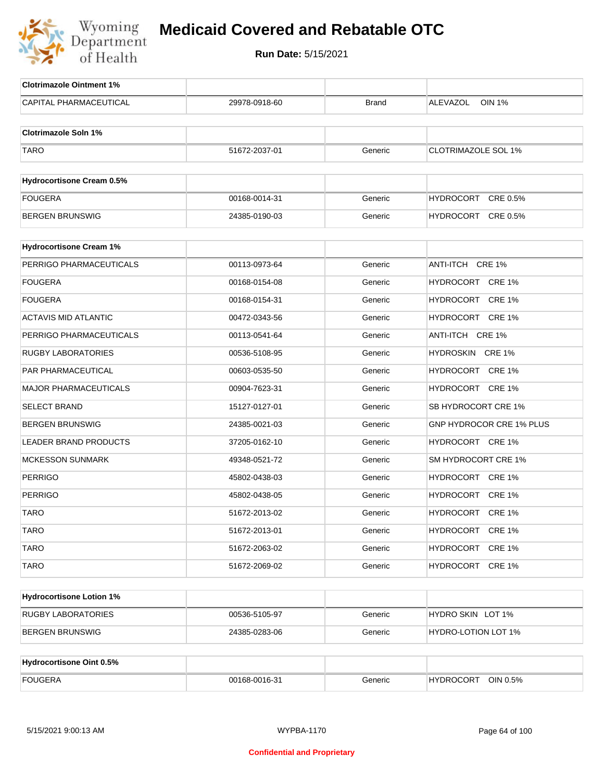

| <b>Clotrimazole Ointment 1%</b>  |               |              |                            |
|----------------------------------|---------------|--------------|----------------------------|
| CAPITAL PHARMACEUTICAL           | 29978-0918-60 | <b>Brand</b> | <b>OIN 1%</b><br>ALEVAZOL  |
|                                  |               |              |                            |
| <b>Clotrimazole Soln 1%</b>      |               |              |                            |
| <b>TARO</b>                      | 51672-2037-01 | Generic      | <b>CLOTRIMAZOLE SOL 1%</b> |
|                                  |               |              |                            |
| <b>Hydrocortisone Cream 0.5%</b> |               |              |                            |
| <b>FOUGERA</b>                   | 00168-0014-31 | Generic      | HYDROCORT CRE 0.5%         |
| <b>BERGEN BRUNSWIG</b>           | 24385-0190-03 | Generic      | HYDROCORT CRE 0.5%         |
|                                  |               |              |                            |
| <b>Hydrocortisone Cream 1%</b>   |               |              |                            |
| PERRIGO PHARMACEUTICALS          | 00113-0973-64 | Generic      | ANTI-ITCH CRE 1%           |
| <b>FOUGERA</b>                   | 00168-0154-08 | Generic      | HYDROCORT CRE 1%           |
| <b>FOUGERA</b>                   | 00168-0154-31 | Generic      | HYDROCORT CRE 1%           |
| <b>ACTAVIS MID ATLANTIC</b>      | 00472-0343-56 | Generic      | HYDROCORT CRE 1%           |
| PERRIGO PHARMACEUTICALS          | 00113-0541-64 | Generic      | ANTI-ITCH CRE 1%           |
| <b>RUGBY LABORATORIES</b>        | 00536-5108-95 | Generic      | HYDROSKIN CRE 1%           |
| PAR PHARMACEUTICAL               | 00603-0535-50 | Generic      | HYDROCORT CRE 1%           |
| <b>MAJOR PHARMACEUTICALS</b>     | 00904-7623-31 | Generic      | HYDROCORT CRE 1%           |
| <b>SELECT BRAND</b>              | 15127-0127-01 | Generic      | SB HYDROCORT CRE 1%        |
| <b>BERGEN BRUNSWIG</b>           | 24385-0021-03 | Generic      | GNP HYDROCOR CRE 1% PLUS   |
| LEADER BRAND PRODUCTS            | 37205-0162-10 | Generic      | HYDROCORT CRE 1%           |
| <b>MCKESSON SUNMARK</b>          | 49348-0521-72 | Generic      | SM HYDROCORT CRE 1%        |
| <b>PERRIGO</b>                   | 45802-0438-03 | Generic      | HYDROCORT CRE 1%           |
| <b>PERRIGO</b>                   | 45802-0438-05 | Generic      | HYDROCORT CRE 1%           |
| <b>TARO</b>                      | 51672-2013-02 | Generic      | HYDROCORT CRE 1%           |
| <b>TARO</b>                      | 51672-2013-01 | Generic      | HYDROCORT CRE 1%           |
| <b>TARO</b>                      | 51672-2063-02 | Generic      | HYDROCORT CRE 1%           |
| <b>TARO</b>                      | 51672-2069-02 | Generic      | HYDROCORT CRE 1%           |
|                                  |               |              |                            |
| <b>Hydrocortisone Lotion 1%</b>  |               |              |                            |
| <b>RUGBY LABORATORIES</b>        | 00536-5105-97 | Generic      | HYDRO SKIN LOT 1%          |
| <b>BERGEN BRUNSWIG</b>           | 24385-0283-06 | Generic      | HYDRO-LOTION LOT 1%        |
|                                  |               |              |                            |
| <b>Hydrocortisone Oint 0.5%</b>  |               |              |                            |
| <b>FOUGERA</b>                   | 00168-0016-31 | Generic      | HYDROCORT OIN 0.5%         |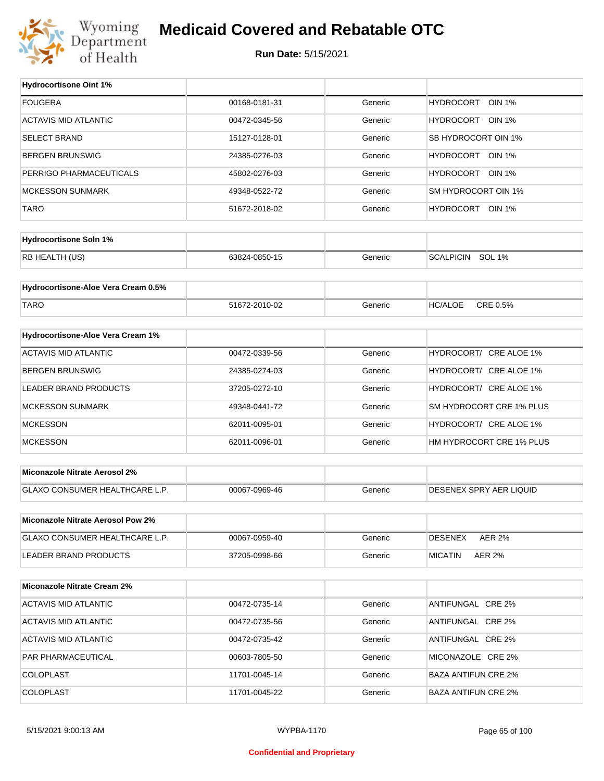

#### **Medicaid Covered and Rebatable OTC**

**Run Date:** 5/15/2021

T

| <b>Hydrocortisone Oint 1%</b>            |               |         |                                   |
|------------------------------------------|---------------|---------|-----------------------------------|
| <b>FOUGERA</b>                           | 00168-0181-31 | Generic | <b>HYDROCORT</b><br><b>OIN 1%</b> |
| <b>ACTAVIS MID ATLANTIC</b>              | 00472-0345-56 | Generic | HYDROCORT<br>OIN 1%               |
| <b>SELECT BRAND</b>                      | 15127-0128-01 | Generic | SB HYDROCORT OIN 1%               |
| <b>BERGEN BRUNSWIG</b>                   | 24385-0276-03 | Generic | HYDROCORT OIN 1%                  |
| PERRIGO PHARMACEUTICALS                  | 45802-0276-03 | Generic | HYDROCORT OIN 1%                  |
| <b>MCKESSON SUNMARK</b>                  | 49348-0522-72 | Generic | SM HYDROCORT OIN 1%               |
| <b>TARO</b>                              | 51672-2018-02 | Generic | HYDROCORT OIN 1%                  |
|                                          |               |         |                                   |
| <b>Hydrocortisone Soln 1%</b>            |               |         |                                   |
| RB HEALTH (US)                           | 63824-0850-15 | Generic | <b>SCALPICIN</b><br><b>SOL 1%</b> |
| Hydrocortisone-Aloe Vera Cream 0.5%      |               |         |                                   |
|                                          |               |         |                                   |
| <b>TARO</b>                              | 51672-2010-02 | Generic | CRE 0.5%<br><b>HC/ALOE</b>        |
| Hydrocortisone-Aloe Vera Cream 1%        |               |         |                                   |
| <b>ACTAVIS MID ATLANTIC</b>              | 00472-0339-56 | Generic | HYDROCORT/ CRE ALOE 1%            |
| <b>BERGEN BRUNSWIG</b>                   | 24385-0274-03 | Generic | HYDROCORT/ CRE ALOE 1%            |
|                                          |               |         |                                   |
| <b>LEADER BRAND PRODUCTS</b>             | 37205-0272-10 | Generic | HYDROCORT/ CRE ALOE 1%            |
| <b>MCKESSON SUNMARK</b>                  | 49348-0441-72 | Generic | SM HYDROCORT CRE 1% PLUS          |
| <b>MCKESSON</b>                          | 62011-0095-01 | Generic | HYDROCORT/ CRE ALOE 1%            |
| <b>MCKESSON</b>                          | 62011-0096-01 | Generic | HM HYDROCORT CRE 1% PLUS          |
| <b>Miconazole Nitrate Aerosol 2%</b>     |               |         |                                   |
|                                          |               |         |                                   |
| GLAXO CONSUMER HEALTHCARE L.P.           | 00067-0969-46 | Generic | DESENEX SPRY AER LIQUID           |
| <b>Miconazole Nitrate Aerosol Pow 2%</b> |               |         |                                   |
| GLAXO CONSUMER HEALTHCARE L.P.           | 00067-0959-40 | Generic | <b>DESENEX</b><br><b>AER 2%</b>   |
| LEADER BRAND PRODUCTS                    | 37205-0998-66 | Generic | <b>AER 2%</b><br><b>MICATIN</b>   |
|                                          |               |         |                                   |
| <b>Miconazole Nitrate Cream 2%</b>       |               |         |                                   |
| <b>ACTAVIS MID ATLANTIC</b>              | 00472-0735-14 | Generic | ANTIFUNGAL CRE 2%                 |
| <b>ACTAVIS MID ATLANTIC</b>              | 00472-0735-56 | Generic | ANTIFUNGAL CRE 2%                 |
| <b>ACTAVIS MID ATLANTIC</b>              | 00472-0735-42 | Generic | ANTIFUNGAL CRE 2%                 |
| PAR PHARMACEUTICAL                       | 00603-7805-50 | Generic | MICONAZOLE CRE 2%                 |
| <b>COLOPLAST</b>                         | 11701-0045-14 | Generic | <b>BAZA ANTIFUN CRE 2%</b>        |
| <b>COLOPLAST</b>                         | 11701-0045-22 | Generic | <b>BAZA ANTIFUN CRE 2%</b>        |
|                                          |               |         |                                   |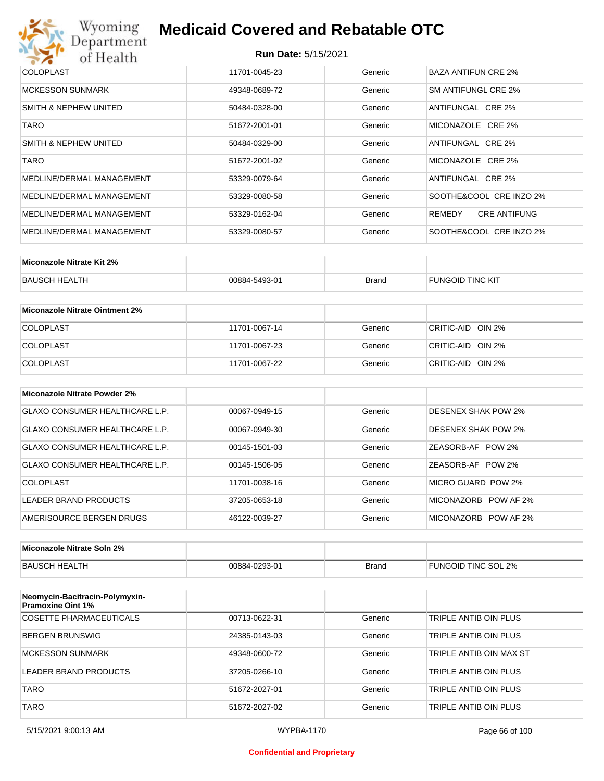

#### **Run Date:** 5/15/2021

| <b>COLOPLAST</b>          | 11701-0045-23 | Generic | BAZA ANTIFUN CRE 2%           |
|---------------------------|---------------|---------|-------------------------------|
| <b>MCKESSON SUNMARK</b>   | 49348-0689-72 | Generic | SM ANTIFUNGL CRE 2%           |
| SMITH & NEPHEW UNITED     | 50484-0328-00 | Generic | ANTIFUNGAL CRE 2%             |
| TARO                      | 51672-2001-01 | Generic | MICONAZOLE CRE 2%             |
| SMITH & NEPHEW UNITED     | 50484-0329-00 | Generic | ANTIFUNGAL CRE 2%             |
| TARO                      | 51672-2001-02 | Generic | MICONAZOLE CRE 2%             |
| MEDLINE/DERMAL MANAGEMENT | 53329-0079-64 | Generic | ANTIFUNGAL CRE 2%             |
| MEDLINE/DERMAL MANAGEMENT | 53329-0080-58 | Generic | SOOTHE&COOL CRE INZO 2%       |
| MEDLINE/DERMAL MANAGEMENT | 53329-0162-04 | Generic | <b>CRE ANTIFUNG</b><br>REMEDY |
| MEDLINE/DERMAL MANAGEMENT | 53329-0080-57 | Generic | SOOTHE&COOL CRE INZO 2%       |

| Miconazole Nitrate Kit 2% |               |              |                         |
|---------------------------|---------------|--------------|-------------------------|
| BAUSCH HEALTH             | 00884-5493-01 | <b>Brand</b> | <b>FUNGOID TINC KIT</b> |

| Miconazole Nitrate Ointment 2% |               |         |                   |
|--------------------------------|---------------|---------|-------------------|
| <b>COLOPLAST</b>               | 11701-0067-14 | Generic | CRITIC-AID OIN 2% |
| <b>COLOPLAST</b>               | 11701-0067-23 | Generic | CRITIC-AID OIN 2% |
| <b>COLOPLAST</b>               | 11701-0067-22 | Generic | CRITIC-AID OIN 2% |

| Miconazole Nitrate Powder 2%   |               |         |                            |
|--------------------------------|---------------|---------|----------------------------|
| GLAXO CONSUMER HEALTHCARE L.P. | 00067-0949-15 | Generic | <b>DESENEX SHAK POW 2%</b> |
| GLAXO CONSUMER HEALTHCARE L.P. | 00067-0949-30 | Generic | <b>DESENEX SHAK POW 2%</b> |
| GLAXO CONSUMER HEALTHCARE L.P. | 00145-1501-03 | Generic | ZEASORB-AF POW 2%          |
| GLAXO CONSUMER HEALTHCARE L.P. | 00145-1506-05 | Generic | ZEASORB-AF POW 2%          |
| COLOPLAST                      | 11701-0038-16 | Generic | MICRO GUARD POW 2%         |
| LEADER BRAND PRODUCTS          | 37205-0653-18 | Generic | MICONAZORB<br>POW AF 2%    |
| AMERISOURCE BERGEN DRUGS       | 46122-0039-27 | Generic | MICONAZORB POW AF 2%       |

| Miconazole Nitrate Soln 2% |                             |       |                           |
|----------------------------|-----------------------------|-------|---------------------------|
| <b>BAUSC</b><br>.TH        | $-0293-01$<br>$\bigcap$ RRA | Brand | TINC SOL<br>2%<br>FUNGOID |

| Neomycin-Bacitracin-Polymyxin-<br><b>Pramoxine Oint 1%</b> |               |         |                         |
|------------------------------------------------------------|---------------|---------|-------------------------|
| COSETTE PHARMACEUTICALS                                    | 00713-0622-31 | Generic | TRIPLE ANTIB OIN PLUS   |
| BERGEN BRUNSWIG                                            | 24385-0143-03 | Generic | TRIPLE ANTIB OIN PLUS   |
| <b>MCKESSON SUNMARK</b>                                    | 49348-0600-72 | Generic | TRIPLE ANTIB OIN MAX ST |
| LEADER BRAND PRODUCTS                                      | 37205-0266-10 | Generic | TRIPLE ANTIB OIN PLUS   |
| <b>TARO</b>                                                | 51672-2027-01 | Generic | TRIPLE ANTIB OIN PLUS   |
| <b>TARO</b>                                                | 51672-2027-02 | Generic | TRIPLE ANTIB OIN PLUS   |

#### **Confidential and Proprietary**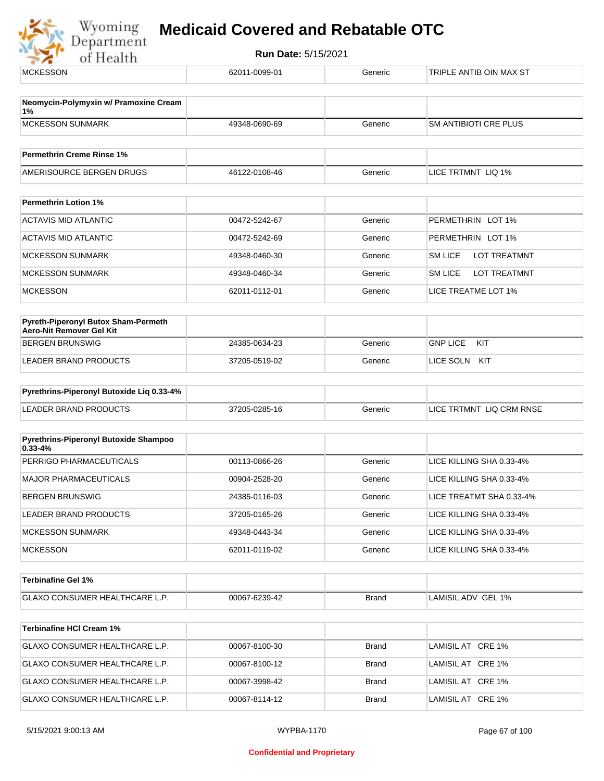Wyoming<br>Department<br>of Health

| Neomycin-Polymyxin w/ Pramoxine Cream<br>1%<br><b>MCKESSON SUNMARK</b><br><b>SM ANTIBIOTI CRE PLUS</b><br>49348-0690-69<br>Generic<br><b>Permethrin Creme Rinse 1%</b><br>AMERISOURCE BERGEN DRUGS<br>LICE TRTMNT LIQ 1%<br>46122-0108-46<br>Generic<br><b>Permethrin Lotion 1%</b><br><b>ACTAVIS MID ATLANTIC</b><br>PERMETHRIN LOT 1%<br>00472-5242-67<br>Generic<br><b>ACTAVIS MID ATLANTIC</b><br>PERMETHRIN LOT 1%<br>00472-5242-69<br>Generic<br>SM LICE<br><b>LOT TREATMNT</b><br><b>MCKESSON SUNMARK</b><br>49348-0460-30<br>Generic<br><b>LOT TREATMNT</b><br><b>MCKESSON SUNMARK</b><br>49348-0460-34<br>SM LICE<br>Generic<br>LICE TREATME LOT 1%<br><b>MCKESSON</b><br>62011-0112-01<br>Generic<br>Pyreth-Piperonyl Butox Sham-Permeth<br>Aero-Nit Remover Gel Kit<br><b>GNP LICE</b><br>KIT<br><b>BERGEN BRUNSWIG</b><br>24385-0634-23<br>Generic<br>LEADER BRAND PRODUCTS<br>37205-0519-02<br>LICE SOLN KIT<br>Generic<br>Pyrethrins-Piperonyl Butoxide Liq 0.33-4%<br><b>LEADER BRAND PRODUCTS</b><br>37205-0285-16<br>LICE TRTMNT LIQ CRM RNSE<br>Generic<br>Pyrethrins-Piperonyl Butoxide Shampoo<br>$0.33 - 4%$<br>PERRIGO PHARMACEUTICALS<br>00113-0866-26<br>LICE KILLING SHA 0.33-4%<br>Generic<br><b>MAJOR PHARMACEUTICALS</b><br>LICE KILLING SHA 0.33-4%<br>00904-2528-20<br>Generic<br><b>BERGEN BRUNSWIG</b><br>24385-0116-03<br>LICE TREATMT SHA 0.33-4%<br>Generic<br><b>LEADER BRAND PRODUCTS</b><br>37205-0165-26<br>Generic<br>LICE KILLING SHA 0.33-4%<br><b>MCKESSON SUNMARK</b><br>LICE KILLING SHA 0.33-4%<br>49348-0443-34<br>Generic<br><b>MCKESSON</b><br>LICE KILLING SHA 0.33-4%<br>62011-0119-02<br>Generic<br><b>Terbinafine Gel 1%</b><br>GLAXO CONSUMER HEALTHCARE L.P.<br>LAMISIL ADV GEL 1%<br>00067-6239-42<br>Brand<br><b>Terbinafine HCI Cream 1%</b><br>GLAXO CONSUMER HEALTHCARE L.P.<br>00067-8100-30<br><b>Brand</b><br>LAMISIL AT CRE 1%<br>GLAXO CONSUMER HEALTHCARE L.P.<br>LAMISIL AT CRE 1%<br>00067-8100-12<br>Brand<br>GLAXO CONSUMER HEALTHCARE L.P.<br>LAMISIL AT CRE 1%<br>00067-3998-42<br>Brand<br>GLAXO CONSUMER HEALTHCARE L.P.<br>LAMISIL AT CRE 1%<br>00067-8114-12<br>Brand | <b>MCKESSON</b> | 62011-0099-01 | Generic | TRIPLE ANTIB OIN MAX ST |  |
|---------------------------------------------------------------------------------------------------------------------------------------------------------------------------------------------------------------------------------------------------------------------------------------------------------------------------------------------------------------------------------------------------------------------------------------------------------------------------------------------------------------------------------------------------------------------------------------------------------------------------------------------------------------------------------------------------------------------------------------------------------------------------------------------------------------------------------------------------------------------------------------------------------------------------------------------------------------------------------------------------------------------------------------------------------------------------------------------------------------------------------------------------------------------------------------------------------------------------------------------------------------------------------------------------------------------------------------------------------------------------------------------------------------------------------------------------------------------------------------------------------------------------------------------------------------------------------------------------------------------------------------------------------------------------------------------------------------------------------------------------------------------------------------------------------------------------------------------------------------------------------------------------------------------------------------------------------------------------------------------------------------------------------------------------------------------------------------------------------------------------------------------------|-----------------|---------------|---------|-------------------------|--|
|                                                                                                                                                                                                                                                                                                                                                                                                                                                                                                                                                                                                                                                                                                                                                                                                                                                                                                                                                                                                                                                                                                                                                                                                                                                                                                                                                                                                                                                                                                                                                                                                                                                                                                                                                                                                                                                                                                                                                                                                                                                                                                                                                   |                 |               |         |                         |  |
|                                                                                                                                                                                                                                                                                                                                                                                                                                                                                                                                                                                                                                                                                                                                                                                                                                                                                                                                                                                                                                                                                                                                                                                                                                                                                                                                                                                                                                                                                                                                                                                                                                                                                                                                                                                                                                                                                                                                                                                                                                                                                                                                                   |                 |               |         |                         |  |
|                                                                                                                                                                                                                                                                                                                                                                                                                                                                                                                                                                                                                                                                                                                                                                                                                                                                                                                                                                                                                                                                                                                                                                                                                                                                                                                                                                                                                                                                                                                                                                                                                                                                                                                                                                                                                                                                                                                                                                                                                                                                                                                                                   |                 |               |         |                         |  |
|                                                                                                                                                                                                                                                                                                                                                                                                                                                                                                                                                                                                                                                                                                                                                                                                                                                                                                                                                                                                                                                                                                                                                                                                                                                                                                                                                                                                                                                                                                                                                                                                                                                                                                                                                                                                                                                                                                                                                                                                                                                                                                                                                   |                 |               |         |                         |  |
|                                                                                                                                                                                                                                                                                                                                                                                                                                                                                                                                                                                                                                                                                                                                                                                                                                                                                                                                                                                                                                                                                                                                                                                                                                                                                                                                                                                                                                                                                                                                                                                                                                                                                                                                                                                                                                                                                                                                                                                                                                                                                                                                                   |                 |               |         |                         |  |
|                                                                                                                                                                                                                                                                                                                                                                                                                                                                                                                                                                                                                                                                                                                                                                                                                                                                                                                                                                                                                                                                                                                                                                                                                                                                                                                                                                                                                                                                                                                                                                                                                                                                                                                                                                                                                                                                                                                                                                                                                                                                                                                                                   |                 |               |         |                         |  |
|                                                                                                                                                                                                                                                                                                                                                                                                                                                                                                                                                                                                                                                                                                                                                                                                                                                                                                                                                                                                                                                                                                                                                                                                                                                                                                                                                                                                                                                                                                                                                                                                                                                                                                                                                                                                                                                                                                                                                                                                                                                                                                                                                   |                 |               |         |                         |  |
|                                                                                                                                                                                                                                                                                                                                                                                                                                                                                                                                                                                                                                                                                                                                                                                                                                                                                                                                                                                                                                                                                                                                                                                                                                                                                                                                                                                                                                                                                                                                                                                                                                                                                                                                                                                                                                                                                                                                                                                                                                                                                                                                                   |                 |               |         |                         |  |
|                                                                                                                                                                                                                                                                                                                                                                                                                                                                                                                                                                                                                                                                                                                                                                                                                                                                                                                                                                                                                                                                                                                                                                                                                                                                                                                                                                                                                                                                                                                                                                                                                                                                                                                                                                                                                                                                                                                                                                                                                                                                                                                                                   |                 |               |         |                         |  |
|                                                                                                                                                                                                                                                                                                                                                                                                                                                                                                                                                                                                                                                                                                                                                                                                                                                                                                                                                                                                                                                                                                                                                                                                                                                                                                                                                                                                                                                                                                                                                                                                                                                                                                                                                                                                                                                                                                                                                                                                                                                                                                                                                   |                 |               |         |                         |  |
|                                                                                                                                                                                                                                                                                                                                                                                                                                                                                                                                                                                                                                                                                                                                                                                                                                                                                                                                                                                                                                                                                                                                                                                                                                                                                                                                                                                                                                                                                                                                                                                                                                                                                                                                                                                                                                                                                                                                                                                                                                                                                                                                                   |                 |               |         |                         |  |
|                                                                                                                                                                                                                                                                                                                                                                                                                                                                                                                                                                                                                                                                                                                                                                                                                                                                                                                                                                                                                                                                                                                                                                                                                                                                                                                                                                                                                                                                                                                                                                                                                                                                                                                                                                                                                                                                                                                                                                                                                                                                                                                                                   |                 |               |         |                         |  |
|                                                                                                                                                                                                                                                                                                                                                                                                                                                                                                                                                                                                                                                                                                                                                                                                                                                                                                                                                                                                                                                                                                                                                                                                                                                                                                                                                                                                                                                                                                                                                                                                                                                                                                                                                                                                                                                                                                                                                                                                                                                                                                                                                   |                 |               |         |                         |  |
|                                                                                                                                                                                                                                                                                                                                                                                                                                                                                                                                                                                                                                                                                                                                                                                                                                                                                                                                                                                                                                                                                                                                                                                                                                                                                                                                                                                                                                                                                                                                                                                                                                                                                                                                                                                                                                                                                                                                                                                                                                                                                                                                                   |                 |               |         |                         |  |
|                                                                                                                                                                                                                                                                                                                                                                                                                                                                                                                                                                                                                                                                                                                                                                                                                                                                                                                                                                                                                                                                                                                                                                                                                                                                                                                                                                                                                                                                                                                                                                                                                                                                                                                                                                                                                                                                                                                                                                                                                                                                                                                                                   |                 |               |         |                         |  |
|                                                                                                                                                                                                                                                                                                                                                                                                                                                                                                                                                                                                                                                                                                                                                                                                                                                                                                                                                                                                                                                                                                                                                                                                                                                                                                                                                                                                                                                                                                                                                                                                                                                                                                                                                                                                                                                                                                                                                                                                                                                                                                                                                   |                 |               |         |                         |  |
|                                                                                                                                                                                                                                                                                                                                                                                                                                                                                                                                                                                                                                                                                                                                                                                                                                                                                                                                                                                                                                                                                                                                                                                                                                                                                                                                                                                                                                                                                                                                                                                                                                                                                                                                                                                                                                                                                                                                                                                                                                                                                                                                                   |                 |               |         |                         |  |
|                                                                                                                                                                                                                                                                                                                                                                                                                                                                                                                                                                                                                                                                                                                                                                                                                                                                                                                                                                                                                                                                                                                                                                                                                                                                                                                                                                                                                                                                                                                                                                                                                                                                                                                                                                                                                                                                                                                                                                                                                                                                                                                                                   |                 |               |         |                         |  |
|                                                                                                                                                                                                                                                                                                                                                                                                                                                                                                                                                                                                                                                                                                                                                                                                                                                                                                                                                                                                                                                                                                                                                                                                                                                                                                                                                                                                                                                                                                                                                                                                                                                                                                                                                                                                                                                                                                                                                                                                                                                                                                                                                   |                 |               |         |                         |  |
|                                                                                                                                                                                                                                                                                                                                                                                                                                                                                                                                                                                                                                                                                                                                                                                                                                                                                                                                                                                                                                                                                                                                                                                                                                                                                                                                                                                                                                                                                                                                                                                                                                                                                                                                                                                                                                                                                                                                                                                                                                                                                                                                                   |                 |               |         |                         |  |
|                                                                                                                                                                                                                                                                                                                                                                                                                                                                                                                                                                                                                                                                                                                                                                                                                                                                                                                                                                                                                                                                                                                                                                                                                                                                                                                                                                                                                                                                                                                                                                                                                                                                                                                                                                                                                                                                                                                                                                                                                                                                                                                                                   |                 |               |         |                         |  |
|                                                                                                                                                                                                                                                                                                                                                                                                                                                                                                                                                                                                                                                                                                                                                                                                                                                                                                                                                                                                                                                                                                                                                                                                                                                                                                                                                                                                                                                                                                                                                                                                                                                                                                                                                                                                                                                                                                                                                                                                                                                                                                                                                   |                 |               |         |                         |  |
|                                                                                                                                                                                                                                                                                                                                                                                                                                                                                                                                                                                                                                                                                                                                                                                                                                                                                                                                                                                                                                                                                                                                                                                                                                                                                                                                                                                                                                                                                                                                                                                                                                                                                                                                                                                                                                                                                                                                                                                                                                                                                                                                                   |                 |               |         |                         |  |
|                                                                                                                                                                                                                                                                                                                                                                                                                                                                                                                                                                                                                                                                                                                                                                                                                                                                                                                                                                                                                                                                                                                                                                                                                                                                                                                                                                                                                                                                                                                                                                                                                                                                                                                                                                                                                                                                                                                                                                                                                                                                                                                                                   |                 |               |         |                         |  |
|                                                                                                                                                                                                                                                                                                                                                                                                                                                                                                                                                                                                                                                                                                                                                                                                                                                                                                                                                                                                                                                                                                                                                                                                                                                                                                                                                                                                                                                                                                                                                                                                                                                                                                                                                                                                                                                                                                                                                                                                                                                                                                                                                   |                 |               |         |                         |  |
|                                                                                                                                                                                                                                                                                                                                                                                                                                                                                                                                                                                                                                                                                                                                                                                                                                                                                                                                                                                                                                                                                                                                                                                                                                                                                                                                                                                                                                                                                                                                                                                                                                                                                                                                                                                                                                                                                                                                                                                                                                                                                                                                                   |                 |               |         |                         |  |
|                                                                                                                                                                                                                                                                                                                                                                                                                                                                                                                                                                                                                                                                                                                                                                                                                                                                                                                                                                                                                                                                                                                                                                                                                                                                                                                                                                                                                                                                                                                                                                                                                                                                                                                                                                                                                                                                                                                                                                                                                                                                                                                                                   |                 |               |         |                         |  |
|                                                                                                                                                                                                                                                                                                                                                                                                                                                                                                                                                                                                                                                                                                                                                                                                                                                                                                                                                                                                                                                                                                                                                                                                                                                                                                                                                                                                                                                                                                                                                                                                                                                                                                                                                                                                                                                                                                                                                                                                                                                                                                                                                   |                 |               |         |                         |  |
|                                                                                                                                                                                                                                                                                                                                                                                                                                                                                                                                                                                                                                                                                                                                                                                                                                                                                                                                                                                                                                                                                                                                                                                                                                                                                                                                                                                                                                                                                                                                                                                                                                                                                                                                                                                                                                                                                                                                                                                                                                                                                                                                                   |                 |               |         |                         |  |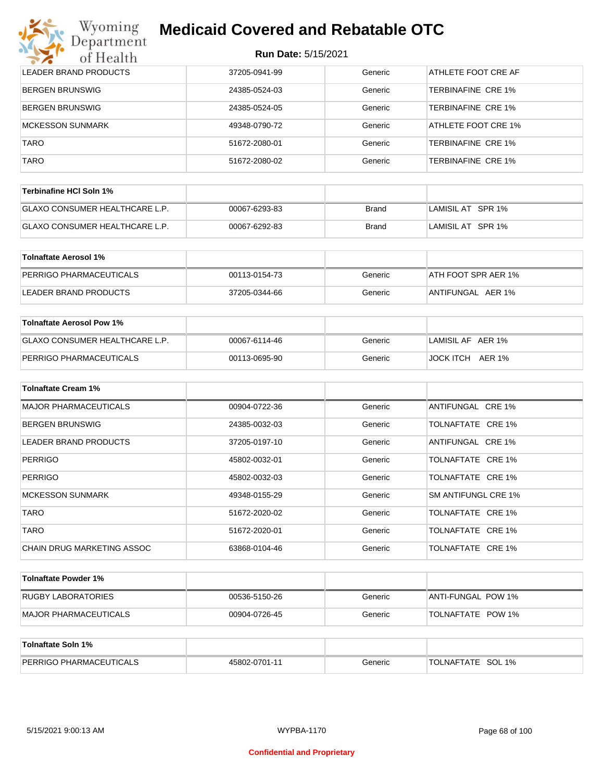#### Wyoming<br>Department **Medicaid Covered and Rebatable OTC**

| of Health                        | <b>Run Date: 5/15/2021</b> |              |                           |
|----------------------------------|----------------------------|--------------|---------------------------|
| <b>LEADER BRAND PRODUCTS</b>     | 37205-0941-99              | Generic      | ATHLETE FOOT CRE AF       |
| <b>BERGEN BRUNSWIG</b>           | 24385-0524-03              | Generic      | <b>TERBINAFINE CRE 1%</b> |
| <b>BERGEN BRUNSWIG</b>           | 24385-0524-05              | Generic      | <b>TERBINAFINE CRE 1%</b> |
| <b>MCKESSON SUNMARK</b>          | 49348-0790-72              | Generic      | ATHLETE FOOT CRE 1%       |
| TARO                             | 51672-2080-01              | Generic      | <b>TERBINAFINE CRE 1%</b> |
| TARO                             | 51672-2080-02              | Generic      | <b>TERBINAFINE CRE 1%</b> |
| <b>Terbinafine HCI Soln 1%</b>   |                            |              |                           |
| GLAXO CONSUMER HEALTHCARE L.P.   | 00067-6293-83              | <b>Brand</b> | LAMISIL AT SPR 1%         |
| GLAXO CONSUMER HEALTHCARE L.P.   | 00067-6292-83              | Brand        | LAMISIL AT SPR 1%         |
| <b>Tolnaftate Aerosol 1%</b>     |                            |              |                           |
| PERRIGO PHARMACEUTICALS          | 00113-0154-73              | Generic      | ATH FOOT SPR AER 1%       |
| <b>LEADER BRAND PRODUCTS</b>     | 37205-0344-66              | Generic      | ANTIFUNGAL AER 1%         |
| <b>Tolnaftate Aerosol Pow 1%</b> |                            |              |                           |
| GLAXO CONSUMER HEALTHCARE L.P.   | 00067-6114-46              | Generic      | LAMISIL AF AER 1%         |
| PERRIGO PHARMACEUTICALS          | 00113-0695-90              | Generic      | JOCK ITCH AER 1%          |
| <b>Tolnaftate Cream 1%</b>       |                            |              |                           |
| <b>MAJOR PHARMACEUTICALS</b>     | 00904-0722-36              | Generic      | ANTIFUNGAL CRE 1%         |
| <b>BERGEN BRUNSWIG</b>           | 24385-0032-03              | Generic      | TOLNAFTATE CRE 1%         |
| <b>LEADER BRAND PRODUCTS</b>     | 37205-0197-10              | Generic      | ANTIFUNGAL CRE 1%         |
| <b>PERRIGO</b>                   | 45802-0032-01              | Generic      | TOLNAFTATE CRE 1%         |
| <b>PERRIGO</b>                   | 45802-0032-03              | Generic      | TOLNAFTATE CRE 1%         |
| MCKESSON SUNMARK                 | 49348-0155-29              | Generic      | SM ANTIFUNGL CRE 1%       |
| <b>TARO</b>                      | 51672-2020-02              | Generic      | TOLNAFTATE CRE 1%         |
| <b>TARO</b>                      | 51672-2020-01              | Generic      | TOLNAFTATE CRE 1%         |
| CHAIN DRUG MARKETING ASSOC       | 63868-0104-46              | Generic      | TOLNAFTATE CRE 1%         |
| <b>Tolnaftate Powder 1%</b>      |                            |              |                           |
| RUGBY LABORATORIES               | 00536-5150-26              | Generic      | ANTI-FUNGAL POW 1%        |
| <b>MAJOR PHARMACEUTICALS</b>     | 00904-0726-45              | Generic      | TOLNAFTATE POW 1%         |
| Tolnaftate Soln 1%               |                            |              |                           |
|                                  |                            |              |                           |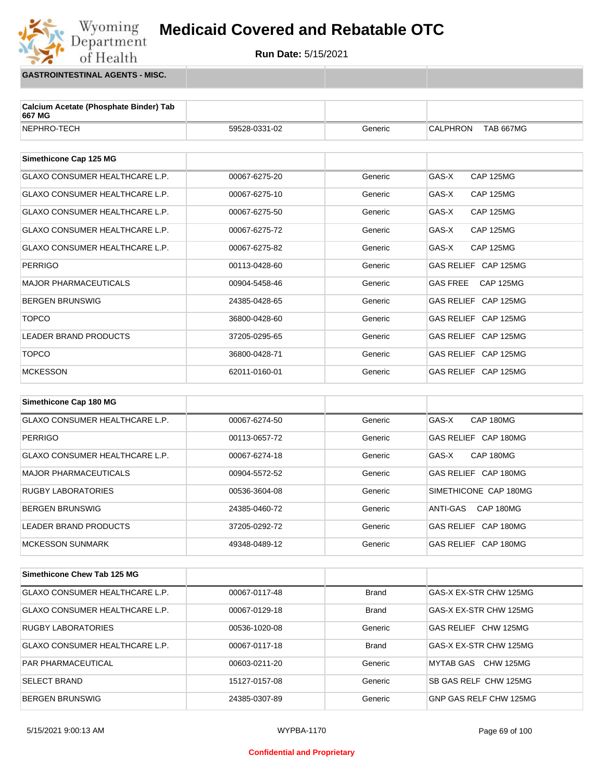#### Wyoming<br>Department **Medicaid Covered and Rebatable OTC**



**GASTROINTESTINAL AGENTS - MISC.**

of Health

| Calcium Acetate (Phosphate Binder) Tab<br>667 MG |               |         |                                     |  |
|--------------------------------------------------|---------------|---------|-------------------------------------|--|
| NEPHRO-TECH                                      | 59528-0331-02 | Generic | <b>CALPHRON</b><br><b>TAB 667MG</b> |  |
|                                                  |               |         |                                     |  |
| Simethicone Cap 125 MG                           |               |         |                                     |  |
| <b>GLAXO CONSUMER HEALTHCARE L.P.</b>            | 00067-6275-20 | Generic | GAS-X<br><b>CAP 125MG</b>           |  |
| <b>GLAXO CONSUMER HEALTHCARE L.P.</b>            | 00067-6275-10 | Generic | GAS-X<br><b>CAP 125MG</b>           |  |
| <b>GLAXO CONSUMER HEALTHCARE L.P.</b>            | 00067-6275-50 | Generic | GAS-X<br><b>CAP 125MG</b>           |  |
| GLAXO CONSUMER HEALTHCARE L.P.                   | 00067-6275-72 | Generic | GAS-X<br><b>CAP 125MG</b>           |  |
| <b>GLAXO CONSUMER HEALTHCARE L.P.</b>            | 00067-6275-82 | Generic | GAS-X<br><b>CAP 125MG</b>           |  |
| <b>PERRIGO</b>                                   | 00113-0428-60 | Generic | GAS RELIEF CAP 125MG                |  |
| <b>MAJOR PHARMACEUTICALS</b>                     | 00904-5458-46 | Generic | <b>GAS FREE</b><br><b>CAP 125MG</b> |  |
| <b>BERGEN BRUNSWIG</b>                           | 24385-0428-65 | Generic | GAS RELIEF CAP 125MG                |  |
| <b>TOPCO</b>                                     | 36800-0428-60 | Generic | GAS RELIEF CAP 125MG                |  |
| <b>LEADER BRAND PRODUCTS</b>                     | 37205-0295-65 | Generic | GAS RELIEF CAP 125MG                |  |
| <b>TOPCO</b>                                     | 36800-0428-71 | Generic | GAS RELIEF CAP 125MG                |  |
| <b>MCKESSON</b>                                  | 62011-0160-01 | Generic | GAS RELIEF CAP 125MG                |  |
| Simethicone Cap 180 MG                           |               |         |                                     |  |
| <b>GLAXO CONSUMER HEALTHCARE L.P.</b>            | 00067-6274-50 | Generic | GAS-X<br>CAP 180MG                  |  |

| <b>GLAXO CONSUMER HEALTHCARE L.P.</b> | 00067-6274-50 | Generic | GAS-X<br>CAP 180MG    |
|---------------------------------------|---------------|---------|-----------------------|
| PERRIGO                               | 00113-0657-72 | Generic | GAS RELIEF CAP 180MG  |
| GLAXO CONSUMER HEALTHCARE L.P.        | 00067-6274-18 | Generic | GAS-X<br>CAP 180MG    |
| MAJOR PHARMACEUTICALS                 | 00904-5572-52 | Generic | GAS RELIEF CAP 180MG  |
| <b>RUGBY LABORATORIES</b>             | 00536-3604-08 | Generic | SIMETHICONE CAP 180MG |
| <b>BERGEN BRUNSWIG</b>                | 24385-0460-72 | Generic | CAP 180MG<br>ANTI-GAS |
| LEADER BRAND PRODUCTS                 | 37205-0292-72 | Generic | GAS RELIEF CAP 180MG  |
| <b>MCKESSON SUNMARK</b>               | 49348-0489-12 | Generic | GAS RELIEF CAP 180MG  |

| Simethicone Chew Tab 125 MG    |               |              |                        |
|--------------------------------|---------------|--------------|------------------------|
| GLAXO CONSUMER HEALTHCARE L.P. | 00067-0117-48 | <b>Brand</b> | GAS-X EX-STR CHW 125MG |
| GLAXO CONSUMER HEALTHCARE L.P. | 00067-0129-18 | <b>Brand</b> | GAS-X EX-STR CHW 125MG |
| <b>RUGBY LABORATORIES</b>      | 00536-1020-08 | Generic      | GAS RELIEF CHW 125MG   |
| GLAXO CONSUMER HEALTHCARE L.P. | 00067-0117-18 | <b>Brand</b> | GAS-X EX-STR CHW 125MG |
| <b>PAR PHARMACEUTICAL</b>      | 00603-0211-20 | Generic      | MYTAB GAS CHW 125MG    |
| <b>SELECT BRAND</b>            | 15127-0157-08 | Generic      | SB GAS RELF CHW 125MG  |
| <b>BERGEN BRUNSWIG</b>         | 24385-0307-89 | Generic      | GNP GAS RELF CHW 125MG |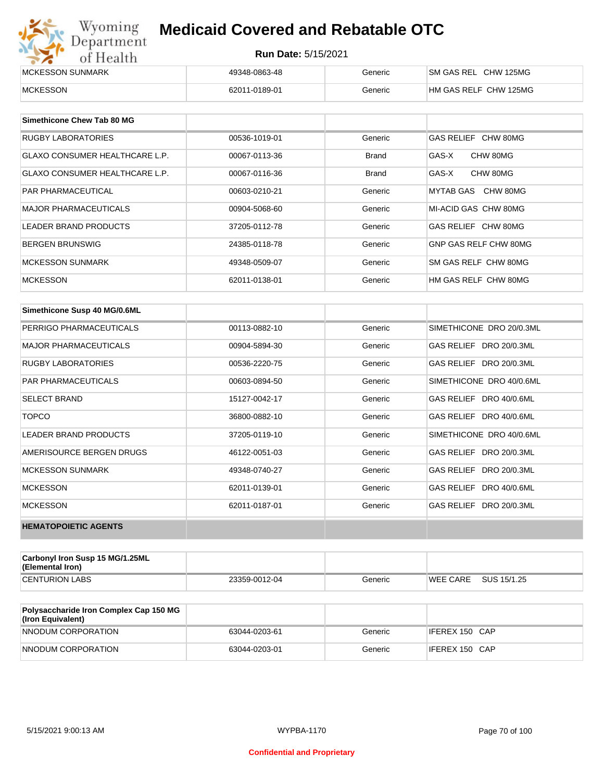## Wyoming<br>Department<br>of Health

## **Medicaid Covered and Rebatable OTC**

| <b>IMCKESSON SUNMARK</b> | 49348-0863-48 | Beneric | CHW 125MG<br>'SM GAS REL |
|--------------------------|---------------|---------|--------------------------|
| <b>MCKESSON</b>          | 62011-0189-01 | Beneric | HM GAS RELF CHW 125MG    |

| Simethicone Chew Tab 80 MG            |               |              |                       |
|---------------------------------------|---------------|--------------|-----------------------|
| RUGBY LABORATORIES                    | 00536-1019-01 | Generic      | GAS RELIEF CHW 80MG   |
| <b>GLAXO CONSUMER HEALTHCARE L.P.</b> | 00067-0113-36 | <b>Brand</b> | GAS-X<br>CHW 80MG     |
| <b>GLAXO CONSUMER HEALTHCARE L.P.</b> | 00067-0116-36 | Brand        | CHW 80MG<br>GAS-X     |
| <b>PAR PHARMACEUTICAL</b>             | 00603-0210-21 | Generic      | MYTAB GAS<br>CHW 80MG |
| <b>MAJOR PHARMACEUTICALS</b>          | 00904-5068-60 | Generic      | MI-ACID GAS CHW 80MG  |
| LEADER BRAND PRODUCTS                 | 37205-0112-78 | Generic      | GAS RELIEF CHW 80MG   |
| <b>BERGEN BRUNSWIG</b>                | 24385-0118-78 | Generic      | GNP GAS RELF CHW 80MG |
| <b>MCKESSON SUNMARK</b>               | 49348-0509-07 | Generic      | SM GAS RELF CHW 80MG  |
| <b>MCKESSON</b>                       | 62011-0138-01 | Generic      | HM GAS RELF CHW 80MG  |

| Simethicone Susp 40 MG/0.6ML |               |         |                          |
|------------------------------|---------------|---------|--------------------------|
| PERRIGO PHARMACEUTICALS      | 00113-0882-10 | Generic | SIMETHICONE DRO 20/0.3ML |
| <b>MAJOR PHARMACEUTICALS</b> | 00904-5894-30 | Generic | GAS RELIEF DRO 20/0.3ML  |
| <b>RUGBY LABORATORIES</b>    | 00536-2220-75 | Generic | GAS RELIEF DRO 20/0.3ML  |
| <b>PAR PHARMACEUTICALS</b>   | 00603-0894-50 | Generic | SIMETHICONE DRO 40/0.6ML |
| <b>SELECT BRAND</b>          | 15127-0042-17 | Generic | GAS RELIEF DRO 40/0.6ML  |
| <b>TOPCO</b>                 | 36800-0882-10 | Generic | GAS RELIEF DRO 40/0.6ML  |
| <b>LEADER BRAND PRODUCTS</b> | 37205-0119-10 | Generic | SIMETHICONE DRO 40/0.6ML |
| AMERISOURCE BERGEN DRUGS     | 46122-0051-03 | Generic | GAS RELIEF DRO 20/0.3ML  |
| <b>MCKESSON SUNMARK</b>      | 49348-0740-27 | Generic | GAS RELIEF DRO 20/0.3ML  |
| <b>MCKESSON</b>              | 62011-0139-01 | Generic | GAS RELIEF DRO 40/0.6ML  |
| <b>MCKESSON</b>              | 62011-0187-01 | Generic | GAS RELIEF DRO 20/0.3ML  |
| <b>HEMATOPOIETIC AGENTS</b>  |               |         |                          |

| <b>Carbonyl Iron Susp 15 MG/1.25ML</b><br>(Elemental Iron) |               |         |          |             |
|------------------------------------------------------------|---------------|---------|----------|-------------|
| <b>CENTURION LABS</b>                                      | 23359-0012-04 | Generic | WEE CARE | SUS 15/1.25 |

| <b>Polysaccharide Iron Complex Cap 150 MG</b><br>(Iron Equivalent) |               |         |                |
|--------------------------------------------------------------------|---------------|---------|----------------|
| NNODUM CORPORATION                                                 | 63044-0203-61 | Generic | IFEREX 150 CAP |
| NNODUM CORPORATION                                                 | 63044-0203-01 | Generic | IFEREX 150 CAP |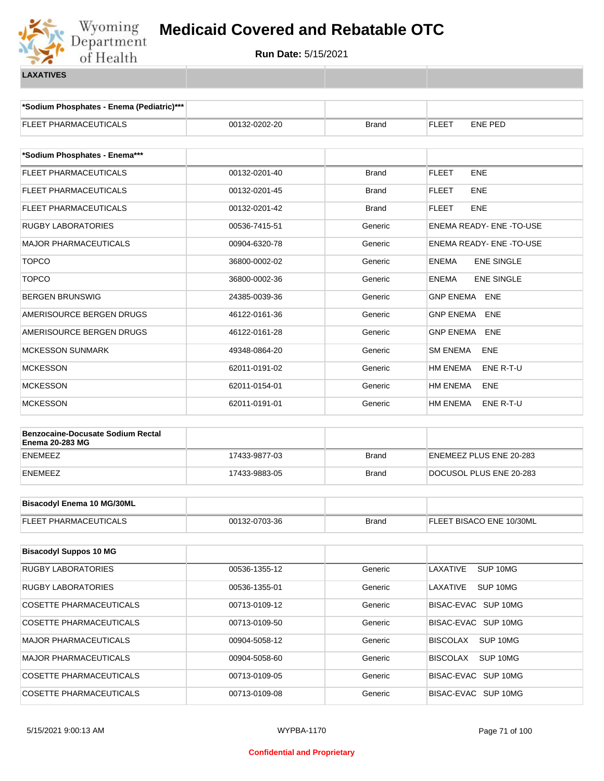

**\*Sodium Phosphates - Enema (Pediatric)\*\*\***

| FLEET PHARMACEUTICALS                                              | 00132-0202-20 | <b>Brand</b> | FLEET<br>ENE PED                  |  |
|--------------------------------------------------------------------|---------------|--------------|-----------------------------------|--|
| *Sodium Phosphates - Enema***                                      |               |              |                                   |  |
| FLEET PHARMACEUTICALS                                              | 00132-0201-40 | <b>Brand</b> | <b>FLEET</b><br><b>ENE</b>        |  |
| FLEET PHARMACEUTICALS                                              | 00132-0201-45 | <b>Brand</b> | FLEET<br><b>ENE</b>               |  |
| FLEET PHARMACEUTICALS                                              | 00132-0201-42 | <b>Brand</b> | FLEET<br><b>ENE</b>               |  |
| <b>RUGBY LABORATORIES</b>                                          | 00536-7415-51 | Generic      | ENEMA READY- ENE-TO-USE           |  |
| <b>MAJOR PHARMACEUTICALS</b>                                       | 00904-6320-78 | Generic      | <b>ENEMA READY- ENE-TO-USE</b>    |  |
| <b>TOPCO</b>                                                       | 36800-0002-02 | Generic      | <b>ENEMA</b><br><b>ENE SINGLE</b> |  |
| <b>TOPCO</b>                                                       | 36800-0002-36 | Generic      | <b>ENE SINGLE</b><br><b>ENEMA</b> |  |
| BERGEN BRUNSWIG                                                    | 24385-0039-36 | Generic      | <b>GNP ENEMA ENE</b>              |  |
| AMERISOURCE BERGEN DRUGS                                           | 46122-0161-36 | Generic      | <b>GNP ENEMA</b><br>ENE           |  |
| AMERISOURCE BERGEN DRUGS                                           | 46122-0161-28 | Generic      | <b>GNP ENEMA</b><br>ENE           |  |
| <b>MCKESSON SUNMARK</b>                                            | 49348-0864-20 | Generic      | <b>SM ENEMA</b><br>ENE            |  |
| <b>MCKESSON</b>                                                    | 62011-0191-02 | Generic      | HM ENEMA<br>ENE R-T-U             |  |
| <b>MCKESSON</b>                                                    | 62011-0154-01 | Generic      | HM ENEMA<br>ENE                   |  |
| <b>MCKESSON</b>                                                    | 62011-0191-01 | Generic      | HM ENEMA<br>ENE R-T-U             |  |
| <b>Benzocaine-Docusate Sodium Rectal</b><br><b>Enema 20-283 MG</b> |               |              |                                   |  |
| ENEMEEZ                                                            | 17433-9877-03 | <b>Brand</b> | ENEMEEZ PLUS ENE 20-283           |  |
| ENEMEEZ                                                            | 17433-9883-05 | <b>Brand</b> | DOCUSOL PLUS ENE 20-283           |  |
|                                                                    |               |              |                                   |  |
| <b>Bisacodyl Enema 10 MG/30ML</b>                                  |               |              |                                   |  |
| FLEET PHARMACEUTICALS                                              | 00132-0703-36 | <b>Brand</b> | FLEET BISACO ENE 10/30ML          |  |
| <b>Bisacodyl Suppos 10 MG</b>                                      |               |              |                                   |  |
| RUGBY LABORATORIES                                                 | 00536-1355-12 | Generic      | LAXATIVE<br>SUP 10MG              |  |
| RUGBY LABORATORIES                                                 | 00536-1355-01 | Generic      | LAXATIVE<br>SUP 10MG              |  |
| COSETTE PHARMACEUTICALS                                            | 00713-0109-12 | Generic      | BISAC-EVAC SUP 10MG               |  |
| COSETTE PHARMACEUTICALS                                            | 00713-0109-50 | Generic      | BISAC-EVAC SUP 10MG               |  |
| MAJOR PHARMACEUTICALS                                              | 00904-5058-12 | Generic      | <b>BISCOLAX</b><br>SUP 10MG       |  |
| <b>MAJOR PHARMACEUTICALS</b>                                       | 00904-5058-60 | Generic      | <b>BISCOLAX</b><br>SUP 10MG       |  |
| COSETTE PHARMACEUTICALS                                            | 00713-0109-05 | Generic      | BISAC-EVAC SUP 10MG               |  |
| COSETTE PHARMACEUTICALS                                            | 00713-0109-08 | Generic      | BISAC-EVAC SUP 10MG               |  |
|                                                                    |               |              |                                   |  |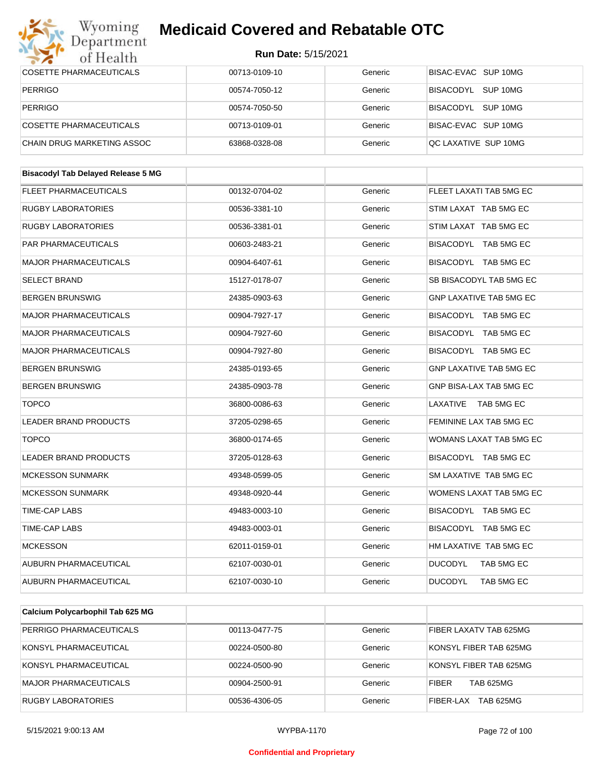#### Wyoming<br>Department **Medicaid Covered and Rebatable OTC**

| of Health                                 | <b>Run Date: 5/15/2021</b> |         |                                |  |
|-------------------------------------------|----------------------------|---------|--------------------------------|--|
| <b>COSETTE PHARMACEUTICALS</b>            | 00713-0109-10              | Generic | BISAC-EVAC SUP 10MG            |  |
| <b>PERRIGO</b>                            | 00574-7050-12              | Generic | BISACODYL SUP 10MG             |  |
| <b>PERRIGO</b>                            | 00574-7050-50              | Generic | BISACODYL SUP 10MG             |  |
| <b>COSETTE PHARMACEUTICALS</b>            | 00713-0109-01              | Generic | BISAC-EVAC SUP 10MG            |  |
| CHAIN DRUG MARKETING ASSOC                | 63868-0328-08              | Generic | QC LAXATIVE SUP 10MG           |  |
|                                           |                            |         |                                |  |
| <b>Bisacodyl Tab Delayed Release 5 MG</b> |                            |         |                                |  |
| <b>FLEET PHARMACEUTICALS</b>              | 00132-0704-02              | Generic | FLEET LAXATI TAB 5MG EC        |  |
| <b>RUGBY LABORATORIES</b>                 | 00536-3381-10              | Generic | STIM LAXAT TAB 5MG EC          |  |
| RUGBY LABORATORIES                        | 00536-3381-01              | Generic | STIM LAXAT TAB 5MG EC          |  |
| PAR PHARMACEUTICALS                       | 00603-2483-21              | Generic | BISACODYL TAB 5MG EC           |  |
| <b>MAJOR PHARMACEUTICALS</b>              | 00904-6407-61              | Generic | BISACODYL TAB 5MG EC           |  |
| <b>SELECT BRAND</b>                       | 15127-0178-07              | Generic | SB BISACODYL TAB 5MG EC        |  |
| <b>BERGEN BRUNSWIG</b>                    | 24385-0903-63              | Generic | <b>GNP LAXATIVE TAB 5MG EC</b> |  |
| <b>MAJOR PHARMACEUTICALS</b>              | 00904-7927-17              | Generic | BISACODYL TAB 5MG EC           |  |
| <b>MAJOR PHARMACEUTICALS</b>              | 00904-7927-60              | Generic | BISACODYL TAB 5MG EC           |  |
| <b>MAJOR PHARMACEUTICALS</b>              | 00904-7927-80              | Generic | BISACODYL TAB 5MG EC           |  |
| <b>BERGEN BRUNSWIG</b>                    | 24385-0193-65              | Generic | <b>GNP LAXATIVE TAB 5MG EC</b> |  |
| <b>BERGEN BRUNSWIG</b>                    | 24385-0903-78              | Generic | GNP BISA-LAX TAB 5MG EC        |  |
| <b>TOPCO</b>                              | 36800-0086-63              | Generic | LAXATIVE<br>TAB 5MG EC         |  |
| LEADER BRAND PRODUCTS                     | 37205-0298-65              | Generic | FEMININE LAX TAB 5MG EC        |  |
| <b>TOPCO</b>                              | 36800-0174-65              | Generic | WOMANS LAXAT TAB 5MG EC        |  |
| LEADER BRAND PRODUCTS                     | 37205-0128-63              | Generic | BISACODYL TAB 5MG EC           |  |
| <b>MCKESSON SUNMARK</b>                   | 49348-0599-05              | Generic | SM LAXATIVE TAB 5MG EC         |  |
| MCKESSON SUNMARK                          | 49348-0920-44              | Generic | WOMENS LAXAT TAB 5MG EC        |  |
| TIME-CAP LABS                             | 49483-0003-10              | Generic | BISACODYL TAB 5MG EC           |  |
| TIME-CAP LABS                             | 49483-0003-01              | Generic | BISACODYL TAB 5MG EC           |  |
| <b>MCKESSON</b>                           | 62011-0159-01              | Generic | HM LAXATIVE TAB 5MG EC         |  |
| AUBURN PHARMACEUTICAL                     | 62107-0030-01              | Generic | <b>DUCODYL</b><br>TAB 5MG EC   |  |
| AUBURN PHARMACEUTICAL                     | 62107-0030-10              | Generic | <b>DUCODYL</b><br>TAB 5MG EC   |  |
|                                           |                            |         |                                |  |
| Calcium Polycarbophil Tab 625 MG          |                            |         |                                |  |

| PERRIGO PHARMACEUTICALS   | 00113-0477-75 | Generic | FIBER LAXATV TAB 625MG           |
|---------------------------|---------------|---------|----------------------------------|
| KONSYL PHARMACEUTICAL     | 00224-0500-80 | Generic | KONSYL FIBER TAB 625MG           |
| KONSYL PHARMACEUTICAL     | 00224-0500-90 | Generic | KONSYL FIBER TAB 625MG           |
| MAJOR PHARMACEUTICALS     | 00904-2500-91 | Generic | <b>TAB 625MG</b><br><b>FIBER</b> |
| <b>RUGBY LABORATORIES</b> | 00536-4306-05 | Generic | TAB 625MG<br>FIBER-LAX           |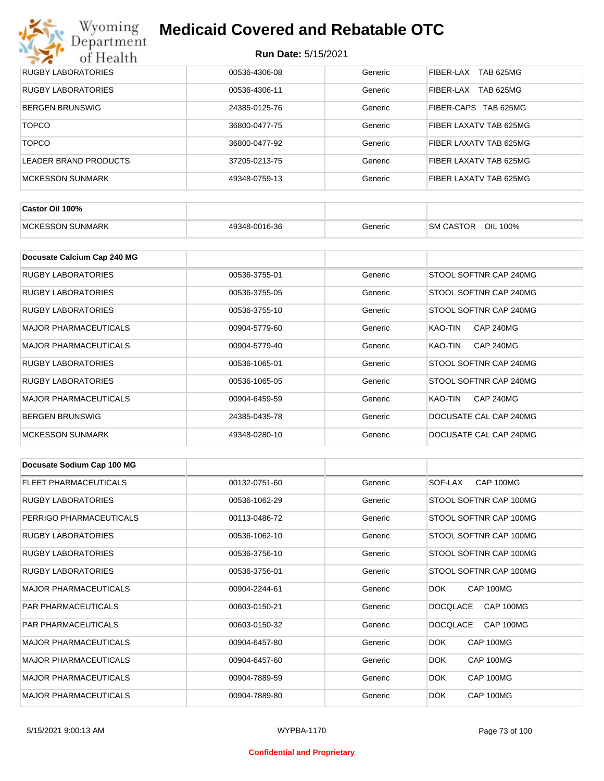# Wyoming<br>Department<br>of Health

## **Medicaid Covered and Rebatable OTC**

| <b>RUGBY LABORATORIES</b> | 00536-4306-08 | Generic | TAB 625MG<br>FIBER-LAX        |
|---------------------------|---------------|---------|-------------------------------|
| RUGBY LABORATORIES        | 00536-4306-11 | Generic | FIBER-LAX<br><b>TAB 625MG</b> |
| <b>BERGEN BRUNSWIG</b>    | 24385-0125-76 | Generic | FIBER-CAPS TAB 625MG          |
| <b>TOPCO</b>              | 36800-0477-75 | Generic | FIBER LAXATV TAB 625MG        |
| <b>TOPCO</b>              | 36800-0477-92 | Generic | FIBER LAXATV TAB 625MG        |
| LEADER BRAND PRODUCTS     | 37205-0213-75 | Generic | FIBER LAXATV TAB 625MG        |
| <b>MCKESSON SUNMARK</b>   | 49348-0759-13 | Generic | FIBER LAXATV TAB 625MG        |

| Castor Oil 100%          |               |         |                              |
|--------------------------|---------------|---------|------------------------------|
| <b>IMCKESSON SUNMARK</b> | 49348-0016-36 | Generic | OIL 100%<br><b>SM CASTOR</b> |

| Docusate Calcium Cap 240 MG  |               |         |                             |
|------------------------------|---------------|---------|-----------------------------|
| RUGBY LABORATORIES           | 00536-3755-01 | Generic | STOOL SOFTNR CAP 240MG      |
| RUGBY LABORATORIES           | 00536-3755-05 | Generic | STOOL SOFTNR CAP 240MG      |
| RUGBY LABORATORIES           | 00536-3755-10 | Generic | STOOL SOFTNR CAP 240MG      |
| <b>MAJOR PHARMACEUTICALS</b> | 00904-5779-60 | Generic | KAO-TIN<br><b>CAP 240MG</b> |
| <b>MAJOR PHARMACEUTICALS</b> | 00904-5779-40 | Generic | <b>CAP 240MG</b><br>KAO-TIN |
| <b>RUGBY LABORATORIES</b>    | 00536-1065-01 | Generic | STOOL SOFTNR CAP 240MG      |
| <b>RUGBY LABORATORIES</b>    | 00536-1065-05 | Generic | STOOL SOFTNR CAP 240MG      |
| <b>MAJOR PHARMACEUTICALS</b> | 00904-6459-59 | Generic | <b>CAP 240MG</b><br>KAO-TIN |
| <b>BERGEN BRUNSWIG</b>       | 24385-0435-78 | Generic | DOCUSATE CAL CAP 240MG      |
| <b>MCKESSON SUNMARK</b>      | 49348-0280-10 | Generic | DOCUSATE CAL CAP 240MG      |

| Docusate Sodium Cap 100 MG   |               |         |                              |
|------------------------------|---------------|---------|------------------------------|
| <b>FLEET PHARMACEUTICALS</b> | 00132-0751-60 | Generic | CAP 100MG<br>SOF-LAX         |
| <b>RUGBY LABORATORIES</b>    | 00536-1062-29 | Generic | STOOL SOFTNR CAP 100MG       |
| PERRIGO PHARMACEUTICALS      | 00113-0486-72 | Generic | STOOL SOFTNR CAP 100MG       |
| <b>RUGBY LABORATORIES</b>    | 00536-1062-10 | Generic | STOOL SOFTNR CAP 100MG       |
| <b>RUGBY LABORATORIES</b>    | 00536-3756-10 | Generic | STOOL SOFTNR CAP 100MG       |
| <b>RUGBY LABORATORIES</b>    | 00536-3756-01 | Generic | STOOL SOFTNR CAP 100MG       |
| <b>MAJOR PHARMACEUTICALS</b> | 00904-2244-61 | Generic | CAP 100MG<br>DOK.            |
| <b>PAR PHARMACEUTICALS</b>   | 00603-0150-21 | Generic | <b>DOCQLACE</b><br>CAP 100MG |
| <b>PAR PHARMACEUTICALS</b>   | 00603-0150-32 | Generic | <b>DOCQLACE</b><br>CAP 100MG |
| <b>MAJOR PHARMACEUTICALS</b> | 00904-6457-80 | Generic | CAP 100MG<br>DOK.            |
| <b>MAJOR PHARMACEUTICALS</b> | 00904-6457-60 | Generic | DOK<br>CAP 100MG             |
| <b>MAJOR PHARMACEUTICALS</b> | 00904-7889-59 | Generic | <b>DOK</b><br>CAP 100MG      |
| <b>MAJOR PHARMACEUTICALS</b> | 00904-7889-80 | Generic | DOK.<br>CAP 100MG            |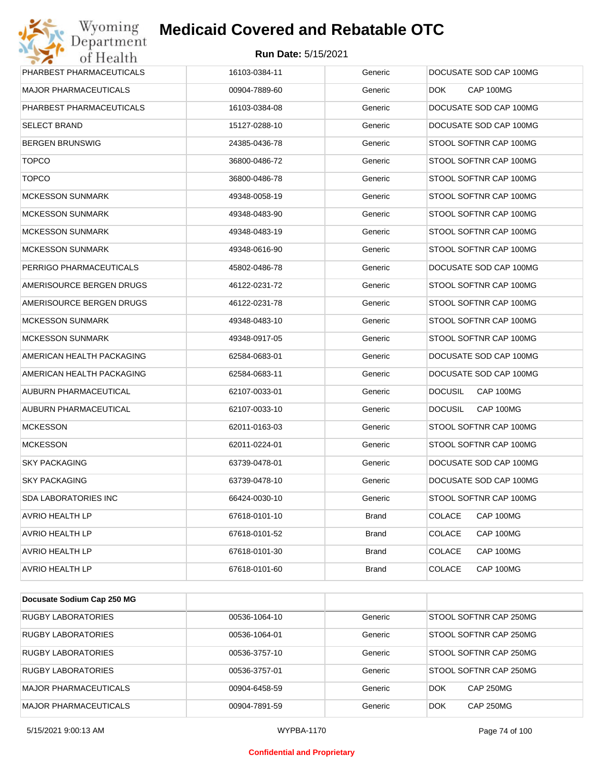## **Run Date:** 5/15/2021

| Wyoming                    | <b>Medicaid Covered and Rebatable OTC</b> |              |                             |
|----------------------------|-------------------------------------------|--------------|-----------------------------|
| Department<br>of Health    | <b>Run Date: 5/15/2021</b>                |              |                             |
| PHARBEST PHARMACEUTICALS   | 16103-0384-11                             | Generic      | DOCUSATE SOD CAP 100MG      |
| MAJOR PHARMACEUTICALS      | 00904-7889-60                             | Generic      | CAP 100MG<br><b>DOK</b>     |
| PHARBEST PHARMACEUTICALS   | 16103-0384-08                             | Generic      | DOCUSATE SOD CAP 100MG      |
| SELECT BRAND               | 15127-0288-10                             | Generic      | DOCUSATE SOD CAP 100MG      |
| BERGEN BRUNSWIG            | 24385-0436-78                             | Generic      | STOOL SOFTNR CAP 100MG      |
| <b>TOPCO</b>               | 36800-0486-72                             | Generic      | STOOL SOFTNR CAP 100MG      |
| <b>TOPCO</b>               | 36800-0486-78                             | Generic      | STOOL SOFTNR CAP 100MG      |
| MCKESSON SUNMARK           | 49348-0058-19                             | Generic      | STOOL SOFTNR CAP 100MG      |
| <b>MCKESSON SUNMARK</b>    | 49348-0483-90                             | Generic      | STOOL SOFTNR CAP 100MG      |
| MCKESSON SUNMARK           | 49348-0483-19                             | Generic      | STOOL SOFTNR CAP 100MG      |
| <b>MCKESSON SUNMARK</b>    | 49348-0616-90                             | Generic      | STOOL SOFTNR CAP 100MG      |
| PERRIGO PHARMACEUTICALS    | 45802-0486-78                             | Generic      | DOCUSATE SOD CAP 100MG      |
| AMERISOURCE BERGEN DRUGS   | 46122-0231-72                             | Generic      | STOOL SOFTNR CAP 100MG      |
| AMERISOURCE BERGEN DRUGS   | 46122-0231-78                             | Generic      | STOOL SOFTNR CAP 100MG      |
| <b>MCKESSON SUNMARK</b>    | 49348-0483-10                             | Generic      | STOOL SOFTNR CAP 100MG      |
| MCKESSON SUNMARK           | 49348-0917-05                             | Generic      | STOOL SOFTNR CAP 100MG      |
| AMERICAN HEALTH PACKAGING  | 62584-0683-01                             | Generic      | DOCUSATE SOD CAP 100MG      |
| AMERICAN HEALTH PACKAGING  | 62584-0683-11                             | Generic      | DOCUSATE SOD CAP 100MG      |
| AUBURN PHARMACEUTICAL      | 62107-0033-01                             | Generic      | <b>DOCUSIL</b><br>CAP 100MG |
| AUBURN PHARMACEUTICAL      | 62107-0033-10                             | Generic      | <b>DOCUSIL</b><br>CAP 100MG |
| <b>MCKESSON</b>            | 62011-0163-03                             | Generic      | STOOL SOFTNR CAP 100MG      |
| <b>MCKESSON</b>            | 62011-0224-01                             | Generic      | STOOL SOFTNR CAP 100MG      |
| <b>SKY PACKAGING</b>       | 63739-0478-01                             | Generic      | DOCUSATE SOD CAP 100MG      |
| SKY PACKAGING              | 63739-0478-10                             | Generic      | DOCUSATE SOD CAP 100MG      |
| SDA LABORATORIES INC       | 66424-0030-10                             | Generic      | STOOL SOFTNR CAP 100MG      |
| AVRIO HEALTH LP            | 67618-0101-10                             | <b>Brand</b> | <b>COLACE</b><br>CAP 100MG  |
| AVRIO HEALTH LP            | 67618-0101-52                             | <b>Brand</b> | <b>COLACE</b><br>CAP 100MG  |
| <b>AVRIO HEALTH LP</b>     | 67618-0101-30                             | <b>Brand</b> | <b>COLACE</b><br>CAP 100MG  |
| AVRIO HEALTH LP            | 67618-0101-60                             | <b>Brand</b> | <b>COLACE</b><br>CAP 100MG  |
|                            |                                           |              |                             |
| Docusate Sodium Cap 250 MG |                                           |              |                             |
| RUGBY LABORATORIES         | 00536-1064-10                             | Generic      | STOOL SOFTNR CAP 250MG      |

| NUGU LADUNATUNILU         | 00000-100 <del>4</del> -10 | <b>PELIPLIC</b> | OTOOL OOF HYN GAF ZOUVIG |
|---------------------------|----------------------------|-----------------|--------------------------|
| <b>RUGBY LABORATORIES</b> | 00536-1064-01              | Generic         | STOOL SOFTNR CAP 250MG   |
| <b>RUGBY LABORATORIES</b> | 00536-3757-10              | Generic         | STOOL SOFTNR CAP 250MG   |
| RUGBY LABORATORIES        | 00536-3757-01              | Generic         | STOOL SOFTNR CAP 250MG   |
| MAJOR PHARMACEUTICALS     | 00904-6458-59              | Generic         | <b>CAP 250MG</b><br>DOK  |
| MAJOR PHARMACEUTICALS     | 00904-7891-59              | Generic         | <b>CAP 250MG</b><br>DOK  |

#### **Confidential and Proprietary**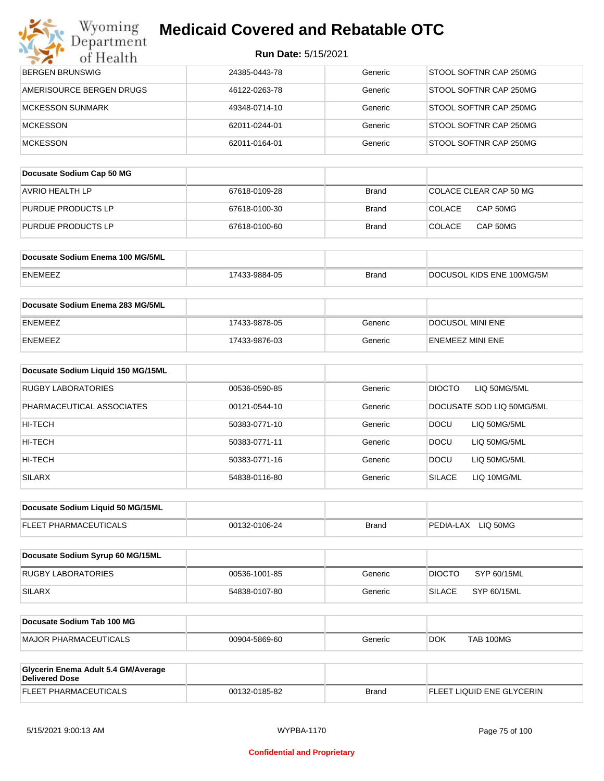| <b>Run Date: 5/15/2021</b> |  |
|----------------------------|--|
|----------------------------|--|

| Department<br>of Health             | <b>Run Date: 5/15/2021</b> |              |                               |
|-------------------------------------|----------------------------|--------------|-------------------------------|
| <b>BERGEN BRUNSWIG</b>              | 24385-0443-78              | Generic      | STOOL SOFTNR CAP 250MG        |
| AMERISOURCE BERGEN DRUGS            | 46122-0263-78              | Generic      | STOOL SOFTNR CAP 250MG        |
| <b>MCKESSON SUNMARK</b>             | 49348-0714-10              | Generic      | STOOL SOFTNR CAP 250MG        |
| <b>MCKESSON</b>                     | 62011-0244-01              | Generic      | STOOL SOFTNR CAP 250MG        |
| <b>MCKESSON</b>                     | 62011-0164-01              | Generic      | STOOL SOFTNR CAP 250MG        |
|                                     |                            |              |                               |
| Docusate Sodium Cap 50 MG           |                            |              |                               |
| <b>AVRIO HEALTH LP</b>              | 67618-0109-28              | <b>Brand</b> | COLACE CLEAR CAP 50 MG        |
| PURDUE PRODUCTS LP                  | 67618-0100-30              | Brand        | <b>COLACE</b><br>CAP 50MG     |
| PURDUE PRODUCTS LP                  | 67618-0100-60              | <b>Brand</b> | <b>COLACE</b><br>CAP 50MG     |
| Docusate Sodium Enema 100 MG/5ML    |                            |              |                               |
| ENEMEEZ                             | 17433-9884-05              | <b>Brand</b> | DOCUSOL KIDS ENE 100MG/5M     |
|                                     |                            |              |                               |
| Docusate Sodium Enema 283 MG/5ML    |                            |              |                               |
| ENEMEEZ                             | 17433-9878-05              | Generic      | DOCUSOL MINI ENE              |
| ENEMEEZ                             | 17433-9876-03              | Generic      | <b>ENEMEEZ MINI ENE</b>       |
| Docusate Sodium Liquid 150 MG/15ML  |                            |              |                               |
| RUGBY LABORATORIES                  | 00536-0590-85              | Generic      | <b>DIOCTO</b><br>LIQ 50MG/5ML |
| PHARMACEUTICAL ASSOCIATES           | 00121-0544-10              | Generic      | DOCUSATE SOD LIQ 50MG/5ML     |
| HI-TECH                             | 50383-0771-10              | Generic      | <b>DOCU</b><br>LIQ 50MG/5ML   |
| HI-TECH                             | 50383-0771-11              | Generic      | <b>DOCU</b><br>LIQ 50MG/5ML   |
| HI-TECH                             | 50383-0771-16              | Generic      | <b>DOCU</b><br>LIQ 50MG/5ML   |
| <b>SILARX</b>                       | 54838-0116-80              | Generic      | <b>SILACE</b><br>LIQ 10MG/ML  |
|                                     |                            |              |                               |
| Docusate Sodium Liquid 50 MG/15ML   |                            |              |                               |
| FLEET PHARMACEUTICALS               | 00132-0106-24              | <b>Brand</b> | PEDIA-LAX LIQ 50MG            |
| Docusate Sodium Syrup 60 MG/15ML    |                            |              |                               |
| <b>RUGBY LABORATORIES</b>           | 00536-1001-85              | Generic      | <b>DIOCTO</b><br>SYP 60/15ML  |
| <b>SILARX</b>                       | 54838-0107-80              | Generic      | <b>SILACE</b><br>SYP 60/15ML  |
|                                     |                            |              |                               |
| Docusate Sodium Tab 100 MG          |                            |              |                               |
| <b>MAJOR PHARMACEUTICALS</b>        | 00904-5869-60              | Generic      | <b>TAB 100MG</b><br>DOK.      |
| Glycerin Enema Adult 5.4 GM/Average |                            |              |                               |
| <b>Delivered Dose</b>               |                            |              |                               |
| FLEET PHARMACEUTICALS               | 00132-0185-82              | <b>Brand</b> | FLEET LIQUID ENE GLYCERIN     |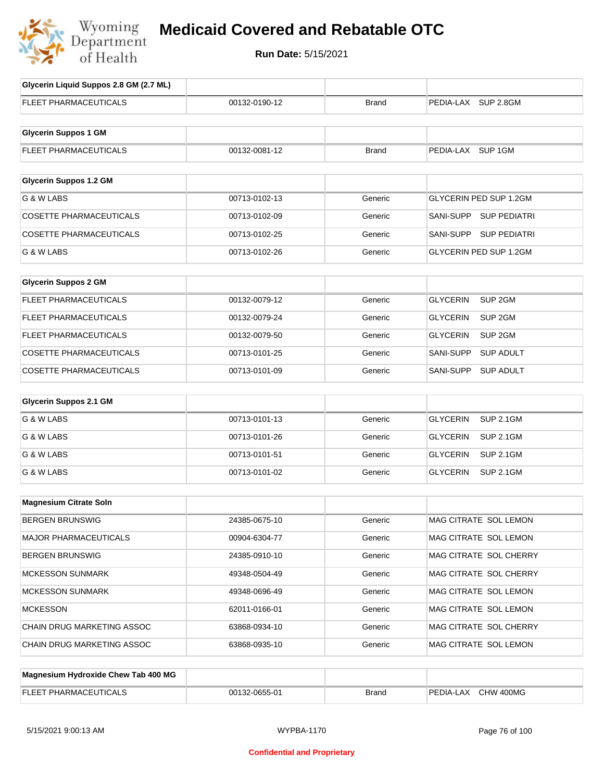

| Glycerin Liquid Suppos 2.8 GM (2.7 ML) |               |              |                                       |
|----------------------------------------|---------------|--------------|---------------------------------------|
| <b>FLEET PHARMACEUTICALS</b>           | 00132-0190-12 | Brand        | PEDIA-LAX SUP 2.8GM                   |
|                                        |               |              |                                       |
| <b>Glycerin Suppos 1 GM</b>            |               |              |                                       |
| <b>FLEET PHARMACEUTICALS</b>           | 00132-0081-12 | Brand        | PEDIA-LAX SUP 1GM                     |
|                                        |               |              |                                       |
| <b>Glycerin Suppos 1.2 GM</b>          |               |              |                                       |
| G & W LABS                             | 00713-0102-13 | Generic      | <b>GLYCERIN PED SUP 1.2GM</b>         |
| <b>COSETTE PHARMACEUTICALS</b>         | 00713-0102-09 | Generic      | SANI-SUPP SUP PEDIATRI                |
| <b>COSETTE PHARMACEUTICALS</b>         | 00713-0102-25 | Generic      | SANI-SUPP SUP PEDIATRI                |
| G & W LABS                             | 00713-0102-26 | Generic      | GLYCERIN PED SUP 1.2GM                |
|                                        |               |              |                                       |
| <b>Glycerin Suppos 2 GM</b>            |               |              |                                       |
| <b>FLEET PHARMACEUTICALS</b>           | 00132-0079-12 | Generic      | SUP <sub>2GM</sub><br><b>GLYCERIN</b> |
| <b>FLEET PHARMACEUTICALS</b>           | 00132-0079-24 | Generic      | <b>GLYCERIN</b><br>SUP <sub>2GM</sub> |
| <b>FLEET PHARMACEUTICALS</b>           | 00132-0079-50 | Generic      | <b>GLYCERIN</b><br>SUP <sub>2GM</sub> |
| <b>COSETTE PHARMACEUTICALS</b>         | 00713-0101-25 | Generic      | SANI-SUPP<br><b>SUP ADULT</b>         |
| <b>COSETTE PHARMACEUTICALS</b>         | 00713-0101-09 | Generic      | SANI-SUPP<br><b>SUP ADULT</b>         |
| <b>Glycerin Suppos 2.1 GM</b>          |               |              |                                       |
| G & W LABS                             | 00713-0101-13 | Generic      | <b>GLYCERIN</b><br><b>SUP 2.1GM</b>   |
| G & W LABS                             | 00713-0101-26 | Generic      | <b>GLYCERIN</b><br><b>SUP 2.1GM</b>   |
| G & W LABS                             | 00713-0101-51 | Generic      | <b>GLYCERIN</b><br><b>SUP 2.1GM</b>   |
| G & W LABS                             | 00713-0101-02 | Generic      | <b>GLYCERIN</b><br><b>SUP 2.1GM</b>   |
|                                        |               |              |                                       |
| <b>Magnesium Citrate Soln</b>          |               |              |                                       |
| <b>BERGEN BRUNSWIG</b>                 | 24385-0675-10 | Generic      | MAG CITRATE SOL LEMON                 |
| <b>MAJOR PHARMACEUTICALS</b>           | 00904-6304-77 | Generic      | MAG CITRATE SOL LEMON                 |
| <b>BERGEN BRUNSWIG</b>                 | 24385-0910-10 | Generic      | MAG CITRATE SOL CHERRY                |
| <b>MCKESSON SUNMARK</b>                | 49348-0504-49 | Generic      | MAG CITRATE SOL CHERRY                |
| <b>MCKESSON SUNMARK</b>                | 49348-0696-49 | Generic      | MAG CITRATE SOL LEMON                 |
| <b>MCKESSON</b>                        | 62011-0166-01 | Generic      | MAG CITRATE SOL LEMON                 |
| CHAIN DRUG MARKETING ASSOC             | 63868-0934-10 | Generic      | MAG CITRATE SOL CHERRY                |
| CHAIN DRUG MARKETING ASSOC             | 63868-0935-10 | Generic      | MAG CITRATE SOL LEMON                 |
|                                        |               |              |                                       |
| Magnesium Hydroxide Chew Tab 400 MG    |               |              |                                       |
| FLEET PHARMACEUTICALS                  | 00132-0655-01 | <b>Brand</b> | PEDIA-LAX CHW 400MG                   |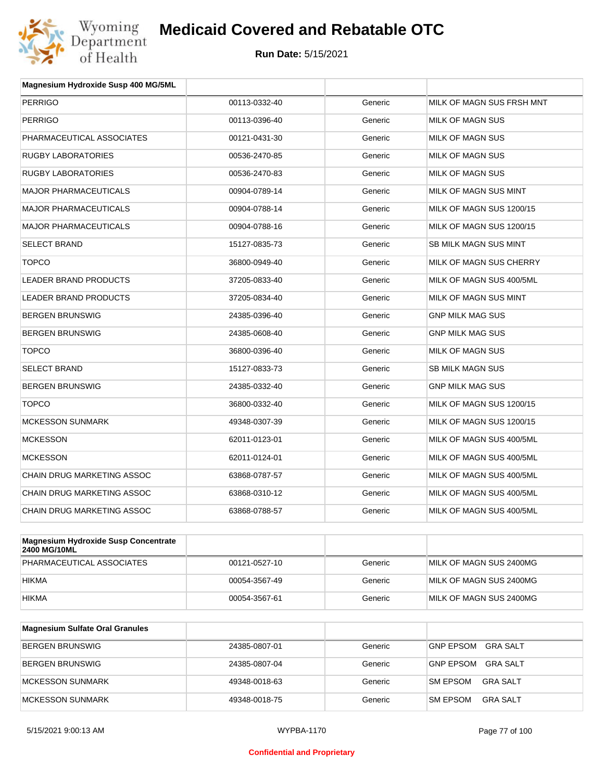

| Magnesium Hydroxide Susp 400 MG/5ML |               |         |                           |
|-------------------------------------|---------------|---------|---------------------------|
| <b>PERRIGO</b>                      | 00113-0332-40 | Generic | MILK OF MAGN SUS FRSH MNT |
| <b>PERRIGO</b>                      | 00113-0396-40 | Generic | MILK OF MAGN SUS          |
| PHARMACEUTICAL ASSOCIATES           | 00121-0431-30 | Generic | MILK OF MAGN SUS          |
| <b>RUGBY LABORATORIES</b>           | 00536-2470-85 | Generic | MILK OF MAGN SUS          |
| <b>RUGBY LABORATORIES</b>           | 00536-2470-83 | Generic | MILK OF MAGN SUS          |
| <b>MAJOR PHARMACEUTICALS</b>        | 00904-0789-14 | Generic | MILK OF MAGN SUS MINT     |
| <b>MAJOR PHARMACEUTICALS</b>        | 00904-0788-14 | Generic | MILK OF MAGN SUS 1200/15  |
| <b>MAJOR PHARMACEUTICALS</b>        | 00904-0788-16 | Generic | MILK OF MAGN SUS 1200/15  |
| <b>SELECT BRAND</b>                 | 15127-0835-73 | Generic | SB MILK MAGN SUS MINT     |
| <b>TOPCO</b>                        | 36800-0949-40 | Generic | MILK OF MAGN SUS CHERRY   |
| <b>LEADER BRAND PRODUCTS</b>        | 37205-0833-40 | Generic | MILK OF MAGN SUS 400/5ML  |
| LEADER BRAND PRODUCTS               | 37205-0834-40 | Generic | MILK OF MAGN SUS MINT     |
| <b>BERGEN BRUNSWIG</b>              | 24385-0396-40 | Generic | <b>GNP MILK MAG SUS</b>   |
| <b>BERGEN BRUNSWIG</b>              | 24385-0608-40 | Generic | <b>GNP MILK MAG SUS</b>   |
| <b>TOPCO</b>                        | 36800-0396-40 | Generic | <b>MILK OF MAGN SUS</b>   |
| <b>SELECT BRAND</b>                 | 15127-0833-73 | Generic | <b>SB MILK MAGN SUS</b>   |
| <b>BERGEN BRUNSWIG</b>              | 24385-0332-40 | Generic | <b>GNP MILK MAG SUS</b>   |
| <b>TOPCO</b>                        | 36800-0332-40 | Generic | MILK OF MAGN SUS 1200/15  |
| <b>MCKESSON SUNMARK</b>             | 49348-0307-39 | Generic | MILK OF MAGN SUS 1200/15  |
| <b>MCKESSON</b>                     | 62011-0123-01 | Generic | MILK OF MAGN SUS 400/5ML  |
| <b>MCKESSON</b>                     | 62011-0124-01 | Generic | MILK OF MAGN SUS 400/5ML  |
| <b>CHAIN DRUG MARKETING ASSOC</b>   | 63868-0787-57 | Generic | MILK OF MAGN SUS 400/5ML  |
| CHAIN DRUG MARKETING ASSOC          | 63868-0310-12 | Generic | MILK OF MAGN SUS 400/5ML  |
| <b>CHAIN DRUG MARKETING ASSOC</b>   | 63868-0788-57 | Generic | MILK OF MAGN SUS 400/5ML  |
|                                     |               |         |                           |

| Magnesium Hydroxide Susp Concentrate<br>2400 MG/10ML |               |         |                         |
|------------------------------------------------------|---------------|---------|-------------------------|
| PHARMACEUTICAL ASSOCIATES                            | 00121-0527-10 | Generic | MILK OF MAGN SUS 2400MG |
| <b>HIKMA</b>                                         | 00054-3567-49 | Generic | MILK OF MAGN SUS 2400MG |
| <b>HIKMA</b>                                         | 00054-3567-61 | Generic | MILK OF MAGN SUS 2400MG |

| <b>Magnesium Sulfate Oral Granules</b> |               |         |                                    |
|----------------------------------------|---------------|---------|------------------------------------|
| <b>BERGEN BRUNSWIG</b>                 | 24385-0807-01 | Generic | GRA SALT<br><b>GNP EPSOM</b>       |
| BERGEN BRUNSWIG                        | 24385-0807-04 | Generic | GRA SALT<br><b>GNP EPSOM</b>       |
| MCKESSON SUNMARK                       | 49348-0018-63 | Generic | <b>SM EPSOM</b><br>GRA SALT        |
| MCKESSON SUNMARK                       | 49348-0018-75 | Generic | <b>SM EPSOM</b><br><b>GRA SALT</b> |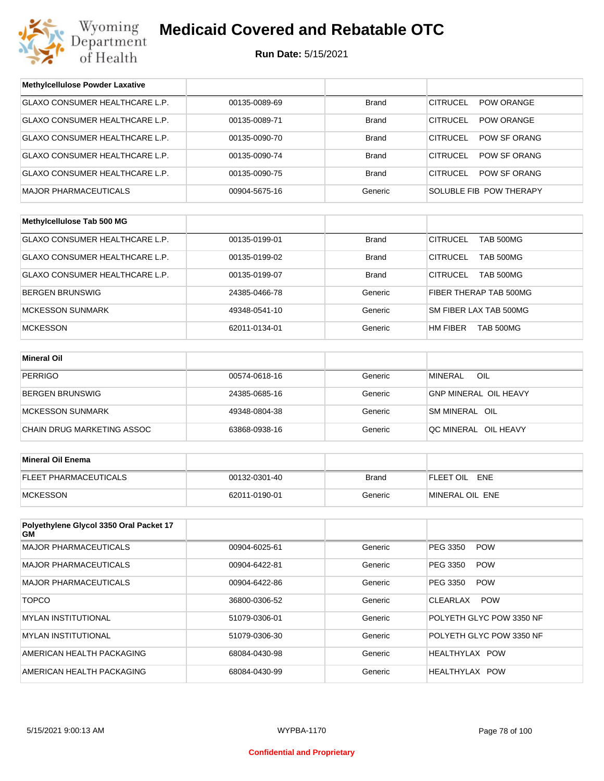

| <b>Methylcellulose Powder Laxative</b>         |               |              |                                      |
|------------------------------------------------|---------------|--------------|--------------------------------------|
| GLAXO CONSUMER HEALTHCARE L.P.                 | 00135-0089-69 | <b>Brand</b> | <b>CITRUCEL</b><br>POW ORANGE        |
| GLAXO CONSUMER HEALTHCARE L.P.                 | 00135-0089-71 | <b>Brand</b> | <b>CITRUCEL</b><br><b>POW ORANGE</b> |
| <b>GLAXO CONSUMER HEALTHCARE L.P.</b>          | 00135-0090-70 | <b>Brand</b> | <b>CITRUCEL</b><br>POW SF ORANG      |
| GLAXO CONSUMER HEALTHCARE L.P.                 | 00135-0090-74 | <b>Brand</b> | <b>CITRUCEL</b><br>POW SF ORANG      |
| GLAXO CONSUMER HEALTHCARE L.P.                 | 00135-0090-75 | <b>Brand</b> | <b>CITRUCEL</b><br>POW SF ORANG      |
| <b>MAJOR PHARMACEUTICALS</b>                   | 00904-5675-16 | Generic      | SOLUBLE FIB POW THERAPY              |
|                                                |               |              |                                      |
| Methylcellulose Tab 500 MG                     |               |              |                                      |
| GLAXO CONSUMER HEALTHCARE L.P.                 | 00135-0199-01 | <b>Brand</b> | <b>CITRUCEL</b><br>TAB 500MG         |
| GLAXO CONSUMER HEALTHCARE L.P.                 | 00135-0199-02 | <b>Brand</b> | <b>CITRUCEL</b><br><b>TAB 500MG</b>  |
| GLAXO CONSUMER HEALTHCARE L.P.                 | 00135-0199-07 | <b>Brand</b> | <b>CITRUCEL</b><br><b>TAB 500MG</b>  |
| <b>BERGEN BRUNSWIG</b>                         | 24385-0466-78 | Generic      | FIBER THERAP TAB 500MG               |
| <b>MCKESSON SUNMARK</b>                        | 49348-0541-10 | Generic      | SM FIBER LAX TAB 500MG               |
| <b>MCKESSON</b>                                | 62011-0134-01 | Generic      | HM FIBER<br>TAB 500MG                |
|                                                |               |              |                                      |
| <b>Mineral Oil</b>                             |               |              |                                      |
| <b>PERRIGO</b>                                 | 00574-0618-16 | Generic      | <b>MINERAL</b><br>OIL                |
| BERGEN BRUNSWIG                                | 24385-0685-16 | Generic      | <b>GNP MINERAL OIL HEAVY</b>         |
| <b>MCKESSON SUNMARK</b>                        | 49348-0804-38 | Generic      | SM MINERAL OIL                       |
| CHAIN DRUG MARKETING ASSOC                     | 63868-0938-16 | Generic      | QC MINERAL OIL HEAVY                 |
|                                                |               |              |                                      |
| <b>Mineral Oil Enema</b>                       |               |              |                                      |
| FLEET PHARMACEUTICALS                          | 00132-0301-40 | <b>Brand</b> | FLEET OIL ENE                        |
| <b>MCKESSON</b>                                | 62011-0190-01 | Generic      | MINERAL OIL ENE                      |
|                                                |               |              |                                      |
| Polyethylene Glycol 3350 Oral Packet 17<br>GM. |               |              |                                      |
| <b>MAJOR PHARMACEUTICALS</b>                   | 00904-6025-61 | Generic      | <b>POW</b><br>PEG 3350               |
| <b>MAJOR PHARMACEUTICALS</b>                   | 00904-6422-81 | Generic      | PEG 3350<br><b>POW</b>               |
| <b>MAJOR PHARMACEUTICALS</b>                   | 00904-6422-86 | Generic      | PEG 3350<br><b>POW</b>               |
| <b>TOPCO</b>                                   | 36800-0306-52 | Generic      | CLEARLAX<br><b>POW</b>               |
| <b>MYLAN INSTITUTIONAL</b>                     | 51079-0306-01 | Generic      | POLYETH GLYC POW 3350 NF             |
| <b>MYLAN INSTITUTIONAL</b>                     | 51079-0306-30 | Generic      | POLYETH GLYC POW 3350 NF             |
| AMERICAN HEALTH PACKAGING                      | 68084-0430-98 | Generic      | HEALTHYLAX POW                       |
| AMERICAN HEALTH PACKAGING                      | 68084-0430-99 | Generic      | HEALTHYLAX POW                       |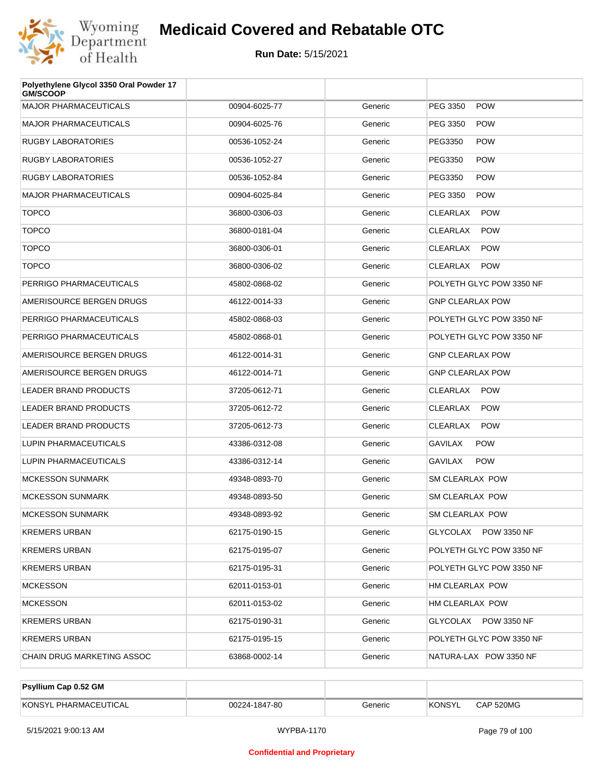

| Polyethylene Glycol 3350 Oral Powder 17<br><b>GM/SCOOP</b> |               |         |                               |
|------------------------------------------------------------|---------------|---------|-------------------------------|
| <b>MAJOR PHARMACEUTICALS</b>                               | 00904-6025-77 | Generic | PEG 3350<br><b>POW</b>        |
| <b>MAJOR PHARMACEUTICALS</b>                               | 00904-6025-76 | Generic | PEG 3350<br><b>POW</b>        |
| <b>RUGBY LABORATORIES</b>                                  | 00536-1052-24 | Generic | PEG3350<br><b>POW</b>         |
| RUGBY LABORATORIES                                         | 00536-1052-27 | Generic | PEG3350<br><b>POW</b>         |
| <b>RUGBY LABORATORIES</b>                                  | 00536-1052-84 | Generic | PEG3350<br><b>POW</b>         |
| <b>MAJOR PHARMACEUTICALS</b>                               | 00904-6025-84 | Generic | PEG 3350<br><b>POW</b>        |
| <b>TOPCO</b>                                               | 36800-0306-03 | Generic | <b>CLEARLAX</b><br><b>POW</b> |
| <b>TOPCO</b>                                               | 36800-0181-04 | Generic | <b>CLEARLAX</b><br><b>POW</b> |
| <b>TOPCO</b>                                               | 36800-0306-01 | Generic | CLEARLAX<br><b>POW</b>        |
| <b>TOPCO</b>                                               | 36800-0306-02 | Generic | CLEARLAX<br><b>POW</b>        |
| PERRIGO PHARMACEUTICALS                                    | 45802-0868-02 | Generic | POLYETH GLYC POW 3350 NF      |
| AMERISOURCE BERGEN DRUGS                                   | 46122-0014-33 | Generic | <b>GNP CLEARLAX POW</b>       |
| PERRIGO PHARMACEUTICALS                                    | 45802-0868-03 | Generic | POLYETH GLYC POW 3350 NF      |
| PERRIGO PHARMACEUTICALS                                    | 45802-0868-01 | Generic | POLYETH GLYC POW 3350 NF      |
| AMERISOURCE BERGEN DRUGS                                   | 46122-0014-31 | Generic | <b>GNP CLEARLAX POW</b>       |
| AMERISOURCE BERGEN DRUGS                                   | 46122-0014-71 | Generic | <b>GNP CLEARLAX POW</b>       |
| LEADER BRAND PRODUCTS                                      | 37205-0612-71 | Generic | CLEARLAX<br><b>POW</b>        |
| <b>LEADER BRAND PRODUCTS</b>                               | 37205-0612-72 | Generic | <b>CLEARLAX</b><br><b>POW</b> |
| <b>LEADER BRAND PRODUCTS</b>                               | 37205-0612-73 | Generic | CLEARLAX<br><b>POW</b>        |
| LUPIN PHARMACEUTICALS                                      | 43386-0312-08 | Generic | <b>GAVILAX</b><br><b>POW</b>  |
| LUPIN PHARMACEUTICALS                                      | 43386-0312-14 | Generic | <b>POW</b><br><b>GAVILAX</b>  |
| <b>MCKESSON SUNMARK</b>                                    | 49348-0893-70 | Generic | SM CLEARLAX POW               |
| <b>MCKESSON SUNMARK</b>                                    | 49348-0893-50 | Generic | SM CLEARLAX POW               |
| <b>MCKESSON SUNMARK</b>                                    | 49348-0893-92 | Generic | SM CLEARLAX POW               |
| KREMERS URBAN                                              | 62175-0190-15 | Generic | GLYCOLAX POW 3350 NF          |
| KREMERS URBAN                                              | 62175-0195-07 | Generic | POLYETH GLYC POW 3350 NF      |
| KREMERS URBAN                                              | 62175-0195-31 | Generic | POLYETH GLYC POW 3350 NF      |
| <b>MCKESSON</b>                                            | 62011-0153-01 | Generic | HM CLEARLAX POW               |
| <b>MCKESSON</b>                                            | 62011-0153-02 | Generic | HM CLEARLAX POW               |
| KREMERS URBAN                                              | 62175-0190-31 | Generic | GLYCOLAX POW 3350 NF          |
| KREMERS URBAN                                              | 62175-0195-15 | Generic | POLYETH GLYC POW 3350 NF      |
| CHAIN DRUG MARKETING ASSOC                                 | 63868-0002-14 | Generic | NATURA-LAX POW 3350 NF        |

| <b>Psyllium Cap 0.52 GM</b> |               |         |               |           |
|-----------------------------|---------------|---------|---------------|-----------|
| KONSYL PHARMACEUTICAL       | 00224-1847-80 | Generic | <b>KONSYL</b> | CAP 520MG |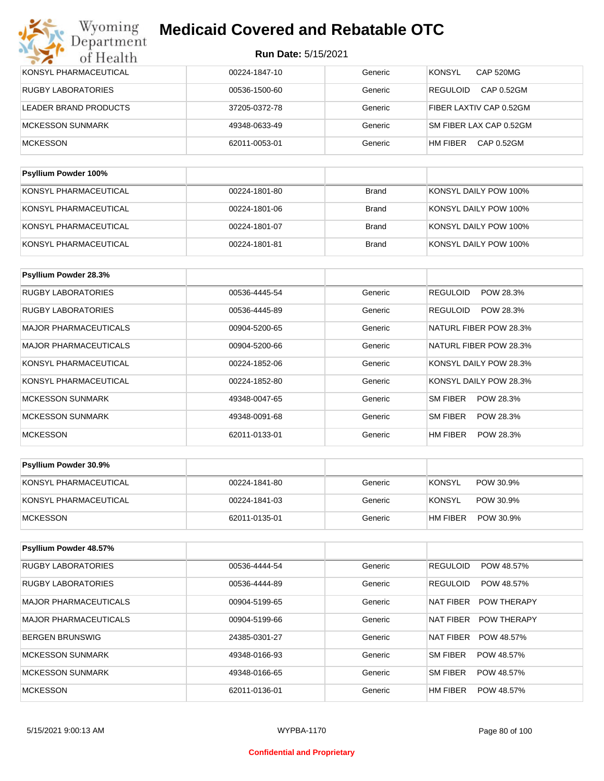| <b>MCKESSON</b>           | 62011-0053-01 | Generic | HM FIBER<br>CAP 0.52GM        |
|---------------------------|---------------|---------|-------------------------------|
| <b>MCKESSON SUNMARK</b>   | 49348-0633-49 | Generic | SM FIBER LAX CAP 0.52GM       |
| LEADER BRAND PRODUCTS     | 37205-0372-78 | Generic | FIBER LAXTIV CAP 0.52GM       |
| <b>RUGBY LABORATORIES</b> | 00536-1500-60 | Generic | <b>REGULOID</b><br>CAP 0.52GM |
| KONSYL PHARMACEUTICAL     | 00224-1847-10 | Generic | <b>KONSYL</b><br>CAP 520MG    |

| <b>I SYNUTH LOWAGE TOO</b> 70 |               |       |                       |
|-------------------------------|---------------|-------|-----------------------|
| KONSYL PHARMACEUTICAL         | 00224-1801-80 | Brand | KONSYL DAILY POW 100% |
| KONSYL PHARMACEUTICAL         | 00224-1801-06 | Brand | KONSYL DAILY POW 100% |
| KONSYL PHARMACEUTICAL         | 00224-1801-07 | Brand | KONSYL DAILY POW 100% |
| KONSYL PHARMACEUTICAL         | 00224-1801-81 | Brand | KONSYL DAILY POW 100% |

| Psyllium Powder 28.3%        |               |         |                        |
|------------------------------|---------------|---------|------------------------|
| RUGBY LABORATORIES           | 00536-4445-54 | Generic | REGULOID<br>POW 28.3%  |
| <b>RUGBY LABORATORIES</b>    | 00536-4445-89 | Generic | REGULOID<br>POW 28.3%  |
| <b>MAJOR PHARMACEUTICALS</b> | 00904-5200-65 | Generic | NATURL FIBER POW 28.3% |
| <b>MAJOR PHARMACEUTICALS</b> | 00904-5200-66 | Generic | NATURL FIBER POW 28.3% |
| KONSYL PHARMACEUTICAL        | 00224-1852-06 | Generic | KONSYL DAILY POW 28.3% |
| KONSYL PHARMACEUTICAL        | 00224-1852-80 | Generic | KONSYL DAILY POW 28.3% |
| <b>MCKESSON SUNMARK</b>      | 49348-0047-65 | Generic | SM FIBER<br>POW 28.3%  |
| <b>MCKESSON SUNMARK</b>      | 49348-0091-68 | Generic | SM FIBER<br>POW 28.3%  |
| <b>MCKESSON</b>              | 62011-0133-01 | Generic | HM FIBER<br>POW 28.3%  |

| Psyllium Powder 30.9% |               |         |                            |
|-----------------------|---------------|---------|----------------------------|
| KONSYL PHARMACEUTICAL | 00224-1841-80 | Generic | <b>KONSYL</b><br>POW 30.9% |
| KONSYL PHARMACEUTICAL | 00224-1841-03 | Generic | KONSYL<br>POW 30.9%        |
| <b>IMCKESSON</b>      | 62011-0135-01 | Generic | HM FIBER<br>POW 30.9%      |

| <b>Psyllium Powder 48.57%</b> |               |         |                                 |
|-------------------------------|---------------|---------|---------------------------------|
| <b>RUGBY LABORATORIES</b>     | 00536-4444-54 | Generic | <b>REGULOID</b><br>POW 48.57%   |
| <b>RUGBY LABORATORIES</b>     | 00536-4444-89 | Generic | <b>REGULOID</b><br>POW 48.57%   |
| <b>MAJOR PHARMACEUTICALS</b>  | 00904-5199-65 | Generic | NAT FIBER<br><b>POW THERAPY</b> |
| <b>MAJOR PHARMACEUTICALS</b>  | 00904-5199-66 | Generic | NAT FIBER<br><b>POW THERAPY</b> |
| <b>BERGEN BRUNSWIG</b>        | 24385-0301-27 | Generic | <b>NAT FIBER</b><br>POW 48.57%  |
| <b>MCKESSON SUNMARK</b>       | 49348-0166-93 | Generic | SM FIBER<br>POW 48.57%          |
| <b>MCKESSON SUNMARK</b>       | 49348-0166-65 | Generic | SM FIBER<br>POW 48.57%          |
| <b>MCKESSON</b>               | 62011-0136-01 | Generic | HM FIBER<br>POW 48.57%          |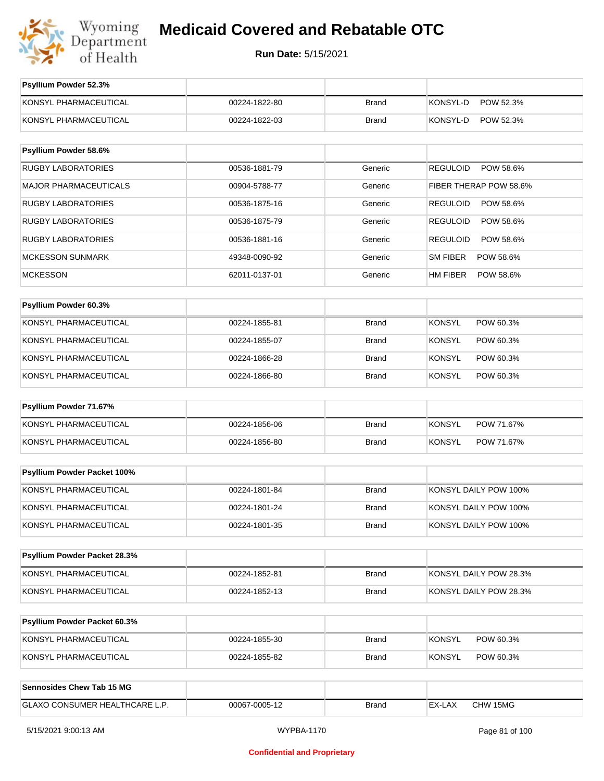

| Psyllium Powder 52.3%          |               |              |                              |
|--------------------------------|---------------|--------------|------------------------------|
| KONSYL PHARMACEUTICAL          | 00224-1822-80 | <b>Brand</b> | KONSYL-D<br>POW 52.3%        |
| KONSYL PHARMACEUTICAL          | 00224-1822-03 | <b>Brand</b> | KONSYL-D<br>POW 52.3%        |
|                                |               |              |                              |
| Psyllium Powder 58.6%          |               |              |                              |
| <b>RUGBY LABORATORIES</b>      | 00536-1881-79 | Generic      | <b>REGULOID</b><br>POW 58.6% |
| <b>MAJOR PHARMACEUTICALS</b>   | 00904-5788-77 | Generic      | FIBER THERAP POW 58.6%       |
| <b>RUGBY LABORATORIES</b>      | 00536-1875-16 | Generic      | <b>REGULOID</b><br>POW 58.6% |
| <b>RUGBY LABORATORIES</b>      | 00536-1875-79 | Generic      | <b>REGULOID</b><br>POW 58.6% |
| <b>RUGBY LABORATORIES</b>      | 00536-1881-16 | Generic      | <b>REGULOID</b><br>POW 58.6% |
| <b>MCKESSON SUNMARK</b>        | 49348-0090-92 | Generic      | SM FIBER<br>POW 58.6%        |
| <b>MCKESSON</b>                | 62011-0137-01 | Generic      | HM FIBER<br>POW 58.6%        |
| Psyllium Powder 60.3%          |               |              |                              |
| KONSYL PHARMACEUTICAL          | 00224-1855-81 | <b>Brand</b> | <b>KONSYL</b><br>POW 60.3%   |
| KONSYL PHARMACEUTICAL          | 00224-1855-07 | Brand        | <b>KONSYL</b><br>POW 60.3%   |
| KONSYL PHARMACEUTICAL          | 00224-1866-28 | <b>Brand</b> | <b>KONSYL</b><br>POW 60.3%   |
| KONSYL PHARMACEUTICAL          |               |              |                              |
|                                | 00224-1866-80 | Brand        | <b>KONSYL</b><br>POW 60.3%   |
| Psyllium Powder 71.67%         |               |              |                              |
| KONSYL PHARMACEUTICAL          | 00224-1856-06 | <b>Brand</b> | <b>KONSYL</b><br>POW 71.67%  |
| KONSYL PHARMACEUTICAL          | 00224-1856-80 | <b>Brand</b> | <b>KONSYL</b><br>POW 71.67%  |
|                                |               |              |                              |
| Psyllium Powder Packet 100%    |               |              |                              |
| KONSYL PHARMACEUTICAL          | 00224-1801-84 | <b>Brand</b> | KONSYL DAILY POW 100%        |
| KONSYL PHARMACEUTICAL          | 00224-1801-24 | Brand        | KONSYL DAILY POW 100%        |
| KONSYL PHARMACEUTICAL          | 00224-1801-35 | Brand        | KONSYL DAILY POW 100%        |
| Psyllium Powder Packet 28.3%   |               |              |                              |
| KONSYL PHARMACEUTICAL          | 00224-1852-81 | Brand        | KONSYL DAILY POW 28.3%       |
|                                |               |              |                              |
| KONSYL PHARMACEUTICAL          | 00224-1852-13 | Brand        | KONSYL DAILY POW 28.3%       |
| Psyllium Powder Packet 60.3%   |               |              |                              |
| KONSYL PHARMACEUTICAL          | 00224-1855-30 | Brand        | <b>KONSYL</b><br>POW 60.3%   |
| KONSYL PHARMACEUTICAL          | 00224-1855-82 | Brand        | <b>KONSYL</b><br>POW 60.3%   |
|                                |               |              |                              |
| Sennosides Chew Tab 15 MG      |               |              |                              |
| GLAXO CONSUMER HEALTHCARE L.P. | 00067-0005-12 | <b>Brand</b> | EX-LAX<br>CHW 15MG           |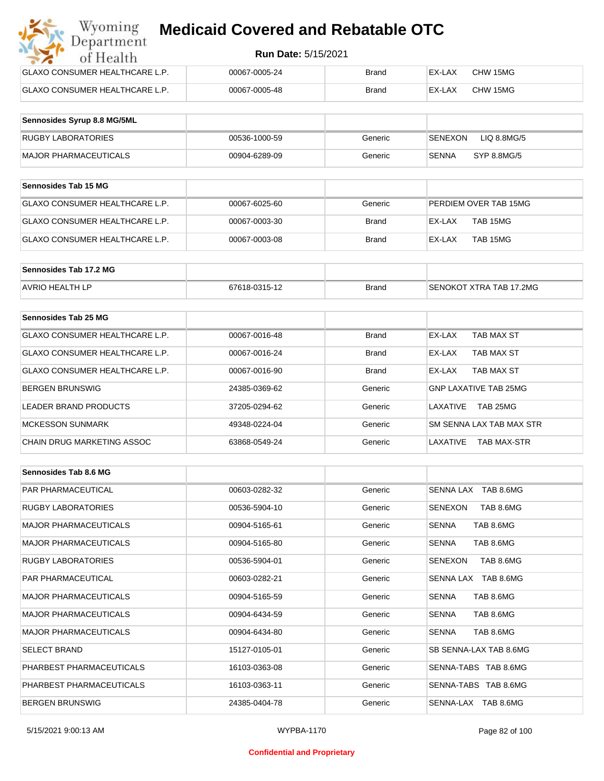| Wyoming<br><b>Medicaid Covered and Rebatable OTC</b><br>Department |                            |              |        |          |  |
|--------------------------------------------------------------------|----------------------------|--------------|--------|----------|--|
| of Health                                                          | <b>Run Date: 5/15/2021</b> |              |        |          |  |
| GLAXO CONSUMER HEALTHCARE L.P.                                     | 00067-0005-24              | <b>Brand</b> | EX-LAX | CHW 15MG |  |
| GLAXO CONSUMER HEALTHCARE L.P.                                     | 00067-0005-48              | <b>Brand</b> | EX-LAX | CHW 15MG |  |

| Sennosides Syrup 8.8 MG/5ML |               |         |                               |
|-----------------------------|---------------|---------|-------------------------------|
| RUGBY LABORATORIES          | 00536-1000-59 | Generic | LIQ 8.8MG/5<br><b>SENEXON</b> |
| MAJOR PHARMACEUTICALS       | 00904-6289-09 | Generic | <b>SENNA</b><br>SYP 8.8MG/5   |

| <b>Sennosides Tab 15 MG</b>    |               |         |                       |
|--------------------------------|---------------|---------|-----------------------|
| GLAXO CONSUMER HEALTHCARE L.P. | 00067-6025-60 | Generic | PERDIEM OVER TAB 15MG |
| GLAXO CONSUMER HEALTHCARE L.P. | 00067-0003-30 | Brand   | TAB 15MG<br>EX-LAX    |
| GLAXO CONSUMER HEALTHCARE L.P. | 00067-0003-08 | Brand   | TAB 15MG<br>EX-LAX    |

| Sennosides Tab 17.2 MG |               |              |                         |
|------------------------|---------------|--------------|-------------------------|
| <b>AVRIO HEALTH LP</b> | 67618-0315-12 | <b>Brand</b> | SENOKOT XTRA TAB 17.2MG |

| Sennosides Tab 25 MG           |               |              |                                |
|--------------------------------|---------------|--------------|--------------------------------|
| GLAXO CONSUMER HEALTHCARE L.P. | 00067-0016-48 | <b>Brand</b> | EX-LAX<br>TAB MAX ST           |
| GLAXO CONSUMER HEALTHCARE L.P. | 00067-0016-24 | <b>Brand</b> | TAB MAX ST<br>EX-LAX           |
| GLAXO CONSUMER HEALTHCARE L.P. | 00067-0016-90 | <b>Brand</b> | TAB MAX ST<br>EX-LAX           |
| <b>BERGEN BRUNSWIG</b>         | 24385-0369-62 | Generic      | <b>GNP LAXATIVE TAB 25MG</b>   |
| LEADER BRAND PRODUCTS          | 37205-0294-62 | Generic      | TAB 25MG<br>LAXATIVE           |
| <b>MCKESSON SUNMARK</b>        | 49348-0224-04 | Generic      | SM SENNA LAX TAB MAX STR       |
| CHAIN DRUG MARKETING ASSOC     | 63868-0549-24 | Generic      | LAXATIVE<br><b>TAB MAX-STR</b> |

| Sennosides Tab 8.6 MG        |               |         |                           |
|------------------------------|---------------|---------|---------------------------|
| <b>PAR PHARMACEUTICAL</b>    | 00603-0282-32 | Generic | SENNA LAX TAB 8.6MG       |
| <b>RUGBY LABORATORIES</b>    | 00536-5904-10 | Generic | SENEXON<br>TAB 8.6MG      |
| <b>MAJOR PHARMACEUTICALS</b> | 00904-5165-61 | Generic | TAB 8.6MG<br><b>SENNA</b> |
| <b>MAJOR PHARMACEUTICALS</b> | 00904-5165-80 | Generic | TAB 8.6MG<br><b>SENNA</b> |
| <b>RUGBY LABORATORIES</b>    | 00536-5904-01 | Generic | TAB 8.6MG<br>SENEXON      |
| <b>PAR PHARMACEUTICAL</b>    | 00603-0282-21 | Generic | SENNA LAX TAB 8.6MG       |
| <b>MAJOR PHARMACEUTICALS</b> | 00904-5165-59 | Generic | TAB 8.6MG<br><b>SENNA</b> |
| <b>MAJOR PHARMACEUTICALS</b> | 00904-6434-59 | Generic | <b>SENNA</b><br>TAB 8.6MG |
| <b>MAJOR PHARMACEUTICALS</b> | 00904-6434-80 | Generic | <b>SENNA</b><br>TAB 8.6MG |
| <b>SELECT BRAND</b>          | 15127-0105-01 | Generic | SB SENNA-LAX TAB 8.6MG    |
| PHARBEST PHARMACEUTICALS     | 16103-0363-08 | Generic | SENNA-TABS TAB 8.6MG      |
| PHARBEST PHARMACEUTICALS     | 16103-0363-11 | Generic | SENNA-TABS TAB 8.6MG      |
| <b>BERGEN BRUNSWIG</b>       | 24385-0404-78 | Generic | SENNA-LAX TAB 8.6MG       |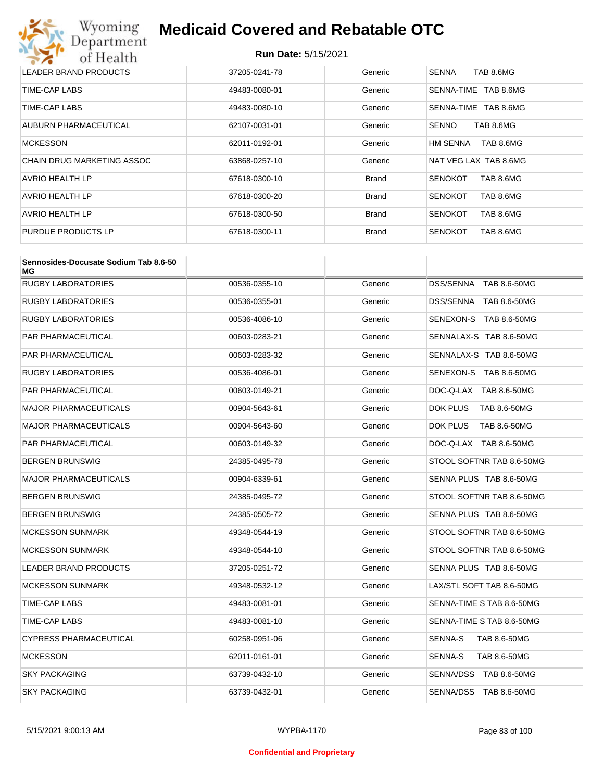# Wyoming<br>Department<br>of Health

## **Medicaid Covered and Rebatable OTC**

| LEADER BRAND PRODUCTS             | 37205-0241-78 | Generic      | <b>SENNA</b><br>TAB 8.6MG   |
|-----------------------------------|---------------|--------------|-----------------------------|
| TIME-CAP LABS                     | 49483-0080-01 | Generic      | TAB 8.6MG<br>SENNA-TIME     |
| TIME-CAP LABS                     | 49483-0080-10 | Generic      | TAB 8.6MG<br>SENNA-TIME     |
| AUBURN PHARMACEUTICAL             | 62107-0031-01 | Generic      | TAB 8.6MG<br><b>SENNO</b>   |
| <b>MCKESSON</b>                   | 62011-0192-01 | Generic      | HM SENNA<br>TAB 8.6MG       |
| <b>CHAIN DRUG MARKETING ASSOC</b> | 63868-0257-10 | Generic      | NAT VEG LAX TAB 8.6MG       |
| AVRIO HEALTH LP                   | 67618-0300-10 | <b>Brand</b> | TAB 8.6MG<br><b>SENOKOT</b> |
| <b>AVRIO HEALTH LP</b>            | 67618-0300-20 | <b>Brand</b> | TAB 8.6MG<br><b>SENOKOT</b> |
| AVRIO HEALTH LP                   | 67618-0300-50 | <b>Brand</b> | TAB 8.6MG<br><b>SENOKOT</b> |
| PURDUE PRODUCTS LP                | 67618-0300-11 | <b>Brand</b> | <b>SENOKOT</b><br>TAB 8.6MG |

| Sennosides-Docusate Sodium Tab 8.6-50<br>ΜG |               |         |                                 |
|---------------------------------------------|---------------|---------|---------------------------------|
| <b>RUGBY LABORATORIES</b>                   | 00536-0355-10 | Generic | DSS/SENNA TAB 8.6-50MG          |
| <b>RUGBY LABORATORIES</b>                   | 00536-0355-01 | Generic | DSS/SENNA TAB 8.6-50MG          |
| <b>RUGBY LABORATORIES</b>                   | 00536-4086-10 | Generic | SENEXON-S TAB 8.6-50MG          |
| PAR PHARMACEUTICAL                          | 00603-0283-21 | Generic | SENNALAX-S TAB 8.6-50MG         |
| PAR PHARMACEUTICAL                          | 00603-0283-32 | Generic | SENNALAX-S TAB 8.6-50MG         |
| RUGBY LABORATORIES                          | 00536-4086-01 | Generic | SENEXON-S TAB 8.6-50MG          |
| PAR PHARMACEUTICAL                          | 00603-0149-21 | Generic | DOC-Q-LAX TAB 8.6-50MG          |
| <b>MAJOR PHARMACEUTICALS</b>                | 00904-5643-61 | Generic | DOK PLUS<br><b>TAB 8.6-50MG</b> |
| <b>MAJOR PHARMACEUTICALS</b>                | 00904-5643-60 | Generic | DOK PLUS<br><b>TAB 8.6-50MG</b> |
| PAR PHARMACEUTICAL                          | 00603-0149-32 | Generic | DOC-Q-LAX TAB 8.6-50MG          |
| BERGEN BRUNSWIG                             | 24385-0495-78 | Generic | STOOL SOFTNR TAB 8.6-50MG       |
| <b>MAJOR PHARMACEUTICALS</b>                | 00904-6339-61 | Generic | SENNA PLUS TAB 8.6-50MG         |
| BERGEN BRUNSWIG                             | 24385-0495-72 | Generic | STOOL SOFTNR TAB 8.6-50MG       |
| BERGEN BRUNSWIG                             | 24385-0505-72 | Generic | SENNA PLUS TAB 8.6-50MG         |
| <b>MCKESSON SUNMARK</b>                     | 49348-0544-19 | Generic | STOOL SOFTNR TAB 8.6-50MG       |
| <b>MCKESSON SUNMARK</b>                     | 49348-0544-10 | Generic | STOOL SOFTNR TAB 8.6-50MG       |
| <b>LEADER BRAND PRODUCTS</b>                | 37205-0251-72 | Generic | SENNA PLUS TAB 8.6-50MG         |
| <b>MCKESSON SUNMARK</b>                     | 49348-0532-12 | Generic | LAX/STL SOFT TAB 8.6-50MG       |
| TIME-CAP LABS                               | 49483-0081-01 | Generic | SENNA-TIME S TAB 8.6-50MG       |
| TIME-CAP LABS                               | 49483-0081-10 | Generic | SENNA-TIME S TAB 8.6-50MG       |
| CYPRESS PHARMACEUTICAL                      | 60258-0951-06 | Generic | SENNA-S<br>TAB 8.6-50MG         |
| <b>MCKESSON</b>                             | 62011-0161-01 | Generic | SENNA-S<br>TAB 8.6-50MG         |
| SKY PACKAGING                               | 63739-0432-10 | Generic | SENNA/DSS TAB 8.6-50MG          |
| <b>SKY PACKAGING</b>                        | 63739-0432-01 | Generic | SENNA/DSS TAB 8.6-50MG          |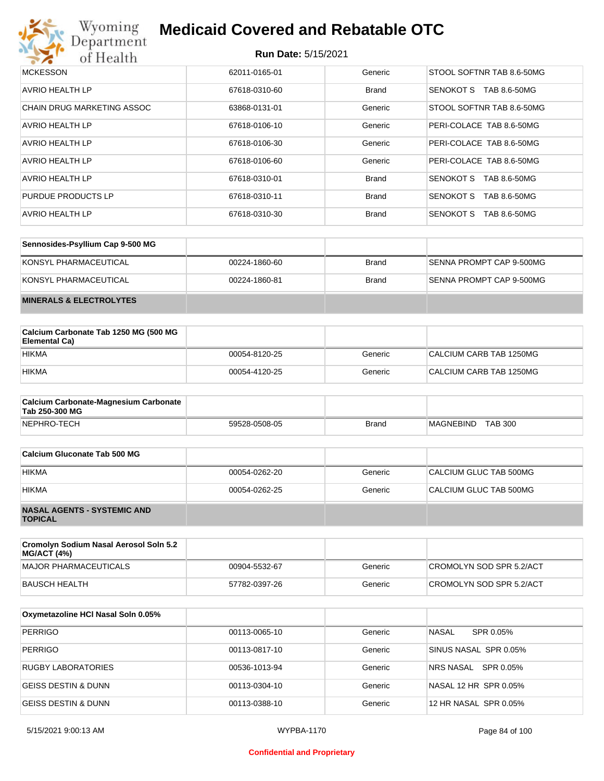

| <b>MCKESSON</b>            | 62011-0165-01 | Generic      | STOOL SOFTNR TAB 8.6-50MG        |
|----------------------------|---------------|--------------|----------------------------------|
| <b>AVRIO HEALTH LP</b>     | 67618-0310-60 | <b>Brand</b> | SENOKOT S<br>TAB 8.6-50MG        |
| CHAIN DRUG MARKETING ASSOC | 63868-0131-01 | Generic      | STOOL SOFTNR TAB 8.6-50MG        |
| AVRIO HEALTH LP            | 67618-0106-10 | Generic      | PERI-COLACE TAB 8.6-50MG         |
| AVRIO HEALTH LP            | 67618-0106-30 | Generic      | PERI-COLACE TAB 8.6-50MG         |
| <b>AVRIO HEALTH LP</b>     | 67618-0106-60 | Generic      | PERI-COLACE TAB 8.6-50MG         |
| <b>AVRIO HEALTH LP</b>     | 67618-0310-01 | <b>Brand</b> | TAB 8.6-50MG<br><b>SENOKOT S</b> |
| PURDUE PRODUCTS LP         | 67618-0310-11 | <b>Brand</b> | <b>SENOKOT S</b><br>TAB 8.6-50MG |
| AVRIO HEALTH LP            | 67618-0310-30 | <b>Brand</b> | <b>SENOKOT S</b><br>TAB 8.6-50MG |

| Sennosides-Psyllium Cap 9-500 MG   |               |              |                          |
|------------------------------------|---------------|--------------|--------------------------|
| KONSYL PHARMACEUTICAL              | 00224-1860-60 | <b>Brand</b> | SENNA PROMPT CAP 9-500MG |
| KONSYL PHARMACEUTICAL              | 00224-1860-81 | <b>Brand</b> | SENNA PROMPT CAP 9-500MG |
| <b>MINERALS &amp; ELECTROLYTES</b> |               |              |                          |

| Calcium Carbonate Tab 1250 MG (500 MG<br>Elemental Ca) |               |         |                         |
|--------------------------------------------------------|---------------|---------|-------------------------|
| <b>HIKMA</b>                                           | 00054-8120-25 | Generic | CALCIUM CARB TAB 1250MG |
| <b>HIKMA</b>                                           | 00054-4120-25 | Generic | CALCIUM CARB TAB 1250MG |

| <b>Calcium Carbonate-Magnesium Carbonate</b><br>Tab 250-300 MG |               |              |                             |
|----------------------------------------------------------------|---------------|--------------|-----------------------------|
| NEPHRO-TECH                                                    | 59528-0508-05 | <b>Brand</b> | <b>TAB 300</b><br>MAGNEBIND |

| Calcium Gluconate Tab 500 MG                         |               |         |                        |
|------------------------------------------------------|---------------|---------|------------------------|
| <b>HIKMA</b>                                         | 00054-0262-20 | Generic | CALCIUM GLUC TAB 500MG |
| <b>HIKMA</b>                                         | 00054-0262-25 | Generic | CALCIUM GLUC TAB 500MG |
| <b>NASAL AGENTS - SYSTEMIC AND</b><br><b>TOPICAL</b> |               |         |                        |

| Cromolyn Sodium Nasal Aerosol Soln 5.2<br><b>MG/ACT (4%)</b> |               |         |                          |
|--------------------------------------------------------------|---------------|---------|--------------------------|
| MAJOR PHARMACEUTICALS                                        | 00904-5532-67 | Generic | CROMOLYN SOD SPR 5.2/ACT |
| BAUSCH HEALTH                                                | 57782-0397-26 | Generic | CROMOLYN SOD SPR 5.2/ACT |

| Oxymetazoline HCI Nasal Soln 0.05% |               |         |                           |
|------------------------------------|---------------|---------|---------------------------|
| <b>PERRIGO</b>                     | 00113-0065-10 | Generic | <b>NASAL</b><br>SPR 0.05% |
| <b>PERRIGO</b>                     | 00113-0817-10 | Generic | SINUS NASAL SPR 0.05%     |
| <b>RUGBY LABORATORIES</b>          | 00536-1013-94 | Generic | NRS NASAL SPR 0.05%       |
| <b>GEISS DESTIN &amp; DUNN</b>     | 00113-0304-10 | Generic | NASAL 12 HR SPR 0.05%     |
| <b>GEISS DESTIN &amp; DUNN</b>     | 00113-0388-10 | Generic | 12 HR NASAL SPR 0.05%     |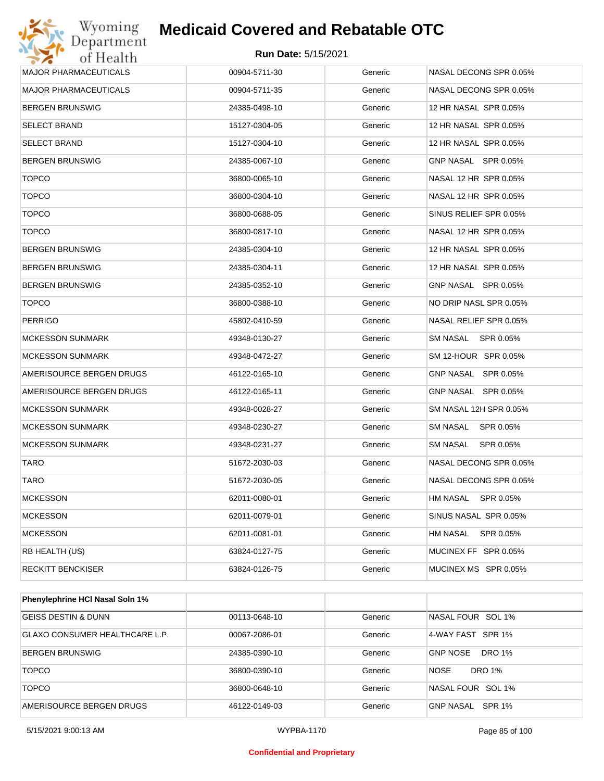| Wyoming<br>Department        | <b>Medicaid Covered and Rebatable OTC</b> |         |                              |
|------------------------------|-------------------------------------------|---------|------------------------------|
| of Health                    | <b>Run Date: 5/15/2021</b>                |         |                              |
| <b>MAJOR PHARMACEUTICALS</b> | 00904-5711-30                             | Generic | NASAL DECONG SPR 0.05%       |
| <b>MAJOR PHARMACEUTICALS</b> | 00904-5711-35                             | Generic | NASAL DECONG SPR 0.05%       |
| <b>BERGEN BRUNSWIG</b>       | 24385-0498-10                             | Generic | 12 HR NASAL SPR 0.05%        |
| <b>SELECT BRAND</b>          | 15127-0304-05                             | Generic | 12 HR NASAL SPR 0.05%        |
| <b>SELECT BRAND</b>          | 15127-0304-10                             | Generic | 12 HR NASAL SPR 0.05%        |
| <b>BERGEN BRUNSWIG</b>       | 24385-0067-10                             | Generic | GNP NASAL SPR 0.05%          |
| <b>TOPCO</b>                 | 36800-0065-10                             | Generic | NASAL 12 HR SPR 0.05%        |
| <b>TOPCO</b>                 | 36800-0304-10                             | Generic | NASAL 12 HR SPR 0.05%        |
| <b>TOPCO</b>                 | 36800-0688-05                             | Generic | SINUS RELIEF SPR 0.05%       |
| <b>TOPCO</b>                 | 36800-0817-10                             | Generic | NASAL 12 HR SPR 0.05%        |
| <b>BERGEN BRUNSWIG</b>       | 24385-0304-10                             | Generic | 12 HR NASAL SPR 0.05%        |
| <b>BERGEN BRUNSWIG</b>       | 24385-0304-11                             | Generic | 12 HR NASAL SPR 0.05%        |
| <b>BERGEN BRUNSWIG</b>       | 24385-0352-10                             | Generic | GNP NASAL SPR 0.05%          |
| <b>TOPCO</b>                 | 36800-0388-10                             | Generic | NO DRIP NASL SPR 0.05%       |
| <b>PERRIGO</b>               | 45802-0410-59                             | Generic | NASAL RELIEF SPR 0.05%       |
| <b>MCKESSON SUNMARK</b>      | 49348-0130-27                             | Generic | SM NASAL<br>SPR 0.05%        |
| <b>MCKESSON SUNMARK</b>      | 49348-0472-27                             | Generic | SM 12-HOUR SPR 0.05%         |
| AMERISOURCE BERGEN DRUGS     | 46122-0165-10                             | Generic | GNP NASAL SPR 0.05%          |
| AMERISOURCE BERGEN DRUGS     | 46122-0165-11                             | Generic | GNP NASAL SPR 0.05%          |
| <b>MCKESSON SUNMARK</b>      | 49348-0028-27                             | Generic | SM NASAL 12H SPR 0.05%       |
| <b>MCKESSON SUNMARK</b>      | 49348-0230-27                             | Generic | SM NASAL<br>SPR 0.05%        |
| <b>MCKESSON SUNMARK</b>      | 49348-0231-27                             | Generic | SM NASAL<br>SPR 0.05%        |
| TARO                         | 51672-2030-03                             | Generic | NASAL DECONG SPR 0.05%       |
| TARO                         | 51672-2030-05                             | Generic | NASAL DECONG SPR 0.05%       |
| <b>MCKESSON</b>              | 62011-0080-01                             | Generic | <b>HM NASAL</b><br>SPR 0.05% |
| <b>MCKESSON</b>              | 62011-0079-01                             | Generic | SINUS NASAL SPR 0.05%        |
| <b>MCKESSON</b>              | 62011-0081-01                             | Generic | <b>HM NASAL</b><br>SPR 0.05% |
| RB HEALTH (US)               | 63824-0127-75                             | Generic | MUCINEX FF SPR 0.05%         |
| <b>RECKITT BENCKISER</b>     | 63824-0126-75                             | Generic | MUCINEX MS SPR 0.05%         |

| Phenylephrine HCI Nasal Soln 1% |               |         |                              |
|---------------------------------|---------------|---------|------------------------------|
| GEISS DESTIN & DUNN             | 00113-0648-10 | Generic | NASAL FOUR SOL 1%            |
| GLAXO CONSUMER HEALTHCARE L.P.  | 00067-2086-01 | Generic | 4-WAY FAST SPR 1%            |
| <b>BERGEN BRUNSWIG</b>          | 24385-0390-10 | Generic | DRO 1%<br><b>GNP NOSE</b>    |
| <b>TOPCO</b>                    | 36800-0390-10 | Generic | <b>NOSE</b><br><b>DRO 1%</b> |
| <b>TOPCO</b>                    | 36800-0648-10 | Generic | NASAL FOUR SOL 1%            |
| AMERISOURCE BERGEN DRUGS        | 46122-0149-03 | Generic | GNP NASAL SPR 1%             |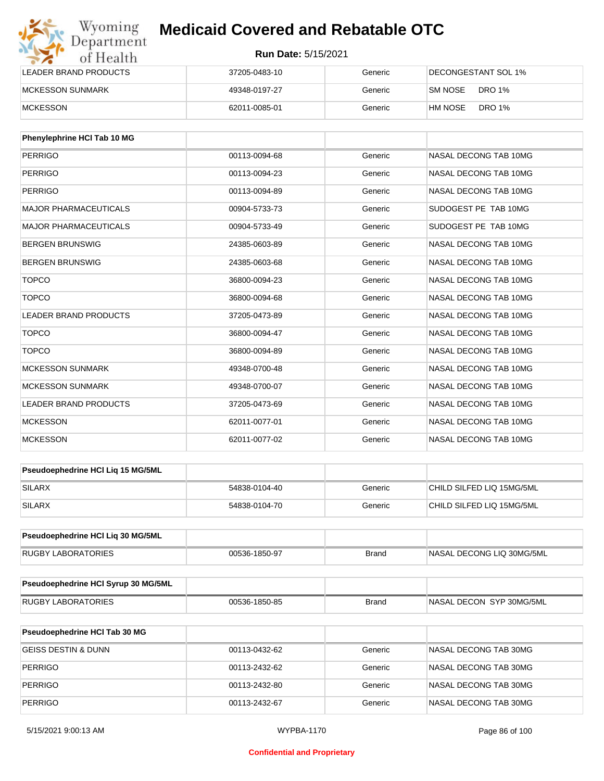| Wyoming<br>Department   | <b>Medicaid Covered and Rebatable OTC</b><br><b>Run Date: 5/15/2021</b> |         |                          |  |
|-------------------------|-------------------------------------------------------------------------|---------|--------------------------|--|
| of Health               |                                                                         |         |                          |  |
| LEADER BRAND PRODUCTS   | 37205-0483-10                                                           | Generic | DECONGESTANT SOL 1%      |  |
| <b>MCKESSON SUNMARK</b> | 49348-0197-27                                                           | Generic | SM NOSE<br><b>DRO 1%</b> |  |
| <b>MCKESSON</b>         | 62011-0085-01                                                           | Generic | <b>DRO 1%</b><br>HM NOSE |  |

| Phenylephrine HCI Tab 10 MG  |               |         |                       |
|------------------------------|---------------|---------|-----------------------|
| <b>PERRIGO</b>               | 00113-0094-68 | Generic | NASAL DECONG TAB 10MG |
| PERRIGO                      | 00113-0094-23 | Generic | NASAL DECONG TAB 10MG |
| <b>PERRIGO</b>               | 00113-0094-89 | Generic | NASAL DECONG TAB 10MG |
| <b>MAJOR PHARMACEUTICALS</b> | 00904-5733-73 | Generic | SUDOGEST PE TAB 10MG  |
| <b>MAJOR PHARMACEUTICALS</b> | 00904-5733-49 | Generic | SUDOGEST PE TAB 10MG  |
| <b>BERGEN BRUNSWIG</b>       | 24385-0603-89 | Generic | NASAL DECONG TAB 10MG |
| <b>BERGEN BRUNSWIG</b>       | 24385-0603-68 | Generic | NASAL DECONG TAB 10MG |
| <b>TOPCO</b>                 | 36800-0094-23 | Generic | NASAL DECONG TAB 10MG |
| <b>TOPCO</b>                 | 36800-0094-68 | Generic | NASAL DECONG TAB 10MG |
| <b>LEADER BRAND PRODUCTS</b> | 37205-0473-89 | Generic | NASAL DECONG TAB 10MG |
| <b>TOPCO</b>                 | 36800-0094-47 | Generic | NASAL DECONG TAB 10MG |
| <b>TOPCO</b>                 | 36800-0094-89 | Generic | NASAL DECONG TAB 10MG |
| <b>MCKESSON SUNMARK</b>      | 49348-0700-48 | Generic | NASAL DECONG TAB 10MG |
| <b>MCKESSON SUNMARK</b>      | 49348-0700-07 | Generic | NASAL DECONG TAB 10MG |
| <b>LEADER BRAND PRODUCTS</b> | 37205-0473-69 | Generic | NASAL DECONG TAB 10MG |
| <b>MCKESSON</b>              | 62011-0077-01 | Generic | NASAL DECONG TAB 10MG |
| <b>MCKESSON</b>              | 62011-0077-02 | Generic | NASAL DECONG TAB 10MG |

| <b>Pseudoephedrine HCI Lig 15 MG/5ML</b> |               |         |                           |
|------------------------------------------|---------------|---------|---------------------------|
| SILARX                                   | 54838-0104-40 | Generic | CHILD SILFED LIQ 15MG/5ML |
| <b>SILARX</b>                            | 54838-0104-70 | Generic | CHILD SILFED LIQ 15MG/5ML |

| <b>Pseudoephedrine HCI Lig 30 MG/5ML</b> |               |       |                            |
|------------------------------------------|---------------|-------|----------------------------|
| RUGBY LABORATORIES                       | 00536-1850-97 | Brand | INASAL DECONG LIQ 30MG/5ML |

| Pseudoephedrine HCI Syrup 30 MG/5ML |               |       |                           |
|-------------------------------------|---------------|-------|---------------------------|
| LABORATORIES<br>RUGBY               | 00536-1850-85 | Brand | INASAL DECON SYP 30MG/5ML |

| <b>Pseudoephedrine HCI Tab 30 MG</b> |               |         |                       |
|--------------------------------------|---------------|---------|-----------------------|
| GEISS DESTIN & DUNN                  | 00113-0432-62 | Generic | NASAL DECONG TAB 30MG |
| PERRIGO                              | 00113-2432-62 | Generic | NASAL DECONG TAB 30MG |
| PERRIGO                              | 00113-2432-80 | Generic | NASAL DECONG TAB 30MG |
| PERRIGO                              | 00113-2432-67 | Generic | NASAL DECONG TAB 30MG |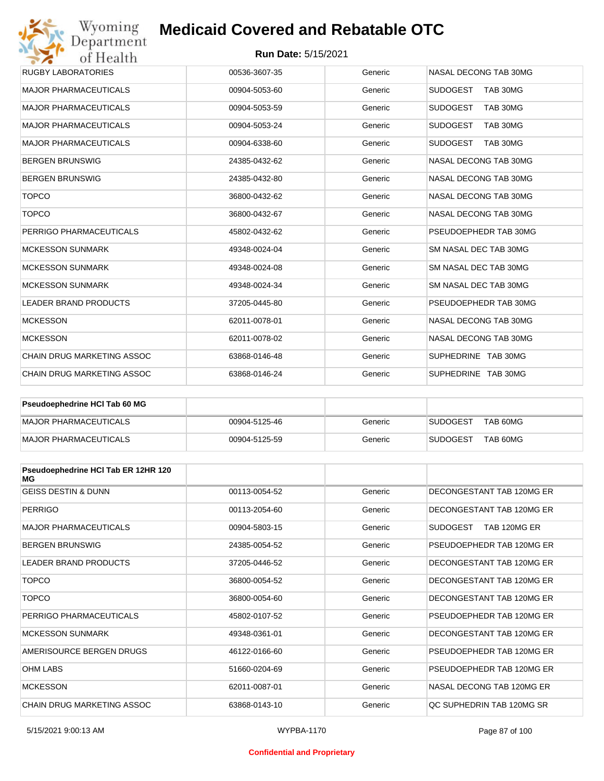#### **Run Date:** 5/15/2021

| Wyoming                           | <b>Medicaid Covered and Rebatable OTC</b> |         |                             |  |  |
|-----------------------------------|-------------------------------------------|---------|-----------------------------|--|--|
| of Health                         | Department<br><b>Run Date: 5/15/2021</b>  |         |                             |  |  |
| <b>RUGBY LABORATORIES</b>         | 00536-3607-35                             | Generic | NASAL DECONG TAB 30MG       |  |  |
| <b>MAJOR PHARMACEUTICALS</b>      | 00904-5053-60                             | Generic | <b>SUDOGEST</b><br>TAB 30MG |  |  |
| <b>MAJOR PHARMACEUTICALS</b>      | 00904-5053-59                             | Generic | <b>SUDOGEST</b><br>TAB 30MG |  |  |
| <b>MAJOR PHARMACEUTICALS</b>      | 00904-5053-24                             | Generic | <b>SUDOGEST</b><br>TAB 30MG |  |  |
| <b>MAJOR PHARMACEUTICALS</b>      | 00904-6338-60                             | Generic | <b>SUDOGEST</b><br>TAB 30MG |  |  |
| <b>BERGEN BRUNSWIG</b>            | 24385-0432-62                             | Generic | NASAL DECONG TAB 30MG       |  |  |
| <b>BERGEN BRUNSWIG</b>            | 24385-0432-80                             | Generic | NASAL DECONG TAB 30MG       |  |  |
| <b>TOPCO</b>                      | 36800-0432-62                             | Generic | NASAL DECONG TAB 30MG       |  |  |
| <b>TOPCO</b>                      | 36800-0432-67                             | Generic | NASAL DECONG TAB 30MG       |  |  |
| PERRIGO PHARMACEUTICALS           | 45802-0432-62                             | Generic | PSEUDOEPHEDR TAB 30MG       |  |  |
| <b>MCKESSON SUNMARK</b>           | 49348-0024-04                             | Generic | SM NASAL DEC TAB 30MG       |  |  |
| <b>MCKESSON SUNMARK</b>           | 49348-0024-08                             | Generic | SM NASAL DEC TAB 30MG       |  |  |
| <b>MCKESSON SUNMARK</b>           | 49348-0024-34                             | Generic | SM NASAL DEC TAB 30MG       |  |  |
| <b>LEADER BRAND PRODUCTS</b>      | 37205-0445-80                             | Generic | PSEUDOEPHEDR TAB 30MG       |  |  |
| <b>MCKESSON</b>                   | 62011-0078-01                             | Generic | NASAL DECONG TAB 30MG       |  |  |
| <b>MCKESSON</b>                   | 62011-0078-02                             | Generic | NASAL DECONG TAB 30MG       |  |  |
| <b>CHAIN DRUG MARKETING ASSOC</b> | 63868-0146-48                             | Generic | SUPHEDRINE TAB 30MG         |  |  |
| <b>CHAIN DRUG MARKETING ASSOC</b> | 63868-0146-24                             | Generic | SUPHEDRINE TAB 30MG         |  |  |

| <b>Pseudoephedrine HCI Tab 60 MG</b> |               |         |                             |
|--------------------------------------|---------------|---------|-----------------------------|
| MAJOR PHARMACEUTICALS                | 00904-5125-46 | Generic | TAB 60MG<br><b>SUDOGEST</b> |
| MAJOR PHARMACEUTICALS                | 00904-5125-59 | Generic | TAB 60MG<br><b>SUDOGEST</b> |

| Pseudoephedrine HCI Tab ER 12HR 120<br>МG |               |         |                           |
|-------------------------------------------|---------------|---------|---------------------------|
| <b>GEISS DESTIN &amp; DUNN</b>            | 00113-0054-52 | Generic | DECONGESTANT TAB 120MG ER |
| <b>PERRIGO</b>                            | 00113-2054-60 | Generic | DECONGESTANT TAB 120MG ER |
| <b>MAJOR PHARMACEUTICALS</b>              | 00904-5803-15 | Generic | SUDOGEST<br>TAB 120MG ER  |
| <b>BERGEN BRUNSWIG</b>                    | 24385-0054-52 | Generic | PSEUDOEPHEDR TAB 120MG ER |
| <b>LEADER BRAND PRODUCTS</b>              | 37205-0446-52 | Generic | DECONGESTANT TAB 120MG ER |
| <b>TOPCO</b>                              | 36800-0054-52 | Generic | DECONGESTANT TAB 120MG ER |
| <b>TOPCO</b>                              | 36800-0054-60 | Generic | DECONGESTANT TAB 120MG ER |
| PERRIGO PHARMACEUTICALS                   | 45802-0107-52 | Generic | PSEUDOEPHEDR TAB 120MG ER |
| <b>MCKESSON SUNMARK</b>                   | 49348-0361-01 | Generic | DECONGESTANT TAB 120MG ER |
| AMERISOURCE BERGEN DRUGS                  | 46122-0166-60 | Generic | PSEUDOEPHEDR TAB 120MG ER |
| <b>OHM LABS</b>                           | 51660-0204-69 | Generic | PSEUDOEPHEDR TAB 120MG ER |
| <b>MCKESSON</b>                           | 62011-0087-01 | Generic | NASAL DECONG TAB 120MG ER |
| CHAIN DRUG MARKETING ASSOC                | 63868-0143-10 | Generic | OC SUPHEDRIN TAB 120MG SR |

#### **Confidential and Proprietary**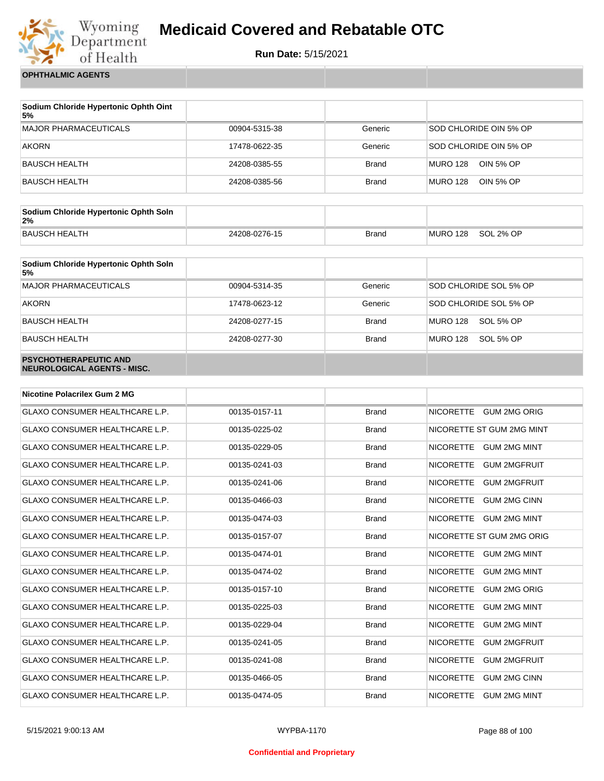

**Run Date:** 5/15/2021

**OPHTHALMIC AGENTS**

| Sodium Chloride Hypertonic Ophth Oint<br>5% |               |              |                              |
|---------------------------------------------|---------------|--------------|------------------------------|
| <b>MAJOR PHARMACEUTICALS</b>                | 00904-5315-38 | Generic      | SOD CHLORIDE OIN 5% OP       |
| AKORN                                       | 17478-0622-35 | Generic      | SOD CHLORIDE OIN 5% OP       |
| BAUSCH HEALTH                               | 24208-0385-55 | <b>Brand</b> | MURO 128<br>OIN 5% OP        |
| BAUSCH HEALTH                               | 24208-0385-56 | <b>Brand</b> | OIN 5% OP<br><b>MURO 128</b> |

| Sodium Chloride Hypertonic Ophth Soln<br>2% |               |       |          |           |
|---------------------------------------------|---------------|-------|----------|-----------|
| <b>BAUSCH HEALTH</b>                        | 24208-0276-15 | Brand | MURO 128 | SOL 2% OP |

| Sodium Chloride Hypertonic Ophth Soln<br>5%                 |               |              |                        |
|-------------------------------------------------------------|---------------|--------------|------------------------|
| <b>MAJOR PHARMACEUTICALS</b>                                | 00904-5314-35 | Generic      | SOD CHLORIDE SOL 5% OP |
| <b>AKORN</b>                                                | 17478-0623-12 | Generic      | SOD CHLORIDE SOL 5% OP |
| <b>BAUSCH HEALTH</b>                                        | 24208-0277-15 | <b>Brand</b> | MURO 128<br>SOL 5% OP  |
| <b>BAUSCH HEALTH</b>                                        | 24208-0277-30 | <b>Brand</b> | MURO 128<br>SOL 5% OP  |
| <b>PSYCHOTHERAPEUTIC AND</b><br>NEUROLOGICAL AGENTS - MISC. |               |              |                        |

| <b>Nicotine Polacrilex Gum 2 MG</b>   |               |              |                                         |
|---------------------------------------|---------------|--------------|-----------------------------------------|
| <b>GLAXO CONSUMER HEALTHCARE L.P.</b> | 00135-0157-11 | <b>Brand</b> | <b>GUM 2MG ORIG</b><br><b>NICORETTE</b> |
| GLAXO CONSUMER HEALTHCARE L.P.        | 00135-0225-02 | <b>Brand</b> | NICORETTE ST GUM 2MG MINT               |
| <b>GLAXO CONSUMER HEALTHCARE L.P.</b> | 00135-0229-05 | <b>Brand</b> | <b>NICORETTE</b><br><b>GUM 2MG MINT</b> |
| <b>GLAXO CONSUMER HEALTHCARE L.P.</b> | 00135-0241-03 | <b>Brand</b> | <b>NICORETTE</b><br><b>GUM 2MGFRUIT</b> |
| <b>GLAXO CONSUMER HEALTHCARE L.P.</b> | 00135-0241-06 | <b>Brand</b> | <b>NICORETTE</b><br><b>GUM 2MGFRUIT</b> |
| GLAXO CONSUMER HEALTHCARE L.P.        | 00135-0466-03 | <b>Brand</b> | <b>NICORETTE</b><br><b>GUM 2MG CINN</b> |
| <b>GLAXO CONSUMER HEALTHCARE L.P.</b> | 00135-0474-03 | <b>Brand</b> | <b>NICORETTE</b><br><b>GUM 2MG MINT</b> |
| GLAXO CONSUMER HEALTHCARE L.P.        | 00135-0157-07 | <b>Brand</b> | NICORETTE ST GUM 2MG ORIG               |
| <b>GLAXO CONSUMER HEALTHCARE L.P.</b> | 00135-0474-01 | <b>Brand</b> | <b>NICORETTE</b><br><b>GUM 2MG MINT</b> |
| <b>GLAXO CONSUMER HEALTHCARE L.P.</b> | 00135-0474-02 | <b>Brand</b> | <b>NICORETTE</b><br><b>GUM 2MG MINT</b> |
| <b>GLAXO CONSUMER HEALTHCARE L.P.</b> | 00135-0157-10 | <b>Brand</b> | <b>NICORETTE</b><br><b>GUM 2MG ORIG</b> |
| <b>GLAXO CONSUMER HEALTHCARE L.P.</b> | 00135-0225-03 | <b>Brand</b> | <b>NICORETTE</b><br><b>GUM 2MG MINT</b> |
| <b>GLAXO CONSUMER HEALTHCARE L.P.</b> | 00135-0229-04 | <b>Brand</b> | <b>NICORETTE</b><br><b>GUM 2MG MINT</b> |
| <b>GLAXO CONSUMER HEALTHCARE L.P.</b> | 00135-0241-05 | <b>Brand</b> | <b>NICORETTE</b><br><b>GUM 2MGFRUIT</b> |
| <b>GLAXO CONSUMER HEALTHCARE L.P.</b> | 00135-0241-08 | <b>Brand</b> | <b>NICORETTE</b><br><b>GUM 2MGFRUIT</b> |
| <b>GLAXO CONSUMER HEALTHCARE L.P.</b> | 00135-0466-05 | <b>Brand</b> | <b>NICORETTE</b><br><b>GUM 2MG CINN</b> |
| <b>GLAXO CONSUMER HEALTHCARE L.P.</b> | 00135-0474-05 | <b>Brand</b> | <b>NICORETTE</b><br><b>GUM 2MG MINT</b> |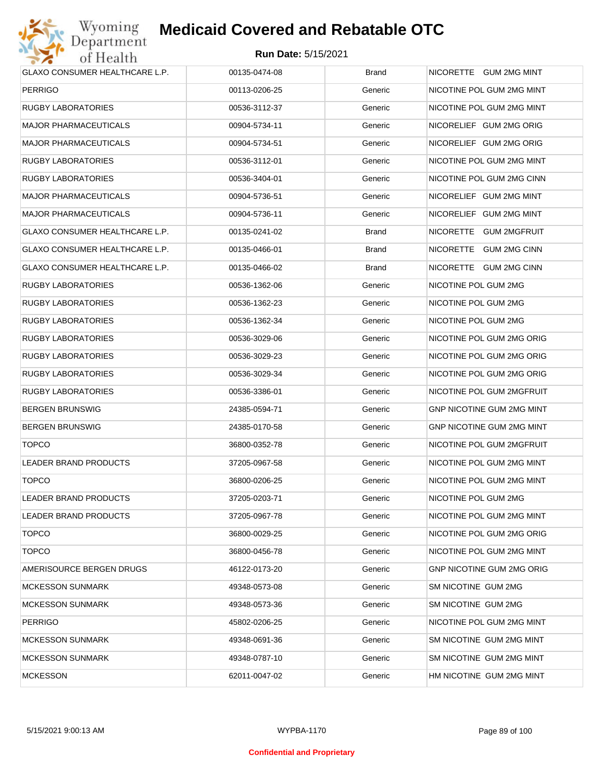

| <b>GLAXO CONSUMER HEALTHCARE L.P.</b> | 00135-0474-08 | <b>Brand</b> | NICORETTE GUM 2MG MINT    |
|---------------------------------------|---------------|--------------|---------------------------|
| PERRIGO                               | 00113-0206-25 | Generic      | NICOTINE POL GUM 2MG MINT |
| RUGBY LABORATORIES                    | 00536-3112-37 | Generic      | NICOTINE POL GUM 2MG MINT |
| MAJOR PHARMACEUTICALS                 | 00904-5734-11 | Generic      | NICORELIEF GUM 2MG ORIG   |
| MAJOR PHARMACEUTICALS                 | 00904-5734-51 | Generic      | NICORELIEF GUM 2MG ORIG   |
| RUGBY LABORATORIES                    | 00536-3112-01 | Generic      | NICOTINE POL GUM 2MG MINT |
| RUGBY LABORATORIES                    | 00536-3404-01 | Generic      | NICOTINE POL GUM 2MG CINN |
| MAJOR PHARMACEUTICALS                 | 00904-5736-51 | Generic      | NICORELIEF GUM 2MG MINT   |
| MAJOR PHARMACEUTICALS                 | 00904-5736-11 | Generic      | NICORELIEF GUM 2MG MINT   |
| GLAXO CONSUMER HEALTHCARE L.P.        | 00135-0241-02 | <b>Brand</b> | NICORETTE GUM 2MGFRUIT    |
| GLAXO CONSUMER HEALTHCARE L.P.        | 00135-0466-01 | <b>Brand</b> | NICORETTE GUM 2MG CINN    |
| GLAXO CONSUMER HEALTHCARE L.P.        | 00135-0466-02 | <b>Brand</b> | NICORETTE GUM 2MG CINN    |
| RUGBY LABORATORIES                    | 00536-1362-06 | Generic      | NICOTINE POL GUM 2MG      |
| RUGBY LABORATORIES                    | 00536-1362-23 | Generic      | NICOTINE POL GUM 2MG      |
| RUGBY LABORATORIES                    | 00536-1362-34 | Generic      | NICOTINE POL GUM 2MG      |
| RUGBY LABORATORIES                    | 00536-3029-06 | Generic      | NICOTINE POL GUM 2MG ORIG |
| RUGBY LABORATORIES                    | 00536-3029-23 | Generic      | NICOTINE POL GUM 2MG ORIG |
| RUGBY LABORATORIES                    | 00536-3029-34 | Generic      | NICOTINE POL GUM 2MG ORIG |
| RUGBY LABORATORIES                    | 00536-3386-01 | Generic      | NICOTINE POL GUM 2MGFRUIT |
| BERGEN BRUNSWIG                       | 24385-0594-71 | Generic      | GNP NICOTINE GUM 2MG MINT |
| BERGEN BRUNSWIG                       | 24385-0170-58 | Generic      | GNP NICOTINE GUM 2MG MINT |
| <b>TOPCO</b>                          | 36800-0352-78 | Generic      | NICOTINE POL GUM 2MGFRUIT |
| LEADER BRAND PRODUCTS                 | 37205-0967-58 | Generic      | NICOTINE POL GUM 2MG MINT |
| <b>TOPCO</b>                          | 36800-0206-25 | Generic      | NICOTINE POL GUM 2MG MINT |
| LEADER BRAND PRODUCTS                 | 37205-0203-71 | Generic      | NICOTINE POL GUM 2MG      |
| LEADER BRAND PRODUCTS                 | 37205-0967-78 | Generic      | NICOTINE POL GUM 2MG MINT |
| <b>TOPCO</b>                          | 36800-0029-25 | Generic      | NICOTINE POL GUM 2MG ORIG |
| <b>TOPCO</b>                          | 36800-0456-78 | Generic      | NICOTINE POL GUM 2MG MINT |
| AMERISOURCE BERGEN DRUGS              | 46122-0173-20 | Generic      | GNP NICOTINE GUM 2MG ORIG |
| MCKESSON SUNMARK                      | 49348-0573-08 | Generic      | SM NICOTINE GUM 2MG       |
| MCKESSON SUNMARK                      | 49348-0573-36 | Generic      | SM NICOTINE GUM 2MG       |
| PERRIGO                               | 45802-0206-25 | Generic      | NICOTINE POL GUM 2MG MINT |
| MCKESSON SUNMARK                      | 49348-0691-36 | Generic      | SM NICOTINE GUM 2MG MINT  |
| MCKESSON SUNMARK                      | 49348-0787-10 | Generic      | SM NICOTINE GUM 2MG MINT  |
| <b>MCKESSON</b>                       | 62011-0047-02 | Generic      | HM NICOTINE GUM 2MG MINT  |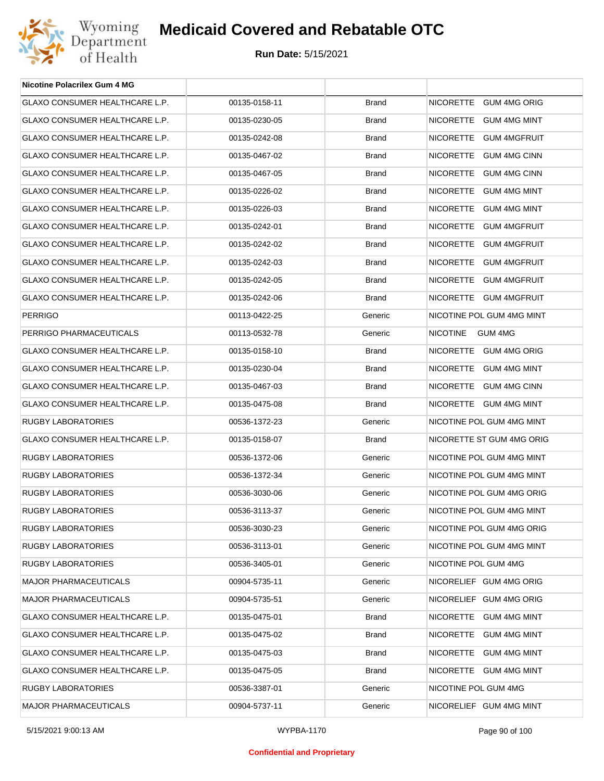

| Nicotine Polacrilex Gum 4 MG          |               |              |                           |
|---------------------------------------|---------------|--------------|---------------------------|
| GLAXO CONSUMER HEALTHCARE L.P.        | 00135-0158-11 | <b>Brand</b> | NICORETTE GUM 4MG ORIG    |
| GLAXO CONSUMER HEALTHCARE L.P.        | 00135-0230-05 | <b>Brand</b> | NICORETTE GUM 4MG MINT    |
| GLAXO CONSUMER HEALTHCARE L.P.        | 00135-0242-08 | <b>Brand</b> | NICORETTE GUM 4MGFRUIT    |
| GLAXO CONSUMER HEALTHCARE L.P.        | 00135-0467-02 | <b>Brand</b> | NICORETTE GUM 4MG CINN    |
| GLAXO CONSUMER HEALTHCARE L.P.        | 00135-0467-05 | <b>Brand</b> | NICORETTE GUM 4MG CINN    |
| GLAXO CONSUMER HEALTHCARE L.P.        | 00135-0226-02 | <b>Brand</b> | NICORETTE GUM 4MG MINT    |
| <b>GLAXO CONSUMER HEALTHCARE L.P.</b> | 00135-0226-03 | <b>Brand</b> | NICORETTE GUM 4MG MINT    |
| GLAXO CONSUMER HEALTHCARE L.P.        | 00135-0242-01 | <b>Brand</b> | NICORETTE GUM 4MGFRUIT    |
| GLAXO CONSUMER HEALTHCARE L.P.        | 00135-0242-02 | <b>Brand</b> | NICORETTE GUM 4MGFRUIT    |
| GLAXO CONSUMER HEALTHCARE L.P.        | 00135-0242-03 | <b>Brand</b> | NICORETTE GUM 4MGFRUIT    |
| <b>GLAXO CONSUMER HEALTHCARE L.P.</b> | 00135-0242-05 | <b>Brand</b> | NICORETTE GUM 4MGFRUIT    |
| GLAXO CONSUMER HEALTHCARE L.P.        | 00135-0242-06 | <b>Brand</b> | NICORETTE GUM 4MGFRUIT    |
| <b>PERRIGO</b>                        | 00113-0422-25 | Generic      | NICOTINE POL GUM 4MG MINT |
| PERRIGO PHARMACEUTICALS               | 00113-0532-78 | Generic      | NICOTINE<br>GUM 4MG       |
| <b>GLAXO CONSUMER HEALTHCARE L.P.</b> | 00135-0158-10 | <b>Brand</b> | NICORETTE GUM 4MG ORIG    |
| GLAXO CONSUMER HEALTHCARE L.P.        | 00135-0230-04 | <b>Brand</b> | NICORETTE GUM 4MG MINT    |
| GLAXO CONSUMER HEALTHCARE L.P.        | 00135-0467-03 | <b>Brand</b> | NICORETTE GUM 4MG CINN    |
| GLAXO CONSUMER HEALTHCARE L.P.        | 00135-0475-08 | <b>Brand</b> | NICORETTE GUM 4MG MINT    |
| RUGBY LABORATORIES                    | 00536-1372-23 | Generic      | NICOTINE POL GUM 4MG MINT |
| GLAXO CONSUMER HEALTHCARE L.P.        | 00135-0158-07 | <b>Brand</b> | NICORETTE ST GUM 4MG ORIG |
| RUGBY LABORATORIES                    | 00536-1372-06 | Generic      | NICOTINE POL GUM 4MG MINT |
| RUGBY LABORATORIES                    | 00536-1372-34 | Generic      | NICOTINE POL GUM 4MG MINT |
| <b>RUGBY LABORATORIES</b>             | 00536-3030-06 | Generic      | NICOTINE POL GUM 4MG ORIG |
| RUGBY LABORATORIES                    | 00536-3113-37 | Generic      | NICOTINE POL GUM 4MG MINT |
| RUGBY LABORATORIES                    | 00536-3030-23 | Generic      | NICOTINE POL GUM 4MG ORIG |
| RUGBY LABORATORIES                    | 00536-3113-01 | Generic      | NICOTINE POL GUM 4MG MINT |
| RUGBY LABORATORIES                    | 00536-3405-01 | Generic      | NICOTINE POL GUM 4MG      |
| <b>MAJOR PHARMACEUTICALS</b>          | 00904-5735-11 | Generic      | NICORELIEF GUM 4MG ORIG   |
| <b>MAJOR PHARMACEUTICALS</b>          | 00904-5735-51 | Generic      | NICORELIEF GUM 4MG ORIG   |
| GLAXO CONSUMER HEALTHCARE L.P.        | 00135-0475-01 | <b>Brand</b> | NICORETTE GUM 4MG MINT    |
| GLAXO CONSUMER HEALTHCARE L.P.        | 00135-0475-02 | <b>Brand</b> | NICORETTE GUM 4MG MINT    |
| GLAXO CONSUMER HEALTHCARE L.P.        | 00135-0475-03 | <b>Brand</b> | NICORETTE GUM 4MG MINT    |
| GLAXO CONSUMER HEALTHCARE L.P.        | 00135-0475-05 | <b>Brand</b> | NICORETTE GUM 4MG MINT    |
| RUGBY LABORATORIES                    | 00536-3387-01 | Generic      | NICOTINE POL GUM 4MG      |
| MAJOR PHARMACEUTICALS                 | 00904-5737-11 | Generic      | NICORELIEF GUM 4MG MINT   |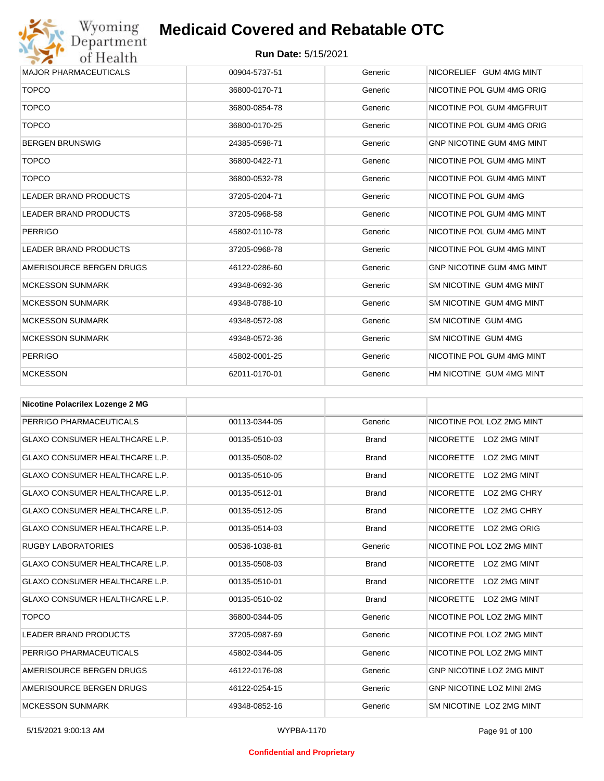

| <b>MAJOR PHARMACEUTICALS</b> | 00904-5737-51 | Generic | NICORELIEF GUM 4MG MINT          |
|------------------------------|---------------|---------|----------------------------------|
| <b>TOPCO</b>                 | 36800-0170-71 | Generic | NICOTINE POL GUM 4MG ORIG        |
| <b>TOPCO</b>                 | 36800-0854-78 | Generic | NICOTINE POL GUM 4MGFRUIT        |
| <b>TOPCO</b>                 | 36800-0170-25 | Generic | NICOTINE POL GUM 4MG ORIG        |
| <b>BERGEN BRUNSWIG</b>       | 24385-0598-71 | Generic | <b>GNP NICOTINE GUM 4MG MINT</b> |
| <b>TOPCO</b>                 | 36800-0422-71 | Generic | NICOTINE POL GUM 4MG MINT        |
| <b>TOPCO</b>                 | 36800-0532-78 | Generic | NICOTINE POL GUM 4MG MINT        |
| <b>LEADER BRAND PRODUCTS</b> | 37205-0204-71 | Generic | NICOTINE POL GUM 4MG             |
| <b>LEADER BRAND PRODUCTS</b> | 37205-0968-58 | Generic | NICOTINE POL GUM 4MG MINT        |
| <b>PERRIGO</b>               | 45802-0110-78 | Generic | NICOTINE POL GUM 4MG MINT        |
| LEADER BRAND PRODUCTS        | 37205-0968-78 | Generic | NICOTINE POL GUM 4MG MINT        |
| AMERISOURCE BERGEN DRUGS     | 46122-0286-60 | Generic | <b>GNP NICOTINE GUM 4MG MINT</b> |
| <b>MCKESSON SUNMARK</b>      | 49348-0692-36 | Generic | SM NICOTINE GUM 4MG MINT         |
| <b>MCKESSON SUNMARK</b>      | 49348-0788-10 | Generic | SM NICOTINE GUM 4MG MINT         |
| <b>MCKESSON SUNMARK</b>      | 49348-0572-08 | Generic | SM NICOTINE GUM 4MG              |
| <b>MCKESSON SUNMARK</b>      | 49348-0572-36 | Generic | SM NICOTINE GUM 4MG              |
| <b>PERRIGO</b>               | 45802-0001-25 | Generic | NICOTINE POL GUM 4MG MINT        |
| <b>MCKESSON</b>              | 62011-0170-01 | Generic | HM NICOTINE GUM 4MG MINT         |

| <b>Nicotine Polacrilex Lozenge 2 MG</b> |               |              |                                  |
|-----------------------------------------|---------------|--------------|----------------------------------|
| PERRIGO PHARMACEUTICALS                 | 00113-0344-05 | Generic      | NICOTINE POL LOZ 2MG MINT        |
| <b>GLAXO CONSUMER HEALTHCARE L.P.</b>   | 00135-0510-03 | <b>Brand</b> | NICORETTE LOZ 2MG MINT           |
| <b>GLAXO CONSUMER HEALTHCARE L.P.</b>   | 00135-0508-02 | <b>Brand</b> | NICORETTE LOZ 2MG MINT           |
| <b>GLAXO CONSUMER HEALTHCARE L.P.</b>   | 00135-0510-05 | <b>Brand</b> | <b>NICORETTE</b><br>LOZ 2MG MINT |
| <b>GLAXO CONSUMER HEALTHCARE L.P.</b>   | 00135-0512-01 | <b>Brand</b> | NICORETTE LOZ 2MG CHRY           |
| <b>GLAXO CONSUMER HEALTHCARE L.P.</b>   | 00135-0512-05 | <b>Brand</b> | <b>NICORETTE</b><br>LOZ 2MG CHRY |
| <b>GLAXO CONSUMER HEALTHCARE L.P.</b>   | 00135-0514-03 | <b>Brand</b> | <b>NICORETTE</b><br>LOZ 2MG ORIG |
| <b>RUGBY LABORATORIES</b>               | 00536-1038-81 | Generic      | NICOTINE POL LOZ 2MG MINT        |
| <b>GLAXO CONSUMER HEALTHCARE L.P.</b>   | 00135-0508-03 | <b>Brand</b> | NICORETTE LOZ 2MG MINT           |
| <b>GLAXO CONSUMER HEALTHCARE L.P.</b>   | 00135-0510-01 | <b>Brand</b> | <b>NICORETTE</b><br>LOZ 2MG MINT |
| <b>GLAXO CONSUMER HEALTHCARE L.P.</b>   | 00135-0510-02 | <b>Brand</b> | <b>NICORETTE</b><br>LOZ 2MG MINT |
| <b>TOPCO</b>                            | 36800-0344-05 | Generic      | NICOTINE POL LOZ 2MG MINT        |
| <b>LEADER BRAND PRODUCTS</b>            | 37205-0987-69 | Generic      | NICOTINE POL LOZ 2MG MINT        |
| PERRIGO PHARMACEUTICALS                 | 45802-0344-05 | Generic      | NICOTINE POL LOZ 2MG MINT        |
| AMERISOURCE BERGEN DRUGS                | 46122-0176-08 | Generic      | <b>GNP NICOTINE LOZ 2MG MINT</b> |
| AMERISOURCE BERGEN DRUGS                | 46122-0254-15 | Generic      | <b>GNP NICOTINE LOZ MINI 2MG</b> |
| <b>MCKESSON SUNMARK</b>                 | 49348-0852-16 | Generic      | SM NICOTINE LOZ 2MG MINT         |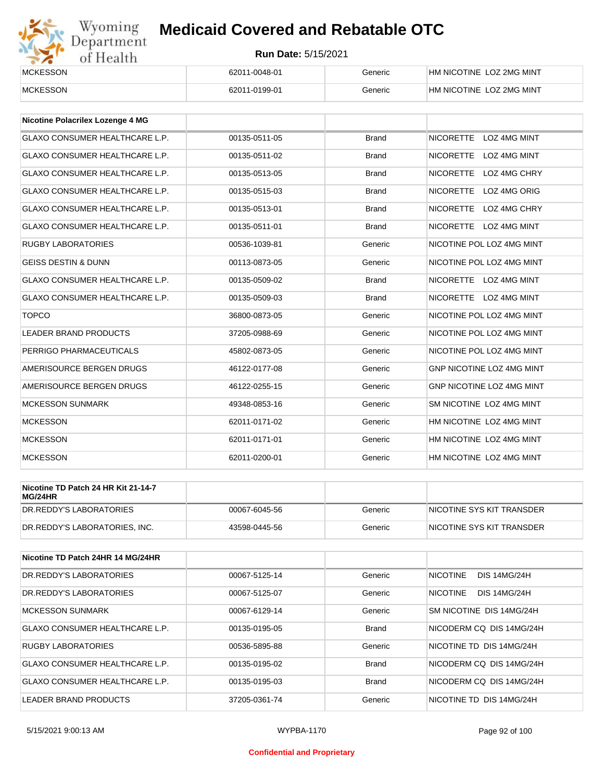

| <b>MCKESSON</b> | 62011-0048-01 | Generic | HM NICOTINE LOZ 2MG MINT |
|-----------------|---------------|---------|--------------------------|
| <b>MCKESSON</b> | 62011-0199-01 | Generic | HM NICOTINE LOZ 2MG MINT |

| <b>Nicotine Polacrilex Lozenge 4 MG</b> |               |              |                                         |
|-----------------------------------------|---------------|--------------|-----------------------------------------|
| <b>GLAXO CONSUMER HEALTHCARE L.P.</b>   | 00135-0511-05 | <b>Brand</b> | NICORETTE LOZ 4MG MINT                  |
| <b>GLAXO CONSUMER HEALTHCARE L.P.</b>   | 00135-0511-02 | <b>Brand</b> | <b>NICORETTE</b><br>LOZ 4MG MINT        |
| GLAXO CONSUMER HEALTHCARE L.P.          | 00135-0513-05 | <b>Brand</b> | <b>NICORETTE</b><br>LOZ 4MG CHRY        |
| <b>GLAXO CONSUMER HEALTHCARE L.P.</b>   | 00135-0515-03 | <b>Brand</b> | <b>NICORETTE</b><br>LOZ 4MG ORIG        |
| <b>GLAXO CONSUMER HEALTHCARE L.P.</b>   | 00135-0513-01 | <b>Brand</b> | <b>NICORETTE</b><br>LOZ 4MG CHRY        |
| <b>GLAXO CONSUMER HEALTHCARE L.P.</b>   | 00135-0511-01 | <b>Brand</b> | <b>NICORETTE</b><br><b>LOZ 4MG MINT</b> |
| <b>RUGBY LABORATORIES</b>               | 00536-1039-81 | Generic      | NICOTINE POL LOZ 4MG MINT               |
| <b>GEISS DESTIN &amp; DUNN</b>          | 00113-0873-05 | Generic      | NICOTINE POL LOZ 4MG MINT               |
| <b>GLAXO CONSUMER HEALTHCARE L.P.</b>   | 00135-0509-02 | <b>Brand</b> | NICORETTE LOZ 4MG MINT                  |
| <b>GLAXO CONSUMER HEALTHCARE L.P.</b>   | 00135-0509-03 | <b>Brand</b> | NICORETTE LOZ 4MG MINT                  |
| <b>TOPCO</b>                            | 36800-0873-05 | Generic      | NICOTINE POL LOZ 4MG MINT               |
| <b>LEADER BRAND PRODUCTS</b>            | 37205-0988-69 | Generic      | NICOTINE POL LOZ 4MG MINT               |
| PERRIGO PHARMACEUTICALS                 | 45802-0873-05 | Generic      | NICOTINE POL LOZ 4MG MINT               |
| AMERISOURCE BERGEN DRUGS                | 46122-0177-08 | Generic      | GNP NICOTINE LOZ 4MG MINT               |
| AMERISOURCE BERGEN DRUGS                | 46122-0255-15 | Generic      | <b>GNP NICOTINE LOZ 4MG MINT</b>        |
| <b>MCKESSON SUNMARK</b>                 | 49348-0853-16 | Generic      | SM NICOTINE LOZ 4MG MINT                |
| <b>MCKESSON</b>                         | 62011-0171-02 | Generic      | HM NICOTINE LOZ 4MG MINT                |
| <b>MCKESSON</b>                         | 62011-0171-01 | Generic      | HM NICOTINE LOZ 4MG MINT                |
| <b>MCKESSON</b>                         | 62011-0200-01 | Generic      | HM NICOTINE LOZ 4MG MINT                |

| Nicotine TD Patch 24 HR Kit 21-14-7<br>MG/24HR |               |         |                           |
|------------------------------------------------|---------------|---------|---------------------------|
| DR.REDDY'S LABORATORIES                        | 00067-6045-56 | Generic | NICOTINE SYS KIT TRANSDER |
| DR.REDDY'S LABORATORIES. INC.                  | 43598-0445-56 | Generic | NICOTINE SYS KIT TRANSDER |

| Nicotine TD Patch 24HR 14 MG/24HR |               |              |                                        |
|-----------------------------------|---------------|--------------|----------------------------------------|
| DR.REDDY'S LABORATORIES           | 00067-5125-14 | Generic      | <b>NICOTINE</b><br><b>DIS 14MG/24H</b> |
| DR.REDDY'S LABORATORIES           | 00067-5125-07 | Generic      | <b>NICOTINE</b><br><b>DIS 14MG/24H</b> |
| MCKESSON SUNMARK                  | 00067-6129-14 | Generic      | <b>SM NICOTINE DIS 14MG/24H</b>        |
| GLAXO CONSUMER HEALTHCARE L.P.    | 00135-0195-05 | <b>Brand</b> | NICODERM CO DIS 14MG/24H               |
| <b>RUGBY LABORATORIES</b>         | 00536-5895-88 | Generic      | NICOTINE TD DIS 14MG/24H               |
| GLAXO CONSUMER HEALTHCARE L.P.    | 00135-0195-02 | <b>Brand</b> | NICODERM CO DIS 14MG/24H               |
| GLAXO CONSUMER HEALTHCARE L.P.    | 00135-0195-03 | Brand        | NICODERM CQ DIS 14MG/24H               |
| LEADER BRAND PRODUCTS             | 37205-0361-74 | Generic      | NICOTINE TD DIS 14MG/24H               |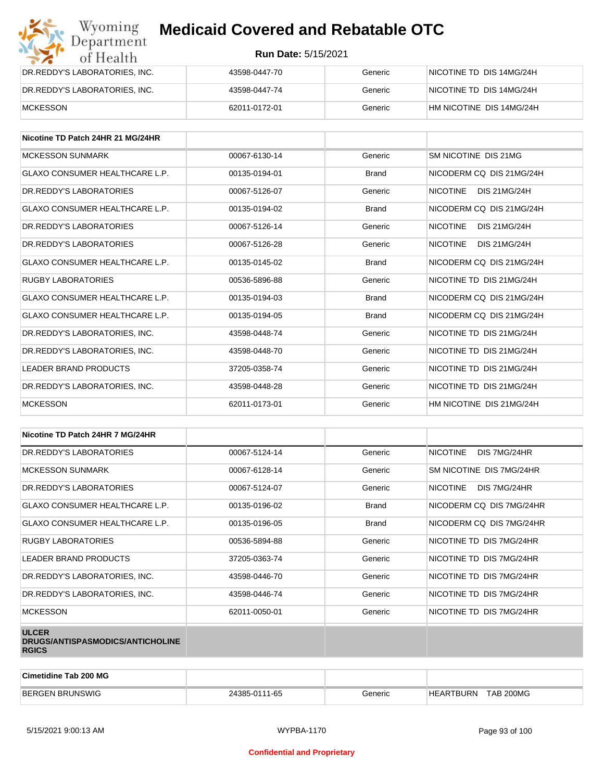| Wyoming<br><b>Medicaid Covered and Rebatable OTC</b><br>Department |                            |         |                          |  |
|--------------------------------------------------------------------|----------------------------|---------|--------------------------|--|
| of Health                                                          | <b>Run Date: 5/15/2021</b> |         |                          |  |
| DR.REDDY'S LABORATORIES, INC.                                      | 43598-0447-70              | Generic | NICOTINE TD DIS 14MG/24H |  |
| DR.REDDY'S LABORATORIES, INC.                                      | 43598-0447-74              | Generic | NICOTINE TD DIS 14MG/24H |  |
| <b>MCKESSON</b>                                                    | 62011-0172-01              | Generic | HM NICOTINE DIS 14MG/24H |  |

| Nicotine TD Patch 24HR 21 MG/24HR     |               |              |                                        |
|---------------------------------------|---------------|--------------|----------------------------------------|
| <b>MCKESSON SUNMARK</b>               | 00067-6130-14 | Generic      | SM NICOTINE DIS 21MG                   |
| <b>GLAXO CONSUMER HEALTHCARE L.P.</b> | 00135-0194-01 | <b>Brand</b> | NICODERM CO DIS 21MG/24H               |
| DR. REDDY'S LABORATORIES              | 00067-5126-07 | Generic      | <b>NICOTINE</b><br><b>DIS 21MG/24H</b> |
| <b>GLAXO CONSUMER HEALTHCARE L.P.</b> | 00135-0194-02 | <b>Brand</b> | NICODERM CO DIS 21MG/24H               |
| DR. REDDY'S LABORATORIES              | 00067-5126-14 | Generic      | <b>NICOTINE</b><br>DIS 21MG/24H        |
| DR. REDDY'S LABORATORIES              | 00067-5126-28 | Generic      | <b>NICOTINE</b><br>DIS 21MG/24H        |
| <b>GLAXO CONSUMER HEALTHCARE L.P.</b> | 00135-0145-02 | Brand        | NICODERM CO DIS 21MG/24H               |
| <b>RUGBY LABORATORIES</b>             | 00536-5896-88 | Generic      | NICOTINE TD DIS 21MG/24H               |
| <b>GLAXO CONSUMER HEALTHCARE L.P.</b> | 00135-0194-03 | <b>Brand</b> | NICODERM CO DIS 21MG/24H               |
| <b>GLAXO CONSUMER HEALTHCARE L.P.</b> | 00135-0194-05 | <b>Brand</b> | NICODERM CO DIS 21MG/24H               |
| DR. REDDY'S LABORATORIES. INC.        | 43598-0448-74 | Generic      | NICOTINE TD DIS 21MG/24H               |
| DR.REDDY'S LABORATORIES, INC.         | 43598-0448-70 | Generic      | NICOTINE TD DIS 21MG/24H               |
| <b>LEADER BRAND PRODUCTS</b>          | 37205-0358-74 | Generic      | NICOTINE TD DIS 21MG/24H               |
| DR.REDDY'S LABORATORIES, INC.         | 43598-0448-28 | Generic      | NICOTINE TD DIS 21MG/24H               |
| <b>MCKESSON</b>                       | 62011-0173-01 | Generic      | HM NICOTINE DIS 21MG/24H               |

| Nicotine TD Patch 24HR 7 MG/24HR                                 |               |              |                                 |
|------------------------------------------------------------------|---------------|--------------|---------------------------------|
| DR.REDDY'S LABORATORIES                                          | 00067-5124-14 | Generic      | <b>NICOTINE</b><br>DIS 7MG/24HR |
| <b>MCKESSON SUNMARK</b>                                          | 00067-6128-14 | Generic      | SM NICOTINE DIS 7MG/24HR        |
| DR. REDDY'S LABORATORIES                                         | 00067-5124-07 | Generic      | <b>NICOTINE</b><br>DIS 7MG/24HR |
| <b>GLAXO CONSUMER HEALTHCARE L.P.</b>                            | 00135-0196-02 | <b>Brand</b> | NICODERM CQ DIS 7MG/24HR        |
| <b>GLAXO CONSUMER HEALTHCARE L.P.</b>                            | 00135-0196-05 | <b>Brand</b> | NICODERM CQ DIS 7MG/24HR        |
| RUGBY LABORATORIES                                               | 00536-5894-88 | Generic      | NICOTINE TD DIS 7MG/24HR        |
| <b>LEADER BRAND PRODUCTS</b>                                     | 37205-0363-74 | Generic      | NICOTINE TD DIS 7MG/24HR        |
| DR.REDDY'S LABORATORIES, INC.                                    | 43598-0446-70 | Generic      | NICOTINE TD DIS 7MG/24HR        |
| DR.REDDY'S LABORATORIES, INC.                                    | 43598-0446-74 | Generic      | NICOTINE TD DIS 7MG/24HR        |
| <b>MCKESSON</b>                                                  | 62011-0050-01 | Generic      | NICOTINE TD DIS 7MG/24HR        |
| <b>ULCER</b><br>DRUGS/ANTISPASMODICS/ANTICHOLINE<br><b>RGICS</b> |               |              |                                 |

| Cimetidine Tab 200 MG  |               |         |                               |  |
|------------------------|---------------|---------|-------------------------------|--|
| <b>BERGEN BRUNSWIG</b> | 24385-0111-65 | Generic | TAB 200MG<br><b>HEARTBURN</b> |  |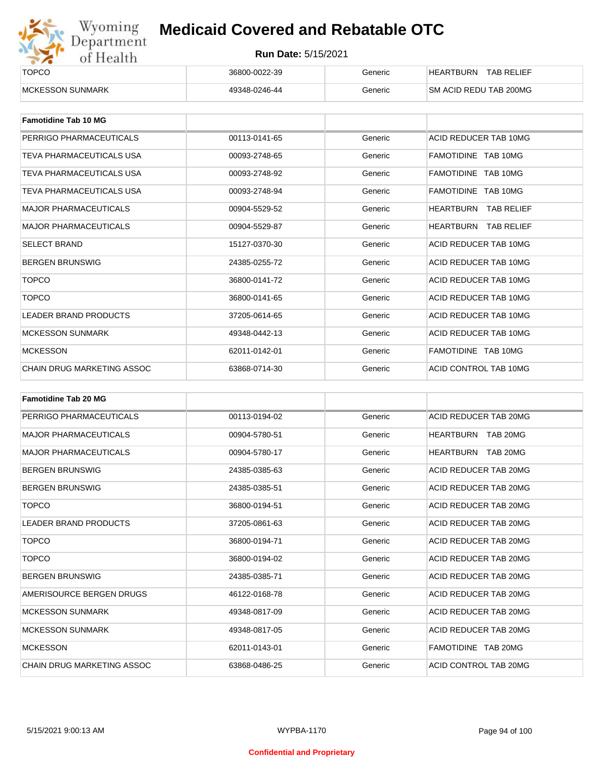

| ______<br><b>TOPCO</b>   | 36800-0022-39 | Generic | <b>TAB RELIEF</b><br><b>HEARTBURN</b> |
|--------------------------|---------------|---------|---------------------------------------|
| <b>IMCKESSON SUNMARK</b> | 49348-0246-44 | Generic | <b>SM ACID REDU TAB 200MG</b>         |

| <b>Famotidine Tab 10 MG</b>     |               |         |                                |
|---------------------------------|---------------|---------|--------------------------------|
| PERRIGO PHARMACEUTICALS         | 00113-0141-65 | Generic | ACID REDUCER TAB 10MG          |
| TEVA PHARMACEUTICALS USA        | 00093-2748-65 | Generic | FAMOTIDINE TAB 10MG            |
| TEVA PHARMACEUTICALS USA        | 00093-2748-92 | Generic | FAMOTIDINE TAB 10MG            |
| <b>TEVA PHARMACEUTICALS USA</b> | 00093-2748-94 | Generic | FAMOTIDINE TAB 10MG            |
| <b>MAJOR PHARMACEUTICALS</b>    | 00904-5529-52 | Generic | HEARTBURN<br><b>TAB RELIEF</b> |
| <b>MAJOR PHARMACEUTICALS</b>    | 00904-5529-87 | Generic | HEARTBURN<br><b>TAB RELIEF</b> |
| <b>SELECT BRAND</b>             | 15127-0370-30 | Generic | ACID REDUCER TAB 10MG          |
| <b>BERGEN BRUNSWIG</b>          | 24385-0255-72 | Generic | ACID REDUCER TAB 10MG          |
| <b>TOPCO</b>                    | 36800-0141-72 | Generic | ACID REDUCER TAB 10MG          |
| <b>TOPCO</b>                    | 36800-0141-65 | Generic | ACID REDUCER TAB 10MG          |
| <b>LEADER BRAND PRODUCTS</b>    | 37205-0614-65 | Generic | ACID REDUCER TAB 10MG          |
| <b>MCKESSON SUNMARK</b>         | 49348-0442-13 | Generic | ACID REDUCER TAB 10MG          |
| <b>MCKESSON</b>                 | 62011-0142-01 | Generic | FAMOTIDINE TAB 10MG            |
| CHAIN DRUG MARKETING ASSOC      | 63868-0714-30 | Generic | ACID CONTROL TAB 10MG          |

| <b>Famotidine Tab 20 MG</b>  |               |         |                       |
|------------------------------|---------------|---------|-----------------------|
| PERRIGO PHARMACEUTICALS      | 00113-0194-02 | Generic | ACID REDUCER TAB 20MG |
| <b>MAJOR PHARMACEUTICALS</b> | 00904-5780-51 | Generic | TAB 20MG<br>HEARTBURN |
| <b>MAJOR PHARMACEUTICALS</b> | 00904-5780-17 | Generic | HEARTBURN<br>TAB 20MG |
| <b>BERGEN BRUNSWIG</b>       | 24385-0385-63 | Generic | ACID REDUCER TAB 20MG |
| <b>BERGEN BRUNSWIG</b>       | 24385-0385-51 | Generic | ACID REDUCER TAB 20MG |
| <b>TOPCO</b>                 | 36800-0194-51 | Generic | ACID REDUCER TAB 20MG |
| <b>LEADER BRAND PRODUCTS</b> | 37205-0861-63 | Generic | ACID REDUCER TAB 20MG |
| <b>TOPCO</b>                 | 36800-0194-71 | Generic | ACID REDUCER TAB 20MG |
| <b>TOPCO</b>                 | 36800-0194-02 | Generic | ACID REDUCER TAB 20MG |
| <b>BERGEN BRUNSWIG</b>       | 24385-0385-71 | Generic | ACID REDUCER TAB 20MG |
| AMERISOURCE BERGEN DRUGS     | 46122-0168-78 | Generic | ACID REDUCER TAB 20MG |
| <b>MCKESSON SUNMARK</b>      | 49348-0817-09 | Generic | ACID REDUCER TAB 20MG |
| <b>MCKESSON SUNMARK</b>      | 49348-0817-05 | Generic | ACID REDUCER TAB 20MG |
| <b>MCKESSON</b>              | 62011-0143-01 | Generic | FAMOTIDINE TAB 20MG   |
| CHAIN DRUG MARKETING ASSOC   | 63868-0486-25 | Generic | ACID CONTROL TAB 20MG |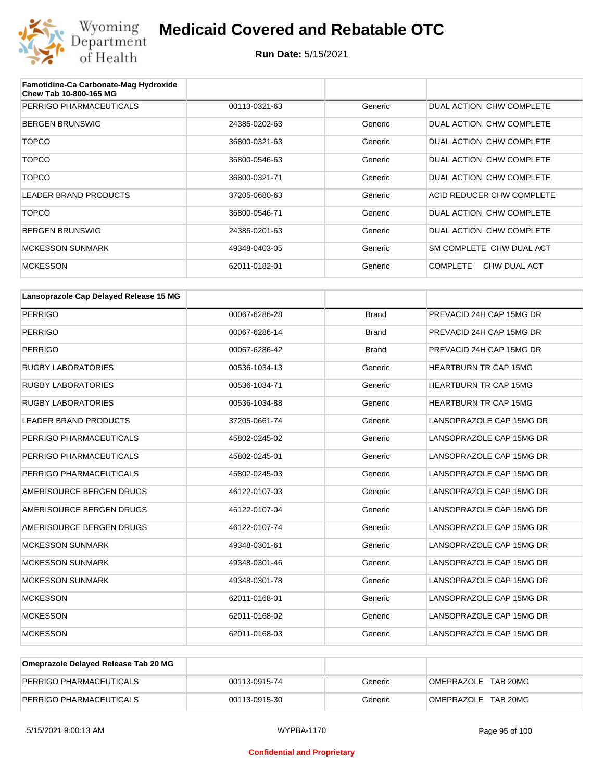

| Famotidine-Ca Carbonate-Mag Hydroxide<br><b>Chew Tab 10-800-165 MG</b> |               |         |                                 |
|------------------------------------------------------------------------|---------------|---------|---------------------------------|
| PERRIGO PHARMACEUTICALS                                                | 00113-0321-63 | Generic | DUAL ACTION CHW COMPLETE        |
| <b>BERGEN BRUNSWIG</b>                                                 | 24385-0202-63 | Generic | DUAL ACTION CHW COMPLETE        |
| <b>TOPCO</b>                                                           | 36800-0321-63 | Generic | DUAL ACTION CHW COMPLETE        |
| <b>TOPCO</b>                                                           | 36800-0546-63 | Generic | DUAL ACTION CHW COMPLETE        |
| <b>TOPCO</b>                                                           | 36800-0321-71 | Generic | DUAL ACTION CHW COMPLETE        |
| <b>LEADER BRAND PRODUCTS</b>                                           | 37205-0680-63 | Generic | ACID REDUCER CHW COMPLETE       |
| <b>TOPCO</b>                                                           | 36800-0546-71 | Generic | DUAL ACTION CHW COMPLETE        |
| <b>BERGEN BRUNSWIG</b>                                                 | 24385-0201-63 | Generic | DUAL ACTION CHW COMPLETE        |
| <b>MCKESSON SUNMARK</b>                                                | 49348-0403-05 | Generic | SM COMPLETE CHW DUAL ACT        |
| <b>MCKESSON</b>                                                        | 62011-0182-01 | Generic | <b>COMPLETE</b><br>CHW DUAL ACT |

| Lansoprazole Cap Delayed Release 15 MG |               |              |                              |
|----------------------------------------|---------------|--------------|------------------------------|
| <b>PERRIGO</b>                         | 00067-6286-28 | <b>Brand</b> | PREVACID 24H CAP 15MG DR     |
| <b>PERRIGO</b>                         | 00067-6286-14 | <b>Brand</b> | PREVACID 24H CAP 15MG DR     |
| <b>PERRIGO</b>                         | 00067-6286-42 | <b>Brand</b> | PREVACID 24H CAP 15MG DR     |
| <b>RUGBY LABORATORIES</b>              | 00536-1034-13 | Generic      | <b>HEARTBURN TR CAP 15MG</b> |
| <b>RUGBY LABORATORIES</b>              | 00536-1034-71 | Generic      | <b>HEARTBURN TR CAP 15MG</b> |
| <b>RUGBY LABORATORIES</b>              | 00536-1034-88 | Generic      | <b>HEARTBURN TR CAP 15MG</b> |
| <b>LEADER BRAND PRODUCTS</b>           | 37205-0661-74 | Generic      | LANSOPRAZOLE CAP 15MG DR     |
| PERRIGO PHARMACEUTICALS                | 45802-0245-02 | Generic      | LANSOPRAZOLE CAP 15MG DR     |
| PERRIGO PHARMACEUTICALS                | 45802-0245-01 | Generic      | LANSOPRAZOLE CAP 15MG DR     |
| PERRIGO PHARMACEUTICALS                | 45802-0245-03 | Generic      | LANSOPRAZOLE CAP 15MG DR     |
| AMERISOURCE BERGEN DRUGS               | 46122-0107-03 | Generic      | LANSOPRAZOLE CAP 15MG DR     |
| AMERISOURCE BERGEN DRUGS               | 46122-0107-04 | Generic      | LANSOPRAZOLE CAP 15MG DR     |
| AMERISOURCE BERGEN DRUGS               | 46122-0107-74 | Generic      | LANSOPRAZOLE CAP 15MG DR     |
| <b>MCKESSON SUNMARK</b>                | 49348-0301-61 | Generic      | LANSOPRAZOLE CAP 15MG DR     |
| <b>MCKESSON SUNMARK</b>                | 49348-0301-46 | Generic      | LANSOPRAZOLE CAP 15MG DR     |
| <b>MCKESSON SUNMARK</b>                | 49348-0301-78 | Generic      | LANSOPRAZOLE CAP 15MG DR     |
| <b>MCKESSON</b>                        | 62011-0168-01 | Generic      | LANSOPRAZOLE CAP 15MG DR     |
| <b>MCKESSON</b>                        | 62011-0168-02 | Generic      | LANSOPRAZOLE CAP 15MG DR     |
| <b>MCKESSON</b>                        | 62011-0168-03 | Generic      | LANSOPRAZOLE CAP 15MG DR     |

| Omeprazole Delayed Release Tab 20 MG |               |         |                     |
|--------------------------------------|---------------|---------|---------------------|
| PERRIGO PHARMACEUTICALS              | 00113-0915-74 | Generic | OMEPRAZOLE TAB 20MG |
| PERRIGO PHARMACEUTICALS              | 00113-0915-30 | Generic | OMEPRAZOLE TAB 20MG |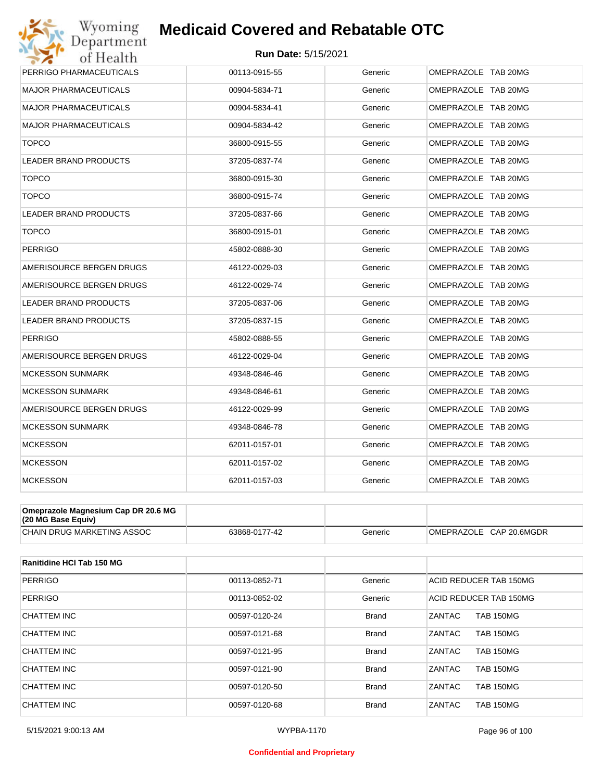#### **Run Date:** 5/15/2021

| Wyoming                      | <b>Medicaid Covered and Rebatable OTC</b> |         |                     |
|------------------------------|-------------------------------------------|---------|---------------------|
| Department<br>of Health      | <b>Run Date: 5/15/2021</b>                |         |                     |
| PERRIGO PHARMACEUTICALS      | 00113-0915-55                             | Generic | OMEPRAZOLE TAB 20MG |
| <b>MAJOR PHARMACEUTICALS</b> | 00904-5834-71                             | Generic | OMEPRAZOLE TAB 20MG |
| <b>MAJOR PHARMACEUTICALS</b> | 00904-5834-41                             | Generic | OMEPRAZOLE TAB 20MG |
| <b>MAJOR PHARMACEUTICALS</b> | 00904-5834-42                             | Generic | OMEPRAZOLE TAB 20MG |
| <b>TOPCO</b>                 | 36800-0915-55                             | Generic | OMEPRAZOLE TAB 20MG |
| <b>LEADER BRAND PRODUCTS</b> | 37205-0837-74                             | Generic | OMEPRAZOLE TAB 20MG |
| <b>TOPCO</b>                 | 36800-0915-30                             | Generic | OMEPRAZOLE TAB 20MG |
| <b>TOPCO</b>                 | 36800-0915-74                             | Generic | OMEPRAZOLE TAB 20MG |
| <b>LEADER BRAND PRODUCTS</b> | 37205-0837-66                             | Generic | OMEPRAZOLE TAB 20MG |
| <b>TOPCO</b>                 | 36800-0915-01                             | Generic | OMEPRAZOLE TAB 20MG |
| <b>PERRIGO</b>               | 45802-0888-30                             | Generic | OMEPRAZOLE TAB 20MG |
| AMERISOURCE BERGEN DRUGS     | 46122-0029-03                             | Generic | OMEPRAZOLE TAB 20MG |
| AMERISOURCE BERGEN DRUGS     | 46122-0029-74                             | Generic | OMEPRAZOLE TAB 20MG |
| <b>LEADER BRAND PRODUCTS</b> | 37205-0837-06                             | Generic | OMEPRAZOLE TAB 20MG |
| LEADER BRAND PRODUCTS        | 37205-0837-15                             | Generic | OMEPRAZOLE TAB 20MG |
| <b>PERRIGO</b>               | 45802-0888-55                             | Generic | OMEPRAZOLE TAB 20MG |
| AMERISOURCE BERGEN DRUGS     | 46122-0029-04                             | Generic | OMEPRAZOLE TAB 20MG |
| <b>MCKESSON SUNMARK</b>      | 49348-0846-46                             | Generic | OMEPRAZOLE TAB 20MG |
| <b>MCKESSON SUNMARK</b>      | 49348-0846-61                             | Generic | OMEPRAZOLE TAB 20MG |
| AMERISOURCE BERGEN DRUGS     | 46122-0029-99                             | Generic | OMEPRAZOLE TAB 20MG |
| <b>MCKESSON SUNMARK</b>      | 49348-0846-78                             | Generic | OMEPRAZOLE TAB 20MG |
| <b>MCKESSON</b>              | 62011-0157-01                             | Generic | OMEPRAZOLE TAB 20MG |
| <b>MCKESSON</b>              | 62011-0157-02                             | Generic | OMEPRAZOLE TAB 20MG |
| <b>MCKESSON</b>              | 62011-0157-03                             | Generic | OMEPRAZOLE TAB 20MG |

| Omeprazole Magnesium Cap DR 20.6 MG<br>(20 MG Base Equiv) |               |         |                         |
|-----------------------------------------------------------|---------------|---------|-------------------------|
| CHAIN DRUG MARKETING ASSOC                                | 63868-0177-42 | Generic | OMEPRAZOLE CAP 20.6MGDR |

| Ranitidine HCI Tab 150 MG |               |              |                                   |
|---------------------------|---------------|--------------|-----------------------------------|
| <b>PERRIGO</b>            | 00113-0852-71 | Generic      | ACID REDUCER TAB 150MG            |
| <b>PERRIGO</b>            | 00113-0852-02 | Generic      | ACID REDUCER TAB 150MG            |
| CHATTEM INC               | 00597-0120-24 | <b>Brand</b> | <b>ZANTAC</b><br><b>TAB 150MG</b> |
| CHATTEM INC               | 00597-0121-68 | <b>Brand</b> | ZANTAC<br><b>TAB 150MG</b>        |
| CHATTEM INC               | 00597-0121-95 | <b>Brand</b> | <b>ZANTAC</b><br><b>TAB 150MG</b> |
| CHATTEM INC               | 00597-0121-90 | <b>Brand</b> | ZANTAC<br><b>TAB 150MG</b>        |
| CHATTEM INC               | 00597-0120-50 | <b>Brand</b> | <b>ZANTAC</b><br><b>TAB 150MG</b> |
| CHATTEM INC               | 00597-0120-68 | <b>Brand</b> | ZANTAC<br><b>TAB 150MG</b>        |

#### **Confidential and Proprietary**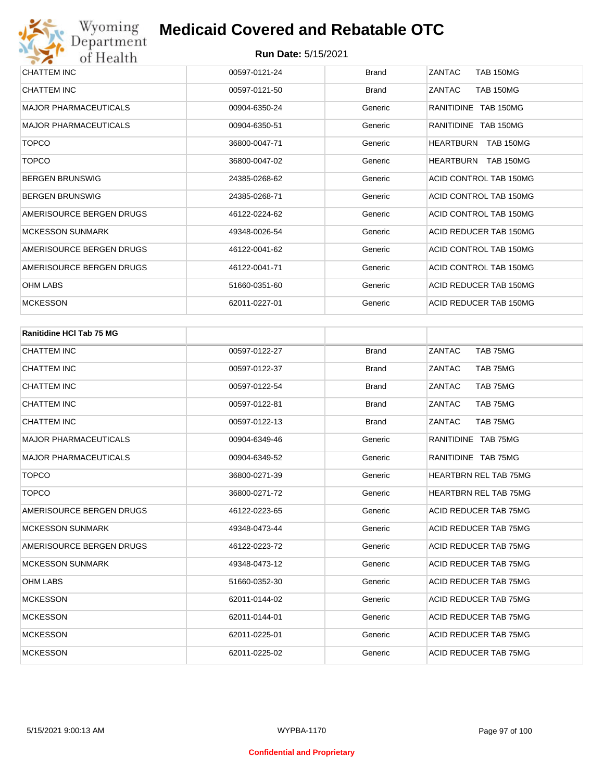| CHATTEM INC                  | 00597-0121-24 | <b>Brand</b> | <b>ZANTAC</b><br><b>TAB 150MG</b>    |
|------------------------------|---------------|--------------|--------------------------------------|
| <b>CHATTEM INC</b>           | 00597-0121-50 | <b>Brand</b> | <b>TAB 150MG</b><br>ZANTAC           |
| <b>MAJOR PHARMACEUTICALS</b> | 00904-6350-24 | Generic      | RANITIDINE TAB 150MG                 |
| <b>MAJOR PHARMACEUTICALS</b> | 00904-6350-51 | Generic      | RANITIDINE TAB 150MG                 |
| <b>TOPCO</b>                 | 36800-0047-71 | Generic      | <b>HEARTBURN</b><br><b>TAB 150MG</b> |
| <b>TOPCO</b>                 | 36800-0047-02 | Generic      | <b>HEARTBURN</b><br><b>TAB 150MG</b> |
| <b>BERGEN BRUNSWIG</b>       | 24385-0268-62 | Generic      | ACID CONTROL TAB 150MG               |
| <b>BERGEN BRUNSWIG</b>       | 24385-0268-71 | Generic      | ACID CONTROL TAB 150MG               |
| AMERISOURCE BERGEN DRUGS     | 46122-0224-62 | Generic      | ACID CONTROL TAB 150MG               |
| <b>MCKESSON SUNMARK</b>      | 49348-0026-54 | Generic      | ACID REDUCER TAB 150MG               |
| AMERISOURCE BERGEN DRUGS     | 46122-0041-62 | Generic      | ACID CONTROL TAB 150MG               |
| AMERISOURCE BERGEN DRUGS     | 46122-0041-71 | Generic      | ACID CONTROL TAB 150MG               |
| <b>OHM LABS</b>              | 51660-0351-60 | Generic      | ACID REDUCER TAB 150MG               |
| <b>MCKESSON</b>              | 62011-0227-01 | Generic      | ACID REDUCER TAB 150MG               |

| <b>Ranitidine HCI Tab 75 MG</b> |               |              |                              |
|---------------------------------|---------------|--------------|------------------------------|
| <b>CHATTEM INC</b>              | 00597-0122-27 | <b>Brand</b> | ZANTAC<br>TAB 75MG           |
| <b>CHATTEM INC</b>              | 00597-0122-37 | <b>Brand</b> | ZANTAC<br>TAB 75MG           |
| <b>CHATTEM INC</b>              | 00597-0122-54 | <b>Brand</b> | ZANTAC<br>TAB 75MG           |
| <b>CHATTEM INC</b>              | 00597-0122-81 | <b>Brand</b> | ZANTAC<br>TAB 75MG           |
| <b>CHATTEM INC</b>              | 00597-0122-13 | <b>Brand</b> | ZANTAC<br>TAB 75MG           |
| <b>MAJOR PHARMACEUTICALS</b>    | 00904-6349-46 | Generic      | RANITIDINE TAB 75MG          |
| <b>MAJOR PHARMACEUTICALS</b>    | 00904-6349-52 | Generic      | RANITIDINE TAB 75MG          |
| <b>TOPCO</b>                    | 36800-0271-39 | Generic      | <b>HEARTBRN REL TAB 75MG</b> |
| <b>TOPCO</b>                    | 36800-0271-72 | Generic      | <b>HEARTBRN REL TAB 75MG</b> |
| AMERISOURCE BERGEN DRUGS        | 46122-0223-65 | Generic      | ACID REDUCER TAB 75MG        |
| <b>MCKESSON SUNMARK</b>         | 49348-0473-44 | Generic      | ACID REDUCER TAB 75MG        |
| AMERISOURCE BERGEN DRUGS        | 46122-0223-72 | Generic      | <b>ACID REDUCER TAB 75MG</b> |
| <b>MCKESSON SUNMARK</b>         | 49348-0473-12 | Generic      | <b>ACID REDUCER TAB 75MG</b> |
| <b>OHM LABS</b>                 | 51660-0352-30 | Generic      | <b>ACID REDUCER TAB 75MG</b> |
| <b>MCKESSON</b>                 | 62011-0144-02 | Generic      | ACID REDUCER TAB 75MG        |
| <b>MCKESSON</b>                 | 62011-0144-01 | Generic      | ACID REDUCER TAB 75MG        |
| <b>MCKESSON</b>                 | 62011-0225-01 | Generic      | <b>ACID REDUCER TAB 75MG</b> |
| <b>MCKESSON</b>                 | 62011-0225-02 | Generic      | <b>ACID REDUCER TAB 75MG</b> |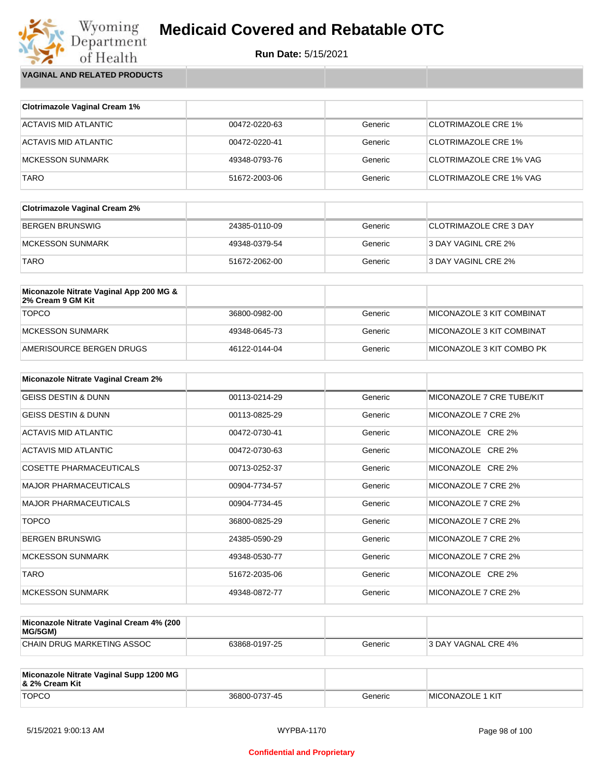

Wyoming<br>Department<br>of Health **VAGINAL AND RELATED PRODUCTS**

| <b>Clotrimazole Vaginal Cream 1%</b> |               |         |                            |
|--------------------------------------|---------------|---------|----------------------------|
| ACTAVIS MID ATLANTIC                 | 00472-0220-63 | Generic | <b>CLOTRIMAZOLE CRE 1%</b> |
| ACTAVIS MID ATLANTIC                 | 00472-0220-41 | Generic | <b>CLOTRIMAZOLE CRE 1%</b> |
| <b>MCKESSON SUNMARK</b>              | 49348-0793-76 | Generic | CLOTRIMAZOLE CRE 1% VAG    |
| <b>TARO</b>                          | 51672-2003-06 | Generic | CLOTRIMAZOLE CRE 1% VAG    |

| <b>Clotrimazole Vaginal Cream 2%</b> |               |         |                        |
|--------------------------------------|---------------|---------|------------------------|
| BERGEN BRUNSWIG                      | 24385-0110-09 | Generic | CLOTRIMAZOLE CRE 3 DAY |
| MCKESSON SUNMARK                     | 49348-0379-54 | Generic | 3 DAY VAGINL CRE 2%    |
| <b>TARO</b>                          | 51672-2062-00 | Generic | 3 DAY VAGINL CRE 2%    |

| Miconazole Nitrate Vaginal App 200 MG &<br>2% Cream 9 GM Kit |               |         |                            |
|--------------------------------------------------------------|---------------|---------|----------------------------|
| <b>TOPCO</b>                                                 | 36800-0982-00 | Generic | MICONAZOLE 3 KIT COMBINAT  |
| MCKESSON SUNMARK                                             | 49348-0645-73 | Generic | ™IICONAZOLE 3 KIT COMBINAT |
| AMERISOURCE BERGEN DRUGS                                     | 46122-0144-04 | Generic | MICONAZOLE 3 KIT COMBO PK  |

| <b>Miconazole Nitrate Vaginal Cream 2%</b> |               |         |                           |
|--------------------------------------------|---------------|---------|---------------------------|
| <b>GEISS DESTIN &amp; DUNN</b>             | 00113-0214-29 | Generic | MICONAZOLE 7 CRE TUBE/KIT |
| <b>GEISS DESTIN &amp; DUNN</b>             | 00113-0825-29 | Generic | MICONAZOLE 7 CRE 2%       |
| ACTAVIS MID ATLANTIC                       | 00472-0730-41 | Generic | MICONAZOLE CRE 2%         |
| ACTAVIS MID ATLANTIC                       | 00472-0730-63 | Generic | MICONAZOLE CRE 2%         |
| <b>COSETTE PHARMACEUTICALS</b>             | 00713-0252-37 | Generic | MICONAZOLE CRE 2%         |
| <b>MAJOR PHARMACEUTICALS</b>               | 00904-7734-57 | Generic | MICONAZOLE 7 CRE 2%       |
| <b>MAJOR PHARMACEUTICALS</b>               | 00904-7734-45 | Generic | MICONAZOLE 7 CRE 2%       |
| <b>TOPCO</b>                               | 36800-0825-29 | Generic | MICONAZOLE 7 CRE 2%       |
| <b>BERGEN BRUNSWIG</b>                     | 24385-0590-29 | Generic | MICONAZOLE 7 CRE 2%       |
| <b>MCKESSON SUNMARK</b>                    | 49348-0530-77 | Generic | MICONAZOLE 7 CRE 2%       |
| <b>TARO</b>                                | 51672-2035-06 | Generic | MICONAZOLE CRE 2%         |
| <b>MCKESSON SUNMARK</b>                    | 49348-0872-77 | Generic | MICONAZOLE 7 CRE 2%       |

| Miconazole Nitrate Vaginal Cream 4% (200<br>MG/5GM) |               |         |                     |
|-----------------------------------------------------|---------------|---------|---------------------|
| CHAIN DRUG MARKETING ASSOC                          | 63868-0197-25 | Generic | 3 DAY VAGNAL CRE 4% |

| Miconazole Nitrate Vaginal Supp 1200 MG<br>8. 2% Cream Kit |               |         |                         |
|------------------------------------------------------------|---------------|---------|-------------------------|
| <b>TOPCO</b>                                               | 36800-0737-45 | Generic | <b>MICONAZOLE 1 KIT</b> |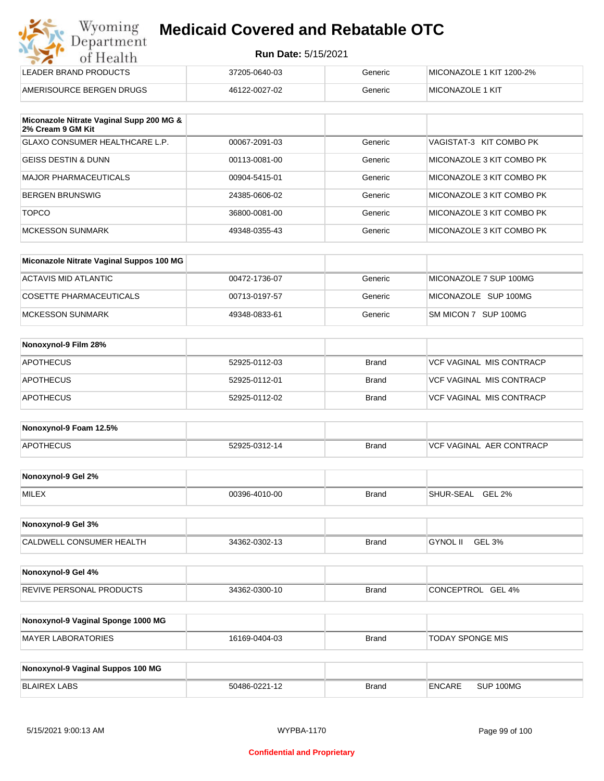| Wyoming<br>Department | <b>Medicaid Covered and Rebatable OTC</b> |
|-----------------------|-------------------------------------------|
| of Health             | <b>Run Date: 5/15/2021</b>                |

| ---                      |               |         |                          |  |
|--------------------------|---------------|---------|--------------------------|--|
| LEADER BRAND PRODUCTS    | 37205-0640-03 | Generic | MICONAZOLE 1 KIT 1200-2% |  |
| AMERISOURCE BERGEN DRUGS | 46122-0027-02 | Generic | <b>MICONAZOLE 1 KIT</b>  |  |

| Miconazole Nitrate Vaginal Supp 200 MG &<br>2% Cream 9 GM Kit |               |         |                           |
|---------------------------------------------------------------|---------------|---------|---------------------------|
| <b>GLAXO CONSUMER HEALTHCARE L.P.</b>                         | 00067-2091-03 | Generic | VAGISTAT-3 KIT COMBO PK   |
| GEISS DESTIN & DUNN                                           | 00113-0081-00 | Generic | MICONAZOLE 3 KIT COMBO PK |
| MAJOR PHARMACEUTICALS                                         | 00904-5415-01 | Generic | MICONAZOLE 3 KIT COMBO PK |
| BERGEN BRUNSWIG                                               | 24385-0606-02 | Generic | MICONAZOLE 3 KIT COMBO PK |
| <b>TOPCO</b>                                                  | 36800-0081-00 | Generic | MICONAZOLE 3 KIT COMBO PK |
| MCKESSON SUNMARK                                              | 49348-0355-43 | Generic | MICONAZOLE 3 KIT COMBO PK |

| Miconazole Nitrate Vaginal Suppos 100 MG |               |         |                        |
|------------------------------------------|---------------|---------|------------------------|
| ACTAVIS MID ATLANTIC                     | 00472-1736-07 | Generic | MICONAZOLE 7 SUP 100MG |
| COSETTE PHARMACEUTICALS                  | 00713-0197-57 | Generic | MICONAZOLE SUP 100MG   |
| MCKESSON SUNMARK                         | 49348-0833-61 | Generic | SM MICON 7 SUP 100MG   |

| Nonoxynol-9 Film 28% |               |              |                          |
|----------------------|---------------|--------------|--------------------------|
| <b>APOTHECUS</b>     | 52925-0112-03 | <b>Brand</b> | VCF VAGINAL MIS CONTRACP |
| <b>APOTHECUS</b>     | 52925-0112-01 | <b>Brand</b> | VCF VAGINAL MIS CONTRACP |
| <b>APOTHECUS</b>     | 52925-0112-02 | <b>Brand</b> | VCF VAGINAL MIS CONTRACP |

| Nonoxynol-9 Foam 12.5% |               |              |                                  |
|------------------------|---------------|--------------|----------------------------------|
| <b>APOTHECUS</b>       | 52925-0312-14 | <b>Brand</b> | <b>IVCF VAGINAL AER CONTRACP</b> |

| Nonoxynol-9 Gel 2% |               |       |                                        |
|--------------------|---------------|-------|----------------------------------------|
| <b>MILEX</b>       | 00396-4010-00 | Brand | <b>GEL</b><br>L 2%<br><b>SHUR-SEAL</b> |

| Nonoxynol-9 Gel 3%              |               |       |                           |  |
|---------------------------------|---------------|-------|---------------------------|--|
| <b>CALDWELL CONSUMER HEALTH</b> | 34362-0302-13 | Brand | <b>GYNOL II</b><br>GEL 3% |  |

| Nonoxynol-9 Gel 4%              |               |              |                      |
|---------------------------------|---------------|--------------|----------------------|
| <b>REVIVE PERSONAL PRODUCTS</b> | 34362-0300-10 | <b>Brand</b> | GEL 4%<br>CONCEPTROL |

| Nonoxynol-9 Vaginal Sponge 1000 MG |               |       |                  |
|------------------------------------|---------------|-------|------------------|
| MAYER LABORATORIES                 | 16169-0404-03 | Brand | TODAY SPONGE MIS |

| Nonoxynol-9 Vaginal Suppos 100 MG |               |              |        |           |
|-----------------------------------|---------------|--------------|--------|-----------|
| <b>BLAIREX LABS</b>               | 50486-0221-12 | <b>Brand</b> | ENCARE | SUP 100MG |